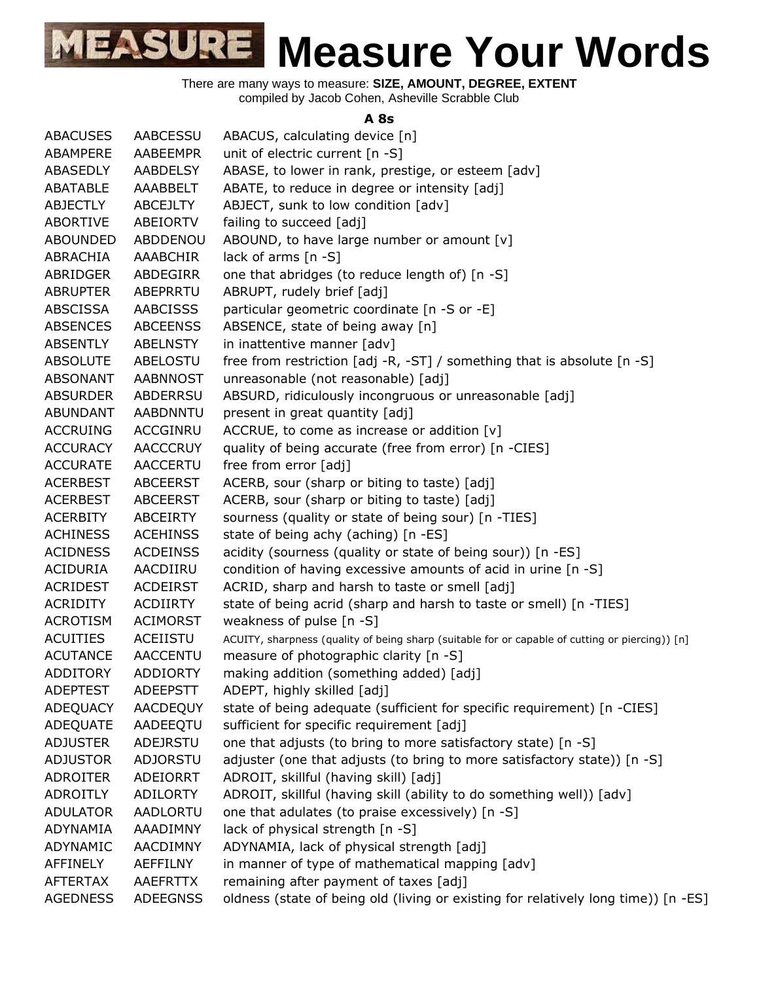There are many ways to measure: **SIZE, AMOUNT, DEGREE, EXTENT** compiled by Jacob Cohen, Asheville Scrabble Club

#### **A 8s**

| <b>ABACUSES</b> | AABCESSU        | ABACUS, calculating device [n]                                                                  |
|-----------------|-----------------|-------------------------------------------------------------------------------------------------|
| ABAMPERE        | AABEEMPR        | unit of electric current [n -S]                                                                 |
| ABASEDLY        | <b>AABDELSY</b> | ABASE, to lower in rank, prestige, or esteem [adv]                                              |
| ABATABLE        | AAABBELT        | ABATE, to reduce in degree or intensity [adj]                                                   |
| <b>ABJECTLY</b> | <b>ABCEJLTY</b> | ABJECT, sunk to low condition [adv]                                                             |
| <b>ABORTIVE</b> | ABEIORTV        | failing to succeed [adj]                                                                        |
| <b>ABOUNDED</b> | ABDDENOU        | ABOUND, to have large number or amount [v]                                                      |
| ABRACHIA        | <b>AAABCHIR</b> | lack of arms $[n -S]$                                                                           |
| ABRIDGER        | ABDEGIRR        | one that abridges (to reduce length of) [n -S]                                                  |
| <b>ABRUPTER</b> | ABEPRRTU        | ABRUPT, rudely brief [adj]                                                                      |
| ABSCISSA        | <b>AABCISSS</b> | particular geometric coordinate [n -S or -E]                                                    |
| <b>ABSENCES</b> | <b>ABCEENSS</b> | ABSENCE, state of being away [n]                                                                |
| <b>ABSENTLY</b> | <b>ABELNSTY</b> | in inattentive manner [adv]                                                                     |
| <b>ABSOLUTE</b> | ABELOSTU        | free from restriction [adj -R, -ST] / something that is absolute [n -S]                         |
| <b>ABSONANT</b> | <b>AABNNOST</b> | unreasonable (not reasonable) [adj]                                                             |
| <b>ABSURDER</b> | ABDERRSU        | ABSURD, ridiculously incongruous or unreasonable [adj]                                          |
| <b>ABUNDANT</b> | AABDNNTU        | present in great quantity [adj]                                                                 |
| <b>ACCRUING</b> | <b>ACCGINRU</b> | ACCRUE, to come as increase or addition [v]                                                     |
| <b>ACCURACY</b> | <b>AACCCRUY</b> | quality of being accurate (free from error) [n -CIES]                                           |
| <b>ACCURATE</b> | <b>AACCERTU</b> | free from error [adj]                                                                           |
| <b>ACERBEST</b> | <b>ABCEERST</b> | ACERB, sour (sharp or biting to taste) [adj]                                                    |
| <b>ACERBEST</b> | <b>ABCEERST</b> | ACERB, sour (sharp or biting to taste) [adj]                                                    |
| <b>ACERBITY</b> | <b>ABCEIRTY</b> | sourness (quality or state of being sour) [n -TIES]                                             |
| <b>ACHINESS</b> | <b>ACEHINSS</b> | state of being achy (aching) [n -ES]                                                            |
| <b>ACIDNESS</b> | <b>ACDEINSS</b> | acidity (sourness (quality or state of being sour)) [n -ES]                                     |
| <b>ACIDURIA</b> | AACDIIRU        | condition of having excessive amounts of acid in urine [n -S]                                   |
| <b>ACRIDEST</b> | <b>ACDEIRST</b> | ACRID, sharp and harsh to taste or smell [adj]                                                  |
| <b>ACRIDITY</b> | <b>ACDIIRTY</b> | state of being acrid (sharp and harsh to taste or smell) [n -TIES]                              |
| <b>ACROTISM</b> | <b>ACIMORST</b> | weakness of pulse [n -S]                                                                        |
| <b>ACUITIES</b> | ACEIISTU        | ACUITY, sharpness (quality of being sharp (suitable for or capable of cutting or piercing)) [n] |
| <b>ACUTANCE</b> | <b>AACCENTU</b> | measure of photographic clarity [n -S]                                                          |
| <b>ADDITORY</b> | <b>ADDIORTY</b> | making addition (something added) [adj]                                                         |
| <b>ADEPTEST</b> | <b>ADEEPSTT</b> | ADEPT, highly skilled [adj]                                                                     |
| ADEQUACY        | AACDEQUY        | state of being adequate (sufficient for specific requirement) [n -CIES]                         |
| ADEQUATE        | AADEEQTU        | sufficient for specific requirement [adj]                                                       |
| <b>ADJUSTER</b> | ADEJRSTU        | one that adjusts (to bring to more satisfactory state) [n -S]                                   |
| <b>ADJUSTOR</b> | <b>ADJORSTU</b> | adjuster (one that adjusts (to bring to more satisfactory state)) [n -S]                        |
| <b>ADROITER</b> | ADEIORRT        | ADROIT, skillful (having skill) [adj]                                                           |
| <b>ADROITLY</b> | <b>ADILORTY</b> | ADROIT, skillful (having skill (ability to do something well)) [adv]                            |
| <b>ADULATOR</b> | AADLORTU        | one that adulates (to praise excessively) [n -S]                                                |
| ADYNAMIA        | AAADIMNY        | lack of physical strength [n -S]                                                                |
| ADYNAMIC        | AACDIMNY        | ADYNAMIA, lack of physical strength [adj]                                                       |
| AFFINELY        | <b>AEFFILNY</b> | in manner of type of mathematical mapping [adv]                                                 |
| <b>AFTERTAX</b> | <b>AAEFRTTX</b> | remaining after payment of taxes [adj]                                                          |
| <b>AGEDNESS</b> | <b>ADEEGNSS</b> | oldness (state of being old (living or existing for relatively long time)) [n -ES]              |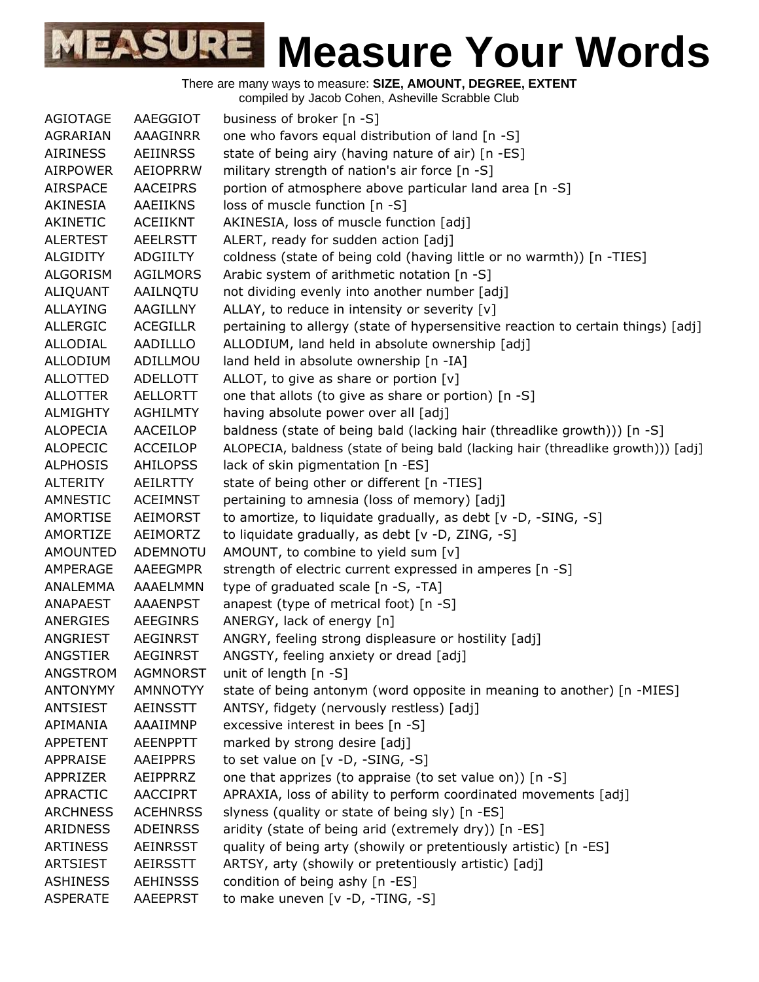

| AGIOTAGE        | AAEGGIOT        | business of broker [n -S]                                                         |
|-----------------|-----------------|-----------------------------------------------------------------------------------|
| AGRARIAN        | AAAGINRR        | one who favors equal distribution of land [n -S]                                  |
| <b>AIRINESS</b> | <b>AEIINRSS</b> | state of being airy (having nature of air) [n -ES]                                |
| <b>AIRPOWER</b> | AEIOPRRW        | military strength of nation's air force [n -S]                                    |
| <b>AIRSPACE</b> | <b>AACEIPRS</b> | portion of atmosphere above particular land area [n -S]                           |
| AKINESIA        | AAEIIKNS        | loss of muscle function [n -S]                                                    |
| AKINETIC        | ACEIIKNT        | AKINESIA, loss of muscle function [adj]                                           |
| <b>ALERTEST</b> | <b>AEELRSTT</b> | ALERT, ready for sudden action [adj]                                              |
| <b>ALGIDITY</b> | ADGIILTY        | coldness (state of being cold (having little or no warmth)) [n -TIES]             |
| ALGORISM        | <b>AGILMORS</b> | Arabic system of arithmetic notation [n -S]                                       |
| ALIQUANT        | AAILNQTU        | not dividing evenly into another number [adj]                                     |
| ALLAYING        | AAGILLNY        | ALLAY, to reduce in intensity or severity [v]                                     |
| <b>ALLERGIC</b> | <b>ACEGILLR</b> | pertaining to allergy (state of hypersensitive reaction to certain things) [adj]  |
| ALLODIAL        | AADILLLO        | ALLODIUM, land held in absolute ownership [adj]                                   |
| <b>ALLODIUM</b> | ADILLMOU        | land held in absolute ownership [n -IA]                                           |
| <b>ALLOTTED</b> | <b>ADELLOTT</b> | ALLOT, to give as share or portion $[v]$                                          |
| <b>ALLOTTER</b> | <b>AELLORTT</b> | one that allots (to give as share or portion) [n -S]                              |
| <b>ALMIGHTY</b> | <b>AGHILMTY</b> | having absolute power over all [adj]                                              |
| <b>ALOPECIA</b> | AACEILOP        | baldness (state of being bald (lacking hair (threadlike growth))) [n -S]          |
| <b>ALOPECIC</b> | <b>ACCEILOP</b> | ALOPECIA, baldness (state of being bald (lacking hair (threadlike growth))) [adj] |
| <b>ALPHOSIS</b> | <b>AHILOPSS</b> | lack of skin pigmentation [n -ES]                                                 |
| <b>ALTERITY</b> | AEILRTTY        | state of being other or different [n -TIES]                                       |
|                 |                 |                                                                                   |
| AMNESTIC        | <b>ACEIMNST</b> | pertaining to amnesia (loss of memory) [adj]                                      |
| AMORTISE        | AEIMORST        | to amortize, to liquidate gradually, as debt [v -D, -SING, -S]                    |
| AMORTIZE        | AEIMORTZ        | to liquidate gradually, as debt [v -D, ZING, -S]                                  |
| <b>AMOUNTED</b> | ADEMNOTU        | AMOUNT, to combine to yield sum [v]                                               |
| AMPERAGE        | AAEEGMPR        | strength of electric current expressed in amperes [n -S]                          |
| ANALEMMA        | AAAELMMN        | type of graduated scale [n -S, -TA]                                               |
| ANAPAEST        | <b>AAAENPST</b> | anapest (type of metrical foot) [n -S]                                            |
| ANERGIES        | AEEGINRS        | ANERGY, lack of energy [n]                                                        |
| ANGRIEST        | <b>AEGINRST</b> | ANGRY, feeling strong displeasure or hostility [adj]                              |
| ANGSTIER        | <b>AEGINRST</b> | ANGSTY, feeling anxiety or dread [adj]                                            |
| ANGSTROM        | <b>AGMNORST</b> | unit of length [n -S]                                                             |
| <b>ANTONYMY</b> | AMNNOTYY        | state of being antonym (word opposite in meaning to another) [n -MIES]            |
| <b>ANTSIEST</b> | <b>AEINSSTT</b> | ANTSY, fidgety (nervously restless) [adj]                                         |
| APIMANIA        | AAAIIMNP        | excessive interest in bees [n -S]                                                 |
| APPETENT        | <b>AEENPPTT</b> | marked by strong desire [adj]                                                     |
| <b>APPRAISE</b> | <b>AAEIPPRS</b> | to set value on [v -D, -SING, -S]                                                 |
| APPRIZER        | AEIPPRRZ        | one that apprizes (to appraise (to set value on)) [n -S]                          |
| APRACTIC        | <b>AACCIPRT</b> | APRAXIA, loss of ability to perform coordinated movements [adj]                   |
| <b>ARCHNESS</b> | <b>ACEHNRSS</b> | slyness (quality or state of being sly) [n -ES]                                   |
| ARIDNESS        | <b>ADEINRSS</b> | aridity (state of being arid (extremely dry)) [n -ES]                             |
| <b>ARTINESS</b> | <b>AEINRSST</b> | quality of being arty (showily or pretentiously artistic) [n -ES]                 |
| <b>ARTSIEST</b> | <b>AEIRSSTT</b> | ARTSY, arty (showily or pretentiously artistic) [adj]                             |
| <b>ASHINESS</b> | <b>AEHINSSS</b> | condition of being ashy [n -ES]                                                   |
| <b>ASPERATE</b> | AAEEPRST        | to make uneven [v -D, -TING, -S]                                                  |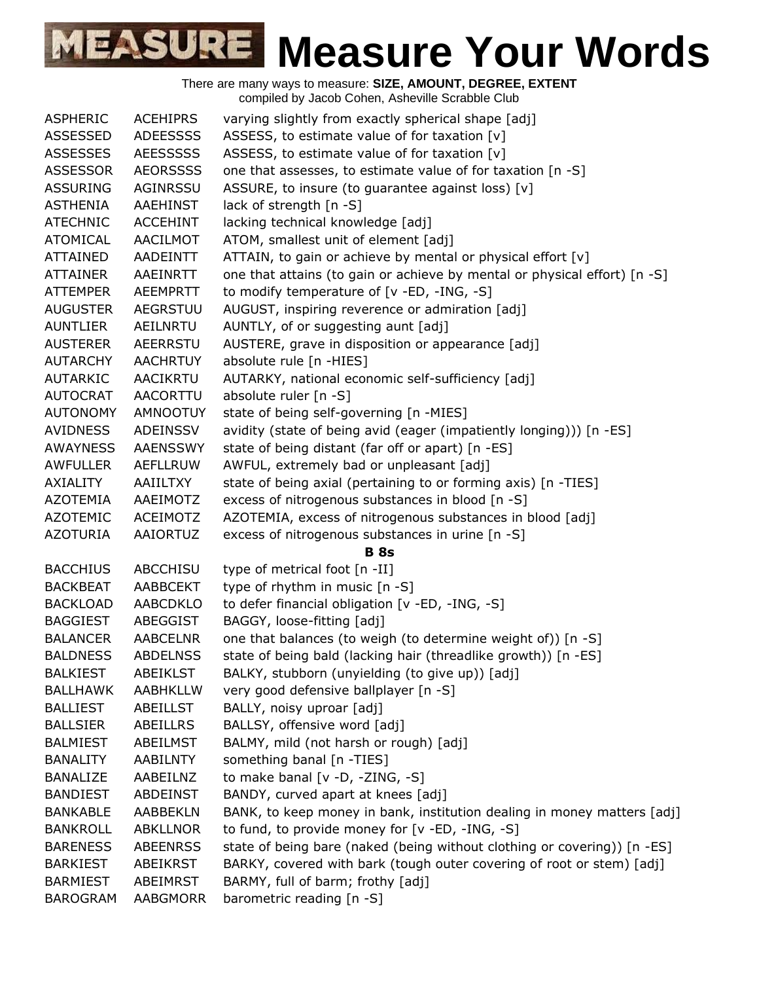| <b>ASPHERIC</b> | <b>ACEHIPRS</b> | varying slightly from exactly spherical shape [adj]                       |
|-----------------|-----------------|---------------------------------------------------------------------------|
| <b>ASSESSED</b> | <b>ADEESSSS</b> | ASSESS, to estimate value of for taxation [v]                             |
| <b>ASSESSES</b> | <b>AEESSSSS</b> | ASSESS, to estimate value of for taxation [v]                             |
| <b>ASSESSOR</b> | <b>AEORSSSS</b> | one that assesses, to estimate value of for taxation [n -S]               |
| <b>ASSURING</b> | AGINRSSU        | ASSURE, to insure (to guarantee against loss) [v]                         |
| <b>ASTHENIA</b> | AAEHINST        | lack of strength [n -S]                                                   |
| <b>ATECHNIC</b> | <b>ACCEHINT</b> | lacking technical knowledge [adj]                                         |
| <b>ATOMICAL</b> | AACILMOT        | ATOM, smallest unit of element [adj]                                      |
| <b>ATTAINED</b> | AADEINTT        | ATTAIN, to gain or achieve by mental or physical effort [v]               |
| <b>ATTAINER</b> | AAEINRTT        | one that attains (to gain or achieve by mental or physical effort) [n -S] |
| <b>ATTEMPER</b> | <b>AEEMPRTT</b> | to modify temperature of [v -ED, -ING, -S]                                |
| <b>AUGUSTER</b> | <b>AEGRSTUU</b> | AUGUST, inspiring reverence or admiration [adj]                           |
| <b>AUNTLIER</b> | AEILNRTU        | AUNTLY, of or suggesting aunt [adj]                                       |
| <b>AUSTERER</b> | <b>AEERRSTU</b> | AUSTERE, grave in disposition or appearance [adj]                         |
| <b>AUTARCHY</b> | <b>AACHRTUY</b> | absolute rule [n -HIES]                                                   |
| <b>AUTARKIC</b> | AACIKRTU        | AUTARKY, national economic self-sufficiency [adj]                         |
| <b>AUTOCRAT</b> | <b>AACORTTU</b> | absolute ruler [n -S]                                                     |
| <b>AUTONOMY</b> | <b>AMNOOTUY</b> | state of being self-governing [n -MIES]                                   |
| <b>AVIDNESS</b> | ADEINSSV        | avidity (state of being avid (eager (impatiently longing))) [n -ES]       |
| <b>AWAYNESS</b> | <b>AAENSSWY</b> | state of being distant (far off or apart) [n -ES]                         |
| <b>AWFULLER</b> | <b>AEFLLRUW</b> | AWFUL, extremely bad or unpleasant [adj]                                  |
| <b>AXIALITY</b> | AAIILTXY        | state of being axial (pertaining to or forming axis) [n -TIES]            |
| <b>AZOTEMIA</b> | AAEIMOTZ        | excess of nitrogenous substances in blood [n -S]                          |
| <b>AZOTEMIC</b> | ACEIMOTZ        | AZOTEMIA, excess of nitrogenous substances in blood [adj]                 |
| <b>AZOTURIA</b> | AAIORTUZ        | excess of nitrogenous substances in urine [n -S]                          |
|                 |                 | <b>B</b> 8s                                                               |
| <b>BACCHIUS</b> | <b>ABCCHISU</b> | type of metrical foot [n -II]                                             |
| <b>BACKBEAT</b> | <b>AABBCEKT</b> | type of rhythm in music [n -S]                                            |
| <b>BACKLOAD</b> | <b>AABCDKLO</b> | to defer financial obligation [v -ED, -ING, -S]                           |
| <b>BAGGIEST</b> | ABEGGIST        | BAGGY, loose-fitting [adj]                                                |
| <b>BALANCER</b> | <b>AABCELNR</b> | one that balances (to weigh (to determine weight of)) [n -S]              |
| <b>BALDNESS</b> | <b>ABDELNSS</b> | state of being bald (lacking hair (threadlike growth)) [n -ES]            |
| <b>BALKIEST</b> | <b>ABEIKLST</b> | BALKY, stubborn (unyielding (to give up)) [adj]                           |
| <b>BALLHAWK</b> | <b>AABHKLLW</b> | very good defensive ballplayer [n -S]                                     |
| <b>BALLIEST</b> | ABEILLST        | BALLY, noisy uproar [adj]                                                 |
| <b>BALLSIER</b> | <b>ABEILLRS</b> | BALLSY, offensive word [adj]                                              |
| <b>BALMIEST</b> | ABEILMST        | BALMY, mild (not harsh or rough) [adj]                                    |
| <b>BANALITY</b> | AABILNTY        | something banal [n -TIES]                                                 |
| <b>BANALIZE</b> | AABEILNZ        | to make banal [v -D, -ZING, -S]                                           |
| <b>BANDIEST</b> | ABDEINST        | BANDY, curved apart at knees [adj]                                        |
| <b>BANKABLE</b> | <b>AABBEKLN</b> | BANK, to keep money in bank, institution dealing in money matters [adj]   |
| <b>BANKROLL</b> | ABKLLNOR        | to fund, to provide money for [v -ED, -ING, -S]                           |
| <b>BARENESS</b> | <b>ABEENRSS</b> | state of being bare (naked (being without clothing or covering)) [n -ES]  |
| <b>BARKIEST</b> | ABEIKRST        | BARKY, covered with bark (tough outer covering of root or stem) [adj]     |
| <b>BARMIEST</b> | ABEIMRST        | BARMY, full of barm; frothy [adj]                                         |
| <b>BAROGRAM</b> | AABGMORR        | barometric reading [n -S]                                                 |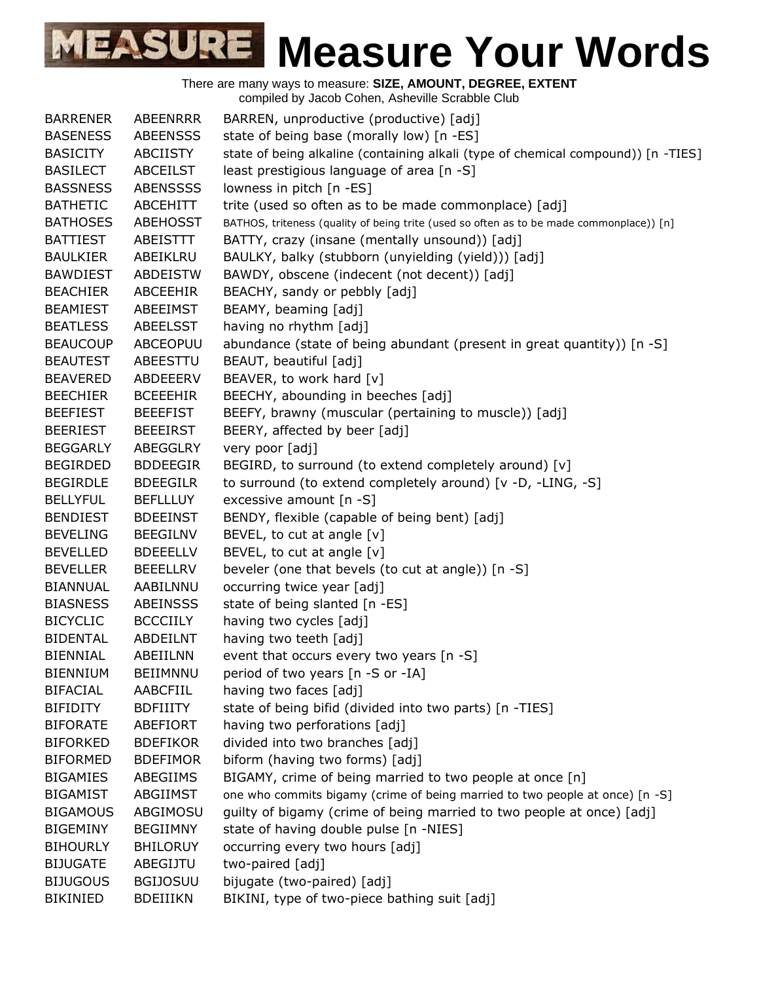| <b>BARRENER</b> | ABEENRRR        | BARREN, unproductive (productive) [adj]                                                  |
|-----------------|-----------------|------------------------------------------------------------------------------------------|
| <b>BASENESS</b> | <b>ABEENSSS</b> | state of being base (morally low) [n -ES]                                                |
| <b>BASICITY</b> | ABCIISTY        | state of being alkaline (containing alkali (type of chemical compound)) [n -TIES]        |
| <b>BASILECT</b> | <b>ABCEILST</b> | least prestigious language of area [n -S]                                                |
| <b>BASSNESS</b> | <b>ABENSSSS</b> | lowness in pitch [n -ES]                                                                 |
| <b>BATHETIC</b> | ABCEHITT        | trite (used so often as to be made commonplace) [adj]                                    |
| <b>BATHOSES</b> | <b>ABEHOSST</b> | BATHOS, triteness (quality of being trite (used so often as to be made commonplace)) [n] |
| <b>BATTIEST</b> | ABEISTTT        | BATTY, crazy (insane (mentally unsound)) [adj]                                           |
| <b>BAULKIER</b> | ABEIKLRU        | BAULKY, balky (stubborn (unyielding (yield))) [adj]                                      |
| <b>BAWDIEST</b> | <b>ABDEISTW</b> | BAWDY, obscene (indecent (not decent)) [adj]                                             |
| <b>BEACHIER</b> | <b>ABCEEHIR</b> | BEACHY, sandy or pebbly [adj]                                                            |
| <b>BEAMIEST</b> | ABEEIMST        | BEAMY, beaming [adj]                                                                     |
| <b>BEATLESS</b> | ABEELSST        | having no rhythm [adj]                                                                   |
| <b>BEAUCOUP</b> | <b>ABCEOPUU</b> | abundance (state of being abundant (present in great quantity)) [n -S]                   |
| <b>BEAUTEST</b> | ABEESTTU        | BEAUT, beautiful [adj]                                                                   |
| <b>BEAVERED</b> | ABDEEERV        | BEAVER, to work hard [v]                                                                 |
| <b>BEECHIER</b> | <b>BCEEEHIR</b> | BEECHY, abounding in beeches [adj]                                                       |
| <b>BEEFIEST</b> | <b>BEEEFIST</b> | BEEFY, brawny (muscular (pertaining to muscle)) [adj]                                    |
| <b>BEERIEST</b> | <b>BEEEIRST</b> | BEERY, affected by beer [adj]                                                            |
| <b>BEGGARLY</b> | ABEGGLRY        | very poor [adj]                                                                          |
| <b>BEGIRDED</b> | <b>BDDEEGIR</b> | BEGIRD, to surround (to extend completely around) [v]                                    |
| <b>BEGIRDLE</b> | <b>BDEEGILR</b> | to surround (to extend completely around) [v -D, -LING, -S]                              |
| <b>BELLYFUL</b> | <b>BEFLLLUY</b> | excessive amount [n -S]                                                                  |
| <b>BENDIEST</b> | <b>BDEEINST</b> | BENDY, flexible (capable of being bent) [adj]                                            |
| <b>BEVELING</b> | <b>BEEGILNV</b> | BEVEL, to cut at angle $[v]$                                                             |
| <b>BEVELLED</b> | <b>BDEEELLV</b> | BEVEL, to cut at angle [v]                                                               |
| <b>BEVELLER</b> | <b>BEEELLRV</b> | beveler (one that bevels (to cut at angle)) [n -S]                                       |
| <b>BIANNUAL</b> | AABILNNU        | occurring twice year [adj]                                                               |
| <b>BIASNESS</b> | <b>ABEINSSS</b> | state of being slanted [n -ES]                                                           |
| <b>BICYCLIC</b> | <b>BCCCIILY</b> | having two cycles [adj]                                                                  |
| <b>BIDENTAL</b> | ABDEILNT        | having two teeth [adj]                                                                   |
| <b>BIENNIAL</b> | ABEIILNN        | event that occurs every two years [n -S]                                                 |
| <b>BIENNIUM</b> | BEIIMNNU        | period of two years [n -S or -IA]                                                        |
| <b>BIFACIAL</b> | AABCFIIL        | having two faces [adj]                                                                   |
| <b>BIFIDITY</b> | <b>BDFIIITY</b> | state of being bifid (divided into two parts) [n -TIES]                                  |
| <b>BIFORATE</b> | ABEFIORT        | having two perforations [adj]                                                            |
| <b>BIFORKED</b> | <b>BDEFIKOR</b> | divided into two branches [adj]                                                          |
| <b>BIFORMED</b> | <b>BDEFIMOR</b> | biform (having two forms) [adj]                                                          |
| <b>BIGAMIES</b> | ABEGIIMS        | BIGAMY, crime of being married to two people at once [n]                                 |
| <b>BIGAMIST</b> | ABGIIMST        | one who commits bigamy (crime of being married to two people at once) [n -S]             |
| <b>BIGAMOUS</b> | ABGIMOSU        | guilty of bigamy (crime of being married to two people at once) [adj]                    |
| <b>BIGEMINY</b> | <b>BEGIIMNY</b> | state of having double pulse [n -NIES]                                                   |
| <b>BIHOURLY</b> | <b>BHILORUY</b> | occurring every two hours [adj]                                                          |
| <b>BIJUGATE</b> | ABEGIJTU        | two-paired [adj]                                                                         |
| <b>BIJUGOUS</b> | <b>BGIJOSUU</b> | bijugate (two-paired) [adj]                                                              |
| <b>BIKINIED</b> | <b>BDEIIIKN</b> | BIKINI, type of two-piece bathing suit [adj]                                             |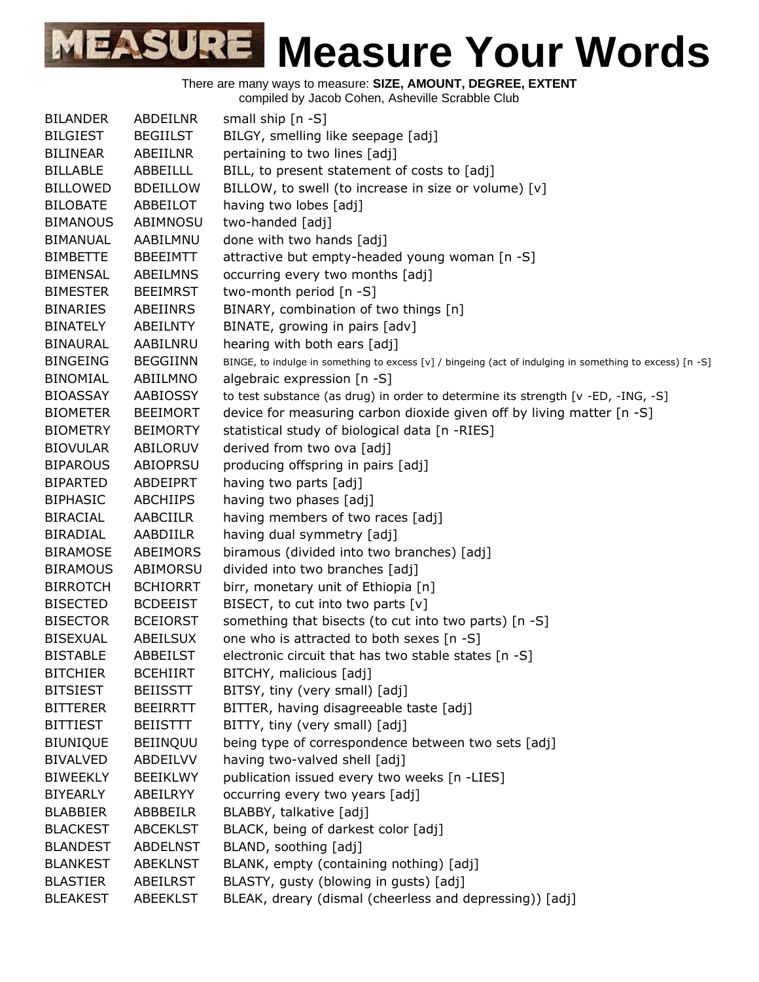

There are many ways to measure: **SIZE, AMOUNT, DEGREE, EXTENT**

compiled by Jacob Cohen, Asheville Scrabble Club

| <b>BILANDER</b> | ABDEILNR        | small ship [n -S]                                                                                        |
|-----------------|-----------------|----------------------------------------------------------------------------------------------------------|
| <b>BILGIEST</b> | <b>BEGIILST</b> | BILGY, smelling like seepage [adj]                                                                       |
| <b>BILINEAR</b> | ABEIILNR        | pertaining to two lines [adj]                                                                            |
| <b>BILLABLE</b> | ABBEILLL        | BILL, to present statement of costs to [adj]                                                             |
| <b>BILLOWED</b> | <b>BDEILLOW</b> | BILLOW, to swell (to increase in size or volume) [v]                                                     |
| <b>BILOBATE</b> | ABBEILOT        | having two lobes [adj]                                                                                   |
| <b>BIMANOUS</b> | ABIMNOSU        | two-handed [adj]                                                                                         |
| <b>BIMANUAL</b> | AABILMNU        | done with two hands [adj]                                                                                |
| <b>BIMBETTE</b> | <b>BBEEIMTT</b> | attractive but empty-headed young woman [n -S]                                                           |
| <b>BIMENSAL</b> | ABEILMNS        | occurring every two months [adj]                                                                         |
| <b>BIMESTER</b> | <b>BEEIMRST</b> | two-month period [n -S]                                                                                  |
| <b>BINARIES</b> | ABEIINRS        | BINARY, combination of two things [n]                                                                    |
| <b>BINATELY</b> | <b>ABEILNTY</b> | BINATE, growing in pairs [adv]                                                                           |
| <b>BINAURAL</b> | AABILNRU        | hearing with both ears [adj]                                                                             |
| <b>BINGEING</b> | <b>BEGGIINN</b> | BINGE, to indulge in something to excess [v] / bingeing (act of indulging in something to excess) [n -S] |
| <b>BINOMIAL</b> | ABIILMNO        | algebraic expression $[n - S]$                                                                           |
| <b>BIOASSAY</b> | <b>AABIOSSY</b> | to test substance (as drug) in order to determine its strength [v -ED, -ING, -S]                         |
| <b>BIOMETER</b> | <b>BEEIMORT</b> | device for measuring carbon dioxide given off by living matter [n -S]                                    |
| <b>BIOMETRY</b> | <b>BEIMORTY</b> | statistical study of biological data [n -RIES]                                                           |
| <b>BIOVULAR</b> | ABILORUV        | derived from two ova [adj]                                                                               |
| <b>BIPAROUS</b> | ABIOPRSU        | producing offspring in pairs [adj]                                                                       |
| <b>BIPARTED</b> | <b>ABDEIPRT</b> | having two parts [adj]                                                                                   |
| <b>BIPHASIC</b> | <b>ABCHIIPS</b> | having two phases [adj]                                                                                  |
| <b>BIRACIAL</b> | AABCIILR        | having members of two races [adj]                                                                        |
| <b>BIRADIAL</b> | AABDIILR        | having dual symmetry [adj]                                                                               |
| <b>BIRAMOSE</b> | ABEIMORS        | biramous (divided into two branches) [adj]                                                               |
| <b>BIRAMOUS</b> | ABIMORSU        | divided into two branches [adj]                                                                          |
| <b>BIRROTCH</b> | <b>BCHIORRT</b> | birr, monetary unit of Ethiopia [n]                                                                      |
| <b>BISECTED</b> | <b>BCDEEIST</b> | BISECT, to cut into two parts $[v]$                                                                      |
| <b>BISECTOR</b> | <b>BCEIORST</b> | something that bisects (to cut into two parts) [n -S]                                                    |
| <b>BISEXUAL</b> | ABEILSUX        | one who is attracted to both sexes [n -S]                                                                |
| <b>BISTABLE</b> | ABBEILST        | electronic circuit that has two stable states [n -S]                                                     |
| <b>BITCHIER</b> | <b>BCEHIIRT</b> | BITCHY, malicious [adj]                                                                                  |
| <b>BITSIEST</b> | <b>BEIISSTT</b> | BITSY, tiny (very small) [adj]                                                                           |
| <b>BITTERER</b> | <b>BEEIRRTT</b> | BITTER, having disagreeable taste [adj]                                                                  |
| <b>BITTIEST</b> | <b>BEIISTTT</b> | BITTY, tiny (very small) [adj]                                                                           |
| <b>BIUNIQUE</b> | <b>BEIINQUU</b> | being type of correspondence between two sets [adj]                                                      |
| <b>BIVALVED</b> | ABDEILVV        | having two-valved shell [adj]                                                                            |
| <b>BIWEEKLY</b> | <b>BEEIKLWY</b> | publication issued every two weeks [n -LIES]                                                             |
| <b>BIYEARLY</b> | ABEILRYY        | occurring every two years [adj]                                                                          |
| <b>BLABBIER</b> | ABBBEILR        | BLABBY, talkative [adj]                                                                                  |
| <b>BLACKEST</b> | <b>ABCEKLST</b> | BLACK, being of darkest color [adj]                                                                      |
| <b>BLANDEST</b> | <b>ABDELNST</b> | BLAND, soothing [adj]                                                                                    |
| <b>BLANKEST</b> | <b>ABEKLNST</b> | BLANK, empty (containing nothing) [adj]                                                                  |
| <b>BLASTIER</b> | ABEILRST        | BLASTY, gusty (blowing in gusts) [adj]                                                                   |
| <b>BLEAKEST</b> | ABEEKLST        | BLEAK, dreary (dismal (cheerless and depressing)) [adj]                                                  |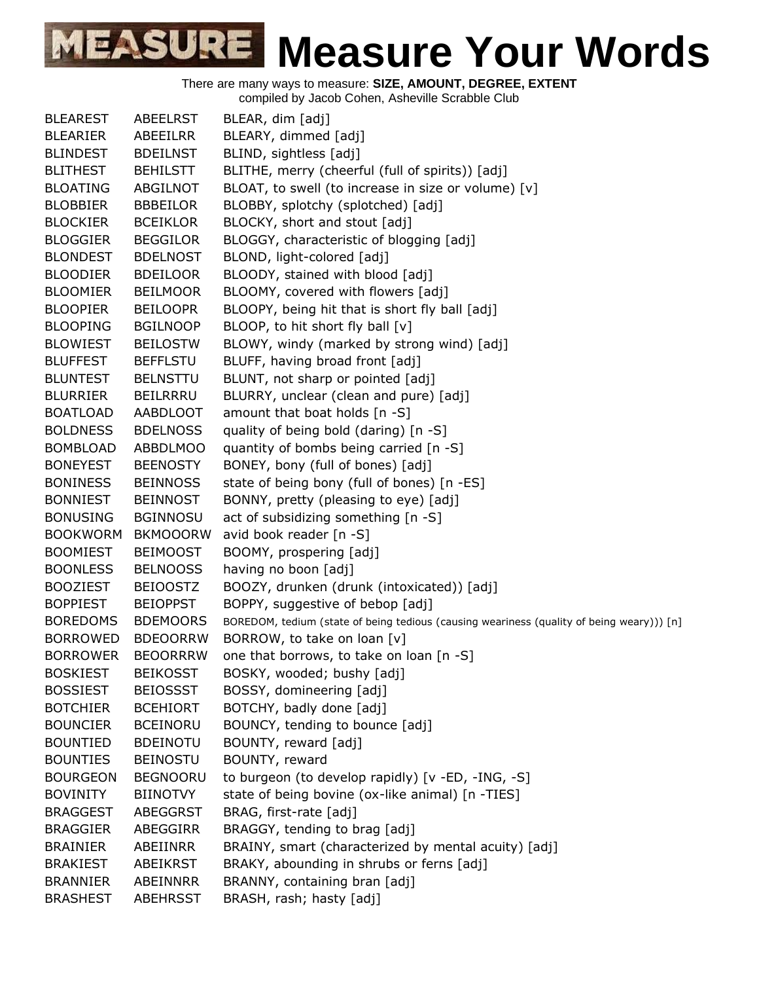There are many ways to measure: **SIZE, AMOUNT, DEGREE, EXTENT**

compiled by Jacob Cohen, Asheville Scrabble Club

| <b>BLEAREST</b> | <b>ABEELRST</b> | BLEAR, dim [adj]                                                                          |
|-----------------|-----------------|-------------------------------------------------------------------------------------------|
| <b>BLEARIER</b> | ABEEILRR        | BLEARY, dimmed [adj]                                                                      |
| <b>BLINDEST</b> | <b>BDEILNST</b> | BLIND, sightless [adj]                                                                    |
| <b>BLITHEST</b> | <b>BEHILSTT</b> | BLITHE, merry (cheerful (full of spirits)) [adj]                                          |
| <b>BLOATING</b> | ABGILNOT        | BLOAT, to swell (to increase in size or volume) [v]                                       |
| <b>BLOBBIER</b> | <b>BBBEILOR</b> | BLOBBY, splotchy (splotched) [adj]                                                        |
| <b>BLOCKIER</b> | <b>BCEIKLOR</b> | BLOCKY, short and stout [adj]                                                             |
| <b>BLOGGIER</b> | <b>BEGGILOR</b> | BLOGGY, characteristic of blogging [adj]                                                  |
| <b>BLONDEST</b> | <b>BDELNOST</b> | BLOND, light-colored [adj]                                                                |
| <b>BLOODIER</b> | <b>BDEILOOR</b> | BLOODY, stained with blood [adj]                                                          |
| <b>BLOOMIER</b> | <b>BEILMOOR</b> | BLOOMY, covered with flowers [adj]                                                        |
| <b>BLOOPIER</b> | <b>BEILOOPR</b> | BLOOPY, being hit that is short fly ball [adj]                                            |
| <b>BLOOPING</b> | <b>BGILNOOP</b> | BLOOP, to hit short fly ball [v]                                                          |
| <b>BLOWIEST</b> | <b>BEILOSTW</b> | BLOWY, windy (marked by strong wind) [adj]                                                |
| <b>BLUFFEST</b> | <b>BEFFLSTU</b> | BLUFF, having broad front [adj]                                                           |
| <b>BLUNTEST</b> | <b>BELNSTTU</b> | BLUNT, not sharp or pointed [adj]                                                         |
| <b>BLURRIER</b> | <b>BEILRRRU</b> | BLURRY, unclear (clean and pure) [adj]                                                    |
| <b>BOATLOAD</b> | AABDLOOT        | amount that boat holds [n -S]                                                             |
| <b>BOLDNESS</b> | <b>BDELNOSS</b> | quality of being bold (daring) [n -S]                                                     |
| <b>BOMBLOAD</b> | <b>ABBDLMOO</b> | quantity of bombs being carried [n -S]                                                    |
| <b>BONEYEST</b> | <b>BEENOSTY</b> | BONEY, bony (full of bones) [adj]                                                         |
| <b>BONINESS</b> | <b>BEINNOSS</b> | state of being bony (full of bones) [n -ES]                                               |
| <b>BONNIEST</b> | <b>BEINNOST</b> | BONNY, pretty (pleasing to eye) [adj]                                                     |
| <b>BONUSING</b> | <b>BGINNOSU</b> | act of subsidizing something [n -S]                                                       |
| <b>BOOKWORM</b> | <b>BKMOOORW</b> | avid book reader [n -S]                                                                   |
| <b>BOOMIEST</b> | <b>BEIMOOST</b> | BOOMY, prospering [adj]                                                                   |
| <b>BOONLESS</b> | <b>BELNOOSS</b> | having no boon [adj]                                                                      |
| <b>BOOZIEST</b> | <b>BEIOOSTZ</b> | BOOZY, drunken (drunk (intoxicated)) [adj]                                                |
| <b>BOPPIEST</b> | <b>BEIOPPST</b> | BOPPY, suggestive of bebop [adj]                                                          |
| <b>BOREDOMS</b> | <b>BDEMOORS</b> | BOREDOM, tedium (state of being tedious (causing weariness (quality of being weary))) [n] |
| <b>BORROWED</b> | <b>BDEOORRW</b> | BORROW, to take on loan [v]                                                               |
| <b>BORROWER</b> | <b>BEOORRRW</b> | one that borrows, to take on loan [n -S]                                                  |
| <b>BOSKIEST</b> | <b>BEIKOSST</b> | BOSKY, wooded; bushy [adj]                                                                |
| <b>BOSSIEST</b> | <b>BEIOSSST</b> | BOSSY, domineering [adj]                                                                  |
| <b>BOTCHIER</b> | <b>BCEHIORT</b> | BOTCHY, badly done [adj]                                                                  |
| <b>BOUNCIER</b> | <b>BCEINORU</b> | BOUNCY, tending to bounce [adj]                                                           |
| <b>BOUNTIED</b> | <b>BDEINOTU</b> | BOUNTY, reward [adj]                                                                      |
| <b>BOUNTIES</b> | <b>BEINOSTU</b> | BOUNTY, reward                                                                            |
| <b>BOURGEON</b> | <b>BEGNOORU</b> | to burgeon (to develop rapidly) [v -ED, -ING, -S]                                         |
| <b>BOVINITY</b> | <b>BIINOTVY</b> | state of being bovine (ox-like animal) [n -TIES]                                          |
| <b>BRAGGEST</b> | ABEGGRST        | BRAG, first-rate [adj]                                                                    |
| <b>BRAGGIER</b> | ABEGGIRR        | BRAGGY, tending to brag [adj]                                                             |
| <b>BRAINIER</b> | ABEIINRR        | BRAINY, smart (characterized by mental acuity) [adj]                                      |
| <b>BRAKIEST</b> | ABEIKRST        | BRAKY, abounding in shrubs or ferns [adj]                                                 |
| <b>BRANNIER</b> | ABEINNRR        | BRANNY, containing bran [adj]                                                             |
| <b>BRASHEST</b> | ABEHRSST        | BRASH, rash; hasty [adj]                                                                  |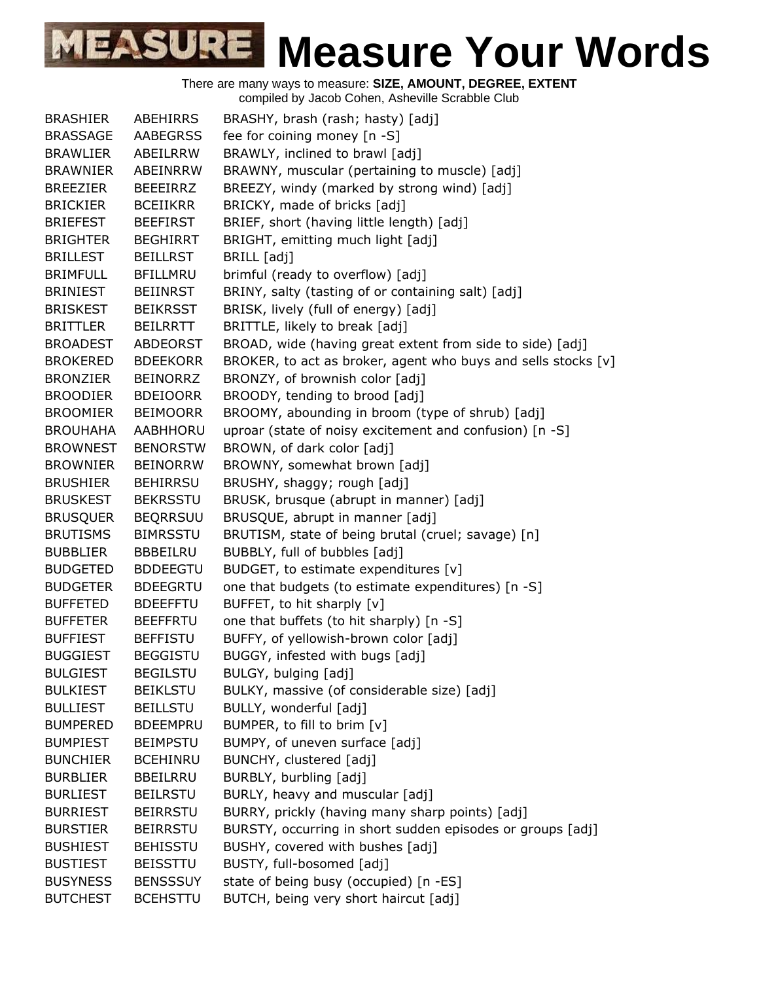| <b>BRASHIER</b> | ABEHIRRS        | BRASHY, brash (rash; hasty) [adj]                             |
|-----------------|-----------------|---------------------------------------------------------------|
| <b>BRASSAGE</b> | <b>AABEGRSS</b> | fee for coining money [n -S]                                  |
| <b>BRAWLIER</b> | ABEILRRW        | BRAWLY, inclined to brawl [adj]                               |
| <b>BRAWNIER</b> | ABEINRRW        | BRAWNY, muscular (pertaining to muscle) [adj]                 |
| <b>BREEZIER</b> | <b>BEEEIRRZ</b> | BREEZY, windy (marked by strong wind) [adj]                   |
| <b>BRICKIER</b> | <b>BCEIIKRR</b> | BRICKY, made of bricks [adj]                                  |
| <b>BRIEFEST</b> | <b>BEEFIRST</b> | BRIEF, short (having little length) [adj]                     |
| <b>BRIGHTER</b> | <b>BEGHIRRT</b> | BRIGHT, emitting much light [adj]                             |
| <b>BRILLEST</b> | <b>BEILLRST</b> | BRILL [adj]                                                   |
| <b>BRIMFULL</b> | <b>BFILLMRU</b> | brimful (ready to overflow) [adj]                             |
| <b>BRINIEST</b> | <b>BEIINRST</b> | BRINY, salty (tasting of or containing salt) [adj]            |
| <b>BRISKEST</b> | <b>BEIKRSST</b> | BRISK, lively (full of energy) [adj]                          |
| <b>BRITTLER</b> | <b>BEILRRTT</b> | BRITTLE, likely to break [adj]                                |
| <b>BROADEST</b> | <b>ABDEORST</b> | BROAD, wide (having great extent from side to side) [adj]     |
| <b>BROKERED</b> | <b>BDEEKORR</b> | BROKER, to act as broker, agent who buys and sells stocks [v] |
| <b>BRONZIER</b> | <b>BEINORRZ</b> | BRONZY, of brownish color [adj]                               |
| <b>BROODIER</b> | <b>BDEIOORR</b> | BROODY, tending to brood [adj]                                |
| <b>BROOMIER</b> | <b>BEIMOORR</b> | BROOMY, abounding in broom (type of shrub) [adj]              |
| <b>BROUHAHA</b> | AABHHORU        | uproar (state of noisy excitement and confusion) [n -S]       |
| <b>BROWNEST</b> | <b>BENORSTW</b> | BROWN, of dark color [adj]                                    |
| <b>BROWNIER</b> | <b>BEINORRW</b> | BROWNY, somewhat brown [adj]                                  |
| <b>BRUSHIER</b> | <b>BEHIRRSU</b> | BRUSHY, shaggy; rough [adj]                                   |
| <b>BRUSKEST</b> | <b>BEKRSSTU</b> | BRUSK, brusque (abrupt in manner) [adj]                       |
| <b>BRUSQUER</b> | <b>BEQRRSUU</b> | BRUSQUE, abrupt in manner [adj]                               |
| <b>BRUTISMS</b> | <b>BIMRSSTU</b> | BRUTISM, state of being brutal (cruel; savage) [n]            |
| <b>BUBBLIER</b> | <b>BBBEILRU</b> | BUBBLY, full of bubbles [adj]                                 |
| <b>BUDGETED</b> | <b>BDDEEGTU</b> | BUDGET, to estimate expenditures [v]                          |
| <b>BUDGETER</b> | <b>BDEEGRTU</b> | one that budgets (to estimate expenditures) [n -S]            |
| <b>BUFFETED</b> | <b>BDEEFFTU</b> | BUFFET, to hit sharply [v]                                    |
| <b>BUFFETER</b> | <b>BEEFFRTU</b> | one that buffets (to hit sharply) [n -S]                      |
| <b>BUFFIEST</b> | <b>BEFFISTU</b> | BUFFY, of yellowish-brown color [adj]                         |
| <b>BUGGIEST</b> | <b>BEGGISTU</b> | BUGGY, infested with bugs [adj]                               |
| <b>BULGIEST</b> | <b>BEGILSTU</b> | BULGY, bulging [adj]                                          |
| <b>BULKIEST</b> | <b>BEIKLSTU</b> | BULKY, massive (of considerable size) [adj]                   |
| <b>BULLIEST</b> | <b>BEILLSTU</b> | BULLY, wonderful [adj]                                        |
| <b>BUMPERED</b> | <b>BDEEMPRU</b> | BUMPER, to fill to brim [v]                                   |
| <b>BUMPIEST</b> | <b>BEIMPSTU</b> | BUMPY, of uneven surface [adj]                                |
| <b>BUNCHIER</b> | <b>BCEHINRU</b> | BUNCHY, clustered [adj]                                       |
| <b>BURBLIER</b> | <b>BBEILRRU</b> | BURBLY, burbling [adj]                                        |
| <b>BURLIEST</b> | <b>BEILRSTU</b> | BURLY, heavy and muscular [adj]                               |
| <b>BURRIEST</b> | <b>BEIRRSTU</b> | BURRY, prickly (having many sharp points) [adj]               |
| <b>BURSTIER</b> | <b>BEIRRSTU</b> | BURSTY, occurring in short sudden episodes or groups [adj]    |
| <b>BUSHIEST</b> | <b>BEHISSTU</b> | BUSHY, covered with bushes [adj]                              |
| <b>BUSTIEST</b> | <b>BEISSTTU</b> | BUSTY, full-bosomed [adj]                                     |
| <b>BUSYNESS</b> | <b>BENSSSUY</b> | state of being busy (occupied) [n -ES]                        |
| <b>BUTCHEST</b> | <b>BCEHSTTU</b> | BUTCH, being very short haircut [adj]                         |
|                 |                 |                                                               |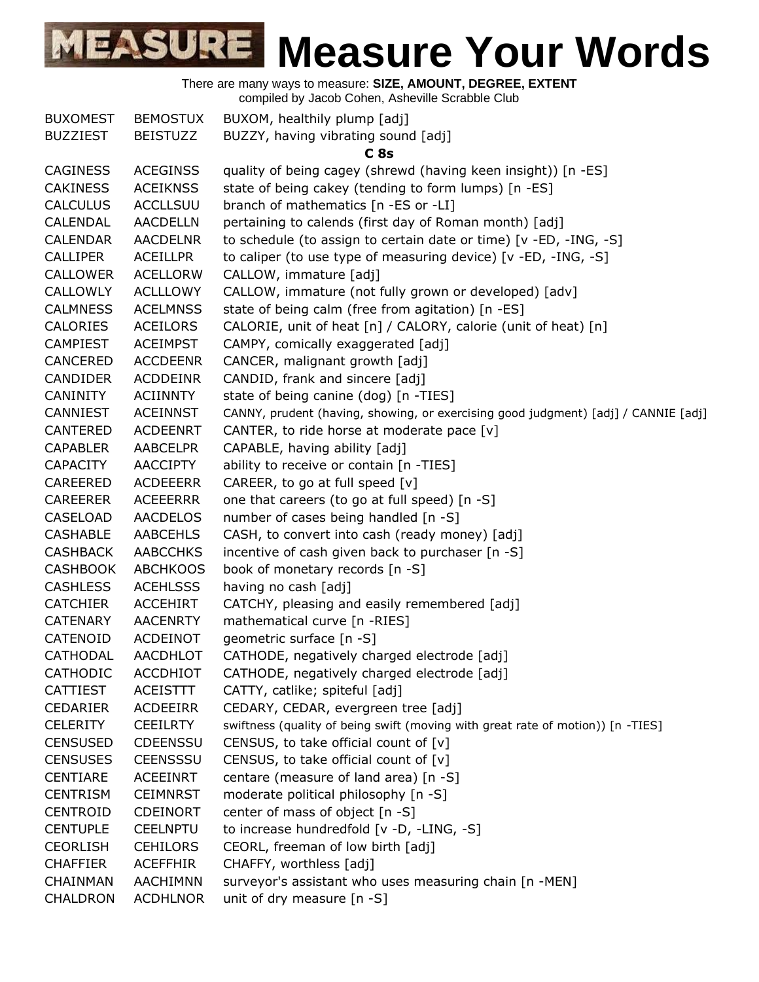| <b>BUXOMEST</b> | <b>BEMOSTUX</b> | BUXOM, healthily plump [adj]                                                       |
|-----------------|-----------------|------------------------------------------------------------------------------------|
| <b>BUZZIEST</b> | <b>BEISTUZZ</b> | BUZZY, having vibrating sound [adj]                                                |
|                 |                 | C <sub>8s</sub>                                                                    |
| <b>CAGINESS</b> | <b>ACEGINSS</b> | quality of being cagey (shrewd (having keen insight)) [n -ES]                      |
| <b>CAKINESS</b> | <b>ACEIKNSS</b> | state of being cakey (tending to form lumps) [n -ES]                               |
| <b>CALCULUS</b> | <b>ACCLLSUU</b> | branch of mathematics [n -ES or -LI]                                               |
| CALENDAL        | <b>AACDELLN</b> | pertaining to calends (first day of Roman month) [adj]                             |
| <b>CALENDAR</b> | <b>AACDELNR</b> | to schedule (to assign to certain date or time) [v -ED, -ING, -S]                  |
| <b>CALLIPER</b> | <b>ACEILLPR</b> | to caliper (to use type of measuring device) [v -ED, -ING, -S]                     |
| <b>CALLOWER</b> | <b>ACELLORW</b> | CALLOW, immature [adj]                                                             |
| <b>CALLOWLY</b> | <b>ACLLLOWY</b> | CALLOW, immature (not fully grown or developed) [adv]                              |
| <b>CALMNESS</b> | <b>ACELMNSS</b> | state of being calm (free from agitation) [n -ES]                                  |
| <b>CALORIES</b> | <b>ACEILORS</b> | CALORIE, unit of heat [n] / CALORY, calorie (unit of heat) [n]                     |
| <b>CAMPIEST</b> | <b>ACEIMPST</b> | CAMPY, comically exaggerated [adj]                                                 |
| <b>CANCERED</b> | <b>ACCDEENR</b> | CANCER, malignant growth [adj]                                                     |
| <b>CANDIDER</b> | <b>ACDDEINR</b> | CANDID, frank and sincere [adj]                                                    |
| <b>CANINITY</b> | <b>ACIINNTY</b> | state of being canine (dog) [n -TIES]                                              |
| CANNIEST        | <b>ACEINNST</b> | CANNY, prudent (having, showing, or exercising good judgment) [adj] / CANNIE [adj] |
| <b>CANTERED</b> | <b>ACDEENRT</b> | CANTER, to ride horse at moderate pace [v]                                         |
| <b>CAPABLER</b> | <b>AABCELPR</b> | CAPABLE, having ability [adj]                                                      |
| <b>CAPACITY</b> | <b>AACCIPTY</b> | ability to receive or contain [n -TIES]                                            |
| CAREERED        | <b>ACDEEERR</b> | CAREER, to go at full speed [v]                                                    |
| <b>CAREERER</b> | <b>ACEEERRR</b> | one that careers (to go at full speed) [n -S]                                      |
| CASELOAD        | <b>AACDELOS</b> | number of cases being handled [n -S]                                               |
| <b>CASHABLE</b> | <b>AABCEHLS</b> | CASH, to convert into cash (ready money) [adj]                                     |
| <b>CASHBACK</b> | <b>AABCCHKS</b> | incentive of cash given back to purchaser [n -S]                                   |
| <b>CASHBOOK</b> | <b>ABCHKOOS</b> | book of monetary records [n -S]                                                    |
| <b>CASHLESS</b> | <b>ACEHLSSS</b> | having no cash [adj]                                                               |
| <b>CATCHIER</b> | <b>ACCEHIRT</b> | CATCHY, pleasing and easily remembered [adj]                                       |
| <b>CATENARY</b> | <b>AACENRTY</b> | mathematical curve [n -RIES]                                                       |
| CATENOID        | <b>ACDEINOT</b> | geometric surface [n -S]                                                           |
| CATHODAL        | AACDHLOT        | CATHODE, negatively charged electrode [adj]                                        |
| <b>CATHODIC</b> | <b>ACCDHIOT</b> | CATHODE, negatively charged electrode [adj]                                        |
| <b>CATTIEST</b> | <b>ACEISTTT</b> | CATTY, catlike; spiteful [adj]                                                     |
| <b>CEDARIER</b> | <b>ACDEEIRR</b> | CEDARY, CEDAR, evergreen tree [adj]                                                |
| <b>CELERITY</b> | <b>CEEILRTY</b> | swiftness (quality of being swift (moving with great rate of motion)) [n -TIES]    |
| <b>CENSUSED</b> | <b>CDEENSSU</b> | CENSUS, to take official count of $[v]$                                            |
| <b>CENSUSES</b> | <b>CEENSSSU</b> | CENSUS, to take official count of [v]                                              |
| <b>CENTIARE</b> | <b>ACEEINRT</b> | centare (measure of land area) [n -S]                                              |
| <b>CENTRISM</b> | <b>CEIMNRST</b> | moderate political philosophy [n -S]                                               |
| <b>CENTROID</b> | <b>CDEINORT</b> | center of mass of object [n -S]                                                    |
| <b>CENTUPLE</b> | <b>CEELNPTU</b> | to increase hundredfold [v -D, -LING, -S]                                          |
| <b>CEORLISH</b> | <b>CEHILORS</b> | CEORL, freeman of low birth [adj]                                                  |
| <b>CHAFFIER</b> | <b>ACEFFHIR</b> | CHAFFY, worthless [adj]                                                            |
| CHAINMAN        | AACHIMNN        | surveyor's assistant who uses measuring chain [n -MEN]                             |
| CHALDRON        | <b>ACDHLNOR</b> | unit of dry measure [n -S]                                                         |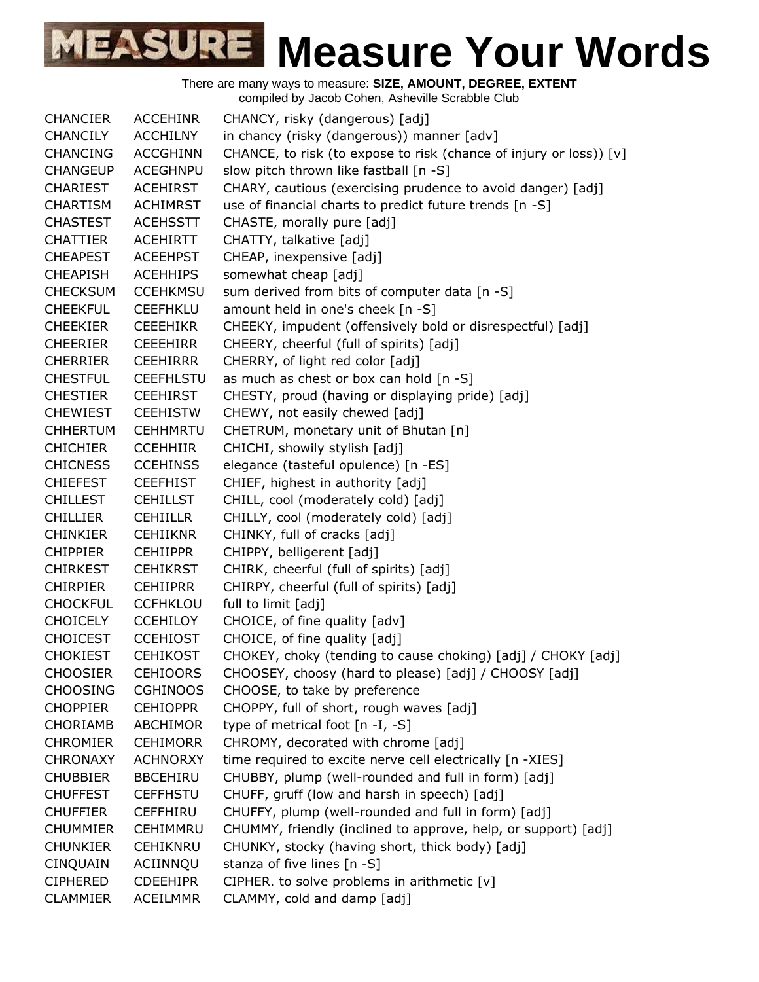| <b>CHANCIER</b> | <b>ACCEHINR</b>  | CHANCY, risky (dangerous) [adj]                                    |
|-----------------|------------------|--------------------------------------------------------------------|
| <b>CHANCILY</b> | <b>ACCHILNY</b>  | in chancy (risky (dangerous)) manner [adv]                         |
| <b>CHANCING</b> | <b>ACCGHINN</b>  | CHANCE, to risk (to expose to risk (chance of injury or loss)) [v] |
| <b>CHANGEUP</b> | <b>ACEGHNPU</b>  | slow pitch thrown like fastball [n -S]                             |
| <b>CHARIEST</b> | <b>ACEHIRST</b>  | CHARY, cautious (exercising prudence to avoid danger) [adj]        |
| <b>CHARTISM</b> | <b>ACHIMRST</b>  | use of financial charts to predict future trends [n -S]            |
| <b>CHASTEST</b> | <b>ACEHSSTT</b>  | CHASTE, morally pure [adj]                                         |
| <b>CHATTIER</b> | <b>ACEHIRTT</b>  | CHATTY, talkative [adj]                                            |
| <b>CHEAPEST</b> | <b>ACEEHPST</b>  | CHEAP, inexpensive [adj]                                           |
| <b>CHEAPISH</b> | <b>ACEHHIPS</b>  | somewhat cheap [adj]                                               |
| <b>CHECKSUM</b> | <b>CCEHKMSU</b>  | sum derived from bits of computer data [n -S]                      |
| <b>CHEEKFUL</b> | <b>CEEFHKLU</b>  | amount held in one's cheek [n -S]                                  |
| <b>CHEEKIER</b> | <b>CEEEHIKR</b>  | CHEEKY, impudent (offensively bold or disrespectful) [adj]         |
| <b>CHEERIER</b> | <b>CEEEHIRR</b>  | CHEERY, cheerful (full of spirits) [adj]                           |
| <b>CHERRIER</b> | <b>CEEHIRRR</b>  | CHERRY, of light red color [adj]                                   |
| <b>CHESTFUL</b> | <b>CEEFHLSTU</b> | as much as chest or box can hold [n -S]                            |
| <b>CHESTIER</b> | <b>CEEHIRST</b>  | CHESTY, proud (having or displaying pride) [adj]                   |
| <b>CHEWIEST</b> | <b>CEEHISTW</b>  | CHEWY, not easily chewed [adj]                                     |
| <b>CHHERTUM</b> | <b>CEHHMRTU</b>  | CHETRUM, monetary unit of Bhutan [n]                               |
| <b>CHICHIER</b> | <b>CCEHHIIR</b>  | CHICHI, showily stylish [adj]                                      |
| <b>CHICNESS</b> | <b>CCEHINSS</b>  | elegance (tasteful opulence) [n -ES]                               |
| <b>CHIEFEST</b> | <b>CEEFHIST</b>  | CHIEF, highest in authority [adj]                                  |
| <b>CHILLEST</b> | <b>CEHILLST</b>  | CHILL, cool (moderately cold) [adj]                                |
| <b>CHILLIER</b> | <b>CEHIILLR</b>  | CHILLY, cool (moderately cold) [adj]                               |
| <b>CHINKIER</b> | <b>CEHIIKNR</b>  | CHINKY, full of cracks [adj]                                       |
| <b>CHIPPIER</b> | <b>CEHIIPPR</b>  | CHIPPY, belligerent [adj]                                          |
| <b>CHIRKEST</b> | <b>CEHIKRST</b>  | CHIRK, cheerful (full of spirits) [adj]                            |
| <b>CHIRPIER</b> | <b>CEHIIPRR</b>  | CHIRPY, cheerful (full of spirits) [adj]                           |
| <b>CHOCKFUL</b> | <b>CCFHKLOU</b>  | full to limit [adj]                                                |
| <b>CHOICELY</b> | <b>CCEHILOY</b>  | CHOICE, of fine quality [adv]                                      |
| <b>CHOICEST</b> | <b>CCEHIOST</b>  | CHOICE, of fine quality [adj]                                      |
| <b>CHOKIEST</b> | <b>CEHIKOST</b>  | CHOKEY, choky (tending to cause choking) [adj] / CHOKY [adj]       |
| <b>CHOOSIER</b> | <b>CEHIOORS</b>  | CHOOSEY, choosy (hard to please) [adj] / CHOOSY [adj]              |
| <b>CHOOSING</b> | <b>CGHINOOS</b>  | CHOOSE, to take by preference                                      |
| <b>CHOPPIER</b> | <b>CEHIOPPR</b>  | CHOPPY, full of short, rough waves [adj]                           |
| <b>CHORIAMB</b> | <b>ABCHIMOR</b>  | type of metrical foot $[n - I, -S]$                                |
| <b>CHROMIER</b> | <b>CEHIMORR</b>  | CHROMY, decorated with chrome [adj]                                |
| <b>CHRONAXY</b> | <b>ACHNORXY</b>  | time required to excite nerve cell electrically [n -XIES]          |
| <b>CHUBBIER</b> | <b>BBCEHIRU</b>  | CHUBBY, plump (well-rounded and full in form) [adj]                |
| <b>CHUFFEST</b> | <b>CEFFHSTU</b>  | CHUFF, gruff (low and harsh in speech) [adj]                       |
| <b>CHUFFIER</b> | <b>CEFFHIRU</b>  | CHUFFY, plump (well-rounded and full in form) [adj]                |
| <b>CHUMMIER</b> | <b>CEHIMMRU</b>  | CHUMMY, friendly (inclined to approve, help, or support) [adj]     |
| <b>CHUNKIER</b> | <b>CEHIKNRU</b>  | CHUNKY, stocky (having short, thick body) [adj]                    |
| <b>CINQUAIN</b> | ACIINNQU         | stanza of five lines [n -S]                                        |
| <b>CIPHERED</b> | <b>CDEEHIPR</b>  | CIPHER. to solve problems in arithmetic [v]                        |
| <b>CLAMMIER</b> | ACEILMMR         | CLAMMY, cold and damp [adj]                                        |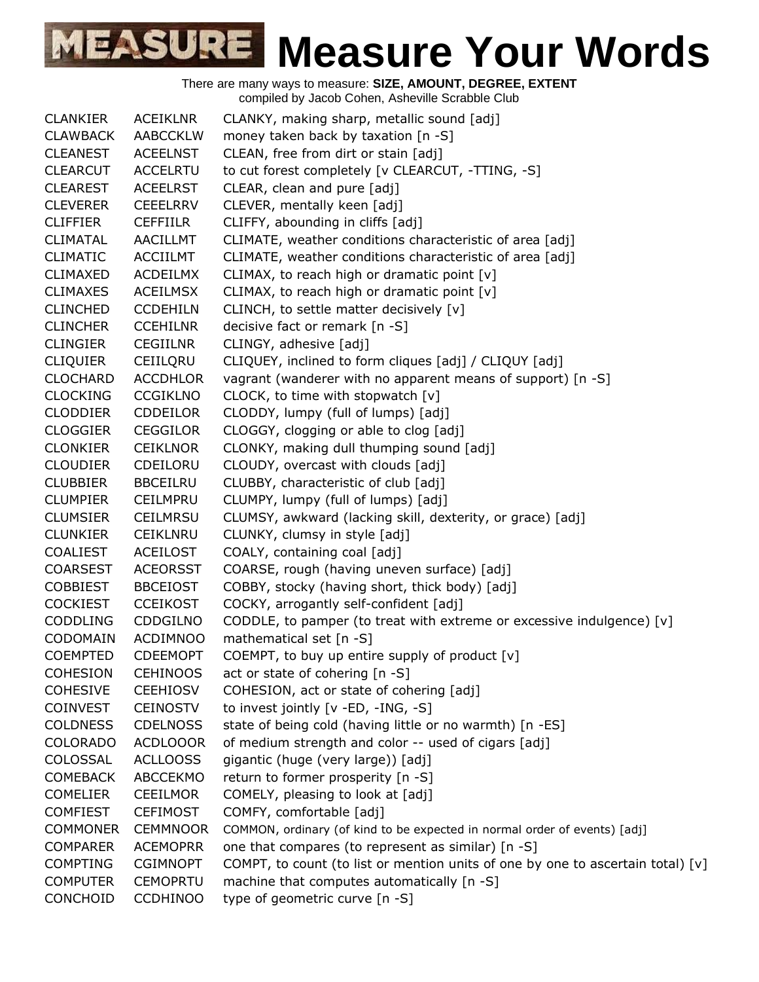| <b>CLANKIER</b> | <b>ACEIKLNR</b> | CLANKY, making sharp, metallic sound [adj]                                      |
|-----------------|-----------------|---------------------------------------------------------------------------------|
| <b>CLAWBACK</b> | AABCCKLW        | money taken back by taxation [n -S]                                             |
| <b>CLEANEST</b> | <b>ACEELNST</b> | CLEAN, free from dirt or stain [adj]                                            |
| <b>CLEARCUT</b> | <b>ACCELRTU</b> | to cut forest completely [v CLEARCUT, -TTING, -S]                               |
| <b>CLEAREST</b> | <b>ACEELRST</b> | CLEAR, clean and pure [adj]                                                     |
| <b>CLEVERER</b> | <b>CEEELRRV</b> | CLEVER, mentally keen [adj]                                                     |
| <b>CLIFFIER</b> | <b>CEFFIILR</b> | CLIFFY, abounding in cliffs [adj]                                               |
| <b>CLIMATAL</b> | <b>AACILLMT</b> | CLIMATE, weather conditions characteristic of area [adj]                        |
| <b>CLIMATIC</b> | <b>ACCIILMT</b> | CLIMATE, weather conditions characteristic of area [adj]                        |
| <b>CLIMAXED</b> | <b>ACDEILMX</b> | CLIMAX, to reach high or dramatic point [v]                                     |
| <b>CLIMAXES</b> | <b>ACEILMSX</b> | CLIMAX, to reach high or dramatic point [v]                                     |
| <b>CLINCHED</b> | <b>CCDEHILN</b> | CLINCH, to settle matter decisively [v]                                         |
| <b>CLINCHER</b> | <b>CCEHILNR</b> | decisive fact or remark [n -S]                                                  |
| <b>CLINGIER</b> | <b>CEGIILNR</b> | CLINGY, adhesive [adj]                                                          |
| <b>CLIQUIER</b> | CEIILQRU        | CLIQUEY, inclined to form cliques [adj] / CLIQUY [adj]                          |
| <b>CLOCHARD</b> | <b>ACCDHLOR</b> | vagrant (wanderer with no apparent means of support) [n -S]                     |
| <b>CLOCKING</b> | <b>CCGIKLNO</b> | CLOCK, to time with stopwatch [v]                                               |
| <b>CLODDIER</b> | <b>CDDEILOR</b> | CLODDY, lumpy (full of lumps) [adj]                                             |
| <b>CLOGGIER</b> | <b>CEGGILOR</b> | CLOGGY, clogging or able to clog [adj]                                          |
| <b>CLONKIER</b> | <b>CEIKLNOR</b> | CLONKY, making dull thumping sound [adj]                                        |
| <b>CLOUDIER</b> | CDEILORU        | CLOUDY, overcast with clouds [adj]                                              |
| <b>CLUBBIER</b> | <b>BBCEILRU</b> | CLUBBY, characteristic of club [adj]                                            |
| <b>CLUMPIER</b> | CEILMPRU        | CLUMPY, lumpy (full of lumps) [adj]                                             |
| <b>CLUMSIER</b> | <b>CEILMRSU</b> | CLUMSY, awkward (lacking skill, dexterity, or grace) [adj]                      |
| <b>CLUNKIER</b> | <b>CEIKLNRU</b> | CLUNKY, clumsy in style [adj]                                                   |
| <b>COALIEST</b> | <b>ACEILOST</b> | COALY, containing coal [adj]                                                    |
| <b>COARSEST</b> | <b>ACEORSST</b> | COARSE, rough (having uneven surface) [adj]                                     |
| <b>COBBIEST</b> | <b>BBCEIOST</b> | COBBY, stocky (having short, thick body) [adj]                                  |
| <b>COCKIEST</b> | <b>CCEIKOST</b> | COCKY, arrogantly self-confident [adj]                                          |
| <b>CODDLING</b> | <b>CDDGILNO</b> | CODDLE, to pamper (to treat with extreme or excessive indulgence) $[v]$         |
| CODOMAIN        | <b>ACDIMNOO</b> | mathematical set [n -S]                                                         |
| <b>COEMPTED</b> | <b>CDEEMOPT</b> | COEMPT, to buy up entire supply of product [v]                                  |
| <b>COHESION</b> | <b>CEHINOOS</b> | act or state of cohering [n -S]                                                 |
| <b>COHESIVE</b> | <b>CEEHIOSV</b> | COHESION, act or state of cohering [adj]                                        |
| <b>COINVEST</b> | <b>CEINOSTV</b> | to invest jointly [v -ED, -ING, -S]                                             |
| <b>COLDNESS</b> | <b>CDELNOSS</b> | state of being cold (having little or no warmth) [n -ES]                        |
| <b>COLORADO</b> | <b>ACDLOOOR</b> | of medium strength and color -- used of cigars [adj]                            |
| COLOSSAL        | <b>ACLLOOSS</b> | gigantic (huge (very large)) [adj]                                              |
| <b>COMEBACK</b> | <b>ABCCEKMO</b> | return to former prosperity [n -S]                                              |
| <b>COMELIER</b> | <b>CEEILMOR</b> | COMELY, pleasing to look at [adj]                                               |
| <b>COMFIEST</b> | <b>CEFIMOST</b> | COMFY, comfortable [adj]                                                        |
| <b>COMMONER</b> | <b>CEMMNOOR</b> | COMMON, ordinary (of kind to be expected in normal order of events) [adj]       |
| <b>COMPARER</b> | <b>ACEMOPRR</b> | one that compares (to represent as similar) [n -S]                              |
| <b>COMPTING</b> | <b>CGIMNOPT</b> | COMPT, to count (to list or mention units of one by one to ascertain total) [v] |
| <b>COMPUTER</b> | <b>CEMOPRTU</b> | machine that computes automatically [n -S]                                      |
| CONCHOID        | <b>CCDHINOO</b> | type of geometric curve [n -S]                                                  |
|                 |                 |                                                                                 |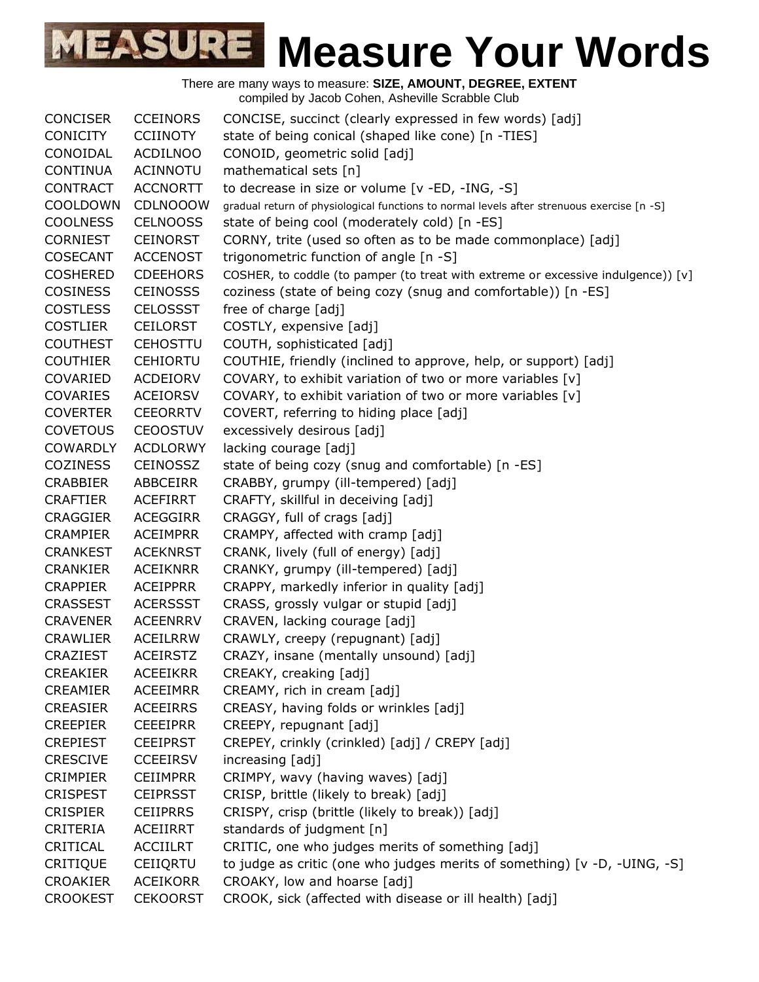| <b>CONCISER</b> | <b>CCEINORS</b> | CONCISE, succinct (clearly expressed in few words) [adj]                                   |
|-----------------|-----------------|--------------------------------------------------------------------------------------------|
| <b>CONICITY</b> | <b>CCIINOTY</b> | state of being conical (shaped like cone) [n -TIES]                                        |
| CONOIDAL        | <b>ACDILNOO</b> | CONOID, geometric solid [adj]                                                              |
| <b>CONTINUA</b> | ACINNOTU        | mathematical sets [n]                                                                      |
| <b>CONTRACT</b> | <b>ACCNORTT</b> | to decrease in size or volume [v -ED, -ING, -S]                                            |
| COOLDOWN        | <b>CDLNOOOW</b> | gradual return of physiological functions to normal levels after strenuous exercise [n -S] |
| <b>COOLNESS</b> | <b>CELNOOSS</b> | state of being cool (moderately cold) [n -ES]                                              |
| <b>CORNIEST</b> | <b>CEINORST</b> | CORNY, trite (used so often as to be made commonplace) [adj]                               |
| <b>COSECANT</b> | <b>ACCENOST</b> | trigonometric function of angle [n -S]                                                     |
| <b>COSHERED</b> | <b>CDEEHORS</b> | COSHER, to coddle (to pamper (to treat with extreme or excessive indulgence)) [v]          |
| <b>COSINESS</b> | <b>CEINOSSS</b> | coziness (state of being cozy (snug and comfortable)) [n -ES]                              |
| <b>COSTLESS</b> | <b>CELOSSST</b> | free of charge [adj]                                                                       |
| <b>COSTLIER</b> | <b>CEILORST</b> | COSTLY, expensive [adj]                                                                    |
| <b>COUTHEST</b> | <b>CEHOSTTU</b> | COUTH, sophisticated [adj]                                                                 |
| <b>COUTHIER</b> | <b>CEHIORTU</b> | COUTHIE, friendly (inclined to approve, help, or support) [adj]                            |
| COVARIED        | ACDEIORV        | COVARY, to exhibit variation of two or more variables [v]                                  |
| <b>COVARIES</b> | <b>ACEIORSV</b> | COVARY, to exhibit variation of two or more variables [v]                                  |
| <b>COVERTER</b> | <b>CEEORRTV</b> | COVERT, referring to hiding place [adj]                                                    |
| <b>COVETOUS</b> | <b>CEOOSTUV</b> | excessively desirous [adj]                                                                 |
| <b>COWARDLY</b> | <b>ACDLORWY</b> | lacking courage [adj]                                                                      |
| <b>COZINESS</b> | <b>CEINOSSZ</b> | state of being cozy (snug and comfortable) [n -ES]                                         |
| <b>CRABBIER</b> | ABBCEIRR        | CRABBY, grumpy (ill-tempered) [adj]                                                        |
| <b>CRAFTIER</b> | <b>ACEFIRRT</b> | CRAFTY, skillful in deceiving [adj]                                                        |
| <b>CRAGGIER</b> | <b>ACEGGIRR</b> | CRAGGY, full of crags [adj]                                                                |
| <b>CRAMPIER</b> | <b>ACEIMPRR</b> | CRAMPY, affected with cramp [adj]                                                          |
| <b>CRANKEST</b> | <b>ACEKNRST</b> | CRANK, lively (full of energy) [adj]                                                       |
| <b>CRANKIER</b> | <b>ACEIKNRR</b> | CRANKY, grumpy (ill-tempered) [adj]                                                        |
| <b>CRAPPIER</b> | <b>ACEIPPRR</b> | CRAPPY, markedly inferior in quality [adj]                                                 |
| <b>CRASSEST</b> | <b>ACERSSST</b> | CRASS, grossly vulgar or stupid [adj]                                                      |
| <b>CRAVENER</b> | <b>ACEENRRV</b> | CRAVEN, lacking courage [adj]                                                              |
| <b>CRAWLIER</b> | <b>ACEILRRW</b> | CRAWLY, creepy (repugnant) [adj]                                                           |
| <b>CRAZIEST</b> | <b>ACEIRSTZ</b> | CRAZY, insane (mentally unsound) [adj]                                                     |
| <b>CREAKIER</b> | <b>ACEEIKRR</b> | CREAKY, creaking [adj]                                                                     |
| <b>CREAMIER</b> | <b>ACEEIMRR</b> | CREAMY, rich in cream [adj]                                                                |
| <b>CREASIER</b> | <b>ACEEIRRS</b> | CREASY, having folds or wrinkles [adj]                                                     |
| <b>CREEPIER</b> | <b>CEEEIPRR</b> | CREEPY, repugnant [adj]                                                                    |
| <b>CREPIEST</b> | <b>CEEIPRST</b> | CREPEY, crinkly (crinkled) [adj] / CREPY [adj]                                             |
| <b>CRESCIVE</b> | <b>CCEEIRSV</b> | increasing [adj]                                                                           |
| <b>CRIMPIER</b> | <b>CEIIMPRR</b> | CRIMPY, wavy (having waves) [adj]                                                          |
| <b>CRISPEST</b> | <b>CEIPRSST</b> | CRISP, brittle (likely to break) [adj]                                                     |
| <b>CRISPIER</b> | <b>CEIIPRRS</b> | CRISPY, crisp (brittle (likely to break)) [adj]                                            |
| CRITERIA        | ACEIIRRT        | standards of judgment [n]                                                                  |
| CRITICAL        | <b>ACCIILRT</b> | CRITIC, one who judges merits of something [adj]                                           |
| CRITIQUE        | CEIIQRTU        | to judge as critic (one who judges merits of something) [v -D, -UING, -S]                  |
| <b>CROAKIER</b> | <b>ACEIKORR</b> | CROAKY, low and hoarse [adj]                                                               |
| <b>CROOKEST</b> | <b>CEKOORST</b> | CROOK, sick (affected with disease or ill health) [adj]                                    |
|                 |                 |                                                                                            |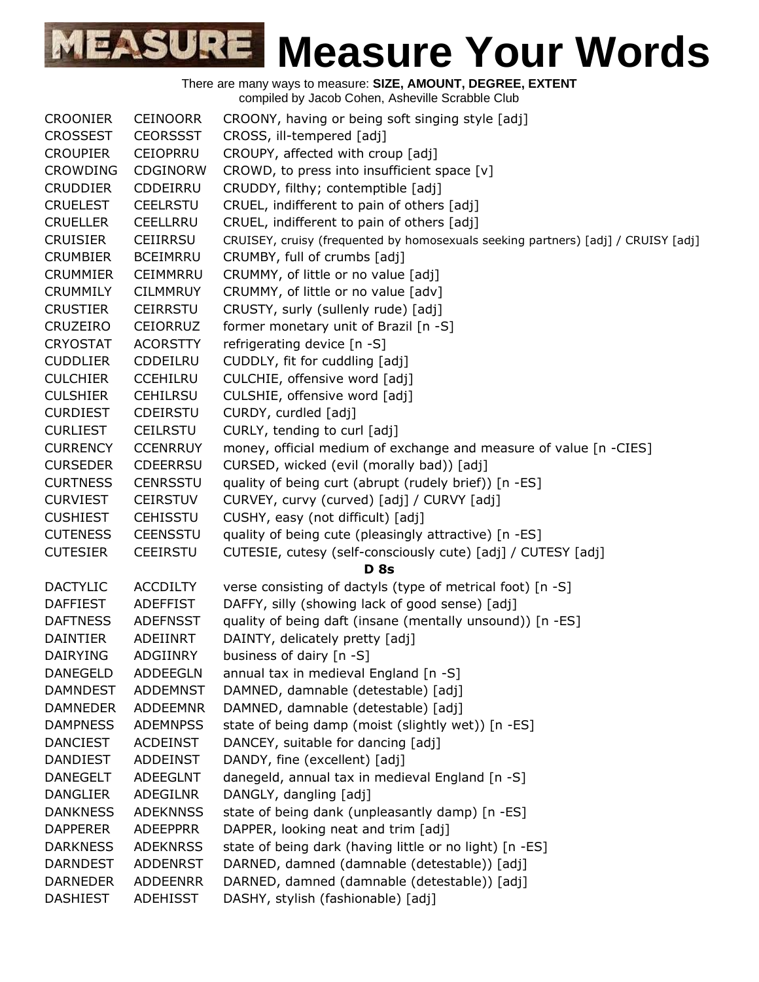

There are many ways to measure: **SIZE, AMOUNT, DEGREE, EXTENT** compiled by Jacob Cohen, Asheville Scrabble Club CROONIER CEINOORR CROONY, having or being soft singing style [adj] CROSSEST CEORSSST CROSS, ill-tempered [adj] CROUPIER CEIOPRRU CROUPY, affected with croup [adj] CROWDING CDGINORW CROWD, to press into insufficient space [v] CRUDDIER CDDEIRRU CRUDDY, filthy; contemptible [adj] CRUELEST CEELRSTU CRUEL, indifferent to pain of others [adj] CRUELLER CEELLRRU CRUEL, indifferent to pain of others [adj] CRUISIER CEIIRRSU CRUISEY, cruisy (frequented by homosexuals seeking partners) [adj] / CRUISY [adj] CRUMBIER BCEIMRRU CRUMBY, full of crumbs [adj] CRUMMIER CEIMMRRU CRUMMY, of little or no value [adj] CRUMMILY CILMMRUY CRUMMY, of little or no value [adv] CRUSTIER CEIRRSTU CRUSTY, surly (sullenly rude) [adj] CRUZEIRO CEIORRUZ former monetary unit of Brazil [n -S] CRYOSTAT ACORSTTY refrigerating device [n -S] CUDDLIER CDDEILRU CUDDLY, fit for cuddling [adj] CULCHIER CCEHILRU CULCHIE, offensive word [adj] CULSHIER CEHILRSU CULSHIE, offensive word [adj] CURDIEST CDEIRSTU CURDY, curdled [adj] CURLIEST CEILRSTU CURLY, tending to curl [adj] CURRENCY CCENRRUY money, official medium of exchange and measure of value [n -CIES] CURSEDER CDEERRSU CURSED, wicked (evil (morally bad)) [adj] CURTNESS CENRSSTU quality of being curt (abrupt (rudely brief)) [n -ES] CURVIEST CEIRSTUV CURVEY, curvy (curved) [adj] / CURVY [adj] CUSHIEST CEHISSTU CUSHY, easy (not difficult) [adj] CUTENESS CEENSSTU quality of being cute (pleasingly attractive) [n -ES] CUTESIER CEEIRSTU CUTESIE, cutesy (self-consciously cute) [adj] / CUTESY [adj] **D 8s** DACTYLIC ACCDILTY verse consisting of dactyls (type of metrical foot) [n -S] DAFFIEST ADEFFIST DAFFY, silly (showing lack of good sense) [adj] DAFTNESS ADEFNSST quality of being daft (insane (mentally unsound)) [n -ES] DAINTIER ADEIINRT DAINTY, delicately pretty [adj] DAIRYING ADGIINRY business of dairy [n -S] DANEGELD ADDEEGLN annual tax in medieval England [n -S] DAMNDEST ADDEMNST DAMNED, damnable (detestable) [adj] DAMNEDER ADDEEMNR DAMNED, damnable (detestable) [adj] DAMPNESS ADEMNPSS state of being damp (moist (slightly wet)) [n -ES] DANCIEST ACDEINST DANCEY, suitable for dancing [adj] DANDIEST ADDEINST DANDY, fine (excellent) [adj] DANEGELT ADEEGLNT danegeld, annual tax in medieval England [n -S] DANGLIER ADEGILNR DANGLY, dangling [adj] DANKNESS ADEKNNSS state of being dank (unpleasantly damp) [n -ES] DAPPERER ADEEPPRR DAPPER, looking neat and trim [adj] DARKNESS ADEKNRSS state of being dark (having little or no light) [n -ES] DARNDEST ADDENRST DARNED, damned (damnable (detestable)) [adj] DARNEDER ADDEENRR DARNED, damned (damnable (detestable)) [adj] DASHIEST ADEHISST DASHY, stylish (fashionable) [adj]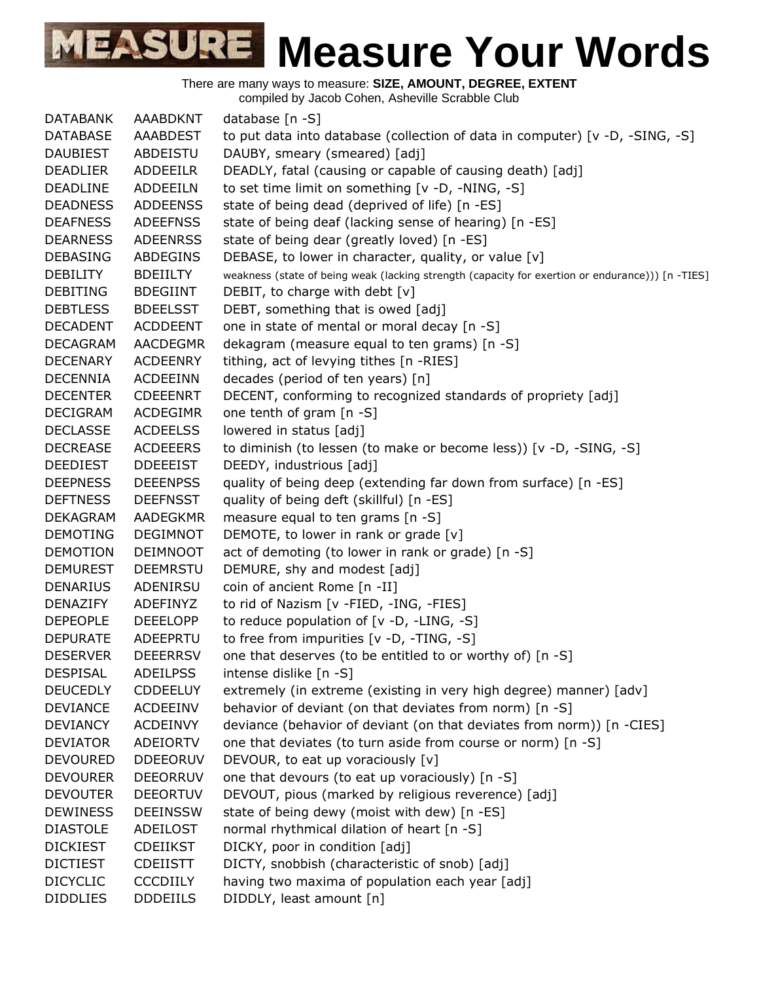There are many ways to measure: **SIZE, AMOUNT, DEGREE, EXTENT** compiled by Jacob Cohen, Asheville Scrabble Club

DATABANK AAABDKNT database [n -S] DATABASE AAABDEST to put data into database (collection of data in computer) [v -D, -SING, -S] DAUBIEST ABDEISTU DAUBY, smeary (smeared) [adj] DEADLIER ADDEEILR DEADLY, fatal (causing or capable of causing death) [adj] DEADLINE ADDEEILN to set time limit on something [v -D, -NING, -S] DEADNESS ADDEENSS state of being dead (deprived of life) [n -ES] DEAFNESS ADEEFNSS state of being deaf (lacking sense of hearing) [n -ES] DEARNESS ADEENRSS state of being dear (greatly loved) [n -ES] DEBASING ABDEGINS DEBASE, to lower in character, quality, or value  $[v]$ DEBILITY BDEIILTY weakness (state of being weak (lacking strength (capacity for exertion or endurance))) [n -TIES] DEBITING BDEGIINT DEBIT, to charge with debt [v] DEBTLESS BDEELSST DEBT, something that is owed [adj] DECADENT ACDDEENT one in state of mental or moral decay [n -S] DECAGRAM AACDEGMR dekagram (measure equal to ten grams) [n -S] DECENARY ACDEENRY tithing, act of levying tithes [n -RIES] DECENNIA ACDEEINN decades (period of ten years) [n] DECENTER CDEEENRT DECENT, conforming to recognized standards of propriety [adj] DECIGRAM ACDEGIMR one tenth of gram [n -S] DECLASSE ACDEELSS lowered in status [adj] DECREASE ACDEEERS to diminish (to lessen (to make or become less)) [v -D, -SING, -S] DEEDIEST DDEEEIST DEEDY, industrious [adj] DEEPNESS DEEENPSS quality of being deep (extending far down from surface) [n -ES] DEFTNESS DEEFNSST quality of being deft (skillful) [n -ES] DEKAGRAM AADEGKMR measure equal to ten grams [n -S] DEMOTING DEGIMNOT DEMOTE, to lower in rank or grade [v] DEMOTION DEIMNOOT act of demoting (to lower in rank or grade) [n -S] DEMUREST DEEMRSTU DEMURE, shy and modest [adj] DENARIUS ADENIRSU coin of ancient Rome [n -II] DENAZIFY ADEFINYZ to rid of Nazism [v -FIED, -ING, -FIES] DEPEOPLE DEEELOPP to reduce population of [v -D, -LING, -S] DEPURATE ADEEPRTU to free from impurities [v -D, -TING, -S] DESERVER DEEERRSV one that deserves (to be entitled to or worthy of) [n -S] DESPISAL ADEILPSS intense dislike [n -S] DEUCEDLY CDDEELUY extremely (in extreme (existing in very high degree) manner) [adv] DEVIANCE ACDEEINV behavior of deviant (on that deviates from norm) [n -S] DEVIANCY ACDEINVY deviance (behavior of deviant (on that deviates from norm)) [n -CIES] DEVIATOR ADEIORTV one that deviates (to turn aside from course or norm) [n -S] DEVOURED DDEEORUV DEVOUR, to eat up voraciously [v] DEVOURER DEEORRUV one that devours (to eat up voraciously) [n -S] DEVOUTER DEEORTUV DEVOUT, pious (marked by religious reverence) [adj] DEWINESS DEEINSSW state of being dewy (moist with dew) [n -ES] DIASTOLE ADEILOST normal rhythmical dilation of heart [n -S] DICKIEST CDEIIKST DICKY, poor in condition [adj] DICTIEST CDEIISTT DICTY, snobbish (characteristic of snob) [adj] DICYCLIC CCCDIILY having two maxima of population each year [adj] DIDDLIES DDDEIILS DIDDLY, least amount [n]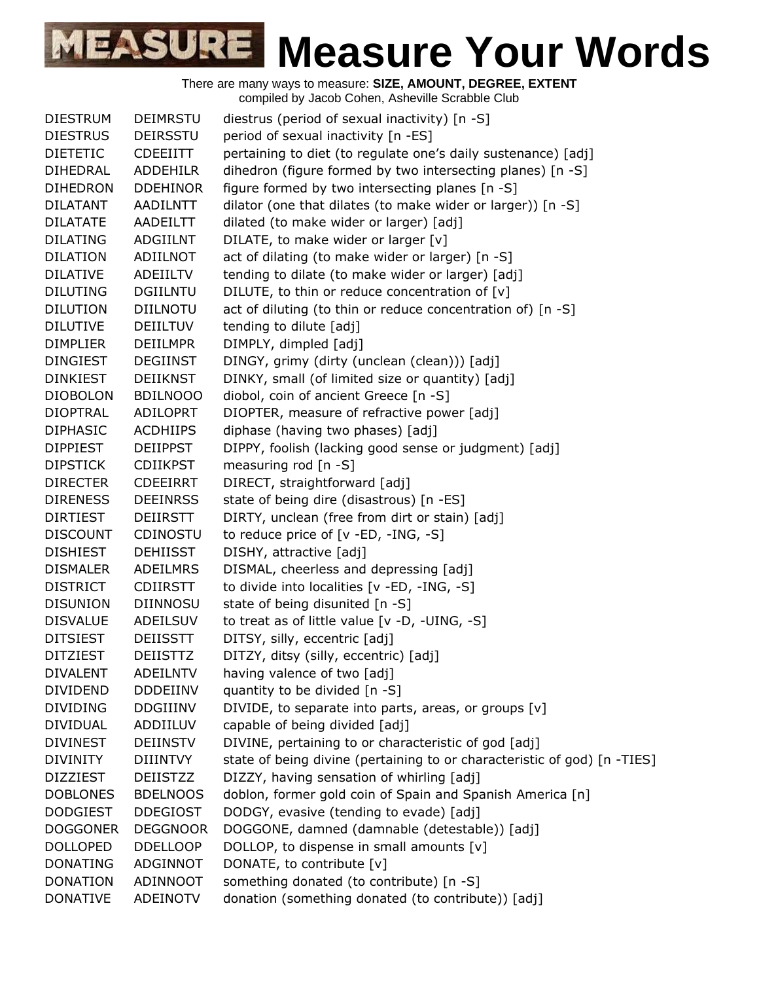| <b>DIESTRUM</b>                    | <b>DEIMRSTU</b> | diestrus (period of sexual inactivity) $[n - S]$                         |
|------------------------------------|-----------------|--------------------------------------------------------------------------|
| <b>DIESTRUS</b>                    | <b>DEIRSSTU</b> | period of sexual inactivity [n -ES]                                      |
| <b>DIETETIC</b>                    | <b>CDEEIITT</b> | pertaining to diet (to regulate one's daily sustenance) [adj]            |
| DIHEDRAL                           | <b>ADDEHILR</b> | dihedron (figure formed by two intersecting planes) [n -S]               |
| <b>DIHEDRON</b>                    | <b>DDEHINOR</b> | figure formed by two intersecting planes [n -S]                          |
| DILATANT                           | <b>AADILNTT</b> | dilator (one that dilates (to make wider or larger)) [n -S]              |
| <b>DILATATE</b>                    | AADEILTT        | dilated (to make wider or larger) [adj]                                  |
| <b>DILATING</b>                    | <b>ADGIILNT</b> | DILATE, to make wider or larger [v]                                      |
| <b>DILATION</b>                    | ADIILNOT        | act of dilating (to make wider or larger) [n -S]                         |
| <b>DILATIVE</b>                    | ADEIILTV        | tending to dilate (to make wider or larger) [adj]                        |
| <b>DILUTING</b>                    | <b>DGIILNTU</b> | DILUTE, to thin or reduce concentration of [v]                           |
| <b>DILUTION</b>                    | <b>DIILNOTU</b> | act of diluting (to thin or reduce concentration of) [n -S]              |
| <b>DILUTIVE</b>                    | <b>DEIILTUV</b> | tending to dilute [adj]                                                  |
| <b>DIMPLIER</b>                    | <b>DEIILMPR</b> | DIMPLY, dimpled [adj]                                                    |
| <b>DINGIEST</b>                    | <b>DEGIINST</b> | DINGY, grimy (dirty (unclean (clean))) [adj]                             |
| <b>DINKIEST</b>                    | <b>DEIIKNST</b> | DINKY, small (of limited size or quantity) [adj]                         |
| <b>DIOBOLON</b>                    | <b>BDILNOOO</b> | diobol, coin of ancient Greece [n -S]                                    |
| <b>DIOPTRAL</b>                    | <b>ADILOPRT</b> | DIOPTER, measure of refractive power [adj]                               |
| <b>DIPHASIC</b>                    | <b>ACDHIIPS</b> | diphase (having two phases) [adj]                                        |
| <b>DIPPIEST</b>                    | <b>DEIIPPST</b> | DIPPY, foolish (lacking good sense or judgment) [adj]                    |
| <b>DIPSTICK</b>                    | <b>CDIIKPST</b> | measuring rod [n -S]                                                     |
| <b>DIRECTER</b>                    | <b>CDEEIRRT</b> | DIRECT, straightforward [adj]                                            |
| <b>DIRENESS</b>                    | <b>DEEINRSS</b> | state of being dire (disastrous) [n -ES]                                 |
| <b>DIRTIEST</b>                    | DEIIRSTT        | DIRTY, unclean (free from dirt or stain) [adj]                           |
| <b>DISCOUNT</b>                    | CDINOSTU        | to reduce price of [v -ED, -ING, -S]                                     |
| <b>DISHIEST</b>                    | <b>DEHIISST</b> | DISHY, attractive [adj]                                                  |
| <b>DISMALER</b>                    | ADEILMRS        | DISMAL, cheerless and depressing [adj]                                   |
| <b>DISTRICT</b>                    | <b>CDIIRSTT</b> | to divide into localities [v -ED, -ING, -S]                              |
| <b>DISUNION</b>                    | <b>DIINNOSU</b> | state of being disunited [n -S]                                          |
| <b>DISVALUE</b>                    | ADEILSUV        | to treat as of little value [v -D, -UING, -S]                            |
| <b>DITSIEST</b>                    | <b>DEIISSTT</b> | DITSY, silly, eccentric [adj]                                            |
| <b>DITZIEST</b>                    | <b>DEIISTTZ</b> | DITZY, ditsy (silly, eccentric) [adj]                                    |
| <b>DIVALENT</b>                    | <b>ADEILNTV</b> | having valence of two [adj]                                              |
| <b>DIVIDEND</b>                    | <b>DDDEIINV</b> | quantity to be divided [n -S]                                            |
| <b>DIVIDING</b>                    | <b>DDGIIINV</b> | DIVIDE, to separate into parts, areas, or groups [v]                     |
| <b>DIVIDUAL</b>                    | ADDIILUV        | capable of being divided [adj]                                           |
| <b>DIVINEST</b>                    | <b>DEIINSTV</b> | DIVINE, pertaining to or characteristic of god [adj]                     |
| <b>DIVINITY</b>                    | <b>DIIINTVY</b> | state of being divine (pertaining to or characteristic of god) [n -TIES] |
| <b>DIZZIEST</b>                    | <b>DEIISTZZ</b> | DIZZY, having sensation of whirling [adj]                                |
| <b>DOBLONES</b>                    | <b>BDELNOOS</b> | doblon, former gold coin of Spain and Spanish America [n]                |
| <b>DODGIEST</b>                    | <b>DDEGIOST</b> | DODGY, evasive (tending to evade) [adj]                                  |
|                                    |                 |                                                                          |
| <b>DOGGONER</b>                    | <b>DEGGNOOR</b> | DOGGONE, damned (damnable (detestable)) [adj]                            |
| <b>DOLLOPED</b><br><b>DONATING</b> | <b>DDELLOOP</b> | DOLLOP, to dispense in small amounts [v]                                 |
|                                    | ADGINNOT        | DONATE, to contribute [v]                                                |
| <b>DONATION</b>                    | ADINNOOT        | something donated (to contribute) [n -S]                                 |
| <b>DONATIVE</b>                    | ADEINOTV        | donation (something donated (to contribute)) [adj]                       |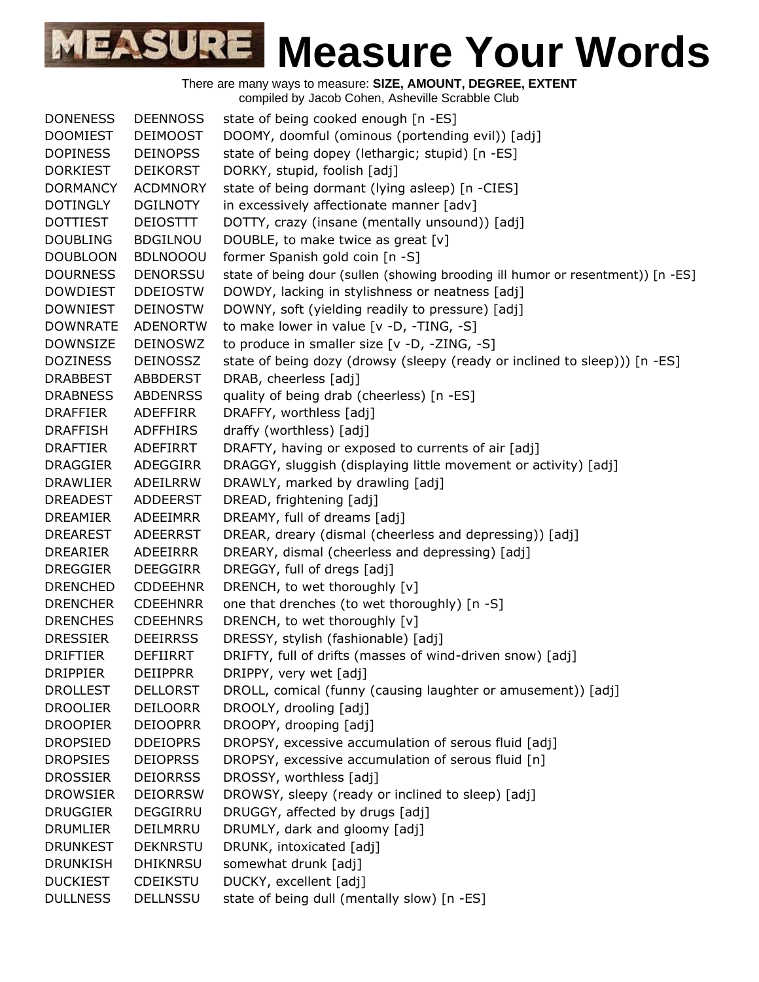There are many ways to measure: **SIZE, AMOUNT, DEGREE, EXTENT** compiled by Jacob Cohen, Asheville Scrabble Club

DONENESS DEENNOSS state of being cooked enough [n -ES] DOOMIEST DEIMOOST DOOMY, doomful (ominous (portending evil)) [adj] DOPINESS DEINOPSS state of being dopey (lethargic; stupid) [n -ES] DORKIEST DEIKORST DORKY, stupid, foolish [adj] DORMANCY ACDMNORY state of being dormant (lying asleep) [n -CIES] DOTINGLY DGILNOTY in excessively affectionate manner [adv] DOTTIEST DEIOSTTT DOTTY, crazy (insane (mentally unsound)) [adj] DOUBLING BDGILNOU DOUBLE, to make twice as great [v] DOUBLOON BDLNOOOU former Spanish gold coin [n -S] DOURNESS DENORSSU state of being dour (sullen (showing brooding ill humor or resentment)) [n -ES] DOWDIEST DDEIOSTW DOWDY, lacking in stylishness or neatness [adj] DOWNIEST DEINOSTW DOWNY, soft (yielding readily to pressure) [adj] DOWNRATE ADENORTW to make lower in value [v -D, -TING, -S] DOWNSIZE DEINOSWZ to produce in smaller size [v -D, -ZING, -S] DOZINESS DEINOSSZ state of being dozy (drowsy (sleepy (ready or inclined to sleep))) [n -ES] DRABBEST ABBDERST DRAB, cheerless [adj] DRABNESS ABDENRSS quality of being drab (cheerless) [n -ES] DRAFFIER ADEFFIRR DRAFFY, worthless [adj] DRAFFISH ADFFHIRS draffy (worthless) [adj] DRAFTIER ADEFIRRT DRAFTY, having or exposed to currents of air [adj] DRAGGIER ADEGGIRR DRAGGY, sluggish (displaying little movement or activity) [adj] DRAWLIER ADEILRRW DRAWLY, marked by drawling [adj] DREADEST ADDEERST DREAD, frightening [adj] DREAMIER ADEEIMRR DREAMY, full of dreams [adj] DREAREST ADEERRST DREAR, dreary (dismal (cheerless and depressing)) [adj] DREARIER ADEEIRRR DREARY, dismal (cheerless and depressing) [adj] DREGGIER DEEGGIRR DREGGY, full of dregs [adj] DRENCHED CDDEEHNR DRENCH, to wet thoroughly [v] DRENCHER CDEEHNRR one that drenches (to wet thoroughly) [n -S] DRENCHES CDEEHNRS DRENCH, to wet thoroughly [v] DRESSIER DEEIRRSS DRESSY, stylish (fashionable) [adj] DRIFTIER DEFIIRRT DRIFTY, full of drifts (masses of wind-driven snow) [adj] DRIPPIER DEIIPPRR DRIPPY, very wet [adj] DROLLEST DELLORST DROLL, comical (funny (causing laughter or amusement)) [adj] DROOLIER DEILOORR DROOLY, drooling [adj] DROOPIER DEIOOPRR DROOPY, drooping [adj] DROPSIED DDEIOPRS DROPSY, excessive accumulation of serous fluid [adj] DROPSIES DEIOPRSS DROPSY, excessive accumulation of serous fluid [n] DROSSIER DEIORRSS DROSSY, worthless [adj] DROWSIER DEIORRSW DROWSY, sleepy (ready or inclined to sleep) [adj] DRUGGIER DEGGIRRU DRUGGY, affected by drugs [adj] DRUMLIER DEILMRRU DRUMLY, dark and gloomy [adj] DRUNKEST DEKNRSTU DRUNK, intoxicated [adj] DRUNKISH DHIKNRSU somewhat drunk [adj] DUCKIEST CDEIKSTU DUCKY, excellent [adj] DULLNESS DELLNSSU state of being dull (mentally slow) [n -ES]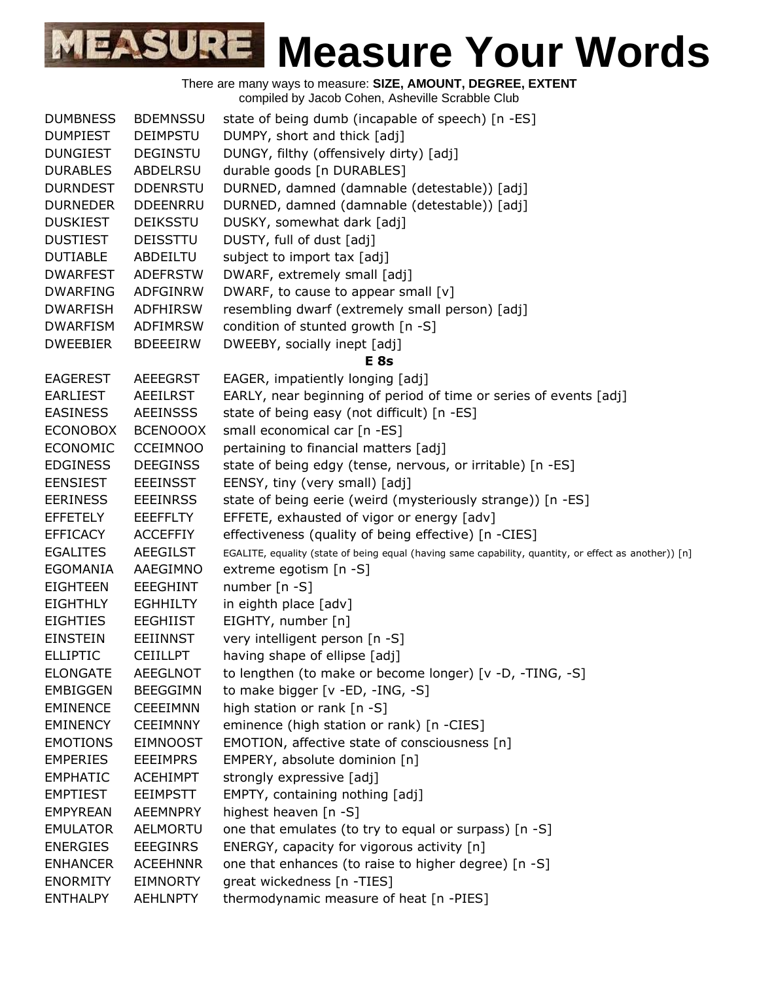| <b>DUMBNESS</b> | <b>BDEMNSSU</b> | state of being dumb (incapable of speech) [n -ES]                                                     |
|-----------------|-----------------|-------------------------------------------------------------------------------------------------------|
| <b>DUMPIEST</b> | <b>DEIMPSTU</b> | DUMPY, short and thick [adj]                                                                          |
| <b>DUNGIEST</b> | <b>DEGINSTU</b> | DUNGY, filthy (offensively dirty) [adj]                                                               |
| <b>DURABLES</b> | ABDELRSU        | durable goods [n DURABLES]                                                                            |
| <b>DURNDEST</b> | <b>DDENRSTU</b> | DURNED, damned (damnable (detestable)) [adj]                                                          |
| <b>DURNEDER</b> | <b>DDEENRRU</b> | DURNED, damned (damnable (detestable)) [adj]                                                          |
| <b>DUSKIEST</b> | <b>DEIKSSTU</b> | DUSKY, somewhat dark [adj]                                                                            |
| <b>DUSTIEST</b> | <b>DEISSTTU</b> | DUSTY, full of dust [adj]                                                                             |
| <b>DUTIABLE</b> | ABDEILTU        | subject to import tax [adj]                                                                           |
| <b>DWARFEST</b> | <b>ADEFRSTW</b> | DWARF, extremely small [adj]                                                                          |
| <b>DWARFING</b> | ADFGINRW        | DWARF, to cause to appear small [v]                                                                   |
| <b>DWARFISH</b> | ADFHIRSW        | resembling dwarf (extremely small person) [adj]                                                       |
| <b>DWARFISM</b> | ADFIMRSW        | condition of stunted growth [n -S]                                                                    |
| <b>DWEEBIER</b> | <b>BDEEEIRW</b> | DWEEBY, socially inept [adj]                                                                          |
|                 |                 | <b>E</b> 8s                                                                                           |
| <b>EAGEREST</b> | <b>AEEEGRST</b> | EAGER, impatiently longing [adj]                                                                      |
| <b>EARLIEST</b> | <b>AEEILRST</b> | EARLY, near beginning of period of time or series of events [adj]                                     |
| <b>EASINESS</b> | <b>AEEINSSS</b> | state of being easy (not difficult) [n -ES]                                                           |
| <b>ECONOBOX</b> | <b>BCENOOOX</b> | small economical car [n -ES]                                                                          |
| <b>ECONOMIC</b> | <b>CCEIMNOO</b> | pertaining to financial matters [adj]                                                                 |
| <b>EDGINESS</b> | <b>DEEGINSS</b> | state of being edgy (tense, nervous, or irritable) [n -ES]                                            |
| <b>EENSIEST</b> | <b>EEEINSST</b> | EENSY, tiny (very small) [adj]                                                                        |
| <b>EERINESS</b> | <b>EEEINRSS</b> | state of being eerie (weird (mysteriously strange)) [n -ES]                                           |
| <b>EFFETELY</b> | <b>EEEFFLTY</b> | EFFETE, exhausted of vigor or energy [adv]                                                            |
| <b>EFFICACY</b> | <b>ACCEFFIY</b> | effectiveness (quality of being effective) [n -CIES]                                                  |
| <b>EGALITES</b> | <b>AEEGILST</b> | EGALITE, equality (state of being equal (having same capability, quantity, or effect as another)) [n] |
| <b>EGOMANIA</b> | AAEGIMNO        | extreme egotism [n -S]                                                                                |
| <b>EIGHTEEN</b> | <b>EEEGHINT</b> | number [n -S]                                                                                         |
| <b>EIGHTHLY</b> | <b>EGHHILTY</b> | in eighth place [adv]                                                                                 |
| <b>EIGHTIES</b> | <b>EEGHIIST</b> | EIGHTY, number [n]                                                                                    |
| <b>EINSTEIN</b> | <b>EEIINNST</b> | very intelligent person [n -S]                                                                        |
| <b>ELLIPTIC</b> | <b>CEIILLPT</b> | having shape of ellipse [adj]                                                                         |
| <b>ELONGATE</b> | <b>AEEGLNOT</b> | to lengthen (to make or become longer) [v -D, -TING, -S]                                              |
| <b>EMBIGGEN</b> | <b>BEEGGIMN</b> | to make bigger [v -ED, -ING, -S]                                                                      |
| <b>EMINENCE</b> | <b>CEEEIMNN</b> | high station or rank [n -S]                                                                           |
| <b>EMINENCY</b> | <b>CEEIMNNY</b> | eminence (high station or rank) [n -CIES]                                                             |
| <b>EMOTIONS</b> | <b>EIMNOOST</b> | EMOTION, affective state of consciousness [n]                                                         |
| <b>EMPERIES</b> | <b>EEEIMPRS</b> | EMPERY, absolute dominion [n]                                                                         |
| <b>EMPHATIC</b> | <b>ACEHIMPT</b> | strongly expressive [adj]                                                                             |
| <b>EMPTIEST</b> | <b>EEIMPSTT</b> | EMPTY, containing nothing [adj]                                                                       |
| <b>EMPYREAN</b> | <b>AEEMNPRY</b> | highest heaven [n -S]                                                                                 |
| <b>EMULATOR</b> | AELMORTU        | one that emulates (to try to equal or surpass) [n -S]                                                 |
| <b>ENERGIES</b> | <b>EEEGINRS</b> | ENERGY, capacity for vigorous activity [n]                                                            |
| <b>ENHANCER</b> | <b>ACEEHNNR</b> | one that enhances (to raise to higher degree) [n -S]                                                  |
| <b>ENORMITY</b> | <b>EIMNORTY</b> | great wickedness [n -TIES]                                                                            |
| <b>ENTHALPY</b> | <b>AEHLNPTY</b> | thermodynamic measure of heat [n -PIES]                                                               |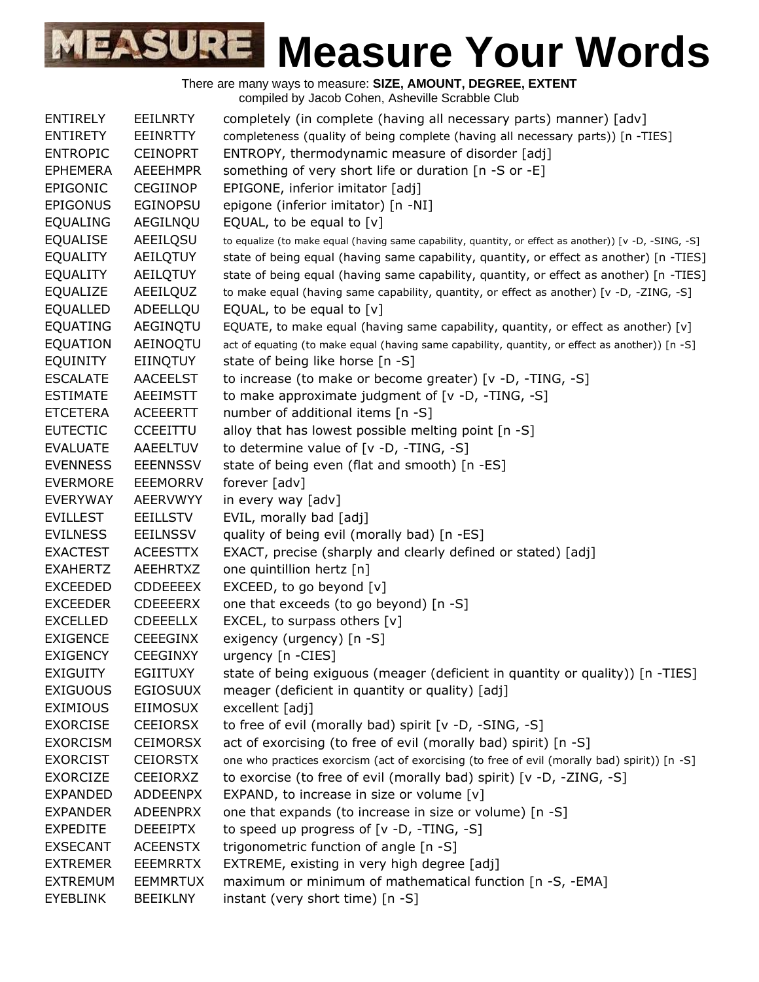| <b>ENTIRELY</b> | <b>EEILNRTY</b> | completely (in complete (having all necessary parts) manner) [adv]                                     |
|-----------------|-----------------|--------------------------------------------------------------------------------------------------------|
| <b>ENTIRETY</b> | <b>EEINRTTY</b> | completeness (quality of being complete (having all necessary parts)) [n -TIES]                        |
| <b>ENTROPIC</b> | <b>CEINOPRT</b> | ENTROPY, thermodynamic measure of disorder [adj]                                                       |
| <b>EPHEMERA</b> | <b>AEEEHMPR</b> | something of very short life or duration [n -S or -E]                                                  |
| EPIGONIC        | <b>CEGIINOP</b> | EPIGONE, inferior imitator [adj]                                                                       |
| <b>EPIGONUS</b> | <b>EGINOPSU</b> | epigone (inferior imitator) [n -NI]                                                                    |
| <b>EQUALING</b> | AEGILNQU        | EQUAL, to be equal to $[v]$                                                                            |
| <b>EQUALISE</b> | AEEILQSU        | to equalize (to make equal (having same capability, quantity, or effect as another)) [v -D, -SING, -S] |
| <b>EQUALITY</b> | AEILQTUY        | state of being equal (having same capability, quantity, or effect as another) [n -TIES]                |
| <b>EQUALITY</b> | AEILQTUY        | state of being equal (having same capability, quantity, or effect as another) [n -TIES]                |
| <b>EQUALIZE</b> | AEEILQUZ        | to make equal (having same capability, quantity, or effect as another) [v -D, -ZING, -S]               |
| <b>EQUALLED</b> | ADEELLQU        | EQUAL, to be equal to $[v]$                                                                            |
| <b>EQUATING</b> | AEGINQTU        | EQUATE, to make equal (having same capability, quantity, or effect as another) [v]                     |
| <b>EQUATION</b> | AEINOQTU        | act of equating (to make equal (having same capability, quantity, or effect as another)) [n -S]        |
| EQUINITY        | <b>EIINQTUY</b> | state of being like horse [n -S]                                                                       |
| <b>ESCALATE</b> | <b>AACEELST</b> | to increase (to make or become greater) [v -D, -TING, -S]                                              |
| <b>ESTIMATE</b> | <b>AEEIMSTT</b> | to make approximate judgment of $[v -D, -TING, -S]$                                                    |
| <b>ETCETERA</b> | <b>ACEEERTT</b> | number of additional items [n -S]                                                                      |
| <b>EUTECTIC</b> | <b>CCEEITTU</b> | alloy that has lowest possible melting point [n -S]                                                    |
| <b>EVALUATE</b> | AAEELTUV        | to determine value of [v -D, -TING, -S]                                                                |
| <b>EVENNESS</b> | <b>EEENNSSV</b> | state of being even (flat and smooth) [n -ES]                                                          |
| <b>EVERMORE</b> | <b>EEEMORRV</b> | forever [adv]                                                                                          |
| <b>EVERYWAY</b> | <b>AEERVWYY</b> | in every way [adv]                                                                                     |
| <b>EVILLEST</b> | <b>EEILLSTV</b> | EVIL, morally bad [adj]                                                                                |
| <b>EVILNESS</b> | <b>EEILNSSV</b> | quality of being evil (morally bad) [n -ES]                                                            |
| <b>EXACTEST</b> | <b>ACEESTTX</b> | EXACT, precise (sharply and clearly defined or stated) [adj]                                           |
| <b>EXAHERTZ</b> | <b>AEEHRTXZ</b> | one quintillion hertz [n]                                                                              |
| <b>EXCEEDED</b> | CDDEEEEX        | EXCEED, to go beyond [v]                                                                               |
| <b>EXCEEDER</b> | <b>CDEEEERX</b> | one that exceeds (to go beyond) [n -S]                                                                 |
| <b>EXCELLED</b> | <b>CDEEELLX</b> | EXCEL, to surpass others $[v]$                                                                         |
| <b>EXIGENCE</b> | <b>CEEEGINX</b> | exigency (urgency) [n -S]                                                                              |
| <b>EXIGENCY</b> | <b>CEEGINXY</b> | urgency [n -CIES]                                                                                      |
| <b>EXIGUITY</b> | <b>EGIITUXY</b> | state of being exiguous (meager (deficient in quantity or quality)) [n -TIES]                          |
| <b>EXIGUOUS</b> | <b>EGIOSUUX</b> | meager (deficient in quantity or quality) [adj]                                                        |
| <b>EXIMIOUS</b> | <b>EIIMOSUX</b> | excellent [adj]                                                                                        |
| <b>EXORCISE</b> | <b>CEEIORSX</b> | to free of evil (morally bad) spirit [v -D, -SING, -S]                                                 |
| <b>EXORCISM</b> | <b>CEIMORSX</b> | act of exorcising (to free of evil (morally bad) spirit) [n -S]                                        |
| <b>EXORCIST</b> | <b>CEIORSTX</b> | one who practices exorcism (act of exorcising (to free of evil (morally bad) spirit)) [n -S]           |
| <b>EXORCIZE</b> | CEEIORXZ        | to exorcise (to free of evil (morally bad) spirit) [v -D, -ZING, -S]                                   |
| <b>EXPANDED</b> | <b>ADDEENPX</b> | EXPAND, to increase in size or volume $[v]$                                                            |
| <b>EXPANDER</b> | <b>ADEENPRX</b> | one that expands (to increase in size or volume) [n -S]                                                |
|                 |                 |                                                                                                        |
| <b>EXPEDITE</b> | <b>DEEEIPTX</b> | to speed up progress of $[v -D, -TING, -S]$                                                            |
| <b>EXSECANT</b> | <b>ACEENSTX</b> | trigonometric function of angle [n -S]                                                                 |
| <b>EXTREMER</b> | <b>EEEMRRTX</b> | EXTREME, existing in very high degree [adj]                                                            |
| <b>EXTREMUM</b> | <b>EEMMRTUX</b> | maximum or minimum of mathematical function [n -S, -EMA]                                               |
| <b>EYEBLINK</b> | <b>BEEIKLNY</b> | instant (very short time) [n -S]                                                                       |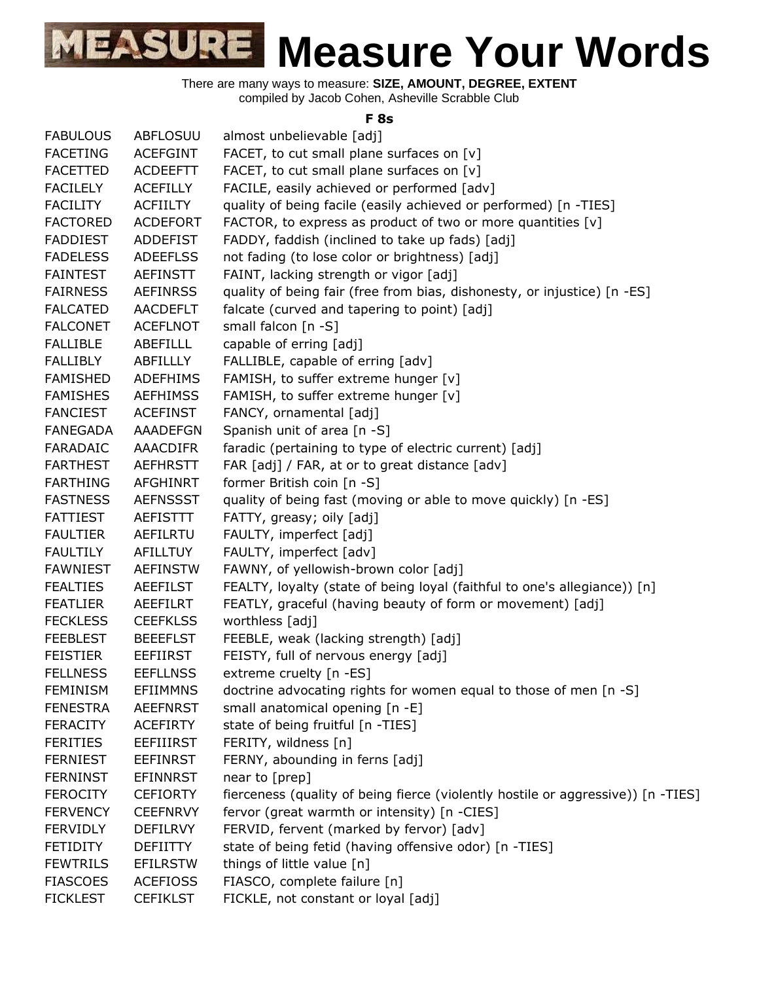There are many ways to measure: **SIZE, AMOUNT, DEGREE, EXTENT** compiled by Jacob Cohen, Asheville Scrabble Club

#### **F 8s**

| <b>FABULOUS</b> | <b>ABFLOSUU</b>  | almost unbelievable [adj]                                                        |
|-----------------|------------------|----------------------------------------------------------------------------------|
| <b>FACETING</b> | <b>ACEFGINT</b>  | FACET, to cut small plane surfaces on [v]                                        |
| <b>FACETTED</b> | <b>ACDEEFTT</b>  | FACET, to cut small plane surfaces on [v]                                        |
| <b>FACILELY</b> | <b>ACEFILLY</b>  | FACILE, easily achieved or performed [adv]                                       |
| <b>FACILITY</b> | <b>ACFIILTY</b>  | quality of being facile (easily achieved or performed) [n -TIES]                 |
| <b>FACTORED</b> | <b>ACDEFORT</b>  | FACTOR, to express as product of two or more quantities [v]                      |
| <b>FADDIEST</b> | ADDEFIST         | FADDY, faddish (inclined to take up fads) [adj]                                  |
| <b>FADELESS</b> | <b>ADEEFLSS</b>  | not fading (to lose color or brightness) [adj]                                   |
| <b>FAINTEST</b> | <b>AEFINSTT</b>  | FAINT, lacking strength or vigor [adj]                                           |
| <b>FAIRNESS</b> | <b>AEFINRSS</b>  | quality of being fair (free from bias, dishonesty, or injustice) [n -ES]         |
| <b>FALCATED</b> | <b>AACDEFLT</b>  | falcate (curved and tapering to point) [adj]                                     |
| <b>FALCONET</b> | <b>ACEFLNOT</b>  | small falcon [n -S]                                                              |
| <b>FALLIBLE</b> | ABEFILLL         | capable of erring [adj]                                                          |
| <b>FALLIBLY</b> | ABFILLLY         | FALLIBLE, capable of erring [adv]                                                |
| <b>FAMISHED</b> | <b>ADEFHIMS</b>  | FAMISH, to suffer extreme hunger [v]                                             |
| <b>FAMISHES</b> | <b>AEFHIMSS</b>  | FAMISH, to suffer extreme hunger [v]                                             |
| <b>FANCIEST</b> | <b>ACEFINST</b>  | FANCY, ornamental [adj]                                                          |
| <b>FANEGADA</b> | AAADEFGN         | Spanish unit of area [n -S]                                                      |
| <b>FARADAIC</b> | AAACDIFR         | faradic (pertaining to type of electric current) [adj]                           |
| <b>FARTHEST</b> | <b>AEFHRSTT</b>  | FAR [adj] / FAR, at or to great distance [adv]                                   |
| <b>FARTHING</b> | <b>AFGHINRT</b>  | former British coin [n -S]                                                       |
| <b>FASTNESS</b> | <b>AEFNSSST</b>  | quality of being fast (moving or able to move quickly) [n -ES]                   |
| <b>FATTIEST</b> | <b>AEFISTTT</b>  | FATTY, greasy; oily [adj]                                                        |
| <b>FAULTIER</b> | <b>AEFILRTU</b>  | FAULTY, imperfect [adj]                                                          |
| <b>FAULTILY</b> | AFILLTUY         | FAULTY, imperfect [adv]                                                          |
| <b>FAWNIEST</b> | <b>AEFINSTW</b>  | FAWNY, of yellowish-brown color [adj]                                            |
| <b>FEALTIES</b> | <b>AEEFILST</b>  | FEALTY, loyalty (state of being loyal (faithful to one's allegiance)) [n]        |
| <b>FEATLIER</b> | AEEFILRT         | FEATLY, graceful (having beauty of form or movement) [adj]                       |
| <b>FECKLESS</b> | <b>CEEFKLSS</b>  | worthless [adj]                                                                  |
| <b>FEEBLEST</b> | <b>BEEEFLST</b>  | FEEBLE, weak (lacking strength) [adj]                                            |
| <b>FEISTIER</b> | <b>EEFIIRST</b>  | FEISTY, full of nervous energy [adj]                                             |
| <b>FELLNESS</b> | <b>EEFLLNSS</b>  | extreme cruelty [n -ES]                                                          |
| <b>FEMINISM</b> | <b>EFIIMMNS</b>  | doctrine advocating rights for women equal to those of men [n -S]                |
| <b>FENESTRA</b> | <b>AEEFNRST</b>  | small anatomical opening [n -E]                                                  |
| <b>FERACITY</b> | <b>ACEFIRTY</b>  | state of being fruitful [n -TIES]                                                |
| <b>FERITIES</b> | <b>EEFIIIRST</b> | FERITY, wildness [n]                                                             |
| <b>FERNIEST</b> | <b>EEFINRST</b>  | FERNY, abounding in ferns [adj]                                                  |
| <b>FERNINST</b> | <b>EFINNRST</b>  | near to [prep]                                                                   |
| <b>FEROCITY</b> | <b>CEFIORTY</b>  | fierceness (quality of being fierce (violently hostile or aggressive)) [n -TIES] |
| <b>FERVENCY</b> | <b>CEEFNRVY</b>  | fervor (great warmth or intensity) [n -CIES]                                     |
| <b>FERVIDLY</b> | <b>DEFILRVY</b>  | FERVID, fervent (marked by fervor) [adv]                                         |
| <b>FETIDITY</b> | <b>DEFIITTY</b>  | state of being fetid (having offensive odor) [n -TIES]                           |
| <b>FEWTRILS</b> | <b>EFILRSTW</b>  | things of little value [n]                                                       |
| <b>FIASCOES</b> | <b>ACEFIOSS</b>  | FIASCO, complete failure [n]                                                     |
| <b>FICKLEST</b> | <b>CEFIKLST</b>  | FICKLE, not constant or loyal [adj]                                              |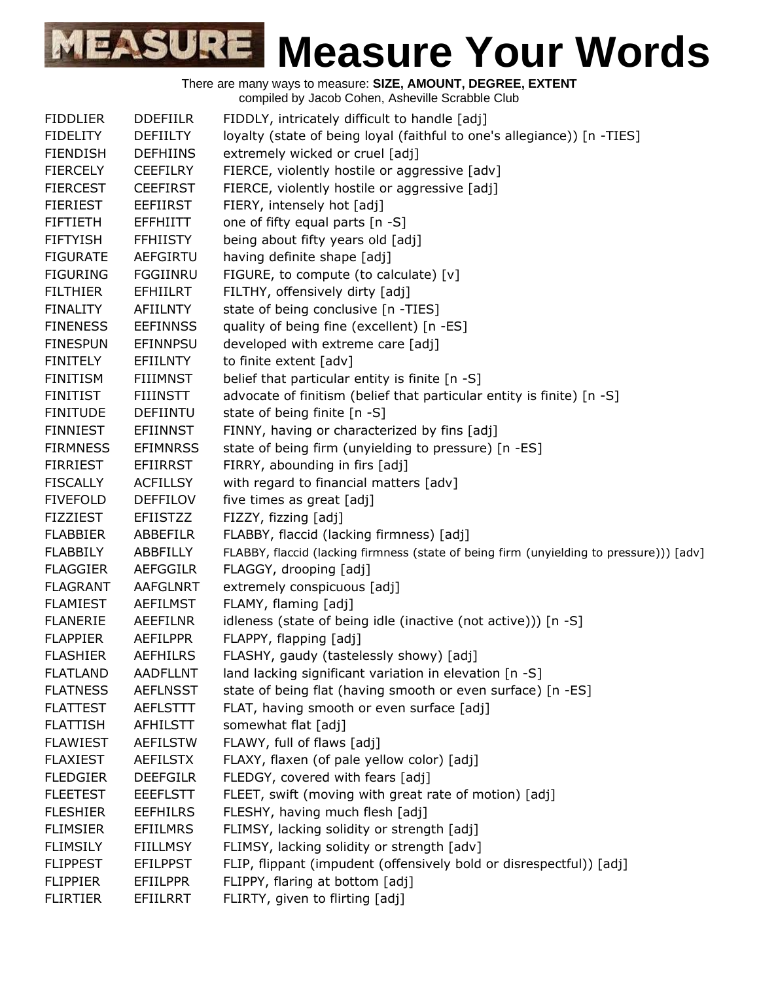| <b>FIDDLIER</b> | <b>DDEFIILR</b> | FIDDLY, intricately difficult to handle [adj]                                           |
|-----------------|-----------------|-----------------------------------------------------------------------------------------|
| <b>FIDELITY</b> | <b>DEFIILTY</b> | loyalty (state of being loyal (faithful to one's allegiance)) [n -TIES]                 |
| <b>FIENDISH</b> | <b>DEFHIINS</b> | extremely wicked or cruel [adj]                                                         |
| <b>FIERCELY</b> | <b>CEEFILRY</b> | FIERCE, violently hostile or aggressive [adv]                                           |
| <b>FIERCEST</b> | <b>CEEFIRST</b> | FIERCE, violently hostile or aggressive [adj]                                           |
| <b>FIERIEST</b> | <b>EEFIIRST</b> | FIERY, intensely hot [adj]                                                              |
| <b>FIFTIETH</b> | <b>EFFHIITT</b> | one of fifty equal parts [n -S]                                                         |
| <b>FIFTYISH</b> | <b>FFHIISTY</b> | being about fifty years old [adj]                                                       |
| <b>FIGURATE</b> | AEFGIRTU        | having definite shape [adj]                                                             |
| <b>FIGURING</b> | FGGIINRU        | FIGURE, to compute (to calculate) [v]                                                   |
| <b>FILTHIER</b> | <b>EFHIILRT</b> | FILTHY, offensively dirty [adj]                                                         |
| <b>FINALITY</b> | <b>AFIILNTY</b> | state of being conclusive [n -TIES]                                                     |
| <b>FINENESS</b> | <b>EEFINNSS</b> | quality of being fine (excellent) [n -ES]                                               |
| <b>FINESPUN</b> | <b>EFINNPSU</b> | developed with extreme care [adj]                                                       |
| <b>FINITELY</b> | <b>EFIILNTY</b> | to finite extent [adv]                                                                  |
| <b>FINITISM</b> | <b>FIIIMNST</b> | belief that particular entity is finite [n -S]                                          |
| <b>FINITIST</b> | <b>FIIINSTT</b> | advocate of finitism (belief that particular entity is finite) [n -S]                   |
| <b>FINITUDE</b> | <b>DEFIINTU</b> | state of being finite [n -S]                                                            |
| <b>FINNIEST</b> | <b>EFIINNST</b> | FINNY, having or characterized by fins [adj]                                            |
| <b>FIRMNESS</b> | <b>EFIMNRSS</b> | state of being firm (unyielding to pressure) [n -ES]                                    |
| <b>FIRRIEST</b> | <b>EFIIRRST</b> | FIRRY, abounding in firs [adj]                                                          |
| <b>FISCALLY</b> | <b>ACFILLSY</b> | with regard to financial matters [adv]                                                  |
| <b>FIVEFOLD</b> | <b>DEFFILOV</b> | five times as great [adj]                                                               |
| <b>FIZZIEST</b> | <b>EFIISTZZ</b> | FIZZY, fizzing [adj]                                                                    |
| <b>FLABBIER</b> | ABBEFILR        | FLABBY, flaccid (lacking firmness) [adj]                                                |
| <b>FLABBILY</b> | ABBFILLY        | FLABBY, flaccid (lacking firmness (state of being firm (unyielding to pressure))) [adv] |
| <b>FLAGGIER</b> | <b>AEFGGILR</b> | FLAGGY, drooping [adj]                                                                  |
| <b>FLAGRANT</b> | <b>AAFGLNRT</b> | extremely conspicuous [adj]                                                             |
| <b>FLAMIEST</b> | <b>AEFILMST</b> | FLAMY, flaming [adj]                                                                    |
| <b>FLANERIE</b> | <b>AEEFILNR</b> | idleness (state of being idle (inactive (not active))) [n -S]                           |
| <b>FLAPPIER</b> | <b>AEFILPPR</b> | FLAPPY, flapping [adj]                                                                  |
| <b>FLASHIER</b> | AEFHILRS        | FLASHY, gaudy (tastelessly showy) [adj]                                                 |
| <b>FLATLAND</b> | <b>AADFLLNT</b> | land lacking significant variation in elevation [n -S]                                  |
| <b>FLATNESS</b> | <b>AEFLNSST</b> | state of being flat (having smooth or even surface) [n -ES]                             |
| <b>FLATTEST</b> | <b>AEFLSTTT</b> | FLAT, having smooth or even surface [adj]                                               |
| <b>FLATTISH</b> | <b>AFHILSTT</b> | somewhat flat [adj]                                                                     |
| <b>FLAWIEST</b> | <b>AEFILSTW</b> | FLAWY, full of flaws [adj]                                                              |
| <b>FLAXIEST</b> | <b>AEFILSTX</b> | FLAXY, flaxen (of pale yellow color) [adj]                                              |
| <b>FLEDGIER</b> | <b>DEEFGILR</b> | FLEDGY, covered with fears [adj]                                                        |
| <b>FLEETEST</b> | <b>EEEFLSTT</b> | FLEET, swift (moving with great rate of motion) [adj]                                   |
| <b>FLESHIER</b> | <b>EEFHILRS</b> | FLESHY, having much flesh [adj]                                                         |
| <b>FLIMSIER</b> | <b>EFIILMRS</b> | FLIMSY, lacking solidity or strength [adj]                                              |
| <b>FLIMSILY</b> | <b>FIILLMSY</b> | FLIMSY, lacking solidity or strength [adv]                                              |
| <b>FLIPPEST</b> | <b>EFILPPST</b> | FLIP, flippant (impudent (offensively bold or disrespectful)) [adj]                     |
| <b>FLIPPIER</b> | <b>EFIILPPR</b> | FLIPPY, flaring at bottom [adj]                                                         |
| <b>FLIRTIER</b> | EFIILRRT        | FLIRTY, given to flirting [adj]                                                         |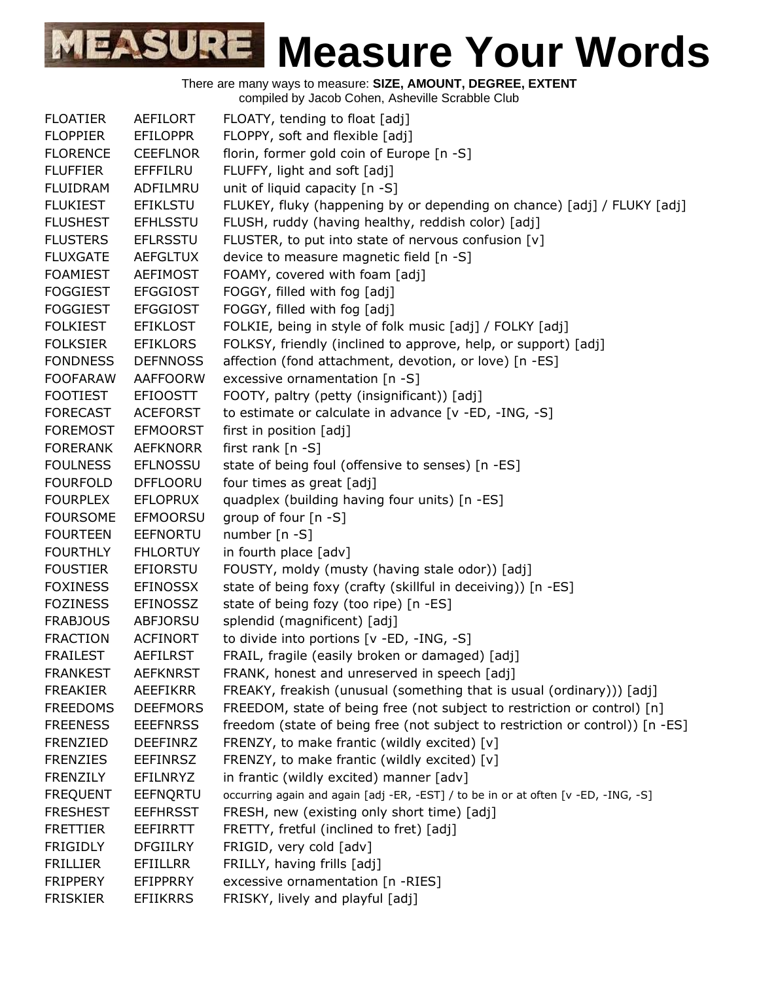| <b>FLOATIER</b> | AEFILORT        | FLOATY, tending to float [adj]                                                     |
|-----------------|-----------------|------------------------------------------------------------------------------------|
| <b>FLOPPIER</b> | <b>EFILOPPR</b> | FLOPPY, soft and flexible [adj]                                                    |
| <b>FLORENCE</b> | <b>CEEFLNOR</b> | florin, former gold coin of Europe [n -S]                                          |
| <b>FLUFFIER</b> | EFFFILRU        | FLUFFY, light and soft [adj]                                                       |
| <b>FLUIDRAM</b> | ADFILMRU        | unit of liquid capacity [n -S]                                                     |
| <b>FLUKIEST</b> | <b>EFIKLSTU</b> | FLUKEY, fluky (happening by or depending on chance) [adj] / FLUKY [adj]            |
| <b>FLUSHEST</b> | <b>EFHLSSTU</b> | FLUSH, ruddy (having healthy, reddish color) [adj]                                 |
| <b>FLUSTERS</b> | <b>EFLRSSTU</b> | FLUSTER, to put into state of nervous confusion [v]                                |
| <b>FLUXGATE</b> | <b>AEFGLTUX</b> | device to measure magnetic field [n -S]                                            |
| <b>FOAMIEST</b> | <b>AEFIMOST</b> | FOAMY, covered with foam [adj]                                                     |
| <b>FOGGIEST</b> | <b>EFGGIOST</b> | FOGGY, filled with fog [adj]                                                       |
| <b>FOGGIEST</b> | <b>EFGGIOST</b> | FOGGY, filled with fog [adj]                                                       |
| <b>FOLKIEST</b> | <b>EFIKLOST</b> | FOLKIE, being in style of folk music [adj] / FOLKY [adj]                           |
| <b>FOLKSIER</b> | <b>EFIKLORS</b> | FOLKSY, friendly (inclined to approve, help, or support) [adj]                     |
| <b>FONDNESS</b> | <b>DEFNNOSS</b> | affection (fond attachment, devotion, or love) [n -ES]                             |
| <b>FOOFARAW</b> | <b>AAFFOORW</b> | excessive ornamentation [n -S]                                                     |
| <b>FOOTIEST</b> | <b>EFIOOSTT</b> | FOOTY, paltry (petty (insignificant)) [adj]                                        |
| <b>FORECAST</b> | <b>ACEFORST</b> | to estimate or calculate in advance [v -ED, -ING, -S]                              |
| <b>FOREMOST</b> | <b>EFMOORST</b> | first in position [adj]                                                            |
| <b>FORERANK</b> | <b>AEFKNORR</b> | first rank [n -S]                                                                  |
| <b>FOULNESS</b> | <b>EFLNOSSU</b> | state of being foul (offensive to senses) [n -ES]                                  |
| <b>FOURFOLD</b> | <b>DFFLOORU</b> | four times as great [adj]                                                          |
| <b>FOURPLEX</b> | <b>EFLOPRUX</b> | quadplex (building having four units) [n -ES]                                      |
| <b>FOURSOME</b> | <b>EFMOORSU</b> | group of four [n -S]                                                               |
| <b>FOURTEEN</b> | <b>EEFNORTU</b> | number [n -S]                                                                      |
| <b>FOURTHLY</b> | <b>FHLORTUY</b> | in fourth place [adv]                                                              |
| <b>FOUSTIER</b> | <b>EFIORSTU</b> | FOUSTY, moldy (musty (having stale odor)) [adj]                                    |
| <b>FOXINESS</b> | <b>EFINOSSX</b> | state of being foxy (crafty (skillful in deceiving)) [n -ES]                       |
| <b>FOZINESS</b> | <b>EFINOSSZ</b> | state of being fozy (too ripe) [n -ES]                                             |
| <b>FRABJOUS</b> | <b>ABFJORSU</b> | splendid (magnificent) [adj]                                                       |
| <b>FRACTION</b> | <b>ACFINORT</b> | to divide into portions [v -ED, -ING, -S]                                          |
| <b>FRAILEST</b> | AEFILRST        | FRAIL, fragile (easily broken or damaged) [adj]                                    |
| <b>FRANKEST</b> | <b>AEFKNRST</b> | FRANK, honest and unreserved in speech [adj]                                       |
| <b>FREAKIER</b> | <b>AEEFIKRR</b> | FREAKY, freakish (unusual (something that is usual (ordinary))) [adj]              |
| <b>FREEDOMS</b> | <b>DEEFMORS</b> | FREEDOM, state of being free (not subject to restriction or control) [n]           |
| <b>FREENESS</b> | <b>EEEFNRSS</b> | freedom (state of being free (not subject to restriction or control)) [n -ES]      |
| <b>FRENZIED</b> | <b>DEEFINRZ</b> | FRENZY, to make frantic (wildly excited) [v]                                       |
| <b>FRENZIES</b> | <b>EEFINRSZ</b> | FRENZY, to make frantic (wildly excited) [v]                                       |
| <b>FRENZILY</b> | EFILNRYZ        | in frantic (wildly excited) manner [adv]                                           |
| <b>FREQUENT</b> | <b>EEFNQRTU</b> | occurring again and again [adj -ER, -EST] / to be in or at often [v -ED, -ING, -S] |
| <b>FRESHEST</b> | <b>EEFHRSST</b> | FRESH, new (existing only short time) [adj]                                        |
| <b>FRETTIER</b> | <b>EEFIRRTT</b> | FRETTY, fretful (inclined to fret) [adj]                                           |
| <b>FRIGIDLY</b> | <b>DFGIILRY</b> | FRIGID, very cold [adv]                                                            |
| <b>FRILLIER</b> | <b>EFIILLRR</b> | FRILLY, having frills [adj]                                                        |
| <b>FRIPPERY</b> | EFIPPRRY        | excessive ornamentation [n -RIES]                                                  |
| <b>FRISKIER</b> | <b>EFIIKRRS</b> | FRISKY, lively and playful [adj]                                                   |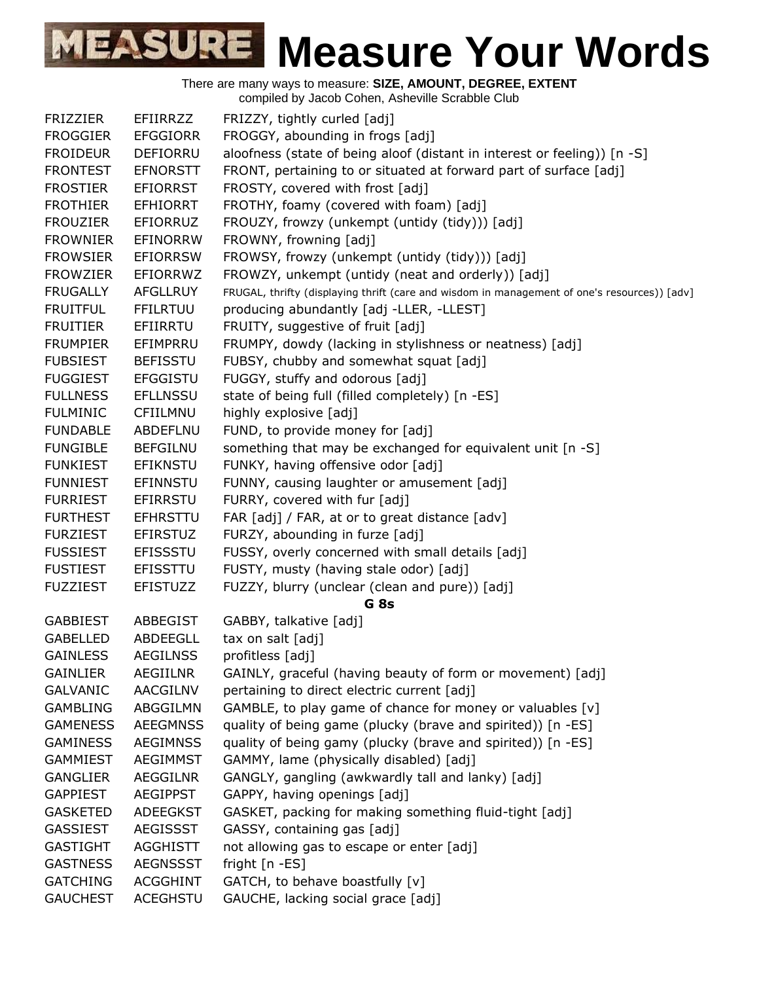| <b>FRIZZIER</b> | <b>EFIIRRZZ</b> | FRIZZY, tightly curled [adj]                                                                 |
|-----------------|-----------------|----------------------------------------------------------------------------------------------|
| <b>FROGGIER</b> | <b>EFGGIORR</b> | FROGGY, abounding in frogs [adj]                                                             |
| <b>FROIDEUR</b> | <b>DEFIORRU</b> | aloofness (state of being aloof (distant in interest or feeling)) [n -S]                     |
| <b>FRONTEST</b> | <b>EFNORSTT</b> | FRONT, pertaining to or situated at forward part of surface [adj]                            |
| <b>FROSTIER</b> | <b>EFIORRST</b> | FROSTY, covered with frost [adj]                                                             |
| <b>FROTHIER</b> | <b>EFHIORRT</b> | FROTHY, foamy (covered with foam) [adj]                                                      |
| <b>FROUZIER</b> | EFIORRUZ        | FROUZY, frowzy (unkempt (untidy (tidy))) [adj]                                               |
| <b>FROWNIER</b> | EFINORRW        | FROWNY, frowning [adj]                                                                       |
| <b>FROWSIER</b> | <b>EFIORRSW</b> | FROWSY, frowzy (unkempt (untidy (tidy))) [adj]                                               |
| <b>FROWZIER</b> | EFIORRWZ        | FROWZY, unkempt (untidy (neat and orderly)) [adj]                                            |
| <b>FRUGALLY</b> | <b>AFGLLRUY</b> | FRUGAL, thrifty (displaying thrift (care and wisdom in management of one's resources)) [adv] |
| <b>FRUITFUL</b> | <b>FFILRTUU</b> | producing abundantly [adj -LLER, -LLEST]                                                     |
| <b>FRUITIER</b> | EFIIRRTU        | FRUITY, suggestive of fruit [adj]                                                            |
| <b>FRUMPIER</b> | EFIMPRRU        | FRUMPY, dowdy (lacking in stylishness or neatness) [adj]                                     |
| <b>FUBSIEST</b> | <b>BEFISSTU</b> | FUBSY, chubby and somewhat squat [adj]                                                       |
| <b>FUGGIEST</b> | <b>EFGGISTU</b> | FUGGY, stuffy and odorous [adj]                                                              |
| <b>FULLNESS</b> | <b>EFLLNSSU</b> | state of being full (filled completely) [n -ES]                                              |
| <b>FULMINIC</b> | CFIILMNU        | highly explosive [adj]                                                                       |
| <b>FUNDABLE</b> | ABDEFLNU        | FUND, to provide money for [adj]                                                             |
| <b>FUNGIBLE</b> | <b>BEFGILNU</b> | something that may be exchanged for equivalent unit [n -S]                                   |
| <b>FUNKIEST</b> | <b>EFIKNSTU</b> | FUNKY, having offensive odor [adj]                                                           |
| <b>FUNNIEST</b> | <b>EFINNSTU</b> | FUNNY, causing laughter or amusement [adj]                                                   |
| <b>FURRIEST</b> | <b>EFIRRSTU</b> | FURRY, covered with fur [adj]                                                                |
| <b>FURTHEST</b> | <b>EFHRSTTU</b> | FAR [adj] / FAR, at or to great distance [adv]                                               |
| <b>FURZIEST</b> | <b>EFIRSTUZ</b> | FURZY, abounding in furze [adj]                                                              |
| <b>FUSSIEST</b> | <b>EFISSSTU</b> | FUSSY, overly concerned with small details [adj]                                             |
| <b>FUSTIEST</b> | EFISSTTU        | FUSTY, musty (having stale odor) [adj]                                                       |
| <b>FUZZIEST</b> | <b>EFISTUZZ</b> | FUZZY, blurry (unclear (clean and pure)) [adj]                                               |
|                 |                 | G <sub>8s</sub>                                                                              |
| <b>GABBIEST</b> | ABBEGIST        | GABBY, talkative [adj]                                                                       |
| <b>GABELLED</b> | ABDEEGLL        | tax on salt [adj]                                                                            |
| <b>GAINLESS</b> | <b>AEGILNSS</b> | profitless [adj]                                                                             |
| <b>GAINLIER</b> | <b>AEGIILNR</b> | GAINLY, graceful (having beauty of form or movement) [adj]                                   |
| <b>GALVANIC</b> | <b>AACGILNV</b> | pertaining to direct electric current [adj]                                                  |
| <b>GAMBLING</b> | ABGGILMN        | GAMBLE, to play game of chance for money or valuables [v]                                    |
| <b>GAMENESS</b> | <b>AEEGMNSS</b> | quality of being game (plucky (brave and spirited)) [n -ES]                                  |
| <b>GAMINESS</b> | <b>AEGIMNSS</b> | quality of being gamy (plucky (brave and spirited)) [n -ES]                                  |
| <b>GAMMIEST</b> | AEGIMMST        | GAMMY, lame (physically disabled) [adj]                                                      |
| <b>GANGLIER</b> | AEGGILNR        | GANGLY, gangling (awkwardly tall and lanky) [adj]                                            |
| <b>GAPPIEST</b> | <b>AEGIPPST</b> | GAPPY, having openings [adj]                                                                 |
| <b>GASKETED</b> | ADEEGKST        | GASKET, packing for making something fluid-tight [adj]                                       |
| <b>GASSIEST</b> | AEGISSST        | GASSY, containing gas [adj]                                                                  |
| <b>GASTIGHT</b> | <b>AGGHISTT</b> | not allowing gas to escape or enter [adj]                                                    |
| <b>GASTNESS</b> | <b>AEGNSSST</b> | fright $[n - ES]$                                                                            |
| <b>GATCHING</b> | ACGGHINT        | GATCH, to behave boastfully [v]                                                              |
| <b>GAUCHEST</b> | <b>ACEGHSTU</b> | GAUCHE, lacking social grace [adj]                                                           |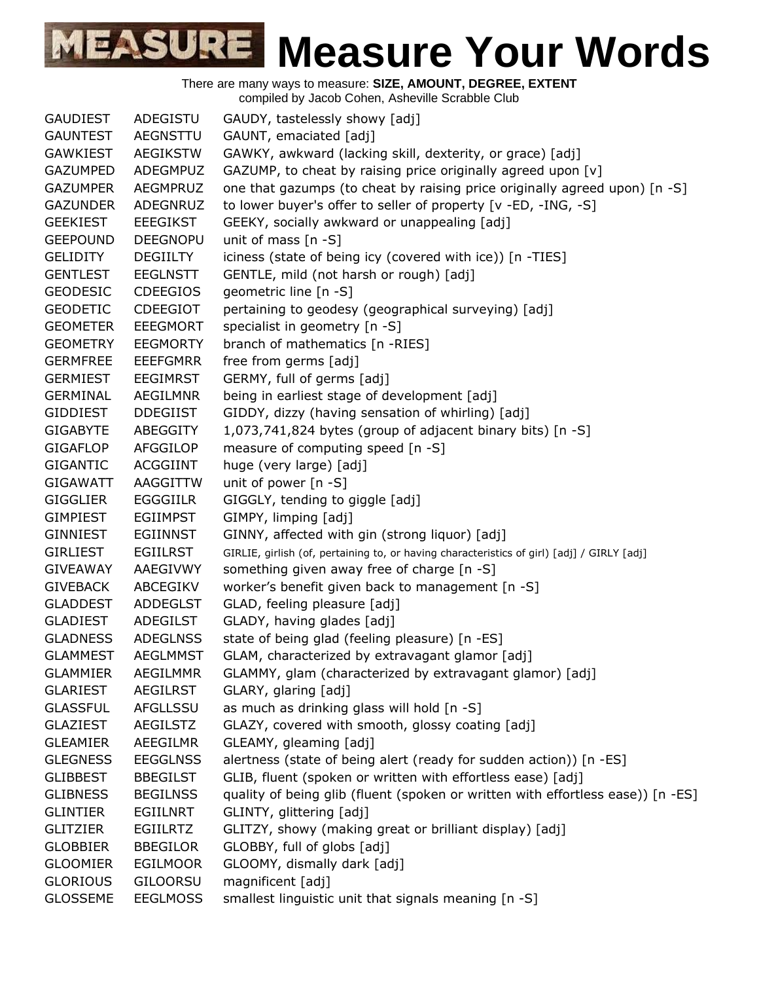

There are many ways to measure: **SIZE, AMOUNT, DEGREE, EXTENT** compiled by Jacob Cohen, Asheville Scrabble Club

GAUDIEST ADEGISTU GAUDY, tastelessly showy [adj] GAUNTEST AEGNSTTU GAUNT, emaciated [adj] GAWKIEST AEGIKSTW GAWKY, awkward (lacking skill, dexterity, or grace) [adj] GAZUMPED ADEGMPUZ GAZUMP, to cheat by raising price originally agreed upon  $[v]$ GAZUMPER AEGMPRUZ one that gazumps (to cheat by raising price originally agreed upon) [n -S] GAZUNDER ADEGNRUZ to lower buyer's offer to seller of property [v -ED, -ING, -S] GEEKIEST EEEGIKST GEEKY, socially awkward or unappealing [adj] GEEPOUND DEEGNOPU unit of mass [n -S] GELIDITY DEGIILTY iciness (state of being icy (covered with ice)) [n -TIES] GENTLEST EEGLNSTT GENTLE, mild (not harsh or rough) [adj] GEODESIC CDEEGIOS geometric line [n -S] GEODETIC CDEEGIOT pertaining to geodesy (geographical surveying) [adj] GEOMETER EEEGMORT specialist in geometry [n -S] GEOMETRY EEGMORTY branch of mathematics [n -RIES] GERMFREE EEEFGMRR free from germs [adj] GERMIEST EEGIMRST GERMY, full of germs [adj] GERMINAL AEGILMNR being in earliest stage of development [adj] GIDDIEST DDEGIIST GIDDY, dizzy (having sensation of whirling) [adj] GIGABYTE ABEGGITY 1,073,741,824 bytes (group of adjacent binary bits) [n -S] GIGAFLOP AFGGILOP measure of computing speed [n -S] GIGANTIC ACGGIINT huge (very large) [adj] GIGAWATT AAGGITTW unit of power [n -S] GIGGLIER EGGGIILR GIGGLY, tending to giggle [adj] GIMPIEST EGIIMPST GIMPY, limping [adj] GINNIEST EGIINNST GINNY, affected with gin (strong liquor) [adj] GIRLIEST EGIILRST GIRLIE, girlish (of, pertaining to, or having characteristics of girl) [adj] / GIRLY [adj] GIVEAWAY AAEGIVWY something given away free of charge [n -S] GIVEBACK ABCEGIKV worker's benefit given back to management [n -S] GLADDEST ADDEGLST GLAD, feeling pleasure [adj] GLADIEST ADEGILST GLADY, having glades [adj] GLADNESS ADEGLNSS state of being glad (feeling pleasure) [n -ES] GLAMMEST AEGLMMST GLAM, characterized by extravagant glamor [adj] GLAMMIER AEGILMMR GLAMMY, glam (characterized by extravagant glamor) [adj] GLARIEST AEGILRST GLARY, glaring [adj] GLASSFUL AFGLLSSU as much as drinking glass will hold [n -S] GLAZIEST AEGILSTZ GLAZY, covered with smooth, glossy coating [adj] GLEAMIER AEEGILMR GLEAMY, gleaming [adj] GLEGNESS EEGGLNSS alertness (state of being alert (ready for sudden action)) [n -ES] GLIBBEST BBEGILST GLIB, fluent (spoken or written with effortless ease) [adj] GLIBNESS BEGILNSS quality of being glib (fluent (spoken or written with effortless ease)) [n -ES] GLINTIER EGIILNRT GLINTY, glittering [adj] GLITZIER EGIILRTZ GLITZY, showy (making great or brilliant display) [adj] GLOBBIER BBEGILOR GLOBBY, full of globs [adj] GLOOMIER EGILMOOR GLOOMY, dismally dark [adj] GLORIOUS GILOORSU magnificent [adj] GLOSSEME EEGLMOSS smallest linguistic unit that signals meaning [n -S]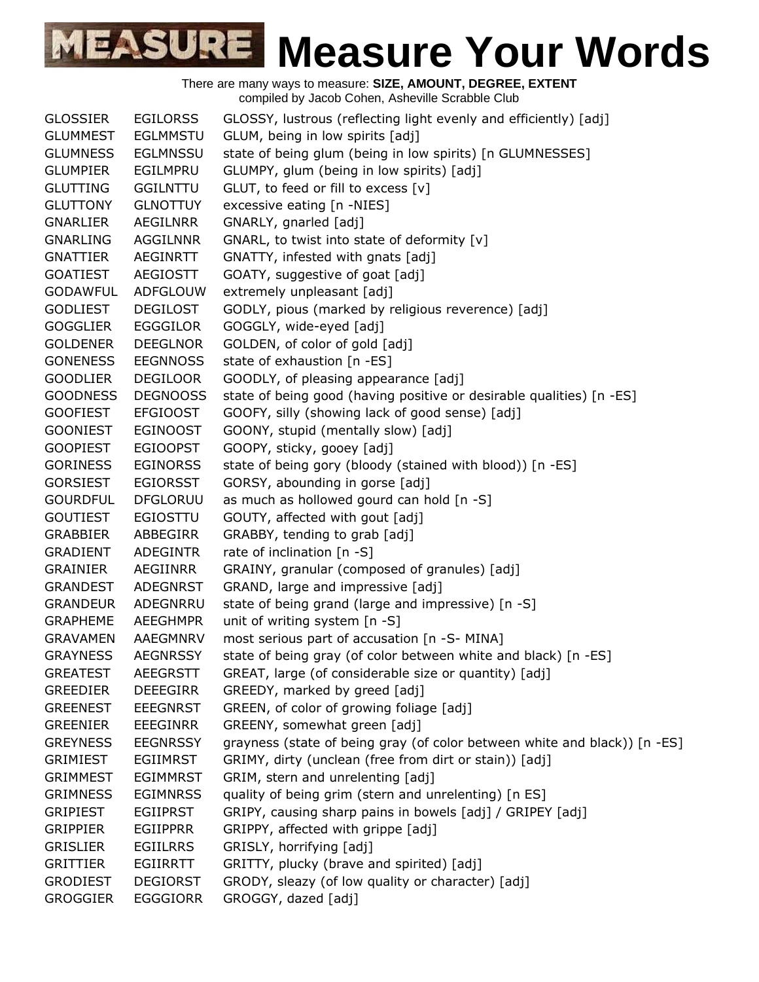

| <b>GLOSSIER</b> | <b>EGILORSS</b> | GLOSSY, lustrous (reflecting light evenly and efficiently) [adj]          |
|-----------------|-----------------|---------------------------------------------------------------------------|
| <b>GLUMMEST</b> | <b>EGLMMSTU</b> | GLUM, being in low spirits [adj]                                          |
| <b>GLUMNESS</b> | <b>EGLMNSSU</b> | state of being glum (being in low spirits) [n GLUMNESSES]                 |
| <b>GLUMPIER</b> | EGILMPRU        | GLUMPY, glum (being in low spirits) [adj]                                 |
| <b>GLUTTING</b> | <b>GGILNTTU</b> | GLUT, to feed or fill to excess [v]                                       |
| <b>GLUTTONY</b> | <b>GLNOTTUY</b> | excessive eating [n -NIES]                                                |
| <b>GNARLIER</b> | AEGILNRR        | GNARLY, gnarled [adj]                                                     |
| <b>GNARLING</b> | AGGILNNR        | GNARL, to twist into state of deformity [v]                               |
| <b>GNATTIER</b> | AEGINRTT        | GNATTY, infested with gnats [adj]                                         |
| <b>GOATIEST</b> | <b>AEGIOSTT</b> | GOATY, suggestive of goat [adj]                                           |
| <b>GODAWFUL</b> | ADFGLOUW        | extremely unpleasant [adj]                                                |
| <b>GODLIEST</b> | <b>DEGILOST</b> | GODLY, pious (marked by religious reverence) [adj]                        |
| <b>GOGGLIER</b> | <b>EGGGILOR</b> | GOGGLY, wide-eyed [adj]                                                   |
| <b>GOLDENER</b> | <b>DEEGLNOR</b> | GOLDEN, of color of gold [adj]                                            |
| <b>GONENESS</b> | <b>EEGNNOSS</b> | state of exhaustion [n -ES]                                               |
| <b>GOODLIER</b> | <b>DEGILOOR</b> | GOODLY, of pleasing appearance [adj]                                      |
| <b>GOODNESS</b> | <b>DEGNOOSS</b> | state of being good (having positive or desirable qualities) [n -ES]      |
| <b>GOOFIEST</b> | <b>EFGIOOST</b> | GOOFY, silly (showing lack of good sense) [adj]                           |
| <b>GOONIEST</b> | <b>EGINOOST</b> | GOONY, stupid (mentally slow) [adj]                                       |
| <b>GOOPIEST</b> | <b>EGIOOPST</b> | GOOPY, sticky, gooey [adj]                                                |
| <b>GORINESS</b> | <b>EGINORSS</b> | state of being gory (bloody (stained with blood)) [n -ES]                 |
| <b>GORSIEST</b> | <b>EGIORSST</b> | GORSY, abounding in gorse [adj]                                           |
| <b>GOURDFUL</b> | <b>DFGLORUU</b> | as much as hollowed gourd can hold [n -S]                                 |
| <b>GOUTIEST</b> | <b>EGIOSTTU</b> | GOUTY, affected with gout [adj]                                           |
| <b>GRABBIER</b> | ABBEGIRR        | GRABBY, tending to grab [adj]                                             |
| <b>GRADIENT</b> | <b>ADEGINTR</b> | rate of inclination $[n -S]$                                              |
| <b>GRAINIER</b> | AEGIINRR        | GRAINY, granular (composed of granules) [adj]                             |
| <b>GRANDEST</b> | <b>ADEGNRST</b> | GRAND, large and impressive [adj]                                         |
| <b>GRANDEUR</b> | ADEGNRRU        | state of being grand (large and impressive) [n -S]                        |
| <b>GRAPHEME</b> | <b>AEEGHMPR</b> | unit of writing system [n -S]                                             |
| <b>GRAVAMEN</b> | AAEGMNRV        | most serious part of accusation [n -S- MINA]                              |
| <b>GRAYNESS</b> | <b>AEGNRSSY</b> | state of being gray (of color between white and black) [n -ES]            |
| <b>GREATEST</b> | <b>AEEGRSTT</b> | GREAT, large (of considerable size or quantity) [adj]                     |
| <b>GREEDIER</b> | <b>DEEEGIRR</b> | GREEDY, marked by greed [adj]                                             |
| <b>GREENEST</b> | <b>EEEGNRST</b> | GREEN, of color of growing foliage [adj]                                  |
| <b>GREENIER</b> | <b>EEEGINRR</b> | GREENY, somewhat green [adj]                                              |
| <b>GREYNESS</b> | <b>EEGNRSSY</b> | grayness (state of being gray (of color between white and black)) [n -ES] |
| <b>GRIMIEST</b> | <b>EGIIMRST</b> | GRIMY, dirty (unclean (free from dirt or stain)) [adj]                    |
| <b>GRIMMEST</b> | <b>EGIMMRST</b> | GRIM, stern and unrelenting [adj]                                         |
| <b>GRIMNESS</b> | <b>EGIMNRSS</b> | quality of being grim (stern and unrelenting) [n ES]                      |
| <b>GRIPIEST</b> | <b>EGIIPRST</b> | GRIPY, causing sharp pains in bowels [adj] / GRIPEY [adj]                 |
| <b>GRIPPIER</b> | <b>EGIIPPRR</b> | GRIPPY, affected with grippe [adj]                                        |
| <b>GRISLIER</b> | <b>EGIILRRS</b> | GRISLY, horrifying [adj]                                                  |
| <b>GRITTIER</b> | <b>EGIIRRTT</b> | GRITTY, plucky (brave and spirited) [adj]                                 |
| <b>GRODIEST</b> | <b>DEGIORST</b> | GRODY, sleazy (of low quality or character) [adj]                         |
| <b>GROGGIER</b> | <b>EGGGIORR</b> | GROGGY, dazed [adj]                                                       |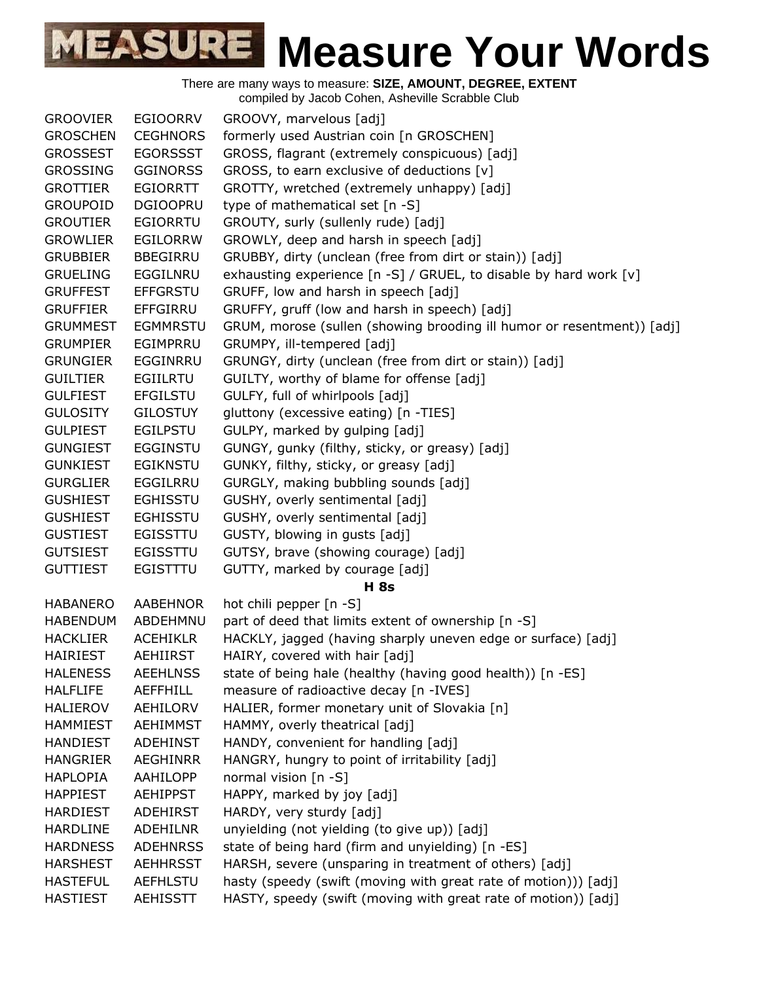| <b>GROOVIER</b> | <b>EGIOORRV</b> | GROOVY, marvelous [adj]                                                |
|-----------------|-----------------|------------------------------------------------------------------------|
| <b>GROSCHEN</b> | <b>CEGHNORS</b> | formerly used Austrian coin [n GROSCHEN]                               |
| <b>GROSSEST</b> | <b>EGORSSST</b> | GROSS, flagrant (extremely conspicuous) [adj]                          |
| <b>GROSSING</b> | <b>GGINORSS</b> | GROSS, to earn exclusive of deductions [v]                             |
| <b>GROTTIER</b> | EGIORRTT        | GROTTY, wretched (extremely unhappy) [adj]                             |
| <b>GROUPOID</b> | <b>DGIOOPRU</b> | type of mathematical set [n -S]                                        |
| <b>GROUTIER</b> | <b>EGIORRTU</b> | GROUTY, surly (sullenly rude) [adj]                                    |
| <b>GROWLIER</b> | <b>EGILORRW</b> | GROWLY, deep and harsh in speech [adj]                                 |
| <b>GRUBBIER</b> | <b>BBEGIRRU</b> | GRUBBY, dirty (unclean (free from dirt or stain)) [adj]                |
| <b>GRUELING</b> | EGGILNRU        | exhausting experience [n -S] / GRUEL, to disable by hard work [v]      |
| <b>GRUFFEST</b> | <b>EFFGRSTU</b> | GRUFF, low and harsh in speech [adj]                                   |
| <b>GRUFFIER</b> | EFFGIRRU        | GRUFFY, gruff (low and harsh in speech) [adj]                          |
| <b>GRUMMEST</b> | <b>EGMMRSTU</b> | GRUM, morose (sullen (showing brooding ill humor or resentment)) [adj] |
| <b>GRUMPIER</b> | EGIMPRRU        | GRUMPY, ill-tempered [adj]                                             |
| <b>GRUNGIER</b> | EGGINRRU        | GRUNGY, dirty (unclean (free from dirt or stain)) [adj]                |
| <b>GUILTIER</b> | <b>EGIILRTU</b> | GUILTY, worthy of blame for offense [adj]                              |
| <b>GULFIEST</b> | <b>EFGILSTU</b> | GULFY, full of whirlpools [adj]                                        |
| <b>GULOSITY</b> | <b>GILOSTUY</b> | gluttony (excessive eating) [n -TIES]                                  |
| <b>GULPIEST</b> | EGILPSTU        | GULPY, marked by gulping [adj]                                         |
| <b>GUNGIEST</b> | <b>EGGINSTU</b> | GUNGY, gunky (filthy, sticky, or greasy) [adj]                         |
| <b>GUNKIEST</b> | <b>EGIKNSTU</b> | GUNKY, filthy, sticky, or greasy [adj]                                 |
| <b>GURGLIER</b> | EGGILRRU        | GURGLY, making bubbling sounds [adj]                                   |
| <b>GUSHIEST</b> | <b>EGHISSTU</b> | GUSHY, overly sentimental [adj]                                        |
| <b>GUSHIEST</b> | <b>EGHISSTU</b> | GUSHY, overly sentimental [adj]                                        |
| <b>GUSTIEST</b> | EGISSTTU        | GUSTY, blowing in gusts [adj]                                          |
| <b>GUTSIEST</b> | <b>EGISSTTU</b> | GUTSY, brave (showing courage) [adj]                                   |
| <b>GUTTIEST</b> | <b>EGISTTTU</b> | GUTTY, marked by courage [adj]                                         |
|                 |                 | <b>H</b> 8s                                                            |
| <b>HABANERO</b> | <b>AABEHNOR</b> | hot chili pepper [n -S]                                                |
| <b>HABENDUM</b> | ABDEHMNU        | part of deed that limits extent of ownership [n -S]                    |
| <b>HACKLIER</b> | <b>ACEHIKLR</b> | HACKLY, jagged (having sharply uneven edge or surface) [adj]           |
| <b>HAIRIEST</b> | <b>AEHIIRST</b> | HAIRY, covered with hair [adj]                                         |
| <b>HALENESS</b> | <b>AEEHLNSS</b> | state of being hale (healthy (having good health)) [n -ES]             |
| <b>HALFLIFE</b> | <b>AEFFHILL</b> | measure of radioactive decay [n -IVES]                                 |
| <b>HALIEROV</b> | AEHILORV        | HALIER, former monetary unit of Slovakia [n]                           |
| <b>HAMMIEST</b> | <b>AEHIMMST</b> | HAMMY, overly theatrical [adj]                                         |
| <b>HANDIEST</b> | ADEHINST        | HANDY, convenient for handling [adj]                                   |
| <b>HANGRIER</b> | <b>AEGHINRR</b> | HANGRY, hungry to point of irritability [adj]                          |
| <b>HAPLOPIA</b> | AAHILOPP        | normal vision [n -S]                                                   |
| <b>HAPPIEST</b> | <b>AEHIPPST</b> | HAPPY, marked by joy [adj]                                             |
| <b>HARDIEST</b> | ADEHIRST        | HARDY, very sturdy [adj]                                               |
| <b>HARDLINE</b> | ADEHILNR        | unyielding (not yielding (to give up)) [adj]                           |
| <b>HARDNESS</b> | <b>ADEHNRSS</b> | state of being hard (firm and unyielding) [n -ES]                      |
| <b>HARSHEST</b> | <b>AEHHRSST</b> | HARSH, severe (unsparing in treatment of others) [adj]                 |
| <b>HASTEFUL</b> | AEFHLSTU        | hasty (speedy (swift (moving with great rate of motion))) [adj]        |
| <b>HASTIEST</b> | AEHISSTT        | HASTY, speedy (swift (moving with great rate of motion)) [adj]         |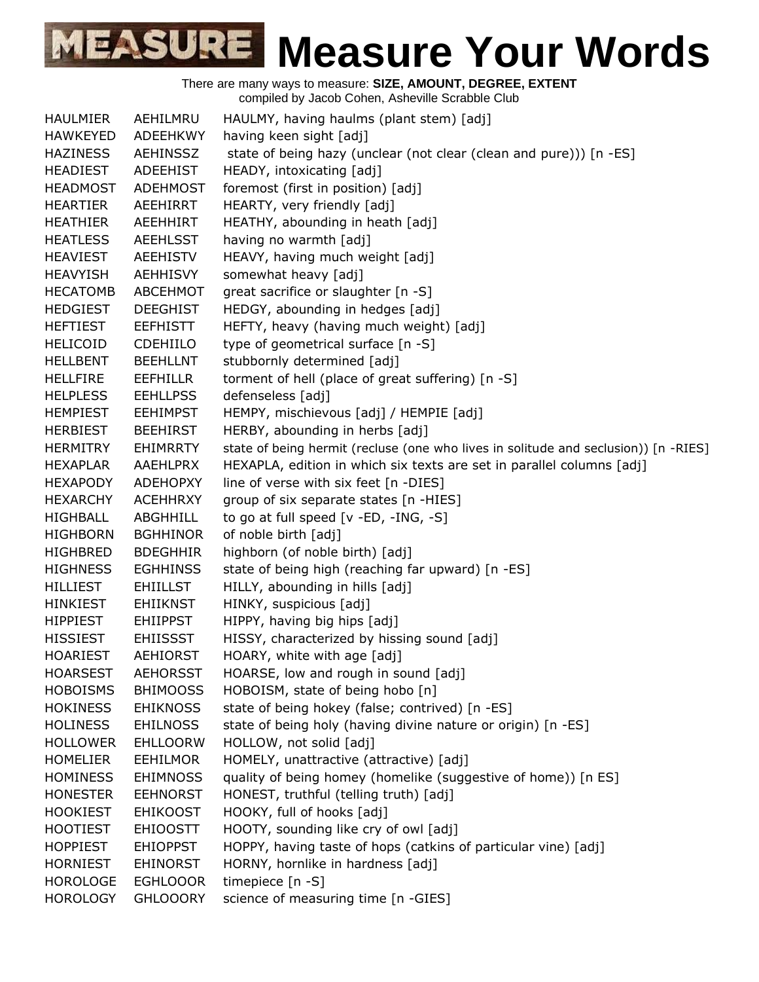

| <b>HAULMIER</b> | AEHILMRU        | HAULMY, having haulms (plant stem) [adj]                                            |
|-----------------|-----------------|-------------------------------------------------------------------------------------|
| <b>HAWKEYED</b> | ADEEHKWY        | having keen sight [adj]                                                             |
| <b>HAZINESS</b> | AEHINSSZ        | state of being hazy (unclear (not clear (clean and pure))) [n -ES]                  |
| <b>HEADIEST</b> | ADEEHIST        | HEADY, intoxicating [adj]                                                           |
| <b>HEADMOST</b> | ADEHMOST        | foremost (first in position) [adj]                                                  |
| <b>HEARTIER</b> | AEEHIRRT        | HEARTY, very friendly [adj]                                                         |
| <b>HEATHIER</b> | AEEHHIRT        | HEATHY, abounding in heath [adj]                                                    |
| <b>HEATLESS</b> | <b>AEEHLSST</b> | having no warmth [adj]                                                              |
| <b>HEAVIEST</b> | <b>AEEHISTV</b> | HEAVY, having much weight [adj]                                                     |
| <b>HEAVYISH</b> | <b>AEHHISVY</b> | somewhat heavy [adj]                                                                |
| <b>HECATOMB</b> | ABCEHMOT        | great sacrifice or slaughter [n -S]                                                 |
| <b>HEDGIEST</b> | <b>DEEGHIST</b> | HEDGY, abounding in hedges [adj]                                                    |
| <b>HEFTIEST</b> | <b>EEFHISTT</b> | HEFTY, heavy (having much weight) [adj]                                             |
| <b>HELICOID</b> | CDEHIILO        | type of geometrical surface [n -S]                                                  |
| <b>HELLBENT</b> | <b>BEEHLLNT</b> | stubbornly determined [adj]                                                         |
| <b>HELLFIRE</b> | <b>EEFHILLR</b> | torment of hell (place of great suffering) [n -S]                                   |
| <b>HELPLESS</b> | <b>EEHLLPSS</b> | defenseless [adj]                                                                   |
| <b>HEMPIEST</b> | <b>EEHIMPST</b> | HEMPY, mischievous [adj] / HEMPIE [adj]                                             |
| <b>HERBIEST</b> | <b>BEEHIRST</b> | HERBY, abounding in herbs [adj]                                                     |
| <b>HERMITRY</b> | <b>EHIMRRTY</b> | state of being hermit (recluse (one who lives in solitude and seclusion)) [n -RIES] |
| <b>HEXAPLAR</b> | AAEHLPRX        | HEXAPLA, edition in which six texts are set in parallel columns [adj]               |
| <b>HEXAPODY</b> | <b>ADEHOPXY</b> | line of verse with six feet [n -DIES]                                               |
| <b>HEXARCHY</b> | <b>ACEHHRXY</b> | group of six separate states [n -HIES]                                              |
| <b>HIGHBALL</b> | ABGHHILL        | to go at full speed $[v - ED, -ING, -S]$                                            |
| <b>HIGHBORN</b> | <b>BGHHINOR</b> | of noble birth [adj]                                                                |
| <b>HIGHBRED</b> | <b>BDEGHHIR</b> | highborn (of noble birth) [adj]                                                     |
| <b>HIGHNESS</b> | <b>EGHHINSS</b> | state of being high (reaching far upward) [n -ES]                                   |
| <b>HILLIEST</b> | <b>EHIILLST</b> | HILLY, abounding in hills [adj]                                                     |
| <b>HINKIEST</b> | <b>EHIIKNST</b> | HINKY, suspicious [adj]                                                             |
| <b>HIPPIEST</b> | <b>EHIIPPST</b> | HIPPY, having big hips [adj]                                                        |
| <b>HISSIEST</b> | <b>EHIISSST</b> | HISSY, characterized by hissing sound [adj]                                         |
| <b>HOARIEST</b> | <b>AEHIORST</b> | HOARY, white with age [adj]                                                         |
| <b>HOARSEST</b> | <b>AEHORSST</b> | HOARSE, low and rough in sound [adj]                                                |
| <b>HOBOISMS</b> | <b>BHIMOOSS</b> | HOBOISM, state of being hobo [n]                                                    |
| <b>HOKINESS</b> | <b>EHIKNOSS</b> | state of being hokey (false; contrived) [n -ES]                                     |
| <b>HOLINESS</b> | <b>EHILNOSS</b> | state of being holy (having divine nature or origin) [n -ES]                        |
| <b>HOLLOWER</b> | <b>EHLLOORW</b> | HOLLOW, not solid [adj]                                                             |
| <b>HOMELIER</b> | <b>EEHILMOR</b> | HOMELY, unattractive (attractive) [adj]                                             |
| <b>HOMINESS</b> | <b>EHIMNOSS</b> | quality of being homey (homelike (suggestive of home)) [n ES]                       |
| <b>HONESTER</b> | <b>EEHNORST</b> | HONEST, truthful (telling truth) [adj]                                              |
| <b>HOOKIEST</b> | <b>EHIKOOST</b> | HOOKY, full of hooks [adj]                                                          |
| <b>HOOTIEST</b> | <b>EHIOOSTT</b> | HOOTY, sounding like cry of owl [adj]                                               |
| <b>HOPPIEST</b> | <b>EHIOPPST</b> | HOPPY, having taste of hops (catkins of particular vine) [adj]                      |
| <b>HORNIEST</b> | <b>EHINORST</b> | HORNY, hornlike in hardness [adj]                                                   |
| <b>HOROLOGE</b> | <b>EGHLOOOR</b> | timepiece [n -S]                                                                    |
| <b>HOROLOGY</b> | <b>GHLOOORY</b> | science of measuring time [n -GIES]                                                 |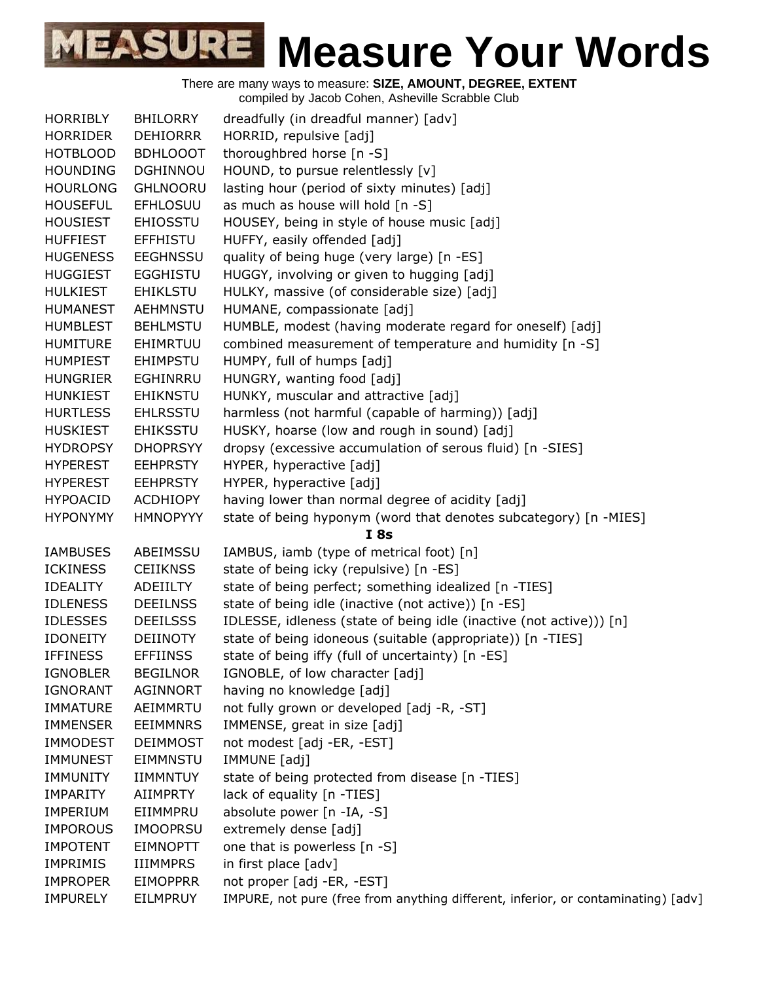| <b>HORRIBLY</b> | <b>BHILORRY</b> | dreadfully (in dreadful manner) [adv]                                             |
|-----------------|-----------------|-----------------------------------------------------------------------------------|
| <b>HORRIDER</b> | <b>DEHIORRR</b> | HORRID, repulsive [adj]                                                           |
| <b>HOTBLOOD</b> | <b>BDHLOOOT</b> | thoroughbred horse [n -S]                                                         |
| <b>HOUNDING</b> | <b>DGHINNOU</b> | HOUND, to pursue relentlessly [v]                                                 |
| <b>HOURLONG</b> | <b>GHLNOORU</b> | lasting hour (period of sixty minutes) [adj]                                      |
| <b>HOUSEFUL</b> | <b>EFHLOSUU</b> | as much as house will hold [n -S]                                                 |
| <b>HOUSIEST</b> | <b>EHIOSSTU</b> | HOUSEY, being in style of house music [adj]                                       |
| <b>HUFFIEST</b> | <b>EFFHISTU</b> | HUFFY, easily offended [adj]                                                      |
| <b>HUGENESS</b> | <b>EEGHNSSU</b> | quality of being huge (very large) [n -ES]                                        |
| <b>HUGGIEST</b> | <b>EGGHISTU</b> | HUGGY, involving or given to hugging [adj]                                        |
| <b>HULKIEST</b> | <b>EHIKLSTU</b> | HULKY, massive (of considerable size) [adj]                                       |
| <b>HUMANEST</b> | <b>AEHMNSTU</b> | HUMANE, compassionate [adj]                                                       |
| <b>HUMBLEST</b> | <b>BEHLMSTU</b> | HUMBLE, modest (having moderate regard for oneself) [adj]                         |
| <b>HUMITURE</b> | EHIMRTUU        | combined measurement of temperature and humidity [n -S]                           |
| <b>HUMPIEST</b> | <b>EHIMPSTU</b> | HUMPY, full of humps [adj]                                                        |
| <b>HUNGRIER</b> | <b>EGHINRRU</b> | HUNGRY, wanting food [adj]                                                        |
| <b>HUNKIEST</b> | <b>EHIKNSTU</b> | HUNKY, muscular and attractive [adj]                                              |
| <b>HURTLESS</b> | <b>EHLRSSTU</b> | harmless (not harmful (capable of harming)) [adj]                                 |
| <b>HUSKIEST</b> | <b>EHIKSSTU</b> | HUSKY, hoarse (low and rough in sound) [adj]                                      |
| <b>HYDROPSY</b> | <b>DHOPRSYY</b> | dropsy (excessive accumulation of serous fluid) [n -SIES]                         |
| <b>HYPEREST</b> | <b>EEHPRSTY</b> | HYPER, hyperactive [adj]                                                          |
| <b>HYPEREST</b> | <b>EEHPRSTY</b> | HYPER, hyperactive [adj]                                                          |
| <b>HYPOACID</b> | <b>ACDHIOPY</b> | having lower than normal degree of acidity [adj]                                  |
| <b>HYPONYMY</b> | <b>HMNOPYYY</b> | state of being hyponym (word that denotes subcategory) [n -MIES]                  |
|                 |                 | I8s                                                                               |
| <b>IAMBUSES</b> | ABEIMSSU        | IAMBUS, iamb (type of metrical foot) [n]                                          |
| <b>ICKINESS</b> | <b>CEIIKNSS</b> | state of being icky (repulsive) [n -ES]                                           |
| <b>IDEALITY</b> | ADEIILTY        | state of being perfect; something idealized [n -TIES]                             |
| <b>IDLENESS</b> | <b>DEEILNSS</b> | state of being idle (inactive (not active)) [n -ES]                               |
| <b>IDLESSES</b> | <b>DEEILSSS</b> | IDLESSE, idleness (state of being idle (inactive (not active))) [n]               |
| <b>IDONEITY</b> | <b>DEIINOTY</b> | state of being idoneous (suitable (appropriate)) [n -TIES]                        |
| <b>IFFINESS</b> | <b>EFFIINSS</b> | state of being iffy (full of uncertainty) [n -ES]                                 |
| <b>IGNOBLER</b> | <b>BEGILNOR</b> | IGNOBLE, of low character [adj]                                                   |
| <b>IGNORANT</b> | AGINNORT        | having no knowledge [adj]                                                         |
| <b>IMMATURE</b> | AEIMMRTU        | not fully grown or developed [adj -R, -ST]                                        |
| <b>IMMENSER</b> | <b>EEIMMNRS</b> | IMMENSE, great in size [adj]                                                      |
| <b>IMMODEST</b> | <b>DEIMMOST</b> | not modest [adj -ER, -EST]                                                        |
| <b>IMMUNEST</b> | <b>EIMMNSTU</b> | IMMUNE [adj]                                                                      |
| <b>IMMUNITY</b> | <b>IIMMNTUY</b> | state of being protected from disease [n -TIES]                                   |
| <b>IMPARITY</b> | <b>AIIMPRTY</b> | lack of equality [n -TIES]                                                        |
| <b>IMPERIUM</b> | EIIMMPRU        | absolute power [n -IA, -S]                                                        |
| <b>IMPOROUS</b> | <b>IMOOPRSU</b> | extremely dense [adj]                                                             |
| <b>IMPOTENT</b> | <b>EIMNOPTT</b> | one that is powerless [n -S]                                                      |
| <b>IMPRIMIS</b> | <b>IIIMMPRS</b> | in first place [adv]                                                              |
| <b>IMPROPER</b> | <b>EIMOPPRR</b> | not proper [adj -ER, -EST]                                                        |
| <b>IMPURELY</b> | EILMPRUY        | IMPURE, not pure (free from anything different, inferior, or contaminating) [adv] |
|                 |                 |                                                                                   |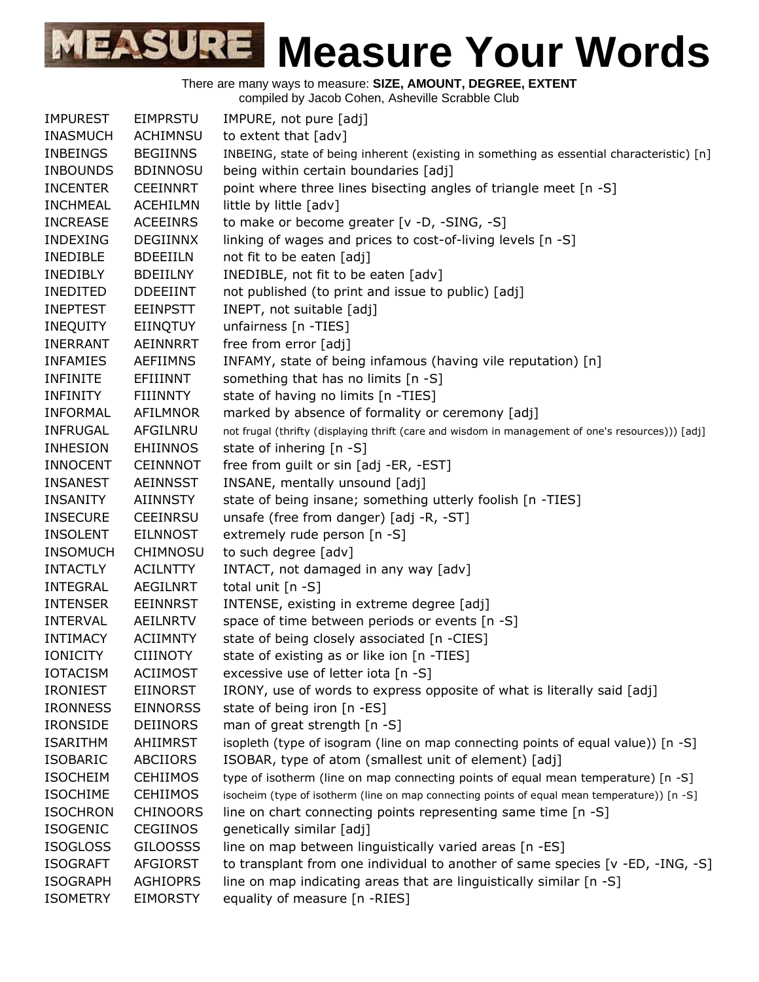There are many ways to measure: **SIZE, AMOUNT, DEGREE, EXTENT**

compiled by Jacob Cohen, Asheville Scrabble Club

| <b>IMPUREST</b> | <b>EIMPRSTU</b> | IMPURE, not pure [adj]                                                                            |
|-----------------|-----------------|---------------------------------------------------------------------------------------------------|
| <b>INASMUCH</b> | <b>ACHIMNSU</b> | to extent that [adv]                                                                              |
| <b>INBEINGS</b> | <b>BEGIINNS</b> | INBEING, state of being inherent (existing in something as essential characteristic) [n]          |
| <b>INBOUNDS</b> | <b>BDINNOSU</b> | being within certain boundaries [adj]                                                             |
| <b>INCENTER</b> | <b>CEEINNRT</b> | point where three lines bisecting angles of triangle meet [n -S]                                  |
| <b>INCHMEAL</b> | <b>ACEHILMN</b> | little by little [adv]                                                                            |
| <b>INCREASE</b> | <b>ACEEINRS</b> | to make or become greater [v -D, -SING, -S]                                                       |
| <b>INDEXING</b> | <b>DEGIINNX</b> | linking of wages and prices to cost-of-living levels [n -S]                                       |
| INEDIBLE        | <b>BDEEIILN</b> | not fit to be eaten [adj]                                                                         |
| <b>INEDIBLY</b> | <b>BDEIILNY</b> | INEDIBLE, not fit to be eaten [adv]                                                               |
| <b>INEDITED</b> | <b>DDEEIINT</b> | not published (to print and issue to public) [adj]                                                |
| <b>INEPTEST</b> | <b>EEINPSTT</b> | INEPT, not suitable [adj]                                                                         |
| <b>INEQUITY</b> | EIINQTUY        | unfairness [n -TIES]                                                                              |
| <b>INERRANT</b> | AEINNRRT        | free from error [adj]                                                                             |
| <b>INFAMIES</b> | <b>AEFIIMNS</b> | INFAMY, state of being infamous (having vile reputation) [n]                                      |
| <b>INFINITE</b> | EFIIINNT        | something that has no limits [n -S]                                                               |
| <b>INFINITY</b> | <b>FIIINNTY</b> | state of having no limits [n -TIES]                                                               |
| INFORMAL        | AFILMNOR        | marked by absence of formality or ceremony [adj]                                                  |
| <b>INFRUGAL</b> | AFGILNRU        | not frugal (thrifty (displaying thrift (care and wisdom in management of one's resources))) [adj] |
| <b>INHESION</b> | <b>EHIINNOS</b> | state of inhering [n -S]                                                                          |
| <b>INNOCENT</b> | <b>CEINNNOT</b> | free from guilt or sin [adj -ER, -EST]                                                            |
| <b>INSANEST</b> | <b>AEINNSST</b> | INSANE, mentally unsound [adj]                                                                    |
| <b>INSANITY</b> | <b>AIINNSTY</b> | state of being insane; something utterly foolish [n -TIES]                                        |
| <b>INSECURE</b> | <b>CEEINRSU</b> | unsafe (free from danger) [adj -R, -ST]                                                           |
| <b>INSOLENT</b> | <b>EILNNOST</b> | extremely rude person [n -S]                                                                      |
| <b>INSOMUCH</b> | <b>CHIMNOSU</b> | to such degree [adv]                                                                              |
| <b>INTACTLY</b> | <b>ACILNTTY</b> | INTACT, not damaged in any way [adv]                                                              |
| <b>INTEGRAL</b> | <b>AEGILNRT</b> | total unit $[n -S]$                                                                               |
| <b>INTENSER</b> | <b>EEINNRST</b> | INTENSE, existing in extreme degree [adj]                                                         |
| <b>INTERVAL</b> | <b>AEILNRTV</b> | space of time between periods or events [n -S]                                                    |
| <b>INTIMACY</b> | <b>ACIIMNTY</b> | state of being closely associated [n -CIES]                                                       |
| <b>IONICITY</b> | <b>CIIINOTY</b> | state of existing as or like ion [n -TIES]                                                        |
| <b>IOTACISM</b> | <b>ACIIMOST</b> | excessive use of letter iota [n -S]                                                               |
| <b>IRONIEST</b> | <b>EIINORST</b> | IRONY, use of words to express opposite of what is literally said [adj]                           |
| <b>IRONNESS</b> | <b>EINNORSS</b> | state of being iron [n -ES]                                                                       |
| <b>IRONSIDE</b> | <b>DEIINORS</b> | man of great strength [n -S]                                                                      |
| <b>ISARITHM</b> | AHIIMRST        | isopleth (type of isogram (line on map connecting points of equal value)) [n -S]                  |
| <b>ISOBARIC</b> | <b>ABCIIORS</b> | ISOBAR, type of atom (smallest unit of element) [adj]                                             |
| <b>ISOCHEIM</b> | <b>CEHIIMOS</b> | type of isotherm (line on map connecting points of equal mean temperature) [n -S]                 |
| <b>ISOCHIME</b> | <b>CEHIIMOS</b> | isocheim (type of isotherm (line on map connecting points of equal mean temperature)) [n -S]      |
| <b>ISOCHRON</b> | <b>CHINOORS</b> | line on chart connecting points representing same time [n -S]                                     |
| <b>ISOGENIC</b> | <b>CEGIINOS</b> | genetically similar [adj]                                                                         |
| <b>ISOGLOSS</b> | <b>GILOOSSS</b> | line on map between linguistically varied areas [n -ES]                                           |
| <b>ISOGRAFT</b> | <b>AFGIORST</b> | to transplant from one individual to another of same species [v -ED, -ING, -S]                    |
| <b>ISOGRAPH</b> | <b>AGHIOPRS</b> | line on map indicating areas that are linguistically similar [n -S]                               |
| <b>ISOMETRY</b> | <b>EIMORSTY</b> | equality of measure [n -RIES]                                                                     |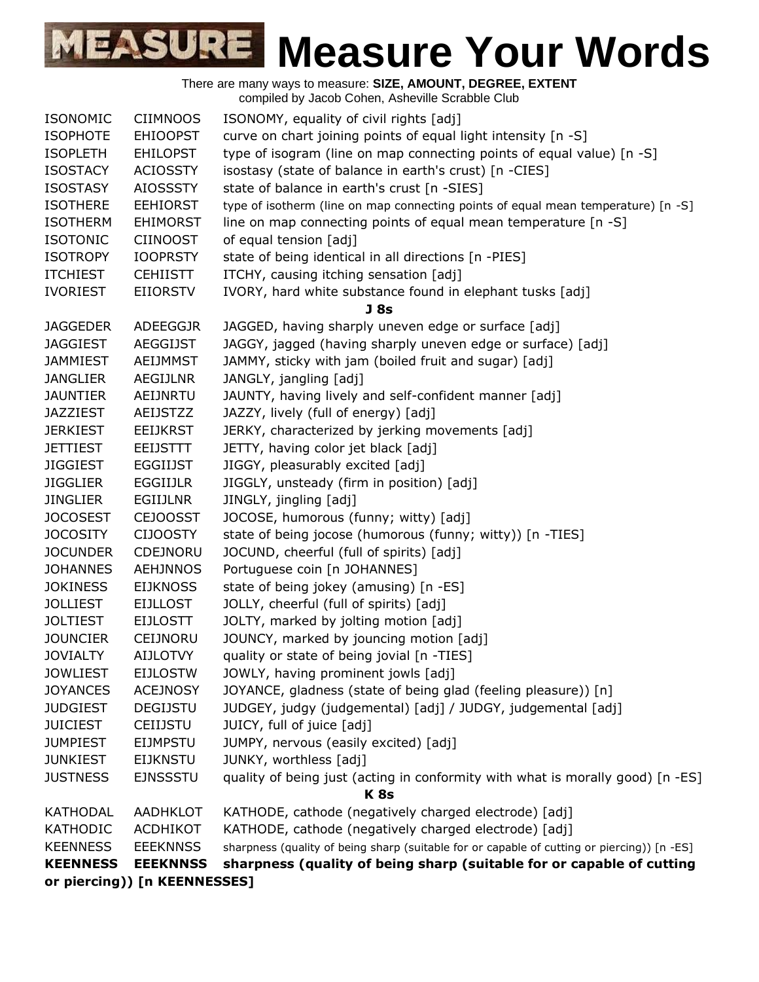

|                                    |                              | There are many ways to measure: SIZE, AMOUNT, DEGREE, EXTENT                                |
|------------------------------------|------------------------------|---------------------------------------------------------------------------------------------|
|                                    |                              | compiled by Jacob Cohen, Asheville Scrabble Club                                            |
| <b>ISONOMIC</b>                    | <b>CIIMNOOS</b>              | ISONOMY, equality of civil rights [adj]                                                     |
| <b>ISOPHOTE</b>                    | <b>EHIOOPST</b>              | curve on chart joining points of equal light intensity [n -S]                               |
| <b>ISOPLETH</b>                    | <b>EHILOPST</b>              | type of isogram (line on map connecting points of equal value) [n -S]                       |
| <b>ISOSTACY</b>                    | <b>ACIOSSTY</b>              | isostasy (state of balance in earth's crust) [n -CIES]                                      |
| <b>ISOSTASY</b>                    | <b>AIOSSSTY</b>              | state of balance in earth's crust [n -SIES]                                                 |
| <b>ISOTHERE</b>                    | <b>EEHIORST</b>              | type of isotherm (line on map connecting points of equal mean temperature) [n -S]           |
| <b>ISOTHERM</b>                    | <b>EHIMORST</b>              | line on map connecting points of equal mean temperature [n -S]                              |
| <b>ISOTONIC</b>                    | <b>CIINOOST</b>              | of equal tension [adj]                                                                      |
| <b>ISOTROPY</b>                    | <b>IOOPRSTY</b>              | state of being identical in all directions [n -PIES]                                        |
| <b>ITCHIEST</b>                    | <b>CEHIISTT</b>              | ITCHY, causing itching sensation [adj]                                                      |
| <b>IVORIEST</b>                    | <b>EIIORSTV</b>              | IVORY, hard white substance found in elephant tusks [adj]<br>J <sub>8s</sub>                |
| <b>JAGGEDER</b>                    | ADEEGGJR                     | JAGGED, having sharply uneven edge or surface [adj]                                         |
| <b>JAGGIEST</b>                    | <b>AEGGIJST</b>              | JAGGY, jagged (having sharply uneven edge or surface) [adj]                                 |
| <b>JAMMIEST</b>                    | <b>AEIJMMST</b>              | JAMMY, sticky with jam (boiled fruit and sugar) [adj]                                       |
| <b>JANGLIER</b>                    | <b>AEGIJLNR</b>              | JANGLY, jangling [adj]                                                                      |
| <b>JAUNTIER</b>                    | AEIJNRTU                     | JAUNTY, having lively and self-confident manner [adj]                                       |
| <b>JAZZIEST</b>                    | <b>AEIJSTZZ</b>              | JAZZY, lively (full of energy) [adj]                                                        |
| <b>JERKIEST</b>                    | <b>EEIJKRST</b>              | JERKY, characterized by jerking movements [adj]                                             |
| JETTIEST                           | <b>EEIJSTTT</b>              | JETTY, having color jet black [adj]                                                         |
| <b>JIGGIEST</b>                    | <b>EGGIIJST</b>              | JIGGY, pleasurably excited [adj]                                                            |
| <b>JIGGLIER</b>                    | <b>EGGIIJLR</b>              | JIGGLY, unsteady (firm in position) [adj]                                                   |
| <b>JINGLIER</b>                    | EGIIJLNR                     | JINGLY, jingling [adj]                                                                      |
| <b>JOCOSEST</b>                    | <b>CEJOOSST</b>              | JOCOSE, humorous (funny; witty) [adj]                                                       |
| <b>JOCOSITY</b>                    | <b>CIJOOSTY</b>              | state of being jocose (humorous (funny; witty)) [n -TIES]                                   |
| <b>JOCUNDER</b>                    | <b>CDEJNORU</b>              | JOCUND, cheerful (full of spirits) [adj]                                                    |
| <b>JOHANNES</b>                    | <b>AEHJNNOS</b>              | Portuguese coin [n JOHANNES]                                                                |
| <b>JOKINESS</b>                    | <b>EIJKNOSS</b>              | state of being jokey (amusing) [n -ES]                                                      |
| <b>JOLLIEST</b>                    | <b>EIJLLOST</b>              | JOLLY, cheerful (full of spirits) [adj]                                                     |
| <b>JOLTIEST</b><br><b>JOUNCIER</b> | <b>EIJLOSTT</b><br>CEIJNORU  | JOLTY, marked by jolting motion [adj]<br>JOUNCY, marked by jouncing motion [adj]            |
| <b>JOVIALTY</b>                    | <b>AIJLOTVY</b>              | quality or state of being jovial [n -TIES]                                                  |
| <b>JOWLIEST</b>                    | <b>EIJLOSTW</b>              | JOWLY, having prominent jowls [adj]                                                         |
| <b>JOYANCES</b>                    | <b>ACEJNOSY</b>              | JOYANCE, gladness (state of being glad (feeling pleasure)) [n]                              |
| <b>JUDGIEST</b>                    | <b>DEGIJSTU</b>              | JUDGEY, judgy (judgemental) [adj] / JUDGY, judgemental [adj]                                |
| <b>JUICIEST</b>                    | <b>CEIIJSTU</b>              | JUICY, full of juice [adj]                                                                  |
| <b>JUMPIEST</b>                    | <b>EIJMPSTU</b>              | JUMPY, nervous (easily excited) [adj]                                                       |
| <b>JUNKIEST</b>                    | <b>EIJKNSTU</b>              | JUNKY, worthless [adj]                                                                      |
| <b>JUSTNESS</b>                    | <b>EJNSSSTU</b>              | quality of being just (acting in conformity with what is morally good) [n -ES]              |
|                                    |                              | K <sub>8s</sub>                                                                             |
| <b>KATHODAL</b>                    | AADHKLOT                     | KATHODE, cathode (negatively charged electrode) [adj]                                       |
| KATHODIC                           | ACDHIKOT                     | KATHODE, cathode (negatively charged electrode) [adj]                                       |
| <b>KEENNESS</b>                    | <b>EEEKNNSS</b>              | sharpness (quality of being sharp (suitable for or capable of cutting or piercing)) [n -ES] |
| <b>KEENNESS</b>                    | <b>EEEKNNSS</b>              | sharpness (quality of being sharp (suitable for or capable of cutting                       |
|                                    | or piercing)) [n KEENNESSES] |                                                                                             |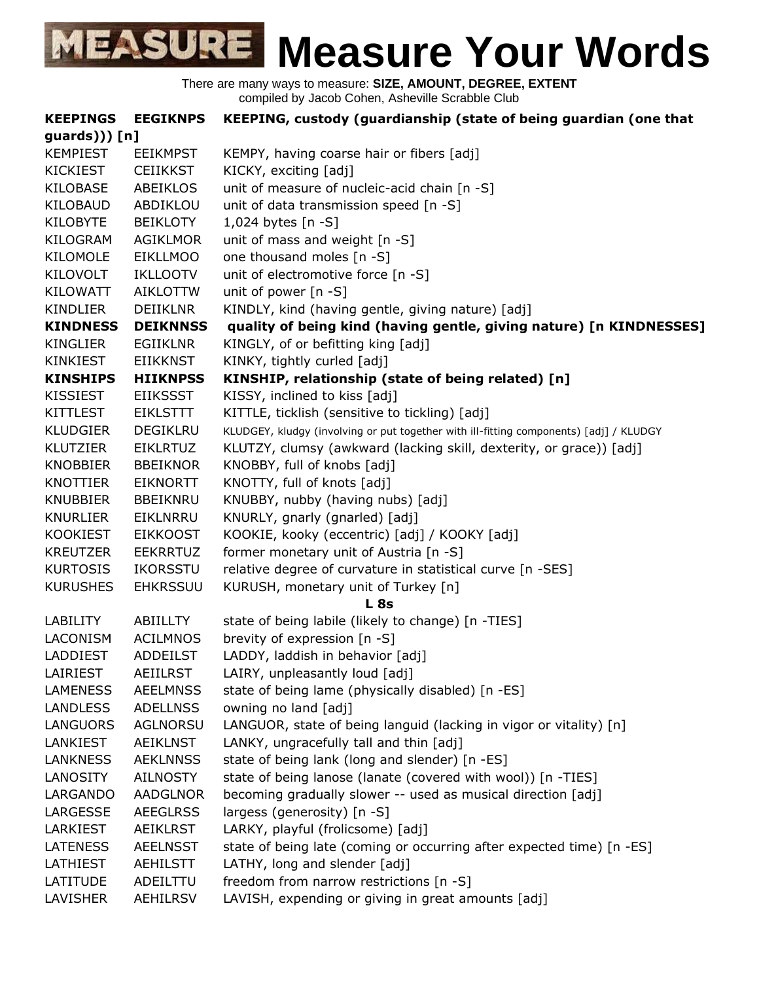

| <b>KEEPINGS</b> | <b>EEGIKNPS</b> | KEEPING, custody (guardianship (state of being guardian (one that                      |
|-----------------|-----------------|----------------------------------------------------------------------------------------|
| $guards))$ [n]  |                 |                                                                                        |
| <b>KEMPIEST</b> | <b>EEIKMPST</b> | KEMPY, having coarse hair or fibers [adj]                                              |
| <b>KICKIEST</b> | <b>CEIIKKST</b> | KICKY, exciting [adj]                                                                  |
| <b>KILOBASE</b> | ABEIKLOS        | unit of measure of nucleic-acid chain [n -S]                                           |
| KILOBAUD        | ABDIKLOU        | unit of data transmission speed [n -S]                                                 |
| <b>KILOBYTE</b> | <b>BEIKLOTY</b> | 1,024 bytes $[n - S]$                                                                  |
| KILOGRAM        | <b>AGIKLMOR</b> | unit of mass and weight [n -S]                                                         |
| <b>KILOMOLE</b> | <b>EIKLLMOO</b> | one thousand moles [n -S]                                                              |
| KILOVOLT        | <b>IKLLOOTV</b> | unit of electromotive force [n -S]                                                     |
| <b>KILOWATT</b> | <b>AIKLOTTW</b> | unit of power $[n - S]$                                                                |
| <b>KINDLIER</b> | <b>DEIIKLNR</b> | KINDLY, kind (having gentle, giving nature) [adj]                                      |
| <b>KINDNESS</b> | <b>DEIKNNSS</b> | quality of being kind (having gentle, giving nature) [n KINDNESSES]                    |
| <b>KINGLIER</b> | <b>EGIIKLNR</b> | KINGLY, of or befitting king [adj]                                                     |
| <b>KINKIEST</b> | <b>EIIKKNST</b> | KINKY, tightly curled [adj]                                                            |
| <b>KINSHIPS</b> | <b>HIIKNPSS</b> | KINSHIP, relationship (state of being related) [n]                                     |
| <b>KISSIEST</b> | <b>EIIKSSST</b> | KISSY, inclined to kiss [adj]                                                          |
| <b>KITTLEST</b> | <b>EIKLSTTT</b> | KITTLE, ticklish (sensitive to tickling) [adj]                                         |
| <b>KLUDGIER</b> | DEGIKLRU        | KLUDGEY, kludgy (involving or put together with ill-fitting components) [adj] / KLUDGY |
| <b>KLUTZIER</b> | <b>EIKLRTUZ</b> | KLUTZY, clumsy (awkward (lacking skill, dexterity, or grace)) [adj]                    |
| <b>KNOBBIER</b> | <b>BBEIKNOR</b> | KNOBBY, full of knobs [adj]                                                            |
| <b>KNOTTIER</b> | <b>EIKNORTT</b> | KNOTTY, full of knots [adj]                                                            |
| <b>KNUBBIER</b> | <b>BBEIKNRU</b> | KNUBBY, nubby (having nubs) [adj]                                                      |
| <b>KNURLIER</b> | EIKLNRRU        | KNURLY, gnarly (gnarled) [adj]                                                         |
| <b>KOOKIEST</b> | <b>EIKKOOST</b> | KOOKIE, kooky (eccentric) [adj] / KOOKY [adj]                                          |
| <b>KREUTZER</b> | <b>EEKRRTUZ</b> | former monetary unit of Austria [n -S]                                                 |
| <b>KURTOSIS</b> | <b>IKORSSTU</b> | relative degree of curvature in statistical curve [n -SES]                             |
| <b>KURUSHES</b> | <b>EHKRSSUU</b> | KURUSH, monetary unit of Turkey [n]                                                    |
|                 |                 | L8s                                                                                    |
| <b>LABILITY</b> | ABIILLTY        | state of being labile (likely to change) [n -TIES]                                     |
| <b>LACONISM</b> | <b>ACILMNOS</b> | brevity of expression [n -S]                                                           |
| <b>LADDIEST</b> | <b>ADDEILST</b> | LADDY, laddish in behavior [adj]                                                       |
| LAIRIEST        | <b>AEIILRST</b> | LAIRY, unpleasantly loud [adj]                                                         |
| <b>LAMENESS</b> | <b>AEELMNSS</b> | state of being lame (physically disabled) [n -ES]                                      |
| <b>LANDLESS</b> | <b>ADELLNSS</b> | owning no land [adj]                                                                   |
| <b>LANGUORS</b> | <b>AGLNORSU</b> | LANGUOR, state of being languid (lacking in vigor or vitality) [n]                     |
| LANKIEST        | <b>AEIKLNST</b> | LANKY, ungracefully tall and thin [adj]                                                |
| <b>LANKNESS</b> | <b>AEKLNNSS</b> | state of being lank (long and slender) [n -ES]                                         |
| LANOSITY        | <b>AILNOSTY</b> | state of being lanose (lanate (covered with wool)) [n -TIES]                           |
| LARGANDO        | <b>AADGLNOR</b> | becoming gradually slower -- used as musical direction [adj]                           |
| LARGESSE        | <b>AEEGLRSS</b> | largess (generosity) [n -S]                                                            |
| LARKIEST        | <b>AEIKLRST</b> | LARKY, playful (frolicsome) [adj]                                                      |
| <b>LATENESS</b> | <b>AEELNSST</b> | state of being late (coming or occurring after expected time) [n -ES]                  |
| LATHIEST        | <b>AEHILSTT</b> | LATHY, long and slender [adj]                                                          |
| LATITUDE        | ADEILTTU        | freedom from narrow restrictions [n -S]                                                |
| LAVISHER        | AEHILRSV        | LAVISH, expending or giving in great amounts [adj]                                     |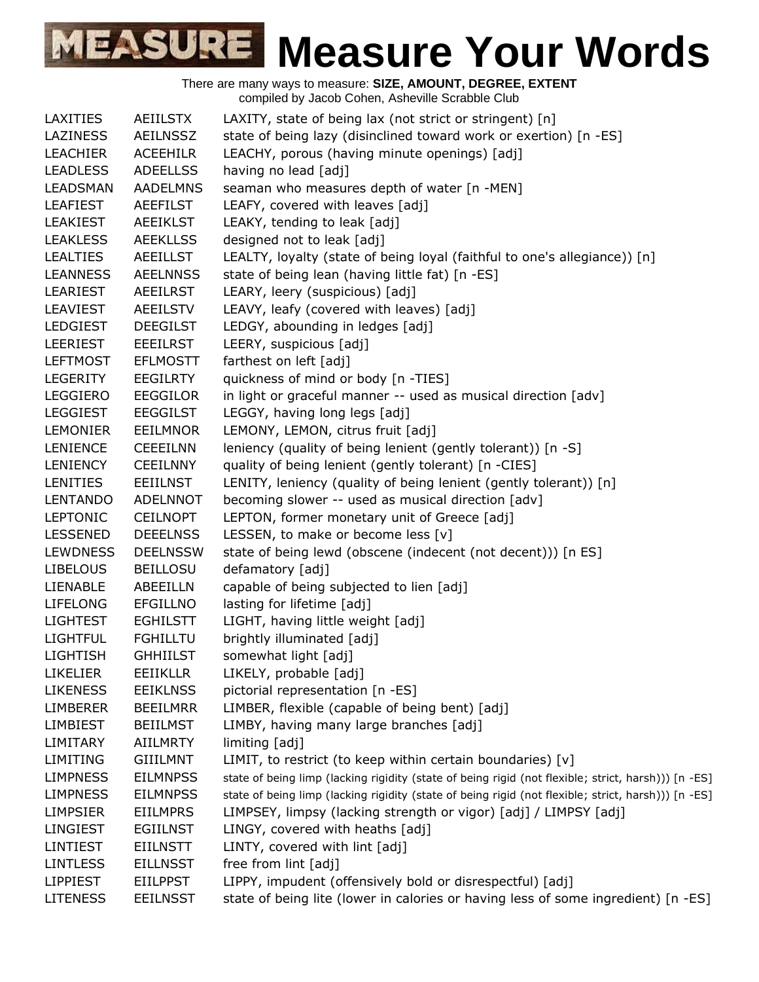| <b>LAXITIES</b> | AEIILSTX        | LAXITY, state of being lax (not strict or stringent) [n]                                            |
|-----------------|-----------------|-----------------------------------------------------------------------------------------------------|
| <b>LAZINESS</b> | <b>AEILNSSZ</b> | state of being lazy (disinclined toward work or exertion) [n -ES]                                   |
| <b>LEACHIER</b> | <b>ACEEHILR</b> | LEACHY, porous (having minute openings) [adj]                                                       |
| <b>LEADLESS</b> | <b>ADEELLSS</b> | having no lead [adj]                                                                                |
| <b>LEADSMAN</b> | <b>AADELMNS</b> | seaman who measures depth of water [n -MEN]                                                         |
| <b>LEAFIEST</b> | <b>AEEFILST</b> | LEAFY, covered with leaves [adj]                                                                    |
| <b>LEAKIEST</b> | <b>AEEIKLST</b> | LEAKY, tending to leak [adj]                                                                        |
| <b>LEAKLESS</b> | <b>AEEKLLSS</b> | designed not to leak [adj]                                                                          |
| <b>LEALTIES</b> | <b>AEEILLST</b> | LEALTY, loyalty (state of being loyal (faithful to one's allegiance)) [n]                           |
| <b>LEANNESS</b> | <b>AEELNNSS</b> | state of being lean (having little fat) [n -ES]                                                     |
| <b>LEARIEST</b> | <b>AEEILRST</b> | LEARY, leery (suspicious) [adj]                                                                     |
| <b>LEAVIEST</b> | <b>AEEILSTV</b> | LEAVY, leafy (covered with leaves) [adj]                                                            |
| LEDGIEST        | <b>DEEGILST</b> | LEDGY, abounding in ledges [adj]                                                                    |
| LEERIEST        | <b>EEEILRST</b> | LEERY, suspicious [adj]                                                                             |
| <b>LEFTMOST</b> | <b>EFLMOSTT</b> | farthest on left [adj]                                                                              |
| <b>LEGERITY</b> | <b>EEGILRTY</b> | quickness of mind or body [n -TIES]                                                                 |
| <b>LEGGIERO</b> | <b>EEGGILOR</b> | in light or graceful manner -- used as musical direction [adv]                                      |
| <b>LEGGIEST</b> | <b>EEGGILST</b> | LEGGY, having long legs [adj]                                                                       |
| <b>LEMONIER</b> | <b>EEILMNOR</b> | LEMONY, LEMON, citrus fruit [adj]                                                                   |
| <b>LENIENCE</b> | <b>CEEEILNN</b> | leniency (quality of being lenient (gently tolerant)) [n -S]                                        |
| <b>LENIENCY</b> | <b>CEEILNNY</b> | quality of being lenient (gently tolerant) [n -CIES]                                                |
| <b>LENITIES</b> | <b>EEIILNST</b> | LENITY, leniency (quality of being lenient (gently tolerant)) [n]                                   |
| <b>LENTANDO</b> | ADELNNOT        | becoming slower -- used as musical direction [adv]                                                  |
| <b>LEPTONIC</b> | <b>CEILNOPT</b> | LEPTON, former monetary unit of Greece [adj]                                                        |
| <b>LESSENED</b> | <b>DEEELNSS</b> | LESSEN, to make or become less [v]                                                                  |
| <b>LEWDNESS</b> | <b>DEELNSSW</b> | state of being lewd (obscene (indecent (not decent))) [n ES]                                        |
| <b>LIBELOUS</b> | <b>BEILLOSU</b> | defamatory [adj]                                                                                    |
| <b>LIENABLE</b> | ABEEILLN        | capable of being subjected to lien [adj]                                                            |
| <b>LIFELONG</b> | <b>EFGILLNO</b> | lasting for lifetime [adj]                                                                          |
| <b>LIGHTEST</b> | <b>EGHILSTT</b> | LIGHT, having little weight [adj]                                                                   |
| <b>LIGHTFUL</b> | <b>FGHILLTU</b> | brightly illuminated [adj]                                                                          |
| <b>LIGHTISH</b> | <b>GHHIILST</b> | somewhat light [adj]                                                                                |
| <b>LIKELIER</b> | <b>EEIIKLLR</b> | LIKELY, probable [adj]                                                                              |
| <b>LIKENESS</b> | <b>EEIKLNSS</b> | pictorial representation [n -ES]                                                                    |
| <b>LIMBERER</b> | <b>BEEILMRR</b> | LIMBER, flexible (capable of being bent) [adj]                                                      |
| <b>LIMBIEST</b> | <b>BEIILMST</b> | LIMBY, having many large branches [adj]                                                             |
| LIMITARY        | <b>AIILMRTY</b> | limiting [adj]                                                                                      |
| <b>LIMITING</b> | <b>GIIILMNT</b> | LIMIT, to restrict (to keep within certain boundaries) [v]                                          |
| <b>LIMPNESS</b> | <b>EILMNPSS</b> | state of being limp (lacking rigidity (state of being rigid (not flexible; strict, harsh))) [n -ES] |
| <b>LIMPNESS</b> | <b>EILMNPSS</b> | state of being limp (lacking rigidity (state of being rigid (not flexible; strict, harsh))) [n -ES] |
| <b>LIMPSIER</b> | <b>EIILMPRS</b> | LIMPSEY, limpsy (lacking strength or vigor) [adj] / LIMPSY [adj]                                    |
| LINGIEST        | <b>EGIILNST</b> | LINGY, covered with heaths [adj]                                                                    |
| <b>LINTIEST</b> | <b>EIILNSTT</b> | LINTY, covered with lint [adj]                                                                      |
| <b>LINTLESS</b> | <b>EILLNSST</b> | free from lint [adj]                                                                                |
| <b>LIPPIEST</b> | <b>EIILPPST</b> | LIPPY, impudent (offensively bold or disrespectful) [adj]                                           |
| <b>LITENESS</b> | <b>EEILNSST</b> | state of being lite (lower in calories or having less of some ingredient) [n -ES]                   |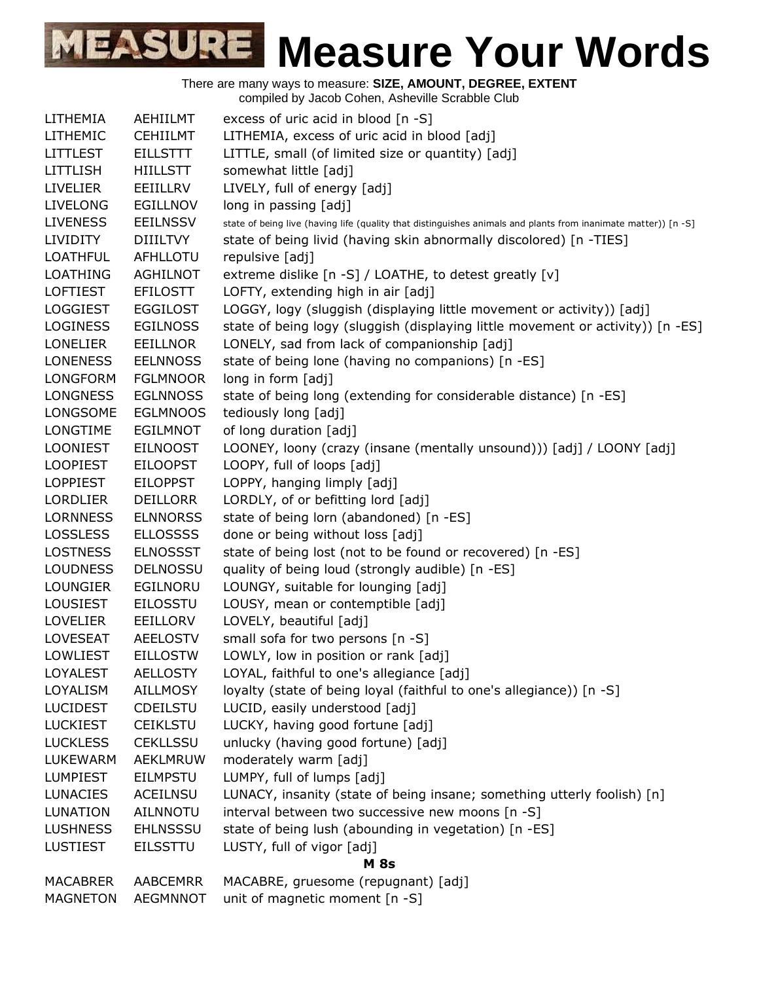| LITHEMIA        | AEHIILMT        | excess of uric acid in blood [n -S]                                                                            |
|-----------------|-----------------|----------------------------------------------------------------------------------------------------------------|
| LITHEMIC        | <b>CEHIILMT</b> | LITHEMIA, excess of uric acid in blood [adj]                                                                   |
| LITTLEST        | <b>EILLSTTT</b> | LITTLE, small (of limited size or quantity) [adj]                                                              |
| LITTLISH        | <b>HIILLSTT</b> | somewhat little [adj]                                                                                          |
| <b>LIVELIER</b> | EEIILLRV        | LIVELY, full of energy [adj]                                                                                   |
| <b>LIVELONG</b> | EGILLNOV        | long in passing [adj]                                                                                          |
| LIVENESS        | <b>EEILNSSV</b> | state of being live (having life (quality that distinguishes animals and plants from inanimate matter)) [n -S] |
| LIVIDITY        | <b>DIIILTVY</b> | state of being livid (having skin abnormally discolored) [n -TIES]                                             |
| <b>LOATHFUL</b> | AFHLLOTU        | repulsive [adj]                                                                                                |
| LOATHING        | <b>AGHILNOT</b> | extreme dislike [n -S] / LOATHE, to detest greatly [v]                                                         |
| LOFTIEST        | <b>EFILOSTT</b> | LOFTY, extending high in air [adj]                                                                             |
| LOGGIEST        | <b>EGGILOST</b> | LOGGY, logy (sluggish (displaying little movement or activity)) [adj]                                          |
| LOGINESS        | <b>EGILNOSS</b> | state of being logy (sluggish (displaying little movement or activity)) [n -ES]                                |
| LONELIER        | <b>EEILLNOR</b> | LONELY, sad from lack of companionship [adj]                                                                   |
| <b>LONENESS</b> | <b>EELNNOSS</b> | state of being lone (having no companions) [n -ES]                                                             |
| LONGFORM        | <b>FGLMNOOR</b> | long in form [adj]                                                                                             |
| <b>LONGNESS</b> | <b>EGLNNOSS</b> | state of being long (extending for considerable distance) [n -ES]                                              |
| LONGSOME        | <b>EGLMNOOS</b> | tediously long [adj]                                                                                           |
| LONGTIME        | <b>EGILMNOT</b> | of long duration [adj]                                                                                         |
| LOONIEST        | <b>EILNOOST</b> | LOONEY, loony (crazy (insane (mentally unsound))) [adj] / LOONY [adj]                                          |
| LOOPIEST        | <b>EILOOPST</b> | LOOPY, full of loops [adj]                                                                                     |
| LOPPIEST        | <b>EILOPPST</b> | LOPPY, hanging limply [adj]                                                                                    |
| LORDLIER        | <b>DEILLORR</b> | LORDLY, of or befitting lord [adj]                                                                             |
| LORNNESS        | <b>ELNNORSS</b> | state of being lorn (abandoned) [n -ES]                                                                        |
| <b>LOSSLESS</b> | <b>ELLOSSSS</b> | done or being without loss [adj]                                                                               |
| <b>LOSTNESS</b> | <b>ELNOSSST</b> | state of being lost (not to be found or recovered) [n -ES]                                                     |
| LOUDNESS        | <b>DELNOSSU</b> | quality of being loud (strongly audible) [n -ES]                                                               |
| LOUNGIER        | EGILNORU        | LOUNGY, suitable for lounging [adj]                                                                            |
| LOUSIEST        | <b>EILOSSTU</b> | LOUSY, mean or contemptible [adj]                                                                              |
| <b>LOVELIER</b> | EEILLORV        | LOVELY, beautiful [adj]                                                                                        |
| LOVESEAT        | <b>AEELOSTV</b> | small sofa for two persons [n -S]                                                                              |
| LOWLIEST        | <b>EILLOSTW</b> | LOWLY, low in position or rank [adj]                                                                           |
| LOYALEST        | <b>AELLOSTY</b> | LOYAL, faithful to one's allegiance [adj]                                                                      |
| LOYALISM        | <b>AILLMOSY</b> | loyalty (state of being loyal (faithful to one's allegiance)) [n -S]                                           |
| LUCIDEST        | <b>CDEILSTU</b> | LUCID, easily understood [adj]                                                                                 |
| LUCKIEST        | <b>CEIKLSTU</b> | LUCKY, having good fortune [adj]                                                                               |
| <b>LUCKLESS</b> | <b>CEKLLSSU</b> | unlucky (having good fortune) [adj]                                                                            |
| LUKEWARM        | <b>AEKLMRUW</b> | moderately warm [adj]                                                                                          |
| LUMPIEST        | <b>EILMPSTU</b> | LUMPY, full of lumps [adj]                                                                                     |
| <b>LUNACIES</b> | <b>ACEILNSU</b> | LUNACY, insanity (state of being insane; something utterly foolish) [n]                                        |
| LUNATION        | <b>AILNNOTU</b> | interval between two successive new moons [n -S]                                                               |
| LUSHNESS        | <b>EHLNSSSU</b> | state of being lush (abounding in vegetation) [n -ES]                                                          |
| LUSTIEST        | <b>EILSSTTU</b> | LUSTY, full of vigor [adj]                                                                                     |
|                 |                 | <b>M</b> 8s                                                                                                    |
| MACABRER        | AABCEMRR        | MACABRE, gruesome (repugnant) [adj]                                                                            |
| MAGNETON        | <b>AEGMNNOT</b> | unit of magnetic moment [n -S]                                                                                 |
|                 |                 |                                                                                                                |
|                 |                 |                                                                                                                |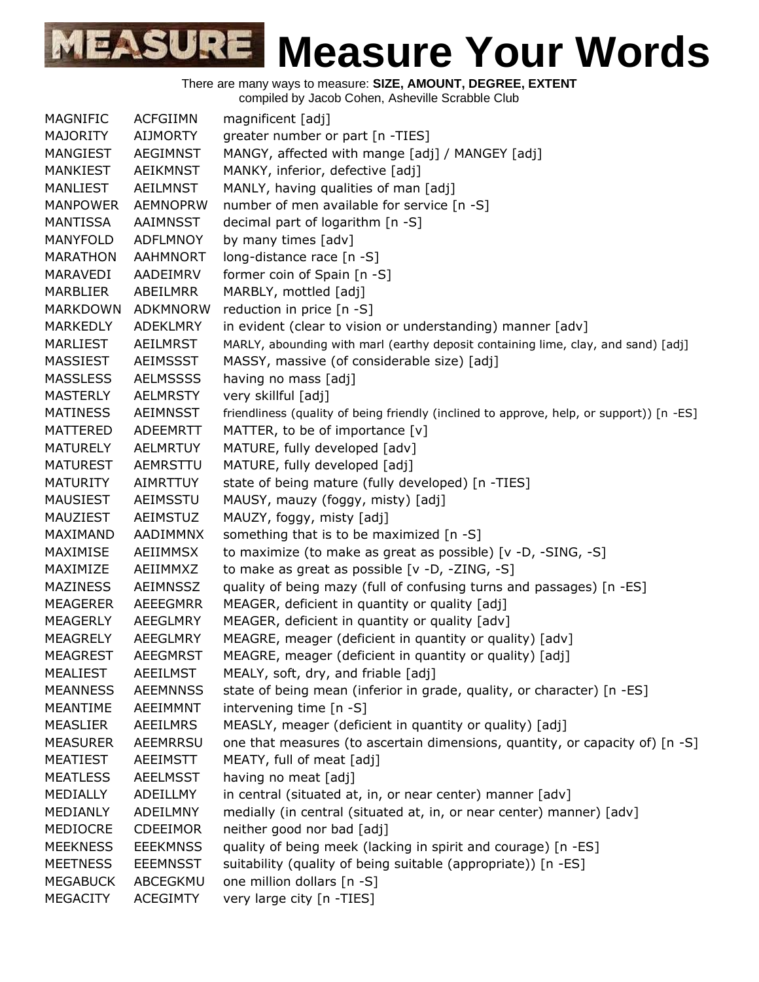There are many ways to measure: **SIZE, AMOUNT, DEGREE, EXTENT**

compiled by Jacob Cohen, Asheville Scrabble Club

| MAGNIFIC        | <b>ACFGIIMN</b> | magnificent [adj]                                                                        |
|-----------------|-----------------|------------------------------------------------------------------------------------------|
| <b>MAJORITY</b> | <b>AIJMORTY</b> | greater number or part [n -TIES]                                                         |
| MANGIEST        | AEGIMNST        | MANGY, affected with mange [adj] / MANGEY [adj]                                          |
| <b>MANKIEST</b> | <b>AEIKMNST</b> | MANKY, inferior, defective [adj]                                                         |
| <b>MANLIEST</b> | AEILMNST        | MANLY, having qualities of man [adj]                                                     |
| <b>MANPOWER</b> | <b>AEMNOPRW</b> | number of men available for service [n -S]                                               |
| MANTISSA        | AAIMNSST        | decimal part of logarithm [n -S]                                                         |
| <b>MANYFOLD</b> | <b>ADFLMNOY</b> | by many times [adv]                                                                      |
| <b>MARATHON</b> | <b>AAHMNORT</b> | long-distance race [n -S]                                                                |
| MARAVEDI        | AADEIMRV        | former coin of Spain [n -S]                                                              |
| <b>MARBLIER</b> | ABEILMRR        | MARBLY, mottled [adj]                                                                    |
| MARKDOWN        | ADKMNORW        | reduction in price [n -S]                                                                |
| MARKEDLY        | ADEKLMRY        | in evident (clear to vision or understanding) manner [adv]                               |
| <b>MARLIEST</b> | AEILMRST        | MARLY, abounding with marl (earthy deposit containing lime, clay, and sand) [adj]        |
| <b>MASSIEST</b> | <b>AEIMSSST</b> | MASSY, massive (of considerable size) [adj]                                              |
| <b>MASSLESS</b> | <b>AELMSSSS</b> | having no mass [adj]                                                                     |
| <b>MASTERLY</b> | <b>AELMRSTY</b> | very skillful [adj]                                                                      |
| <b>MATINESS</b> | AEIMNSST        | friendliness (quality of being friendly (inclined to approve, help, or support)) [n -ES] |
| MATTERED        | ADEEMRTT        | MATTER, to be of importance [v]                                                          |
| <b>MATURELY</b> | AELMRTUY        | MATURE, fully developed [adv]                                                            |
| <b>MATUREST</b> | <b>AEMRSTTU</b> | MATURE, fully developed [adj]                                                            |
| <b>MATURITY</b> | <b>AIMRTTUY</b> | state of being mature (fully developed) [n -TIES]                                        |
| <b>MAUSIEST</b> | AEIMSSTU        | MAUSY, mauzy (foggy, misty) [adj]                                                        |
| MAUZIEST        | AEIMSTUZ        | MAUZY, foggy, misty [adj]                                                                |
| MAXIMAND        | AADIMMNX        | something that is to be maximized [n -S]                                                 |
| MAXIMISE        | AEIIMMSX        | to maximize (to make as great as possible) [v -D, -SING, -S]                             |
| MAXIMIZE        | AEIIMMXZ        | to make as great as possible $[v -D, -ZING, -S]$                                         |
| <b>MAZINESS</b> | <b>AEIMNSSZ</b> | quality of being mazy (full of confusing turns and passages) [n -ES]                     |
| MEAGERER        | AEEEGMRR        | MEAGER, deficient in quantity or quality [adj]                                           |
| MEAGERLY        | AEEGLMRY        | MEAGER, deficient in quantity or quality [adv]                                           |
| MEAGRELY        | AEEGLMRY        | MEAGRE, meager (deficient in quantity or quality) [adv]                                  |
| <b>MEAGREST</b> | <b>AEEGMRST</b> | MEAGRE, meager (deficient in quantity or quality) [adj]                                  |
| <b>MEALIEST</b> | <b>AEEILMST</b> | MEALY, soft, dry, and friable [adj]                                                      |
| <b>MEANNESS</b> | <b>AEEMNNSS</b> | state of being mean (inferior in grade, quality, or character) [n -ES]                   |
| MEANTIME        | AEEIMMNT        | intervening time [n -S]                                                                  |
| <b>MEASLIER</b> | <b>AEEILMRS</b> | MEASLY, meager (deficient in quantity or quality) [adj]                                  |
| <b>MEASURER</b> | AEEMRRSU        | one that measures (to ascertain dimensions, quantity, or capacity of) [n -S]             |
| <b>MEATIEST</b> | <b>AEEIMSTT</b> | MEATY, full of meat [adj]                                                                |
| <b>MEATLESS</b> | <b>AEELMSST</b> | having no meat [adj]                                                                     |
| MEDIALLY        | ADEILLMY        | in central (situated at, in, or near center) manner [adv]                                |
| MEDIANLY        | ADEILMNY        | medially (in central (situated at, in, or near center) manner) [adv]                     |
| MEDIOCRE        | <b>CDEEIMOR</b> | neither good nor bad [adj]                                                               |
| <b>MEEKNESS</b> | <b>EEEKMNSS</b> | quality of being meek (lacking in spirit and courage) [n -ES]                            |
| <b>MEETNESS</b> | <b>EEEMNSST</b> | suitability (quality of being suitable (appropriate)) [n -ES]                            |
| <b>MEGABUCK</b> | ABCEGKMU        | one million dollars [n -S]                                                               |
| MEGACITY        | <b>ACEGIMTY</b> | very large city [n -TIES]                                                                |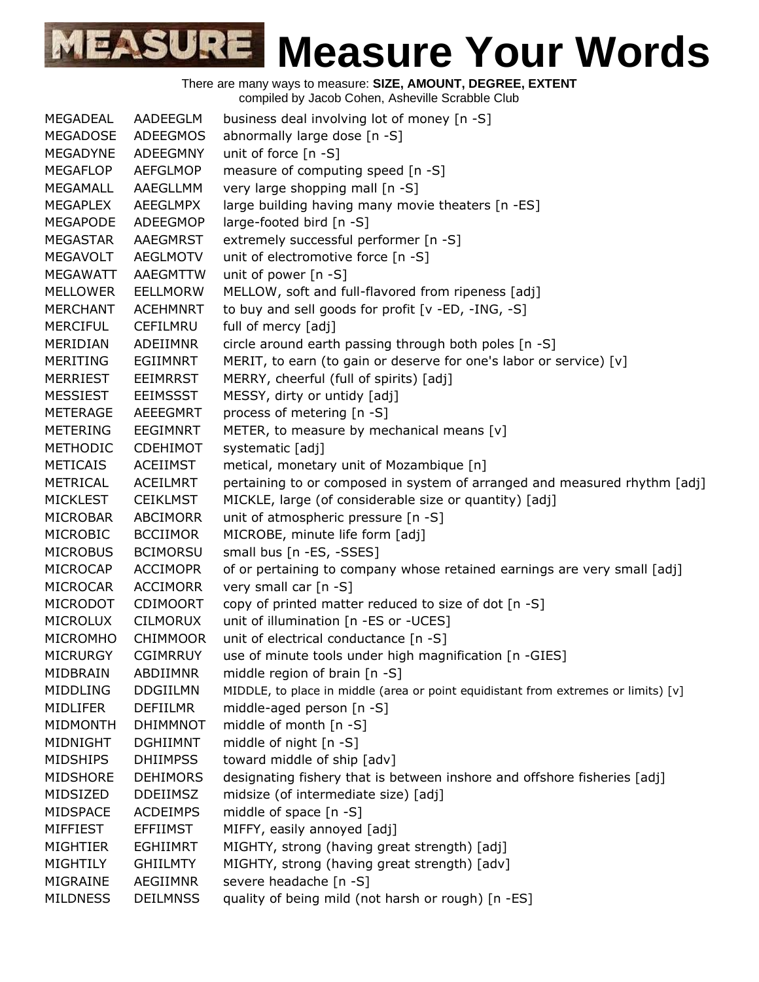There are many ways to measure: **SIZE, AMOUNT, DEGREE, EXTENT** compiled by Jacob Cohen, Asheville Scrabble Club MEGADEAL AADEEGLM business deal involving lot of money [n -S] MEGADOSE ADEEGMOS abnormally large dose [n -S] MEGADYNE ADEEGMNY unit of force [n -S] MEGAFLOP AEFGLMOP measure of computing speed [n -S] MEGAMALL AAEGLLMM very large shopping mall [n -S] MEGAPLEX AEEGLMPX large building having many movie theaters [n -ES] MEGAPODE ADEEGMOP large-footed bird [n -S] MEGASTAR AAEGMRST extremely successful performer [n -S] MEGAVOLT AEGLMOTV unit of electromotive force [n -S] MEGAWATT AAEGMTTW unit of power [n -S] MELLOWER EELLMORW MELLOW, soft and full-flavored from ripeness [adj] MERCHANT ACEHMNRT to buy and sell goods for profit [v -ED, -ING, -S] MERCIFUL CEFILMRU full of mercy [adj] MERIDIAN ADEIIMNR circle around earth passing through both poles [n -S] MERITING EGIIMNRT MERIT, to earn (to gain or deserve for one's labor or service) [v] MERRIEST EEIMRRST MERRY, cheerful (full of spirits) [adj] MESSIEST EEIMSSST MESSY, dirty or untidy [adj] METERAGE AEEEGMRT process of metering [n -S] METERING EEGIMNRT METER, to measure by mechanical means [v] METHODIC CDEHIMOT systematic [adj] METICAIS ACEIIMST metical, monetary unit of Mozambique [n] METRICAL ACEILMRT pertaining to or composed in system of arranged and measured rhythm [adj] MICKLEST CEIKLMST MICKLE, large (of considerable size or quantity) [adj] MICROBAR ABCIMORR unit of atmospheric pressure [n -S] MICROBIC BCCIIMOR MICROBE, minute life form [adj] MICROBUS BCIMORSU small bus [n -ES, -SSES] MICROCAP ACCIMOPR of or pertaining to company whose retained earnings are very small [adj] MICROCAR ACCIMORR very small car [n -S] MICRODOT CDIMOORT copy of printed matter reduced to size of dot [n -S] MICROLUX CILMORUX unit of illumination [n -ES or -UCES] MICROMHO CHIMMOOR unit of electrical conductance [n -S] MICRURGY CGIMRRUY use of minute tools under high magnification [n -GIES] MIDBRAIN ABDIIMNR middle region of brain [n -S] MIDDLING DDGIILMN MIDDLE, to place in middle (area or point equidistant from extremes or limits) [v] MIDLIFER DEFIILMR middle-aged person [n -S] MIDMONTH DHIMMNOT middle of month [n -S] MIDNIGHT DGHIIMNT middle of night [n -S] MIDSHIPS DHIIMPSS toward middle of ship [adv] MIDSHORE DEHIMORS designating fishery that is between inshore and offshore fisheries [adj] MIDSIZED DDEIIMSZ midsize (of intermediate size) [adj] MIDSPACE ACDEIMPS middle of space [n -S] MIFFIEST EFFIIMST MIFFY, easily annoyed [adj] MIGHTIER EGHIIMRT MIGHTY, strong (having great strength) [adj]

- MIGHTILY GHIILMTY MIGHTY, strong (having great strength) [adv]
- MIGRAINE AEGIIMNR severe headache [n -S]
- MILDNESS DEILMNSS quality of being mild (not harsh or rough) [n -ES]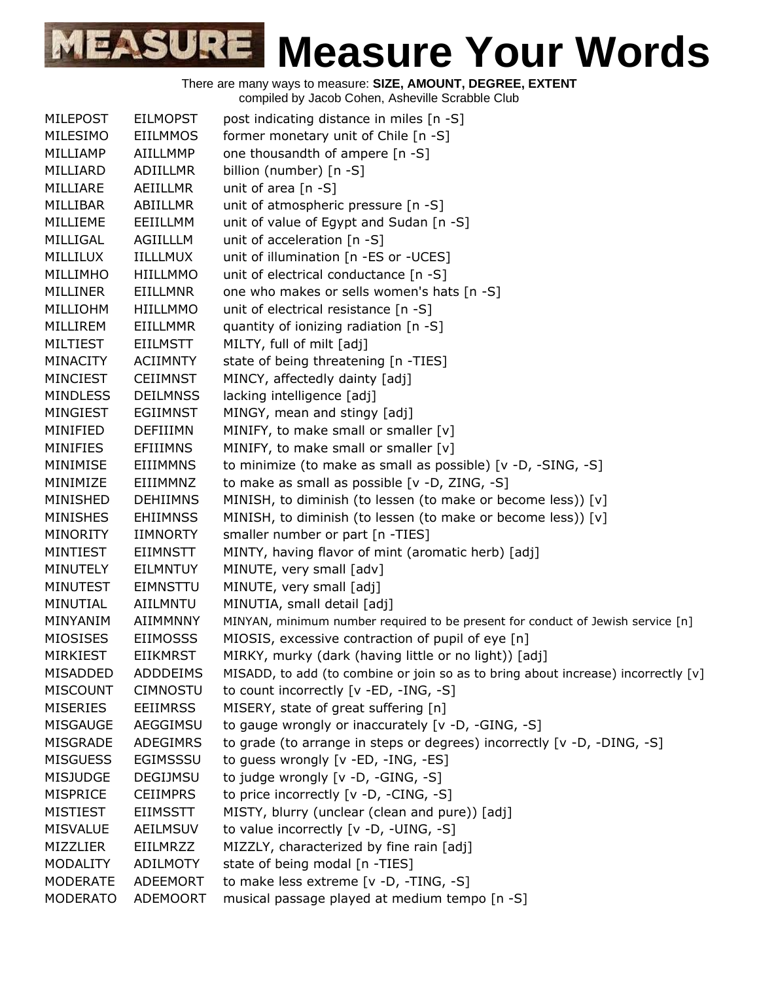| <b>MILEPOST</b> | <b>EILMOPST</b> | post indicating distance in miles [n -S]                                            |
|-----------------|-----------------|-------------------------------------------------------------------------------------|
| MILESIMO        | <b>EIILMMOS</b> | former monetary unit of Chile [n -S]                                                |
| MILLIAMP        | AIILLMMP        | one thousandth of ampere [n -S]                                                     |
| MILLIARD        | <b>ADIILLMR</b> | billion (number) [n -S]                                                             |
| MILLIARE        | AEIILLMR        | unit of area [n -S]                                                                 |
| MILLIBAR        | ABIILLMR        | unit of atmospheric pressure [n -S]                                                 |
| MILLIEME        | EEIILLMM        | unit of value of Egypt and Sudan [n -S]                                             |
| MILLIGAL        | AGIILLLM        | unit of acceleration [n -S]                                                         |
| MILLILUX        | <b>IILLLMUX</b> | unit of illumination [n -ES or -UCES]                                               |
| MILLIMHO        | HIILLMMO        | unit of electrical conductance [n -S]                                               |
| <b>MILLINER</b> | <b>EIILLMNR</b> | one who makes or sells women's hats [n -S]                                          |
| MILLIOHM        | <b>HIILLMMO</b> | unit of electrical resistance [n -S]                                                |
| MILLIREM        | <b>EIILLMMR</b> | quantity of ionizing radiation [n -S]                                               |
| <b>MILTIEST</b> | <b>EIILMSTT</b> | MILTY, full of milt [adj]                                                           |
| <b>MINACITY</b> | <b>ACIIMNTY</b> | state of being threatening [n -TIES]                                                |
| <b>MINCIEST</b> | <b>CEIIMNST</b> | MINCY, affectedly dainty [adj]                                                      |
| <b>MINDLESS</b> | <b>DEILMNSS</b> | lacking intelligence [adj]                                                          |
| MINGIEST        | <b>EGIIMNST</b> | MINGY, mean and stingy [adj]                                                        |
| MINIFIED        | <b>DEFIIIMN</b> | MINIFY, to make small or smaller [v]                                                |
| <b>MINIFIES</b> | EFIIIMNS        | MINIFY, to make small or smaller [v]                                                |
| MINIMISE        | <b>EIIIMMNS</b> | to minimize (to make as small as possible) [v -D, -SING, -S]                        |
| MINIMIZE        | EIIIMMNZ        | to make as small as possible [v -D, ZING, -S]                                       |
| MINISHED        | <b>DEHIIMNS</b> | MINISH, to diminish (to lessen (to make or become less)) [v]                        |
| <b>MINISHES</b> | <b>EHIIMNSS</b> | MINISH, to diminish (to lessen (to make or become less)) [v]                        |
| <b>MINORITY</b> | <b>IIMNORTY</b> | smaller number or part [n -TIES]                                                    |
| <b>MINTIEST</b> | EIIMNSTT        | MINTY, having flavor of mint (aromatic herb) [adj]                                  |
| MINUTELY        | <b>EILMNTUY</b> | MINUTE, very small [adv]                                                            |
| <b>MINUTEST</b> | <b>EIMNSTTU</b> | MINUTE, very small [adj]                                                            |
| MINUTIAL        | AIILMNTU        | MINUTIA, small detail [adj]                                                         |
| MINYANIM        | AIIMMNNY        | MINYAN, minimum number required to be present for conduct of Jewish service [n]     |
| MIOSISES        | <b>EIIMOSSS</b> | MIOSIS, excessive contraction of pupil of eye [n]                                   |
| <b>MIRKIEST</b> | <b>EIIKMRST</b> | MIRKY, murky (dark (having little or no light)) [adj]                               |
| MISADDED        | ADDDEIMS        | MISADD, to add (to combine or join so as to bring about increase) incorrectly $[v]$ |
| <b>MISCOUNT</b> | <b>CIMNOSTU</b> | to count incorrectly [v -ED, -ING, -S]                                              |
| <b>MISERIES</b> | <b>EEIIMRSS</b> | MISERY, state of great suffering [n]                                                |
| <b>MISGAUGE</b> | AEGGIMSU        | to gauge wrongly or inaccurately [v -D, -GING, -S]                                  |
| MISGRADE        | ADEGIMRS        | to grade (to arrange in steps or degrees) incorrectly [v -D, -DING, -S]             |
| <b>MISGUESS</b> | EGIMSSSU        | to guess wrongly [v -ED, -ING, -ES]                                                 |
| <b>MISJUDGE</b> | DEGIJMSU        | to judge wrongly [v -D, -GING, -S]                                                  |
| MISPRICE        | <b>CEIIMPRS</b> | to price incorrectly [v -D, -CING, -S]                                              |
| <b>MISTIEST</b> | <b>EIIMSSTT</b> | MISTY, blurry (unclear (clean and pure)) [adj]                                      |
| <b>MISVALUE</b> | AEILMSUV        | to value incorrectly [v -D, -UING, -S]                                              |
| MIZZLIER        | <b>EIILMRZZ</b> | MIZZLY, characterized by fine rain [adj]                                            |
| <b>MODALITY</b> | <b>ADILMOTY</b> | state of being modal [n -TIES]                                                      |
| <b>MODERATE</b> | ADEEMORT        | to make less extreme [v -D, -TING, -S]                                              |
| <b>MODERATO</b> | <b>ADEMOORT</b> | musical passage played at medium tempo [n -S]                                       |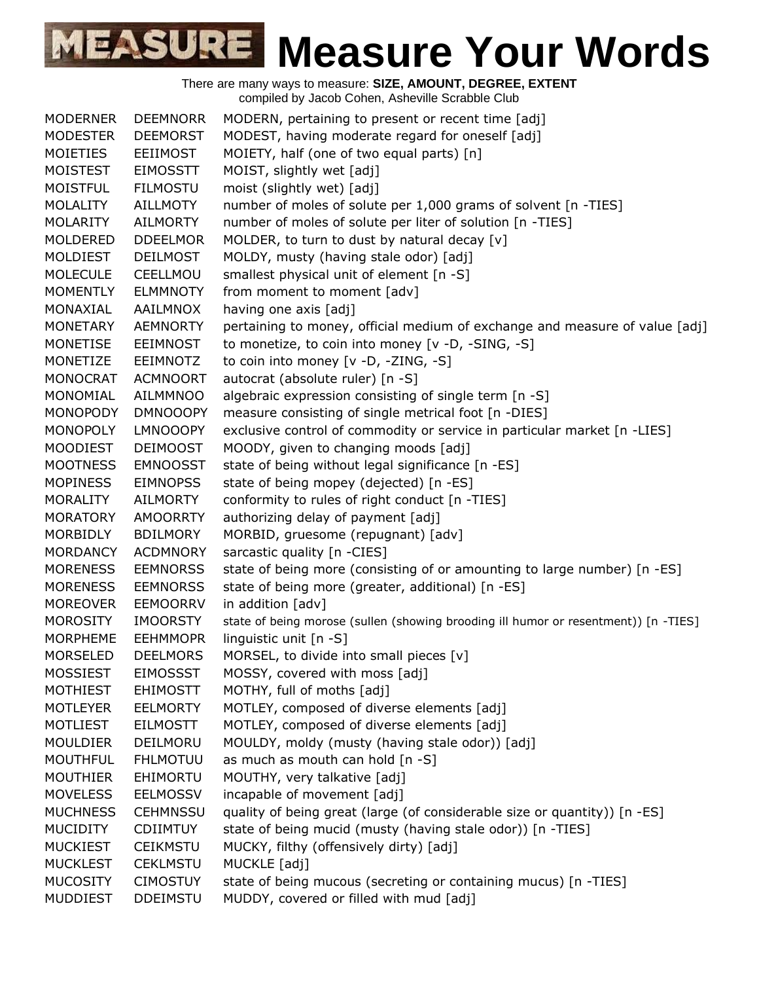| <b>MODERNER</b> | <b>DEEMNORR</b> | MODERN, pertaining to present or recent time [adj]                                  |
|-----------------|-----------------|-------------------------------------------------------------------------------------|
| <b>MODESTER</b> | <b>DEEMORST</b> | MODEST, having moderate regard for oneself [adj]                                    |
| <b>MOIETIES</b> | <b>EEIIMOST</b> | MOIETY, half (one of two equal parts) [n]                                           |
| MOISTEST        | <b>EIMOSSTT</b> | MOIST, slightly wet [adj]                                                           |
| <b>MOISTFUL</b> | <b>FILMOSTU</b> | moist (slightly wet) [adj]                                                          |
| <b>MOLALITY</b> | <b>AILLMOTY</b> | number of moles of solute per 1,000 grams of solvent [n -TIES]                      |
| <b>MOLARITY</b> | <b>AILMORTY</b> | number of moles of solute per liter of solution [n -TIES]                           |
| MOLDERED        | <b>DDEELMOR</b> | MOLDER, to turn to dust by natural decay [v]                                        |
| MOLDIEST        | <b>DEILMOST</b> | MOLDY, musty (having stale odor) [adj]                                              |
| <b>MOLECULE</b> | CEELLMOU        | smallest physical unit of element [n -S]                                            |
| <b>MOMENTLY</b> | <b>ELMMNOTY</b> | from moment to moment [adv]                                                         |
| MONAXIAL        | AAILMNOX        | having one axis [adj]                                                               |
| <b>MONETARY</b> | <b>AEMNORTY</b> | pertaining to money, official medium of exchange and measure of value [adj]         |
| MONETISE        | <b>EEIMNOST</b> | to monetize, to coin into money [v -D, -SING, -S]                                   |
| MONETIZE        | <b>EEIMNOTZ</b> | to coin into money [v -D, -ZING, -S]                                                |
| <b>MONOCRAT</b> | <b>ACMNOORT</b> | autocrat (absolute ruler) [n -S]                                                    |
| <b>MONOMIAL</b> | <b>AILMMNOO</b> | algebraic expression consisting of single term [n -S]                               |
| <b>MONOPODY</b> | <b>DMNOOOPY</b> | measure consisting of single metrical foot [n -DIES]                                |
| MONOPOLY        | <b>LMNOOOPY</b> | exclusive control of commodity or service in particular market [n -LIES]            |
| <b>MOODIEST</b> | <b>DEIMOOST</b> | MOODY, given to changing moods [adj]                                                |
| <b>MOOTNESS</b> | <b>EMNOOSST</b> | state of being without legal significance [n -ES]                                   |
| <b>MOPINESS</b> | <b>EIMNOPSS</b> | state of being mopey (dejected) [n -ES]                                             |
| <b>MORALITY</b> | <b>AILMORTY</b> | conformity to rules of right conduct [n -TIES]                                      |
| <b>MORATORY</b> | <b>AMOORRTY</b> | authorizing delay of payment [adj]                                                  |
| MORBIDLY        | <b>BDILMORY</b> | MORBID, gruesome (repugnant) [adv]                                                  |
| <b>MORDANCY</b> | <b>ACDMNORY</b> | sarcastic quality [n -CIES]                                                         |
| <b>MORENESS</b> | <b>EEMNORSS</b> | state of being more (consisting of or amounting to large number) [n -ES]            |
| <b>MORENESS</b> | <b>EEMNORSS</b> | state of being more (greater, additional) [n -ES]                                   |
| <b>MOREOVER</b> | <b>EEMOORRV</b> | in addition [adv]                                                                   |
| <b>MOROSITY</b> | <b>IMOORSTY</b> | state of being morose (sullen (showing brooding ill humor or resentment)) [n -TIES] |
| <b>MORPHEME</b> | <b>EEHMMOPR</b> | linguistic unit [n -S]                                                              |
| <b>MORSELED</b> | <b>DEELMORS</b> | MORSEL, to divide into small pieces [v]                                             |
| <b>MOSSIEST</b> | <b>EIMOSSST</b> | MOSSY, covered with moss [adj]                                                      |
| <b>MOTHIEST</b> | <b>EHIMOSTT</b> | MOTHY, full of moths [adj]                                                          |
| <b>MOTLEYER</b> | <b>EELMORTY</b> | MOTLEY, composed of diverse elements [adj]                                          |
| <b>MOTLIEST</b> | <b>EILMOSTT</b> | MOTLEY, composed of diverse elements [adj]                                          |
| <b>MOULDIER</b> | DEILMORU        | MOULDY, moldy (musty (having stale odor)) [adj]                                     |
| <b>MOUTHFUL</b> | <b>FHLMOTUU</b> | as much as mouth can hold [n -S]                                                    |
| <b>MOUTHIER</b> | EHIMORTU        | MOUTHY, very talkative [adj]                                                        |
| <b>MOVELESS</b> | <b>EELMOSSV</b> | incapable of movement [adj]                                                         |
| <b>MUCHNESS</b> | <b>CEHMNSSU</b> | quality of being great (large (of considerable size or quantity)) [n -ES]           |
| <b>MUCIDITY</b> | <b>CDIIMTUY</b> | state of being mucid (musty (having stale odor)) [n -TIES]                          |
| <b>MUCKIEST</b> | <b>CEIKMSTU</b> | MUCKY, filthy (offensively dirty) [adj]                                             |
| <b>MUCKLEST</b> | <b>CEKLMSTU</b> | MUCKLE [adj]                                                                        |
| <b>MUCOSITY</b> | <b>CIMOSTUY</b> | state of being mucous (secreting or containing mucus) [n -TIES]                     |
| <b>MUDDIEST</b> | <b>DDEIMSTU</b> | MUDDY, covered or filled with mud [adj]                                             |
|                 |                 |                                                                                     |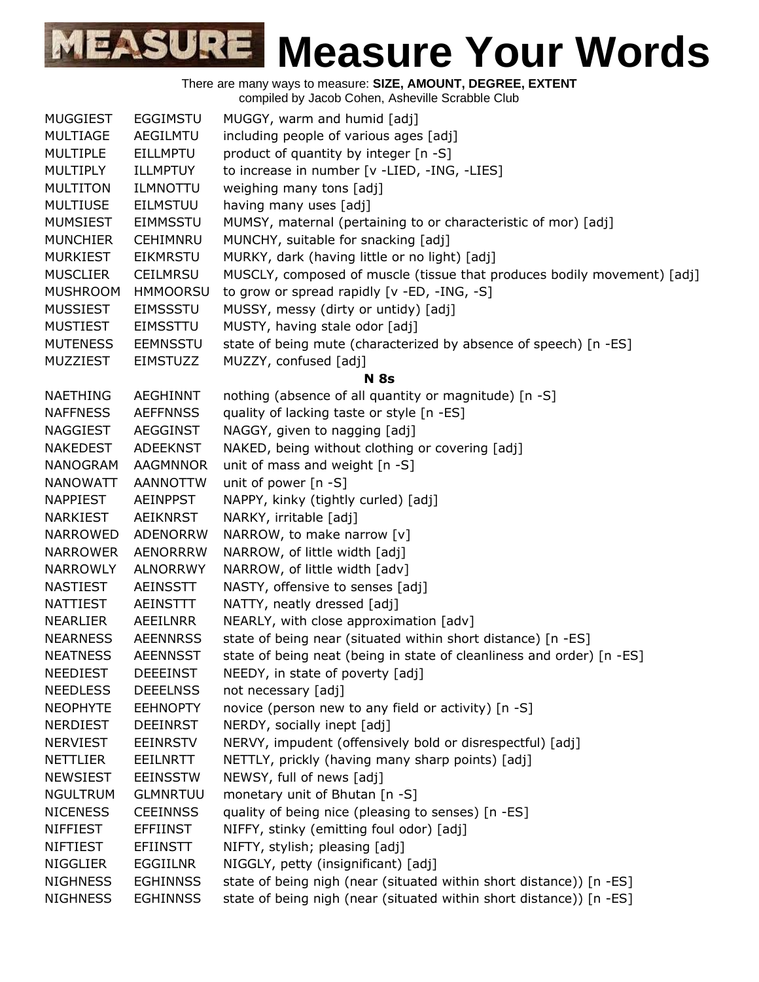There are many ways to measure: **SIZE, AMOUNT, DEGREE, EXTENT**

compiled by Jacob Cohen, Asheville Scrabble Club

| <b>MUGGIEST</b> | <b>EGGIMSTU</b> | MUGGY, warm and humid [adj]                                             |
|-----------------|-----------------|-------------------------------------------------------------------------|
| <b>MULTIAGE</b> | AEGILMTU        | including people of various ages [adj]                                  |
| <b>MULTIPLE</b> | <b>EILLMPTU</b> | product of quantity by integer [n -S]                                   |
| <b>MULTIPLY</b> | ILLMPTUY        | to increase in number [v -LIED, -ING, -LIES]                            |
| <b>MULTITON</b> | <b>ILMNOTTU</b> | weighing many tons [adj]                                                |
| <b>MULTIUSE</b> | <b>EILMSTUU</b> | having many uses [adj]                                                  |
| <b>MUMSIEST</b> | <b>EIMMSSTU</b> | MUMSY, maternal (pertaining to or characteristic of mor) [adj]          |
| <b>MUNCHIER</b> | <b>CEHIMNRU</b> | MUNCHY, suitable for snacking [adj]                                     |
| <b>MURKIEST</b> | <b>EIKMRSTU</b> | MURKY, dark (having little or no light) [adj]                           |
| <b>MUSCLIER</b> | <b>CEILMRSU</b> | MUSCLY, composed of muscle (tissue that produces bodily movement) [adj] |
| <b>MUSHROOM</b> | <b>HMMOORSU</b> | to grow or spread rapidly [v -ED, -ING, -S]                             |
| <b>MUSSIEST</b> | <b>EIMSSSTU</b> | MUSSY, messy (dirty or untidy) [adj]                                    |
| <b>MUSTIEST</b> | <b>EIMSSTTU</b> | MUSTY, having stale odor [adj]                                          |
| <b>MUTENESS</b> | <b>EEMNSSTU</b> | state of being mute (characterized by absence of speech) [n -ES]        |
| MUZZIEST        | <b>EIMSTUZZ</b> | MUZZY, confused [adj]                                                   |
|                 |                 | <b>N</b> 8s                                                             |
| <b>NAETHING</b> | <b>AEGHINNT</b> | nothing (absence of all quantity or magnitude) [n -S]                   |
| <b>NAFFNESS</b> | <b>AEFFNNSS</b> | quality of lacking taste or style [n -ES]                               |
| NAGGIEST        | AEGGINST        | NAGGY, given to nagging [adj]                                           |
| <b>NAKEDEST</b> | ADEEKNST        | NAKED, being without clothing or covering [adj]                         |
| <b>NANOGRAM</b> | <b>AAGMNNOR</b> | unit of mass and weight [n -S]                                          |
| <b>NANOWATT</b> | <b>AANNOTTW</b> | unit of power [n -S]                                                    |
| <b>NAPPIEST</b> | <b>AEINPPST</b> | NAPPY, kinky (tightly curled) [adj]                                     |
| <b>NARKIEST</b> | <b>AEIKNRST</b> | NARKY, irritable [adj]                                                  |
| <b>NARROWED</b> | <b>ADENORRW</b> | NARROW, to make narrow [v]                                              |
| <b>NARROWER</b> | <b>AENORRRW</b> | NARROW, of little width [adj]                                           |
| <b>NARROWLY</b> | <b>ALNORRWY</b> | NARROW, of little width [adv]                                           |
| <b>NASTIEST</b> | <b>AEINSSTT</b> | NASTY, offensive to senses [adj]                                        |
| <b>NATTIEST</b> | AEINSTTT        | NATTY, neatly dressed [adj]                                             |
| <b>NEARLIER</b> | AEEILNRR        | NEARLY, with close approximation [adv]                                  |
| <b>NEARNESS</b> | <b>AEENNRSS</b> | state of being near (situated within short distance) [n -ES]            |
| <b>NEATNESS</b> | <b>AEENNSST</b> | state of being neat (being in state of cleanliness and order) [n -ES]   |
| <b>NEEDIEST</b> | <b>DEEEINST</b> | NEEDY, in state of poverty [adj]                                        |
| <b>NEEDLESS</b> | <b>DEEELNSS</b> | not necessary [adj]                                                     |
| <b>NEOPHYTE</b> | <b>EEHNOPTY</b> | novice (person new to any field or activity) [n -S]                     |
| NERDIEST        | <b>DEEINRST</b> | NERDY, socially inept [adj]                                             |
| <b>NERVIEST</b> | <b>EEINRSTV</b> | NERVY, impudent (offensively bold or disrespectful) [adj]               |
| <b>NETTLIER</b> | <b>EEILNRTT</b> | NETTLY, prickly (having many sharp points) [adj]                        |
| <b>NEWSIEST</b> | <b>EEINSSTW</b> | NEWSY, full of news [adj]                                               |
| <b>NGULTRUM</b> | <b>GLMNRTUU</b> | monetary unit of Bhutan [n -S]                                          |
| <b>NICENESS</b> | <b>CEEINNSS</b> | quality of being nice (pleasing to senses) [n -ES]                      |
| <b>NIFFIEST</b> | <b>EFFIINST</b> | NIFFY, stinky (emitting foul odor) [adj]                                |
| <b>NIFTIEST</b> | <b>EFIINSTT</b> | NIFTY, stylish; pleasing [adj]                                          |
| <b>NIGGLIER</b> | <b>EGGIILNR</b> | NIGGLY, petty (insignificant) [adj]                                     |
| <b>NIGHNESS</b> | <b>EGHINNSS</b> | state of being nigh (near (situated within short distance)) [n -ES]     |
| <b>NIGHNESS</b> | <b>EGHINNSS</b> | state of being nigh (near (situated within short distance)) [n -ES]     |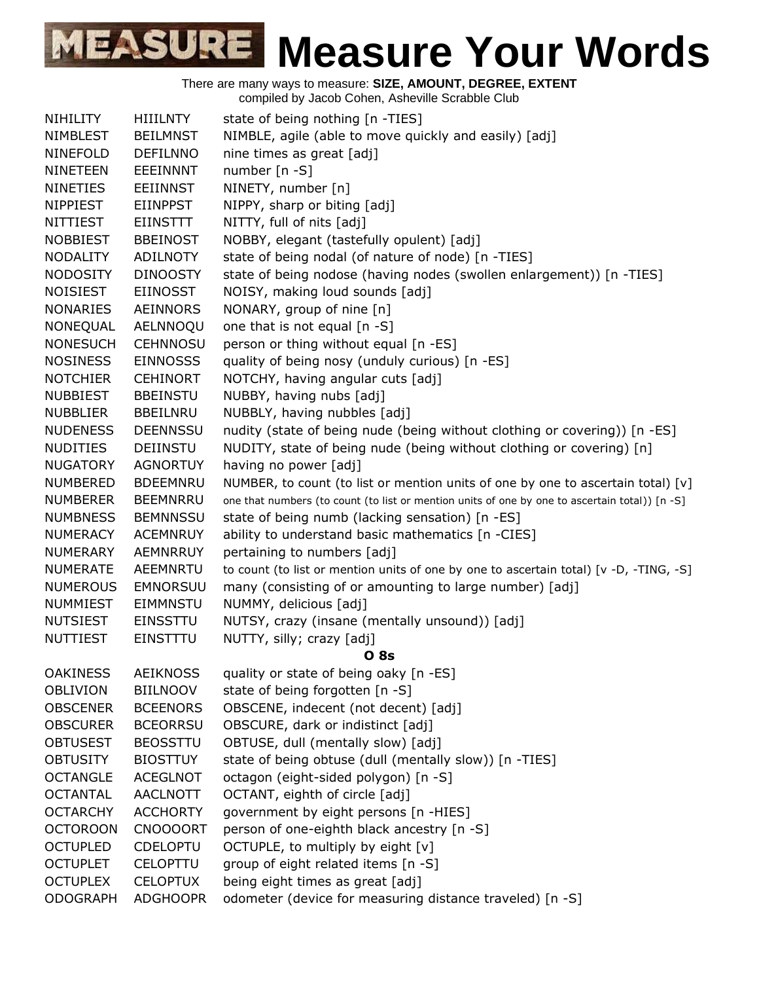| NIHILITY        | <b>HIIILNTY</b> | state of being nothing [n -TIES]                                                               |
|-----------------|-----------------|------------------------------------------------------------------------------------------------|
| <b>NIMBLEST</b> | <b>BEILMNST</b> | NIMBLE, agile (able to move quickly and easily) [adj]                                          |
| <b>NINEFOLD</b> | <b>DEFILNNO</b> | nine times as great [adj]                                                                      |
| <b>NINETEEN</b> | <b>EEEINNNT</b> | number [n -S]                                                                                  |
| <b>NINETIES</b> | <b>EEIINNST</b> | NINETY, number [n]                                                                             |
| <b>NIPPIEST</b> | <b>EIINPPST</b> | NIPPY, sharp or biting [adj]                                                                   |
| <b>NITTIEST</b> | <b>EIINSTTT</b> | NITTY, full of nits [adj]                                                                      |
| <b>NOBBIEST</b> | <b>BBEINOST</b> | NOBBY, elegant (tastefully opulent) [adj]                                                      |
| <b>NODALITY</b> | <b>ADILNOTY</b> | state of being nodal (of nature of node) [n -TIES]                                             |
| <b>NODOSITY</b> | <b>DINOOSTY</b> | state of being nodose (having nodes (swollen enlargement)) [n -TIES]                           |
| <b>NOISIEST</b> | <b>EIINOSST</b> | NOISY, making loud sounds [adj]                                                                |
| <b>NONARIES</b> | AEINNORS        | NONARY, group of nine [n]                                                                      |
| NONEQUAL        | AELNNOQU        | one that is not equal [n -S]                                                                   |
| <b>NONESUCH</b> | <b>CEHNNOSU</b> | person or thing without equal [n -ES]                                                          |
| <b>NOSINESS</b> | <b>EINNOSSS</b> | quality of being nosy (unduly curious) [n -ES]                                                 |
| <b>NOTCHIER</b> | <b>CEHINORT</b> | NOTCHY, having angular cuts [adj]                                                              |
| <b>NUBBIEST</b> | <b>BBEINSTU</b> | NUBBY, having nubs [adj]                                                                       |
| <b>NUBBLIER</b> | <b>BBEILNRU</b> | NUBBLY, having nubbles [adj]                                                                   |
| <b>NUDENESS</b> | <b>DEENNSSU</b> | nudity (state of being nude (being without clothing or covering)) [n -ES]                      |
| <b>NUDITIES</b> | <b>DEIINSTU</b> | NUDITY, state of being nude (being without clothing or covering) [n]                           |
| <b>NUGATORY</b> | <b>AGNORTUY</b> | having no power [adj]                                                                          |
| <b>NUMBERED</b> | <b>BDEEMNRU</b> | NUMBER, to count (to list or mention units of one by one to ascertain total) $[v]$             |
| <b>NUMBERER</b> | <b>BEEMNRRU</b> | one that numbers (to count (to list or mention units of one by one to ascertain total)) [n -S] |
| <b>NUMBNESS</b> | <b>BEMNNSSU</b> | state of being numb (lacking sensation) [n -ES]                                                |
| NUMERACY        | <b>ACEMNRUY</b> | ability to understand basic mathematics [n -CIES]                                              |
| <b>NUMERARY</b> | <b>AEMNRRUY</b> | pertaining to numbers [adj]                                                                    |
| <b>NUMERATE</b> | AEEMNRTU        | to count (to list or mention units of one by one to ascertain total) [v -D, -TING, -S]         |
| <b>NUMEROUS</b> | <b>EMNORSUU</b> | many (consisting of or amounting to large number) [adj]                                        |
| <b>NUMMIEST</b> | <b>EIMMNSTU</b> | NUMMY, delicious [adj]                                                                         |
| <b>NUTSIEST</b> | <b>EINSSTTU</b> | NUTSY, crazy (insane (mentally unsound)) [adj]                                                 |
| <b>NUTTIEST</b> | EINSTTTU        | NUTTY, silly; crazy [adj]                                                                      |
|                 |                 | <b>08s</b>                                                                                     |
| <b>OAKINESS</b> | <b>AEIKNOSS</b> | quality or state of being oaky [n -ES]                                                         |
| <b>OBLIVION</b> | <b>BIILNOOV</b> | state of being forgotten [n -S]                                                                |
| <b>OBSCENER</b> | <b>BCEENORS</b> | OBSCENE, indecent (not decent) [adj]                                                           |
| <b>OBSCURER</b> | <b>BCEORRSU</b> | OBSCURE, dark or indistinct [adj]                                                              |
| <b>OBTUSEST</b> | <b>BEOSSTTU</b> | OBTUSE, dull (mentally slow) [adj]                                                             |
| <b>OBTUSITY</b> | <b>BIOSTTUY</b> | state of being obtuse (dull (mentally slow)) [n -TIES]                                         |
| <b>OCTANGLE</b> | <b>ACEGLNOT</b> | octagon (eight-sided polygon) [n -S]                                                           |
| <b>OCTANTAL</b> | <b>AACLNOTT</b> | OCTANT, eighth of circle [adj]                                                                 |
| <b>OCTARCHY</b> | <b>ACCHORTY</b> | government by eight persons [n -HIES]                                                          |
| <b>OCTOROON</b> | <b>CNOOOORT</b> | person of one-eighth black ancestry [n -S]                                                     |
| <b>OCTUPLED</b> | <b>CDELOPTU</b> | OCTUPLE, to multiply by eight [v]                                                              |
| <b>OCTUPLET</b> | <b>CELOPTTU</b> | group of eight related items [n -S]                                                            |
| <b>OCTUPLEX</b> | <b>CELOPTUX</b> | being eight times as great [adj]                                                               |
| <b>ODOGRAPH</b> | <b>ADGHOOPR</b> | odometer (device for measuring distance traveled) [n -S]                                       |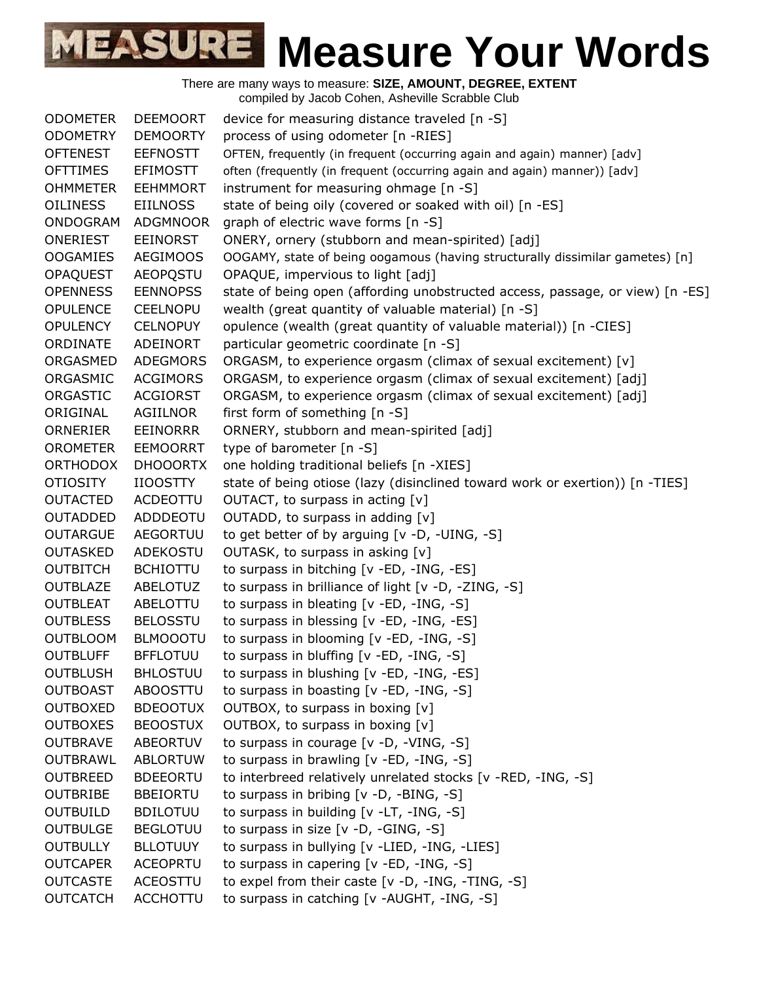There are many ways to measure: **SIZE, AMOUNT, DEGREE, EXTENT** compiled by Jacob Cohen, Asheville Scrabble Club

ODOMETER DEEMOORT device for measuring distance traveled [n -S] ODOMETRY DEMOORTY process of using odometer [n -RIES] OFTENEST EEFNOSTT OFTEN, frequently (in frequent (occurring again and again) manner) [adv] OFTTIMES EFIMOSTT often (frequently (in frequent (occurring again and again) manner)) [adv] OHMMETER EEHMMORT instrument for measuring ohmage [n -S] OILINESS EIILNOSS state of being oily (covered or soaked with oil) [n -ES] ONDOGRAM ADGMNOOR graph of electric wave forms [n -S] ONERIEST EEINORST ONERY, ornery (stubborn and mean-spirited) [adj] OOGAMIES AEGIMOOS OOGAMY, state of being oogamous (having structurally dissimilar gametes) [n] OPAQUEST AEOPQSTU OPAQUE, impervious to light [adj] OPENNESS EENNOPSS state of being open (affording unobstructed access, passage, or view) [n -ES] OPULENCE CEELNOPU wealth (great quantity of valuable material) [n -S] OPULENCY CELNOPUY opulence (wealth (great quantity of valuable material)) [n -CIES] ORDINATE ADEINORT particular geometric coordinate [n -S] ORGASMED ADEGMORS ORGASM, to experience orgasm (climax of sexual excitement) [v] ORGASMIC ACGIMORS ORGASM, to experience orgasm (climax of sexual excitement) [adj] ORGASTIC ACGIORST ORGASM, to experience orgasm (climax of sexual excitement) [adj] ORIGINAL AGIILNOR first form of something [n -S] ORNERIER EEINORRR ORNERY, stubborn and mean-spirited [adj] OROMETER EEMOORRT type of barometer [n -S] ORTHODOX DHOOORTX one holding traditional beliefs [n -XIES] OTIOSITY IIOOSTTY state of being otiose (lazy (disinclined toward work or exertion)) [n -TIES] OUTACTED ACDEOTTU OUTACT, to surpass in acting [v] OUTADDED ADDDEOTU OUTADD, to surpass in adding [v] OUTARGUE AEGORTUU to get better of by arguing [v -D, -UING, -S] OUTASKED ADEKOSTU OUTASK, to surpass in asking [v] OUTBITCH BCHIOTTU to surpass in bitching [v -ED, -ING, -ES] OUTBLAZE ABELOTUZ to surpass in brilliance of light [v -D, -ZING, -S] OUTBLEAT ABELOTTU to surpass in bleating [v -ED, -ING, -S] OUTBLESS BELOSSTU to surpass in blessing [v -ED, -ING, -ES] OUTBLOOM BLMOOOTU to surpass in blooming [v -ED, -ING, -S] OUTBLUFF BFFLOTUU to surpass in bluffing [v -ED, -ING, -S] OUTBLUSH BHLOSTUU to surpass in blushing [v -ED, -ING, -ES] OUTBOAST ABOOSTTU to surpass in boasting [v -ED, -ING, -S] OUTBOXED BDEOOTUX OUTBOX, to surpass in boxing [v] OUTBOXES BEOOSTUX OUTBOX, to surpass in boxing [v] OUTBRAVE ABEORTUV to surpass in courage [v -D, -VING, -S] OUTBRAWL ABLORTUW to surpass in brawling [v -ED, -ING, -S] OUTBREED BDEEORTU to interbreed relatively unrelated stocks [v -RED, -ING, -S] OUTBRIBE BBEIORTU to surpass in bribing [v -D, -BING, -S] OUTBUILD BDILOTUU to surpass in building [v -LT, -ING, -S] OUTBULGE BEGLOTUU to surpass in size [v -D, -GING, -S] OUTBULLY BLLOTUUY to surpass in bullying [v -LIED, -ING, -LIES] OUTCAPER ACEOPRTU to surpass in capering [v -ED, -ING, -S] OUTCASTE ACEOSTTU to expel from their caste [v -D, -ING, -TING, -S] OUTCATCH ACCHOTTU to surpass in catching [v -AUGHT, -ING, -S]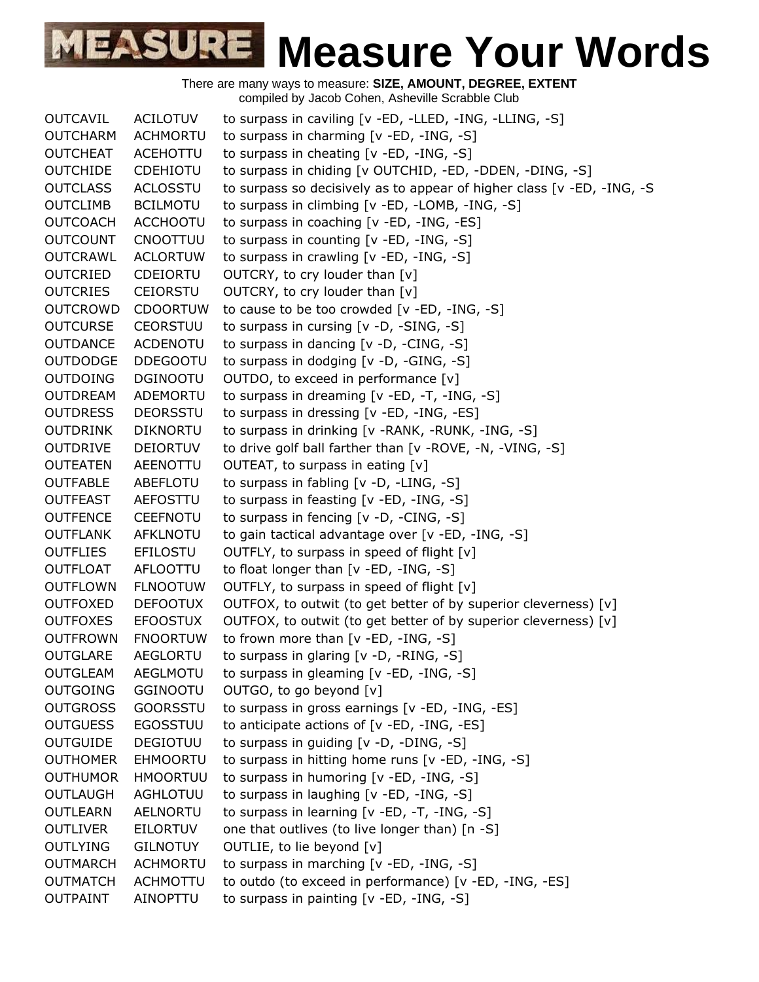

There are many ways to measure: **SIZE, AMOUNT, DEGREE, EXTENT**

compiled by Jacob Cohen, Asheville Scrabble Club OUTCAVIL ACILOTUV to surpass in caviling [v -ED, -LLED, -ING, -LLING, -S] OUTCHARM ACHMORTU to surpass in charming [v -ED, -ING, -S] OUTCHEAT ACEHOTTU to surpass in cheating [v -ED, -ING, -S] OUTCHIDE CDEHIOTU to surpass in chiding [v OUTCHID, -ED, -DDEN, -DING, -S] OUTCLASS ACLOSSTU to surpass so decisively as to appear of higher class [v -ED, -ING, -S OUTCLIMB BCILMOTU to surpass in climbing [v -ED, -LOMB, -ING, -S] OUTCOACH ACCHOOTU to surpass in coaching [v -ED, -ING, -ES] OUTCOUNT CNOOTTUU to surpass in counting [v -ED, -ING, -S] OUTCRAWL ACLORTUW to surpass in crawling [v -ED, -ING, -S] OUTCRIED CDEIORTU OUTCRY, to cry louder than [v] OUTCRIES CEIORSTU OUTCRY, to cry louder than [v] OUTCROWD CDOORTUW to cause to be too crowded [v -ED, -ING, -S] OUTCURSE CEORSTUU to surpass in cursing [v -D, -SING, -S] OUTDANCE ACDENOTU to surpass in dancing [v -D, -CING, -S] OUTDODGE DDEGOOTU to surpass in dodging [v -D, -GING, -S] OUTDOING DGINOOTU OUTDO, to exceed in performance [v] OUTDREAM ADEMORTU to surpass in dreaming [v -ED, -T, -ING, -S] OUTDRESS DEORSSTU to surpass in dressing [v -ED, -ING, -ES] OUTDRINK DIKNORTU to surpass in drinking [v -RANK, -RUNK, -ING, -S] OUTDRIVE DEIORTUV to drive golf ball farther than [v -ROVE, -N, -VING, -S] OUTEATEN AEENOTTU OUTEAT, to surpass in eating [v] OUTFABLE ABEFLOTU to surpass in fabling [v -D, -LING, -S] OUTFEAST AEFOSTTU to surpass in feasting [v -ED, -ING, -S] OUTFENCE CEEFNOTU to surpass in fencing [v -D, -CING, -S] OUTFLANK AFKLNOTU to gain tactical advantage over [v -ED, -ING, -S] OUTFLIES EFILOSTU OUTFLY, to surpass in speed of flight [v] OUTFLOAT AFLOOTTU to float longer than [v -ED, -ING, -S] OUTFLOWN FLNOOTUW OUTFLY, to surpass in speed of flight [v] OUTFOXED DEFOOTUX OUTFOX, to outwit (to get better of by superior cleverness) [v] OUTFOXES EFOOSTUX OUTFOX, to outwit (to get better of by superior cleverness) [v] OUTFROWN FNOORTUW to frown more than [v -ED, -ING, -S] OUTGLARE AEGLORTU to surpass in glaring [v -D, -RING, -S] OUTGLEAM AEGLMOTU to surpass in gleaming [v -ED, -ING, -S] OUTGOING GGINOOTU OUTGO, to go beyond [v] OUTGROSS GOORSSTU to surpass in gross earnings [v -ED, -ING, -ES] OUTGUESS EGOSSTUU to anticipate actions of [v -ED, -ING, -ES] OUTGUIDE DEGIOTUU to surpass in guiding [v -D, -DING, -S] OUTHOMER EHMOORTU to surpass in hitting home runs [v -ED, -ING, -S] OUTHUMOR HMOORTUU to surpass in humoring [v -ED, -ING, -S] OUTLAUGH AGHLOTUU to surpass in laughing [v -ED, -ING, -S] OUTLEARN AELNORTU to surpass in learning [v -ED, -T, -ING, -S] OUTLIVER EILORTUV one that outlives (to live longer than) [n -S] OUTLYING GILNOTUY OUTLIE, to lie beyond [v] OUTMARCH ACHMORTU to surpass in marching [v -ED, -ING, -S] OUTMATCH ACHMOTTU to outdo (to exceed in performance) [v -ED, -ING, -ES] OUTPAINT AINOPTTU to surpass in painting [v -ED, -ING, -S]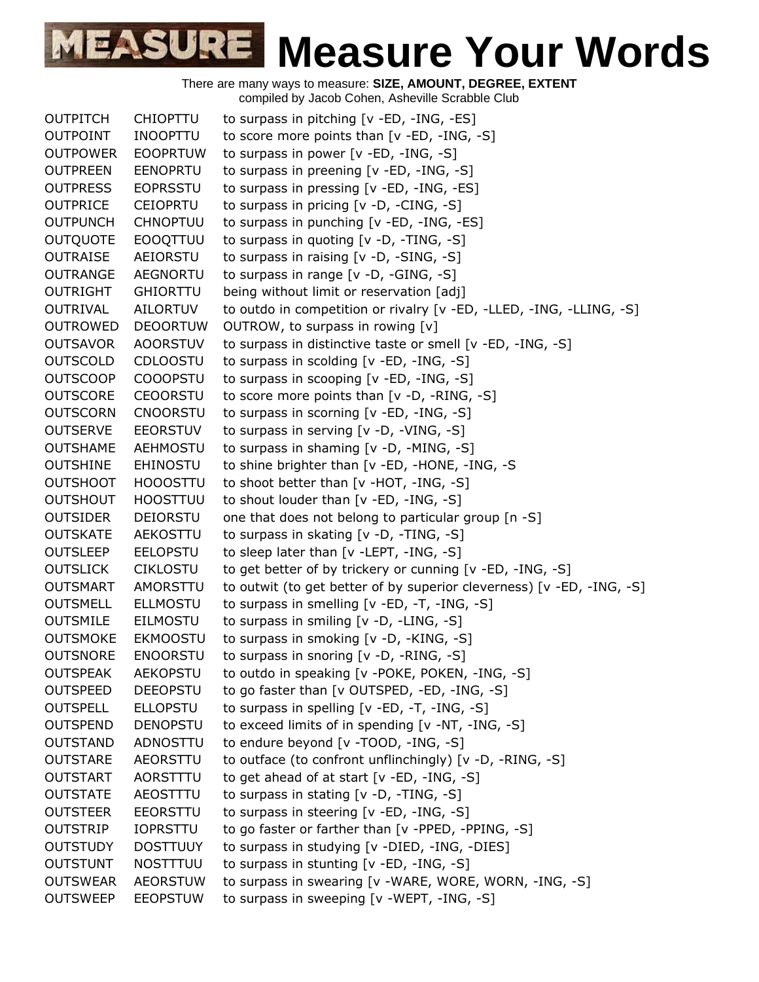| <b>OUTPITCH</b> | <b>CHIOPTTU</b> | to surpass in pitching [v -ED, -ING, -ES]                             |
|-----------------|-----------------|-----------------------------------------------------------------------|
| <b>OUTPOINT</b> | <b>INOOPTTU</b> | to score more points than [v -ED, -ING, -S]                           |
| <b>OUTPOWER</b> | <b>EOOPRTUW</b> | to surpass in power [v -ED, -ING, -S]                                 |
| <b>OUTPREEN</b> | <b>EENOPRTU</b> | to surpass in preening [v -ED, -ING, -S]                              |
| <b>OUTPRESS</b> | <b>EOPRSSTU</b> | to surpass in pressing [v -ED, -ING, -ES]                             |
| <b>OUTPRICE</b> | <b>CEIOPRTU</b> | to surpass in pricing [v -D, -CING, -S]                               |
| <b>OUTPUNCH</b> | <b>CHNOPTUU</b> | to surpass in punching [v -ED, -ING, -ES]                             |
| <b>OUTQUOTE</b> | <b>EOOQTTUU</b> | to surpass in quoting [v -D, -TING, -S]                               |
| <b>OUTRAISE</b> | AEIORSTU        | to surpass in raising [v -D, -SING, -S]                               |
| <b>OUTRANGE</b> | <b>AEGNORTU</b> | to surpass in range $[v -D, -GING, -S]$                               |
| <b>OUTRIGHT</b> | <b>GHIORTTU</b> | being without limit or reservation [adj]                              |
| OUTRIVAL        | <b>AILORTUV</b> | to outdo in competition or rivalry [v -ED, -LLED, -ING, -LLING, -S]   |
| <b>OUTROWED</b> | <b>DEOORTUW</b> | OUTROW, to surpass in rowing [v]                                      |
| <b>OUTSAVOR</b> | <b>AOORSTUV</b> | to surpass in distinctive taste or smell [v -ED, -ING, -S]            |
| <b>OUTSCOLD</b> | <b>CDLOOSTU</b> | to surpass in scolding [v -ED, -ING, -S]                              |
| <b>OUTSCOOP</b> | <b>COOOPSTU</b> | to surpass in scooping [v -ED, -ING, -S]                              |
| <b>OUTSCORE</b> | <b>CEOORSTU</b> | to score more points than [v -D, -RING, -S]                           |
| <b>OUTSCORN</b> | <b>CNOORSTU</b> | to surpass in scorning [v -ED, -ING, -S]                              |
| <b>OUTSERVE</b> | <b>EEORSTUV</b> | to surpass in serving [v -D, -VING, -S]                               |
| <b>OUTSHAME</b> | <b>AEHMOSTU</b> | to surpass in shaming [v -D, -MING, -S]                               |
| <b>OUTSHINE</b> | <b>EHINOSTU</b> | to shine brighter than [v -ED, -HONE, -ING, -S                        |
| <b>OUTSHOOT</b> | <b>HOOOSTTU</b> | to shoot better than [v -HOT, -ING, -S]                               |
| <b>OUTSHOUT</b> | <b>HOOSTTUU</b> | to shout louder than $[v - ED, -ING, -S]$                             |
| <b>OUTSIDER</b> | <b>DEIORSTU</b> | one that does not belong to particular group [n -S]                   |
| <b>OUTSKATE</b> | <b>AEKOSTTU</b> | to surpass in skating [v -D, -TING, -S]                               |
| <b>OUTSLEEP</b> | <b>EELOPSTU</b> | to sleep later than [v -LEPT, -ING, -S]                               |
| <b>OUTSLICK</b> | <b>CIKLOSTU</b> | to get better of by trickery or cunning [v -ED, -ING, -S]             |
| <b>OUTSMART</b> | AMORSTTU        | to outwit (to get better of by superior cleverness) [v -ED, -ING, -S] |
| <b>OUTSMELL</b> | <b>ELLMOSTU</b> | to surpass in smelling [v -ED, -T, -ING, -S]                          |
| <b>OUTSMILE</b> | EILMOSTU        | to surpass in smiling [v -D, -LING, -S]                               |
| <b>OUTSMOKE</b> | <b>EKMOOSTU</b> | to surpass in smoking [v -D, -KING, -S]                               |
| <b>OUTSNORE</b> | <b>ENOORSTU</b> | to surpass in snoring [v -D, -RING, -S]                               |
| <b>OUTSPEAK</b> | <b>AEKOPSTU</b> | to outdo in speaking [v -POKE, POKEN, -ING, -S]                       |
| <b>OUTSPEED</b> | <b>DEEOPSTU</b> | to go faster than [v OUTSPED, -ED, -ING, -S]                          |
| <b>OUTSPELL</b> | <b>ELLOPSTU</b> | to surpass in spelling [v -ED, -T, -ING, -S]                          |
| <b>OUTSPEND</b> | <b>DENOPSTU</b> | to exceed limits of in spending [v -NT, -ING, -S]                     |
| <b>OUTSTAND</b> | ADNOSTTU        | to endure beyond [v -TOOD, -ING, -S]                                  |
| <b>OUTSTARE</b> | <b>AEORSTTU</b> | to outface (to confront unflinchingly) [v -D, -RING, -S]              |
| <b>OUTSTART</b> | AORSTTTU        | to get ahead of at start [v -ED, -ING, -S]                            |
| <b>OUTSTATE</b> | AEOSTTTU        | to surpass in stating [v -D, -TING, -S]                               |
| <b>OUTSTEER</b> | <b>EEORSTTU</b> | to surpass in steering [v -ED, -ING, -S]                              |
| OUTSTRIP        | <b>IOPRSTTU</b> | to go faster or farther than [v -PPED, -PPING, -S]                    |
| <b>OUTSTUDY</b> | <b>DOSTTUUY</b> | to surpass in studying [v -DIED, -ING, -DIES]                         |
| <b>OUTSTUNT</b> | <b>NOSTTTUU</b> | to surpass in stunting [v -ED, -ING, -S]                              |
| <b>OUTSWEAR</b> | <b>AEORSTUW</b> | to surpass in swearing [v -WARE, WORE, WORN, -ING, -S]                |
| <b>OUTSWEEP</b> | <b>EEOPSTUW</b> | to surpass in sweeping [v -WEPT, -ING, -S]                            |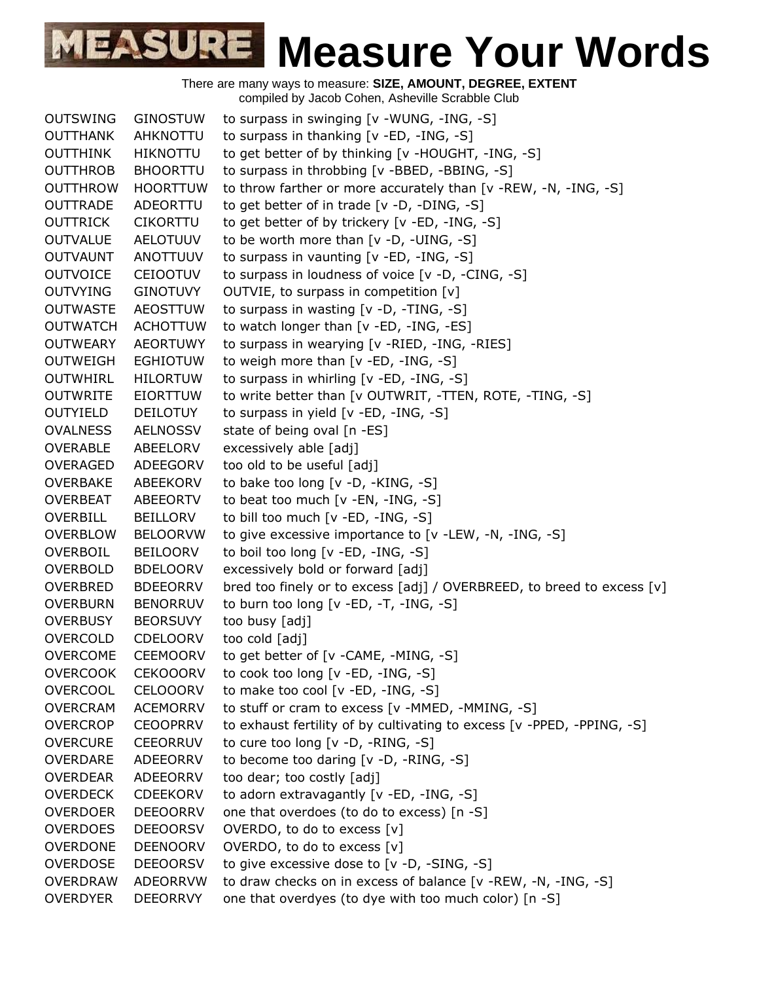| <b>OUTSWING</b> | <b>GINOSTUW</b> | to surpass in swinging [v -WUNG, -ING, -S]                             |
|-----------------|-----------------|------------------------------------------------------------------------|
| <b>OUTTHANK</b> | <b>AHKNOTTU</b> | to surpass in thanking [v -ED, -ING, -S]                               |
| <b>OUTTHINK</b> | <b>HIKNOTTU</b> | to get better of by thinking [v -HOUGHT, -ING, -S]                     |
| <b>OUTTHROB</b> | <b>BHOORTTU</b> | to surpass in throbbing [v -BBED, -BBING, -S]                          |
| <b>OUTTHROW</b> | <b>HOORTTUW</b> | to throw farther or more accurately than [v -REW, -N, -ING, -S]        |
| <b>OUTTRADE</b> | ADEORTTU        | to get better of in trade [v -D, -DING, -S]                            |
| OUTTRICK        | <b>CIKORTTU</b> | to get better of by trickery [v -ED, -ING, -S]                         |
| <b>OUTVALUE</b> | <b>AELOTUUV</b> | to be worth more than [v -D, -UING, -S]                                |
| <b>OUTVAUNT</b> | <b>ANOTTUUV</b> | to surpass in vaunting [v -ED, -ING, -S]                               |
| <b>OUTVOICE</b> | <b>CEIOOTUV</b> | to surpass in loudness of voice [v -D, -CING, -S]                      |
| <b>OUTVYING</b> | <b>GINOTUVY</b> | OUTVIE, to surpass in competition [v]                                  |
| <b>OUTWASTE</b> | <b>AEOSTTUW</b> | to surpass in wasting [v -D, -TING, -S]                                |
| <b>OUTWATCH</b> | <b>ACHOTTUW</b> | to watch longer than [v -ED, -ING, -ES]                                |
| <b>OUTWEARY</b> | <b>AEORTUWY</b> | to surpass in wearying [v -RIED, -ING, -RIES]                          |
| <b>OUTWEIGH</b> | <b>EGHIOTUW</b> | to weigh more than [v -ED, -ING, -S]                                   |
| <b>OUTWHIRL</b> | <b>HILORTUW</b> | to surpass in whirling [v -ED, -ING, -S]                               |
| <b>OUTWRITE</b> | <b>EIORTTUW</b> | to write better than [v OUTWRIT, -TTEN, ROTE, -TING, -S]               |
| <b>OUTYIELD</b> | DEILOTUY        | to surpass in yield [v -ED, -ING, -S]                                  |
| <b>OVALNESS</b> | <b>AELNOSSV</b> | state of being oval [n -ES]                                            |
| <b>OVERABLE</b> | ABEELORV        | excessively able [adj]                                                 |
| <b>OVERAGED</b> | <b>ADEEGORV</b> | too old to be useful [adj]                                             |
| <b>OVERBAKE</b> | ABEEKORV        | to bake too long [v -D, -KING, -S]                                     |
| OVERBEAT        | <b>ABEEORTV</b> | to beat too much [v -EN, -ING, -S]                                     |
| <b>OVERBILL</b> | <b>BEILLORV</b> | to bill too much [v -ED, -ING, -S]                                     |
| <b>OVERBLOW</b> | <b>BELOORVW</b> | to give excessive importance to [v -LEW, -N, -ING, -S]                 |
| OVERBOIL        | <b>BEILOORV</b> | to boil too long [v -ED, -ING, -S]                                     |
| <b>OVERBOLD</b> | <b>BDELOORV</b> | excessively bold or forward [adj]                                      |
| <b>OVERBRED</b> | <b>BDEEORRV</b> | bred too finely or to excess [adj] / OVERBREED, to breed to excess [v] |
| <b>OVERBURN</b> | <b>BENORRUV</b> | to burn too long [v -ED, -T, -ING, -S]                                 |
| <b>OVERBUSY</b> | <b>BEORSUVY</b> | too busy [adj]                                                         |
| <b>OVERCOLD</b> | <b>CDELOORV</b> | too cold [adj]                                                         |
| <b>OVERCOME</b> | <b>CEEMOORV</b> | to get better of [v -CAME, -MING, -S]                                  |
| <b>OVERCOOK</b> | <b>CEKOOORV</b> | to cook too long $[v - ED, -ING, -S]$                                  |
| <b>OVERCOOL</b> | <b>CELOOORV</b> | to make too cool [v -ED, -ING, -S]                                     |
| <b>OVERCRAM</b> | <b>ACEMORRV</b> | to stuff or cram to excess [v -MMED, -MMING, -S]                       |
| <b>OVERCROP</b> | <b>CEOOPRRV</b> | to exhaust fertility of by cultivating to excess [v -PPED, -PPING, -S] |
| <b>OVERCURE</b> | CEEORRUV        | to cure too long [v -D, -RING, -S]                                     |
| OVERDARE        | ADEEORRV        | to become too daring [v -D, -RING, -S]                                 |
| <b>OVERDEAR</b> | ADEEORRV        | too dear; too costly [adj]                                             |
| <b>OVERDECK</b> | <b>CDEEKORV</b> | to adorn extravagantly [v -ED, -ING, -S]                               |
| <b>OVERDOER</b> | <b>DEEOORRV</b> | one that overdoes (to do to excess) [n -S]                             |
| <b>OVERDOES</b> | <b>DEEOORSV</b> | OVERDO, to do to excess [v]                                            |
| <b>OVERDONE</b> | <b>DEENOORV</b> | OVERDO, to do to excess [v]                                            |
| <b>OVERDOSE</b> | <b>DEEOORSV</b> | to give excessive dose to [v -D, -SING, -S]                            |
| <b>OVERDRAW</b> | <b>ADEORRVW</b> | to draw checks on in excess of balance [v -REW, -N, -ING, -S]          |
| <b>OVERDYER</b> | <b>DEEORRVY</b> | one that overdyes (to dye with too much color) [n -S]                  |
|                 |                 |                                                                        |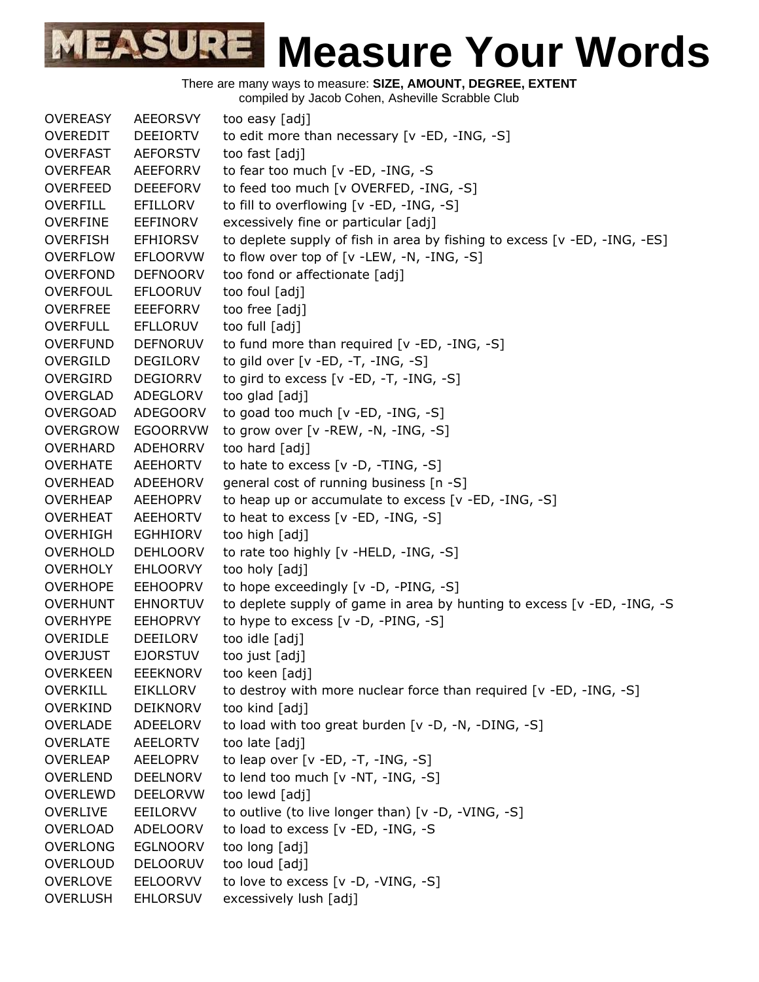

There are many ways to measure: **SIZE, AMOUNT, DEGREE, EXTENT** compiled by Jacob Cohen, Asheville Scrabble Club OVEREASY AEEORSVY too easy [adj] OVEREDIT DEEIORTV to edit more than necessary [v -ED, -ING, -S] OVERFAST AEFORSTV too fast [adj] OVERFEAR AEEFORRV to fear too much [v -ED, -ING, -S OVERFEED DEEEFORV to feed too much [v OVERFED, -ING, -S] OVERFILL EFILLORV to fill to overflowing [v -ED, -ING, -S] OVERFINE EEFINORV excessively fine or particular [adj] OVERFISH EFHIORSV to deplete supply of fish in area by fishing to excess [v -ED, -ING, -ES] OVERFLOW EFLOORVW to flow over top of [v -LEW, -N, -ING, -S] OVERFOND DEFNOORV too fond or affectionate [adj] OVERFOUL EFLOORUV too foul [adj] OVERFREE EEEFORRV too free [adj] OVERFULL EFLLORUV too full [adj] OVERFUND DEFNORUV to fund more than required [v -ED, -ING, -S] OVERGILD DEGILORV to gild over [v -ED, -T, -ING, -S] OVERGIRD DEGIORRV to gird to excess [v -ED, -T, -ING, -S] OVERGLAD ADEGLORV too glad [adj] OVERGOAD ADEGOORV to goad too much [v -ED, -ING, -S] OVERGROW EGOORRVW to grow over [v -REW, -N, -ING, -S] OVERHARD ADEHORRV too hard [adj] OVERHATE AEEHORTV to hate to excess [v -D, -TING, -S] OVERHEAD ADEEHORV general cost of running business [n -S] OVERHEAP AEEHOPRV to heap up or accumulate to excess [v -ED, -ING, -S] OVERHEAT AEEHORTV to heat to excess [v -ED, -ING, -S] OVERHIGH EGHHIORV too high [adj] OVERHOLD DEHLOORV to rate too highly [v -HELD, -ING, -S] OVERHOLY EHLOORVY too holy [adj] OVERHOPE EEHOOPRV to hope exceedingly [v -D, -PING, -S] OVERHUNT EHNORTUV to deplete supply of game in area by hunting to excess [v -ED, -ING, -S OVERHYPE EEHOPRVY to hype to excess [v -D, -PING, -S] OVERIDLE DEEILORV too idle [adj] OVERJUST EJORSTUV too just [adj] OVERKEEN EEEKNORV too keen [adj] OVERKILL EIKLLORV to destroy with more nuclear force than required [v -ED, -ING, -S] OVERKIND DEIKNORV too kind [adj] OVERLADE ADEELORV to load with too great burden [v -D, -N, -DING, -S] OVERLATE AEELORTV too late [adj] OVERLEAP AEELOPRV to leap over [v -ED, -T, -ING, -S] OVERLEND DEELNORV to lend too much [v -NT, -ING, -S] OVERLEWD DEELORVW too lewd [adj] OVERLIVE EEILORVV to outlive (to live longer than) [v -D, -VING, -S] OVERLOAD ADELOORV to load to excess [v -ED, -ING, -S OVERLONG EGLNOORV too long [adj] OVERLOUD DELOORUV too loud [adj] OVERLOVE EELOORVV to love to excess [v -D, -VING, -S] OVERLUSH EHLORSUV excessively lush [adj]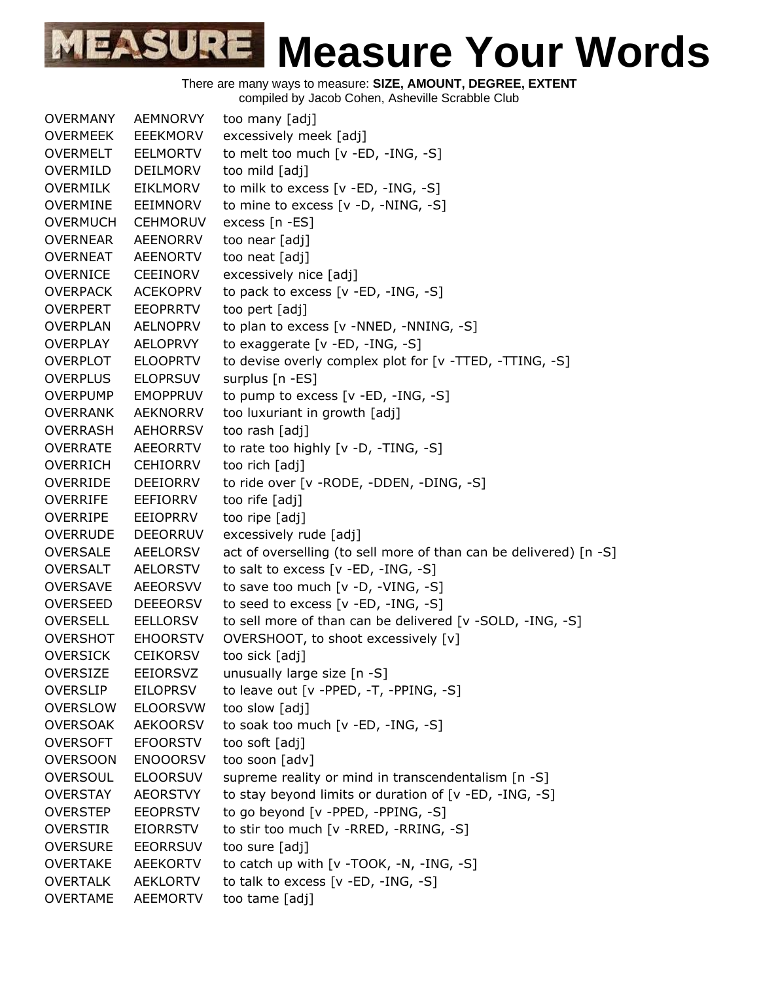

There are many ways to measure: **SIZE, AMOUNT, DEGREE, EXTENT**

compiled by Jacob Cohen, Asheville Scrabble Club

| <b>OVERMANY</b> | <b>AEMNORVY</b> | too many [adj]                                                    |
|-----------------|-----------------|-------------------------------------------------------------------|
| <b>OVERMEEK</b> | <b>EEEKMORV</b> | excessively meek [adj]                                            |
| <b>OVERMELT</b> | <b>EELMORTV</b> | to melt too much [v -ED, -ING, -S]                                |
| OVERMILD        | <b>DEILMORV</b> | too mild [adj]                                                    |
| <b>OVERMILK</b> | EIKLMORV        | to milk to excess [v -ED, -ING, -S]                               |
| <b>OVERMINE</b> | <b>EEIMNORV</b> | to mine to excess [v -D, -NING, -S]                               |
| <b>OVERMUCH</b> | <b>CEHMORUV</b> | excess [n -ES]                                                    |
| <b>OVERNEAR</b> | <b>AEENORRV</b> | too near [adj]                                                    |
| <b>OVERNEAT</b> | <b>AEENORTV</b> | too neat [adj]                                                    |
| <b>OVERNICE</b> | <b>CEEINORV</b> | excessively nice [adj]                                            |
| <b>OVERPACK</b> | <b>ACEKOPRV</b> | to pack to excess [v -ED, -ING, -S]                               |
| <b>OVERPERT</b> | <b>EEOPRRTV</b> | too pert [adj]                                                    |
| <b>OVERPLAN</b> | <b>AELNOPRV</b> | to plan to excess [v -NNED, -NNING, -S]                           |
| <b>OVERPLAY</b> | <b>AELOPRVY</b> | to exaggerate [v -ED, -ING, -S]                                   |
| <b>OVERPLOT</b> | <b>ELOOPRTV</b> | to devise overly complex plot for [v -TTED, -TTING, -S]           |
| <b>OVERPLUS</b> | <b>ELOPRSUV</b> | surplus [n -ES]                                                   |
| <b>OVERPUMP</b> | <b>EMOPPRUV</b> | to pump to excess $[v - ED, -ING, -S]$                            |
| <b>OVERRANK</b> | <b>AEKNORRV</b> | too luxuriant in growth [adj]                                     |
| <b>OVERRASH</b> | <b>AEHORRSV</b> | too rash [adj]                                                    |
| <b>OVERRATE</b> | <b>AEEORRTV</b> | to rate too highly [v -D, -TING, -S]                              |
| <b>OVERRICH</b> | <b>CEHIORRV</b> | too rich [adj]                                                    |
| <b>OVERRIDE</b> | <b>DEEIORRV</b> | to ride over [v - RODE, - DDEN, - DING, -S]                       |
| <b>OVERRIFE</b> | EEFIORRV        | too rife [adj]                                                    |
| <b>OVERRIPE</b> | <b>EEIOPRRV</b> | too ripe [adj]                                                    |
| <b>OVERRUDE</b> | <b>DEEORRUV</b> | excessively rude [adj]                                            |
| <b>OVERSALE</b> | AEELORSV        | act of overselling (to sell more of than can be delivered) [n -S] |
| <b>OVERSALT</b> | AELORSTV        | to salt to excess [v -ED, -ING, -S]                               |
| <b>OVERSAVE</b> | <b>AEEORSVV</b> | to save too much [v -D, -VING, -S]                                |
| <b>OVERSEED</b> | <b>DEEEORSV</b> | to seed to excess [v -ED, -ING, -S]                               |
| <b>OVERSELL</b> | <b>EELLORSV</b> | to sell more of than can be delivered [v -SOLD, -ING, -S]         |
| <b>OVERSHOT</b> | <b>EHOORSTV</b> | OVERSHOOT, to shoot excessively [v]                               |
| <b>OVERSICK</b> | <b>CEIKORSV</b> | too sick [adj]                                                    |
| <b>OVERSIZE</b> | EEIORSVZ        | unusually large size [n -S]                                       |
| <b>OVERSLIP</b> | <b>EILOPRSV</b> | to leave out $[v - PPED, -T, -PPING, -S]$                         |
| <b>OVERSLOW</b> | <b>ELOORSVW</b> | too slow [adj]                                                    |
| <b>OVERSOAK</b> | <b>AEKOORSV</b> | to soak too much [v -ED, -ING, -S]                                |
| <b>OVERSOFT</b> | <b>EFOORSTV</b> | too soft [adj]                                                    |
| <b>OVERSOON</b> | <b>ENOOORSV</b> | too soon [adv]                                                    |
| <b>OVERSOUL</b> | <b>ELOORSUV</b> | supreme reality or mind in transcendentalism [n -S]               |
| <b>OVERSTAY</b> | <b>AEORSTVY</b> | to stay beyond limits or duration of [v -ED, -ING, -S]            |
| <b>OVERSTEP</b> | <b>EEOPRSTV</b> | to go beyond [v -PPED, -PPING, -S]                                |
| <b>OVERSTIR</b> | <b>EIORRSTV</b> | to stir too much [v -RRED, -RRING, -S]                            |
| <b>OVERSURE</b> | <b>EEORRSUV</b> | too sure [adj]                                                    |
| <b>OVERTAKE</b> | <b>AEEKORTV</b> | to catch up with $[v -TOOK, -N, -ING, -S]$                        |
| <b>OVERTALK</b> | <b>AEKLORTV</b> | to talk to excess [v -ED, -ING, -S]                               |
| <b>OVERTAME</b> | <b>AEEMORTV</b> | too tame [adj]                                                    |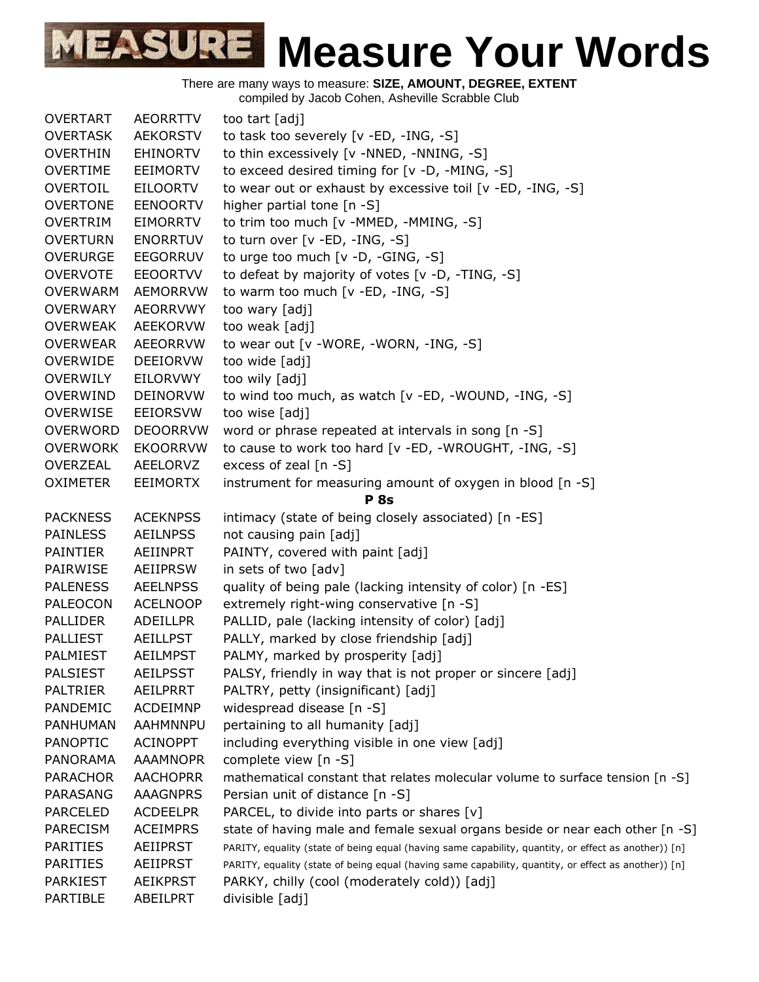| <b>OVERTART</b> | <b>AEORRTTV</b> | too tart [adj]                                                                                       |
|-----------------|-----------------|------------------------------------------------------------------------------------------------------|
| <b>OVERTASK</b> | <b>AEKORSTV</b> | to task too severely [v -ED, -ING, -S]                                                               |
| <b>OVERTHIN</b> | <b>EHINORTV</b> | to thin excessively [v -NNED, -NNING, -S]                                                            |
| <b>OVERTIME</b> | <b>EEIMORTV</b> | to exceed desired timing for [v -D, -MING, -S]                                                       |
| OVERTOIL        | <b>EILOORTV</b> | to wear out or exhaust by excessive toil [v -ED, -ING, -S]                                           |
| <b>OVERTONE</b> | <b>EENOORTV</b> | higher partial tone [n -S]                                                                           |
| <b>OVERTRIM</b> | EIMORRTV        | to trim too much [v -MMED, -MMING, -S]                                                               |
| <b>OVERTURN</b> | <b>ENORRTUV</b> | to turn over [v -ED, -ING, -S]                                                                       |
| <b>OVERURGE</b> | <b>EEGORRUV</b> | to urge too much [v -D, -GING, -S]                                                                   |
| <b>OVERVOTE</b> | <b>EEOORTVV</b> | to defeat by majority of votes [v -D, -TING, -S]                                                     |
| <b>OVERWARM</b> | <b>AEMORRVW</b> | to warm too much [v -ED, -ING, -S]                                                                   |
| <b>OVERWARY</b> | <b>AEORRVWY</b> | too wary [adj]                                                                                       |
| <b>OVERWEAK</b> | AEEKORVW        | too weak [adj]                                                                                       |
| <b>OVERWEAR</b> | <b>AEEORRVW</b> | to wear out [v -WORE, -WORN, -ING, -S]                                                               |
| <b>OVERWIDE</b> | DEEIORVW        | too wide [adj]                                                                                       |
| OVERWILY        | EILORVWY        | too wily [adj]                                                                                       |
| <b>OVERWIND</b> | <b>DEINORVW</b> | to wind too much, as watch [v -ED, -WOUND, -ING, -S]                                                 |
| <b>OVERWISE</b> | EEIORSVW        | too wise [adj]                                                                                       |
| <b>OVERWORD</b> | <b>DEOORRVW</b> | word or phrase repeated at intervals in song [n -S]                                                  |
| <b>OVERWORK</b> | <b>EKOORRVW</b> | to cause to work too hard [v -ED, -WROUGHT, -ING, -S]                                                |
| OVERZEAL        | AEELORVZ        | excess of zeal $[n - S]$                                                                             |
| <b>OXIMETER</b> | <b>EEIMORTX</b> | instrument for measuring amount of oxygen in blood [n -S]                                            |
|                 |                 | <b>P</b> 8s                                                                                          |
| <b>PACKNESS</b> | <b>ACEKNPSS</b> | intimacy (state of being closely associated) [n -ES]                                                 |
| <b>PAINLESS</b> | <b>AEILNPSS</b> | not causing pain [adj]                                                                               |
| <b>PAINTIER</b> | AEIINPRT        | PAINTY, covered with paint [adj]                                                                     |
| PAIRWISE        | AEIIPRSW        | in sets of two [adv]                                                                                 |
| <b>PALENESS</b> | <b>AEELNPSS</b> | quality of being pale (lacking intensity of color) [n -ES]                                           |
| <b>PALEOCON</b> | <b>ACELNOOP</b> | extremely right-wing conservative [n -S]                                                             |
| <b>PALLIDER</b> | ADEILLPR        | PALLID, pale (lacking intensity of color) [adj]                                                      |
| <b>PALLIEST</b> | <b>AEILLPST</b> | PALLY, marked by close friendship [adj]                                                              |
| <b>PALMIEST</b> | <b>AEILMPST</b> | PALMY, marked by prosperity [adj]                                                                    |
| <b>PALSIEST</b> | <b>AEILPSST</b> | PALSY, friendly in way that is not proper or sincere [adj]                                           |
| <b>PALTRIER</b> | <b>AEILPRRT</b> | PALTRY, petty (insignificant) [adj]                                                                  |
| PANDEMIC        | <b>ACDEIMNP</b> | widespread disease [n -S]                                                                            |
| PANHUMAN        | AAHMNNPU        | pertaining to all humanity [adj]                                                                     |
| <b>PANOPTIC</b> | <b>ACINOPPT</b> | including everything visible in one view [adj]                                                       |
| <b>PANORAMA</b> | <b>AAAMNOPR</b> | complete view [n -S]                                                                                 |
| <b>PARACHOR</b> | <b>AACHOPRR</b> | mathematical constant that relates molecular volume to surface tension [n -S]                        |
| <b>PARASANG</b> | <b>AAAGNPRS</b> | Persian unit of distance [n -S]                                                                      |
| <b>PARCELED</b> | <b>ACDEELPR</b> | PARCEL, to divide into parts or shares [v]                                                           |
| PARECISM        | <b>ACEIMPRS</b> | state of having male and female sexual organs beside or near each other [n -S]                       |
| <b>PARITIES</b> | <b>AEIIPRST</b> | PARITY, equality (state of being equal (having same capability, quantity, or effect as another)) [n] |
| PARITIES        | AEIIPRST        | PARITY, equality (state of being equal (having same capability, quantity, or effect as another)) [n] |
| <b>PARKIEST</b> | <b>AEIKPRST</b> | PARKY, chilly (cool (moderately cold)) [adj]                                                         |
| PARTIBLE        | ABEILPRT        | divisible [adj]                                                                                      |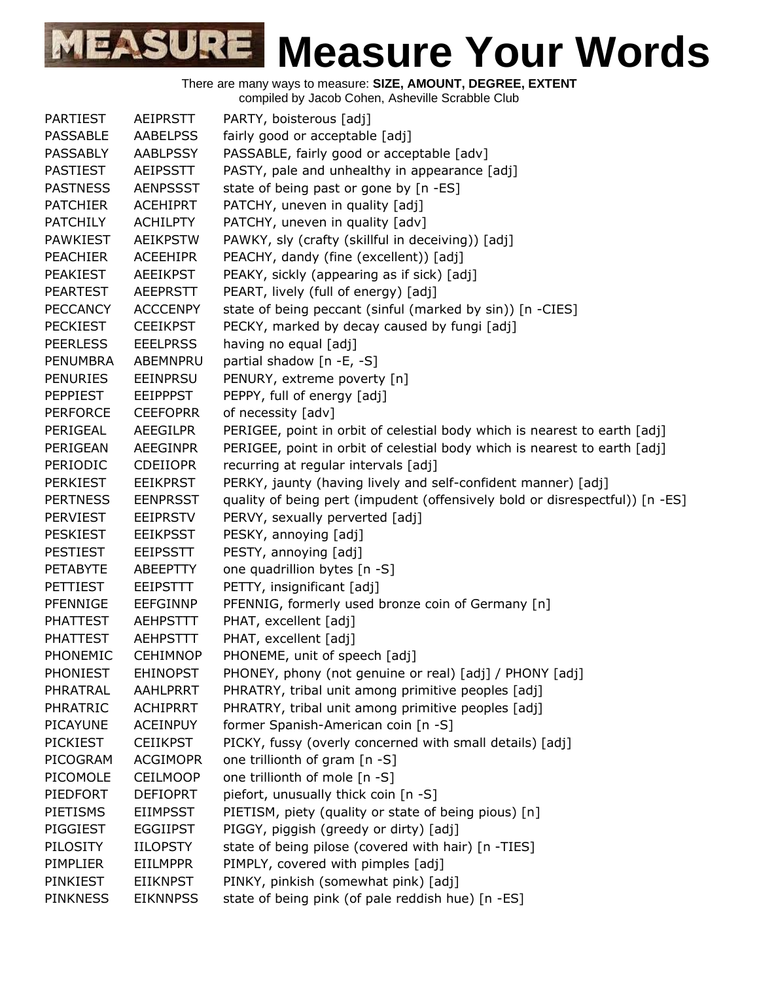There are many ways to measure: **SIZE, AMOUNT, DEGREE, EXTENT**

compiled by Jacob Cohen, Asheville Scrabble Club

| <b>PARTIEST</b> | AEIPRSTT        | PARTY, boisterous [adj]                                                      |
|-----------------|-----------------|------------------------------------------------------------------------------|
| <b>PASSABLE</b> | <b>AABELPSS</b> | fairly good or acceptable [adj]                                              |
| <b>PASSABLY</b> | AABLPSSY        | PASSABLE, fairly good or acceptable [adv]                                    |
| <b>PASTIEST</b> | <b>AEIPSSTT</b> | PASTY, pale and unhealthy in appearance [adj]                                |
| <b>PASTNESS</b> | <b>AENPSSST</b> | state of being past or gone by [n -ES]                                       |
| <b>PATCHIER</b> | <b>ACEHIPRT</b> | PATCHY, uneven in quality [adj]                                              |
| <b>PATCHILY</b> | <b>ACHILPTY</b> | PATCHY, uneven in quality [adv]                                              |
| <b>PAWKIEST</b> | <b>AEIKPSTW</b> | PAWKY, sly (crafty (skillful in deceiving)) [adj]                            |
| <b>PEACHIER</b> | <b>ACEEHIPR</b> | PEACHY, dandy (fine (excellent)) [adj]                                       |
| <b>PEAKIEST</b> | <b>AEEIKPST</b> | PEAKY, sickly (appearing as if sick) [adj]                                   |
| <b>PEARTEST</b> | <b>AEEPRSTT</b> | PEART, lively (full of energy) [adj]                                         |
| <b>PECCANCY</b> | <b>ACCCENPY</b> | state of being peccant (sinful (marked by sin)) [n -CIES]                    |
| <b>PECKIEST</b> | <b>CEEIKPST</b> | PECKY, marked by decay caused by fungi [adj]                                 |
| <b>PEERLESS</b> | <b>EEELPRSS</b> | having no equal [adj]                                                        |
| <b>PENUMBRA</b> | ABEMNPRU        | partial shadow [n -E, -S]                                                    |
| <b>PENURIES</b> | <b>EEINPRSU</b> | PENURY, extreme poverty [n]                                                  |
| <b>PEPPIEST</b> | <b>EEIPPPST</b> | PEPPY, full of energy [adj]                                                  |
| <b>PERFORCE</b> | <b>CEEFOPRR</b> | of necessity [adv]                                                           |
| PERIGEAL        | <b>AEEGILPR</b> | PERIGEE, point in orbit of celestial body which is nearest to earth [adj]    |
| PERIGEAN        | <b>AEEGINPR</b> | PERIGEE, point in orbit of celestial body which is nearest to earth [adj]    |
| PERIODIC        | <b>CDEIIOPR</b> | recurring at regular intervals [adj]                                         |
| <b>PERKIEST</b> | <b>EEIKPRST</b> | PERKY, jaunty (having lively and self-confident manner) [adj]                |
| <b>PERTNESS</b> | <b>EENPRSST</b> | quality of being pert (impudent (offensively bold or disrespectful)) [n -ES] |
| <b>PERVIEST</b> | <b>EEIPRSTV</b> | PERVY, sexually perverted [adj]                                              |
| <b>PESKIEST</b> | <b>EEIKPSST</b> | PESKY, annoying [adj]                                                        |
| <b>PESTIEST</b> | <b>EEIPSSTT</b> | PESTY, annoying [adj]                                                        |
| <b>PETABYTE</b> | ABEEPTTY        | one quadrillion bytes [n -S]                                                 |
| <b>PETTIEST</b> | <b>EEIPSTTT</b> | PETTY, insignificant [adj]                                                   |
| PFENNIGE        | <b>EEFGINNP</b> | PFENNIG, formerly used bronze coin of Germany [n]                            |
| <b>PHATTEST</b> | <b>AEHPSTTT</b> | PHAT, excellent [adj]                                                        |
| <b>PHATTEST</b> | <b>AEHPSTTT</b> | PHAT, excellent [adj]                                                        |
| PHONEMIC        | <b>CEHIMNOP</b> | PHONEME, unit of speech [adj]                                                |
| <b>PHONIEST</b> | <b>EHINOPST</b> | PHONEY, phony (not genuine or real) [adj] / PHONY [adj]                      |
| PHRATRAL        | AAHLPRRT        | PHRATRY, tribal unit among primitive peoples [adj]                           |
| PHRATRIC        | <b>ACHIPRRT</b> | PHRATRY, tribal unit among primitive peoples [adj]                           |
| <b>PICAYUNE</b> | <b>ACEINPUY</b> | former Spanish-American coin [n -S]                                          |
| <b>PICKIEST</b> | <b>CEIIKPST</b> | PICKY, fussy (overly concerned with small details) [adj]                     |
| PICOGRAM        | <b>ACGIMOPR</b> | one trillionth of gram [n -S]                                                |
| PICOMOLE        | <b>CEILMOOP</b> | one trillionth of mole [n -S]                                                |
| PIEDFORT        | <b>DEFIOPRT</b> | piefort, unusually thick coin [n -S]                                         |
| PIETISMS        | <b>EIIMPSST</b> | PIETISM, piety (quality or state of being pious) [n]                         |
| PIGGIEST        | <b>EGGIIPST</b> | PIGGY, piggish (greedy or dirty) [adj]                                       |
| PILOSITY        | <b>IILOPSTY</b> | state of being pilose (covered with hair) [n -TIES]                          |
| PIMPLIER        | <b>EIILMPPR</b> | PIMPLY, covered with pimples [adj]                                           |
| PINKIEST        | <b>EIIKNPST</b> | PINKY, pinkish (somewhat pink) [adj]                                         |
| <b>PINKNESS</b> | <b>EIKNNPSS</b> | state of being pink (of pale reddish hue) [n -ES]                            |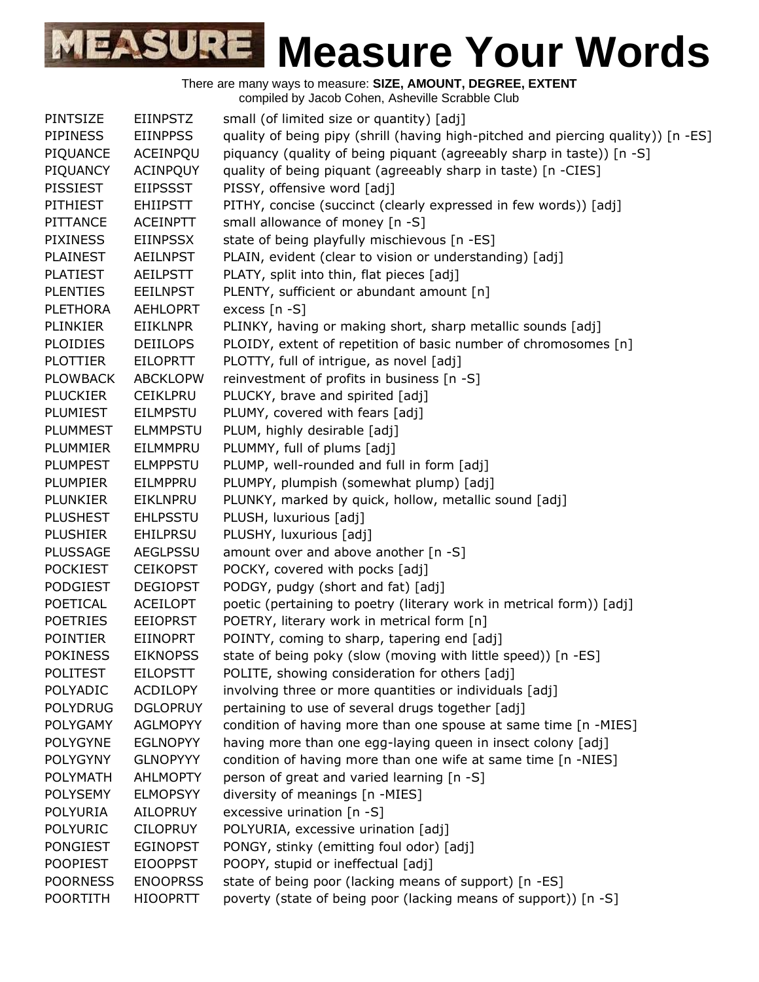| <b>PINTSIZE</b>                                                                | small (of limited size or quantity) [adj]                                         |
|--------------------------------------------------------------------------------|-----------------------------------------------------------------------------------|
| <b>EIINPSTZ</b><br><b>PIPINESS</b><br><b>EIINPPSS</b>                          | quality of being pipy (shrill (having high-pitched and piercing quality)) [n -ES] |
| PIQUANCE<br>ACEINPQU                                                           | piquancy (quality of being piquant (agreeably sharp in taste)) [n -S]             |
| <b>ACINPQUY</b><br>PIQUANCY                                                    | quality of being piquant (agreeably sharp in taste) [n -CIES]                     |
| <b>PISSIEST</b><br><b>EIIPSSST</b><br>PISSY, offensive word [adj]              |                                                                                   |
| <b>PITHIEST</b><br><b>EHIIPSTT</b>                                             | PITHY, concise (succinct (clearly expressed in few words)) [adj]                  |
| small allowance of money [n -S]<br>PITTANCE<br><b>ACEINPTT</b>                 |                                                                                   |
| <b>PIXINESS</b><br><b>EIINPSSX</b>                                             |                                                                                   |
| <b>PLAINEST</b>                                                                | state of being playfully mischievous [n -ES]                                      |
| <b>AEILNPST</b><br><b>PLATIEST</b>                                             | PLAIN, evident (clear to vision or understanding) [adj]                           |
| PLATY, split into thin, flat pieces [adj]<br><b>AEILPSTT</b>                   |                                                                                   |
| <b>PLENTIES</b><br><b>EEILNPST</b>                                             | PLENTY, sufficient or abundant amount [n]                                         |
| excess $[n - S]$<br><b>PLETHORA</b><br><b>AEHLOPRT</b>                         |                                                                                   |
| <b>PLINKIER</b><br><b>EIIKLNPR</b>                                             | PLINKY, having or making short, sharp metallic sounds [adj]                       |
| <b>PLOIDIES</b><br><b>DEIILOPS</b>                                             | PLOIDY, extent of repetition of basic number of chromosomes [n]                   |
| PLOTTY, full of intrigue, as novel [adj]<br><b>PLOTTIER</b><br><b>EILOPRTT</b> |                                                                                   |
| <b>ABCKLOPW</b><br><b>PLOWBACK</b>                                             | reinvestment of profits in business [n -S]                                        |
| PLUCKY, brave and spirited [adj]<br><b>PLUCKIER</b><br><b>CEIKLPRU</b>         |                                                                                   |
| PLUMY, covered with fears [adj]<br>PLUMIEST<br><b>EILMPSTU</b>                 |                                                                                   |
| PLUM, highly desirable [adj]<br><b>PLUMMEST</b><br><b>ELMMPSTU</b>             |                                                                                   |
| PLUMMY, full of plums [adj]<br><b>PLUMMIER</b><br>EILMMPRU                     |                                                                                   |
| <b>PLUMPEST</b><br><b>ELMPPSTU</b>                                             | PLUMP, well-rounded and full in form [adj]                                        |
| <b>PLUMPIER</b><br>EILMPPRU                                                    | PLUMPY, plumpish (somewhat plump) [adj]                                           |
| <b>PLUNKIER</b><br>EIKLNPRU                                                    | PLUNKY, marked by quick, hollow, metallic sound [adj]                             |
| PLUSH, luxurious [adj]<br><b>PLUSHEST</b><br><b>EHLPSSTU</b>                   |                                                                                   |
| PLUSHY, luxurious [adj]<br><b>PLUSHIER</b><br><b>EHILPRSU</b>                  |                                                                                   |
| amount over and above another [n -S]<br><b>PLUSSAGE</b><br>AEGLPSSU            |                                                                                   |
| POCKY, covered with pocks [adj]<br><b>POCKIEST</b><br><b>CEIKOPST</b>          |                                                                                   |
| <b>PODGIEST</b><br><b>DEGIOPST</b><br>PODGY, pudgy (short and fat) [adj]       |                                                                                   |
| POETICAL<br><b>ACEILOPT</b>                                                    | poetic (pertaining to poetry (literary work in metrical form)) [adj]              |
| <b>POETRIES</b><br><b>EEIOPRST</b>                                             | POETRY, literary work in metrical form [n]                                        |
| <b>POINTIER</b><br><b>EIINOPRT</b>                                             | POINTY, coming to sharp, tapering end [adj]                                       |
| <b>POKINESS</b><br><b>EIKNOPSS</b>                                             | state of being poky (slow (moving with little speed)) [n -ES]                     |
| <b>EILOPSTT</b><br><b>POLITEST</b>                                             | POLITE, showing consideration for others [adj]                                    |
| POLYADIC<br><b>ACDILOPY</b>                                                    | involving three or more quantities or individuals [adj]                           |
| <b>POLYDRUG</b><br><b>DGLOPRUY</b>                                             | pertaining to use of several drugs together [adj]                                 |
| <b>POLYGAMY</b><br><b>AGLMOPYY</b>                                             | condition of having more than one spouse at same time [n -MIES]                   |
| <b>POLYGYNE</b><br><b>EGLNOPYY</b>                                             | having more than one egg-laying queen in insect colony [adj]                      |
| <b>POLYGYNY</b><br><b>GLNOPYYY</b>                                             | condition of having more than one wife at same time [n -NIES]                     |
| <b>AHLMOPTY</b><br><b>POLYMATH</b>                                             | person of great and varied learning [n -S]                                        |
| <b>POLYSEMY</b><br><b>ELMOPSYY</b><br>diversity of meanings [n -MIES]          |                                                                                   |
| excessive urination [n -S]<br><b>POLYURIA</b><br><b>AILOPRUY</b>               |                                                                                   |
| <b>POLYURIC</b><br><b>CILOPRUY</b><br>POLYURIA, excessive urination [adj]      |                                                                                   |
| <b>PONGIEST</b><br><b>EGINOPST</b>                                             | PONGY, stinky (emitting foul odor) [adj]                                          |
| <b>POOPIEST</b><br><b>EIOOPPST</b><br>POOPY, stupid or ineffectual [adj]       |                                                                                   |
| <b>POORNESS</b><br><b>ENOOPRSS</b>                                             | state of being poor (lacking means of support) [n -ES]                            |
| <b>POORTITH</b><br><b>HIOOPRTT</b>                                             | poverty (state of being poor (lacking means of support)) [n -S]                   |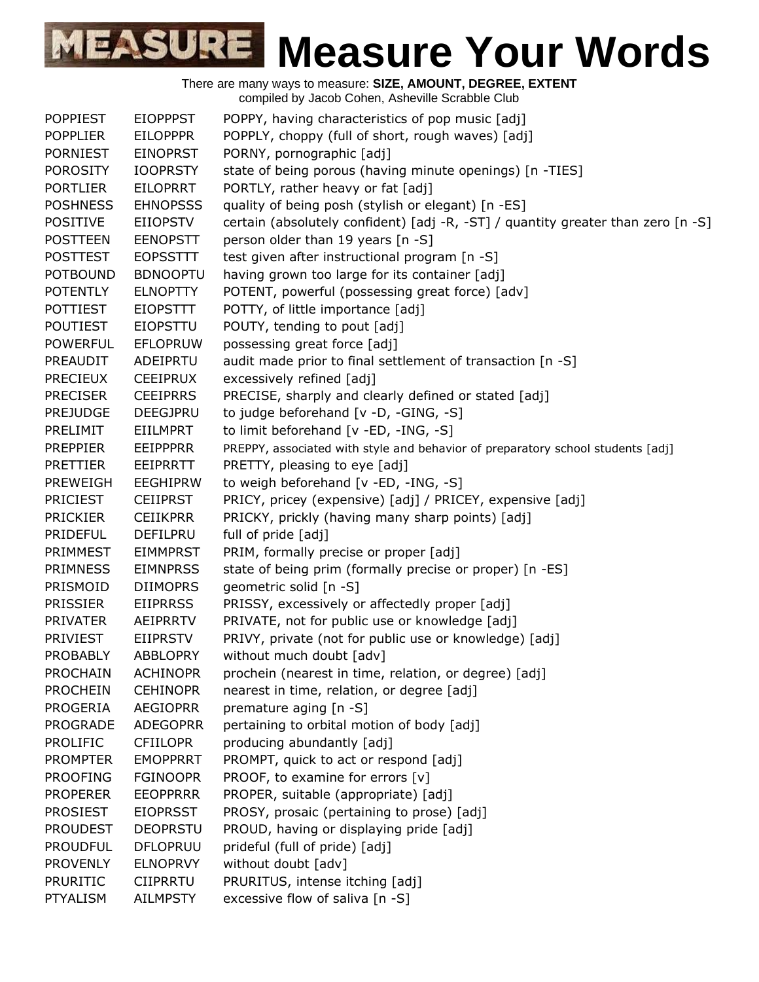There are many ways to measure: **SIZE, AMOUNT, DEGREE, EXTENT** compiled by Jacob Cohen, Asheville Scrabble Club POPPIEST EIOPPPST POPPY, having characteristics of pop music [adj] POPPLIER EILOPPPR POPPLY, choppy (full of short, rough waves) [adj] PORNIEST EINOPRST PORNY, pornographic [adj] POROSITY IOOPRSTY state of being porous (having minute openings) [n -TIES] PORTLIER EILOPRRT PORTLY, rather heavy or fat [adj] POSHNESS EHNOPSSS quality of being posh (stylish or elegant) [n -ES] POSITIVE EIIOPSTV certain (absolutely confident) [adj -R, -ST] / quantity greater than zero [n -S] POSTTEEN EENOPSTT person older than 19 years [n -S] POSTTEST EOPSSTTT test given after instructional program [n -S] POTBOUND BDNOOPTU having grown too large for its container [adj] POTENTLY ELNOPTTY POTENT, powerful (possessing great force) [adv] POTTIEST EIOPSTTT POTTY, of little importance [adj] POUTIEST EIOPSTTU POUTY, tending to pout [adj] POWERFUL EFLOPRUW possessing great force [adj] PREAUDIT ADEIPRTU audit made prior to final settlement of transaction [n -S] PRECIEUX CEEIPRUX excessively refined [adj] PRECISER CEEIPRRS PRECISE, sharply and clearly defined or stated [adj] PREJUDGE DEEGJPRU to judge beforehand [v -D, -GING, -S] PRELIMIT EIILMPRT to limit beforehand [v -ED, -ING, -S] PREPPIER EEIPPPRR PREPPY, associated with style and behavior of preparatory school students [adj] PRETTIER EEIPRRTT PRETTY, pleasing to eye [adj] PREWEIGH EEGHIPRW to weigh beforehand [v -ED, -ING, -S] PRICIEST CEIIPRST PRICY, pricey (expensive) [adj] / PRICEY, expensive [adj] PRICKIER CEIIKPRR PRICKY, prickly (having many sharp points) [adj] PRIDEFUL DEFILPRU full of pride [adj] PRIMMEST EIMMPRST PRIM, formally precise or proper [adj] PRIMNESS EIMNPRSS state of being prim (formally precise or proper) [n -ES] PRISMOID DIIMOPRS geometric solid [n -S] PRISSIER EIIPRRSS PRISSY, excessively or affectedly proper [adj] PRIVATER AEIPRRTV PRIVATE, not for public use or knowledge [adj] PRIVIEST EIIPRSTV PRIVY, private (not for public use or knowledge) [adj] PROBABLY ABBLOPRY without much doubt [adv] PROCHAIN ACHINOPR prochein (nearest in time, relation, or degree) [adj] PROCHEIN CEHINOPR nearest in time, relation, or degree [adj] PROGERIA AEGIOPRR premature aging [n -S] PROGRADE ADEGOPRR pertaining to orbital motion of body [adj] PROLIFIC CFIILOPR producing abundantly [adj] PROMPTER EMOPPRRT PROMPT, quick to act or respond [adj] PROOFING FGINOOPR PROOF, to examine for errors [v] PROPERER EEOPPRRR PROPER, suitable (appropriate) [adj] PROSIEST EIOPRSST PROSY, prosaic (pertaining to prose) [adj] PROUDEST DEOPRSTU PROUD, having or displaying pride [adj] PROUDFUL DFLOPRUU prideful (full of pride) [adj] PROVENLY ELNOPRVY without doubt [adv] PRURITIC CIIPRRTU PRURITUS, intense itching [adj] PTYALISM AILMPSTY excessive flow of saliva [n -S]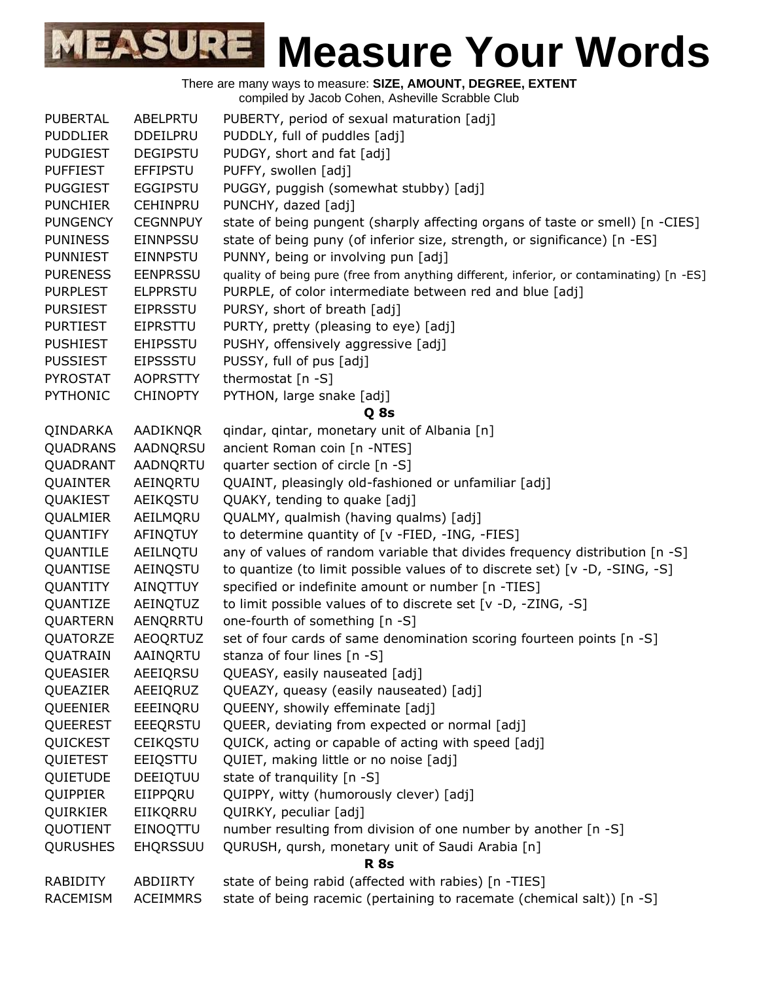| <b>PUBERTAL</b> | ABELPRTU        | PUBERTY, period of sexual maturation [adj]                                               |
|-----------------|-----------------|------------------------------------------------------------------------------------------|
| <b>PUDDLIER</b> | DDEILPRU        | PUDDLY, full of puddles [adj]                                                            |
| <b>PUDGIEST</b> | <b>DEGIPSTU</b> | PUDGY, short and fat [adj]                                                               |
| <b>PUFFIEST</b> | <b>EFFIPSTU</b> | PUFFY, swollen [adj]                                                                     |
| <b>PUGGIEST</b> | <b>EGGIPSTU</b> | PUGGY, puggish (somewhat stubby) [adj]                                                   |
| <b>PUNCHIER</b> | <b>CEHINPRU</b> | PUNCHY, dazed [adj]                                                                      |
| <b>PUNGENCY</b> | <b>CEGNNPUY</b> | state of being pungent (sharply affecting organs of taste or smell) [n -CIES]            |
| <b>PUNINESS</b> | <b>EINNPSSU</b> | state of being puny (of inferior size, strength, or significance) [n -ES]                |
| <b>PUNNIEST</b> | <b>EINNPSTU</b> | PUNNY, being or involving pun [adj]                                                      |
| <b>PURENESS</b> | <b>EENPRSSU</b> | quality of being pure (free from anything different, inferior, or contaminating) [n -ES] |
| <b>PURPLEST</b> | <b>ELPPRSTU</b> | PURPLE, of color intermediate between red and blue [adj]                                 |
| <b>PURSIEST</b> | <b>EIPRSSTU</b> | PURSY, short of breath [adj]                                                             |
| <b>PURTIEST</b> | <b>EIPRSTTU</b> | PURTY, pretty (pleasing to eye) [adj]                                                    |
| <b>PUSHIEST</b> | <b>EHIPSSTU</b> | PUSHY, offensively aggressive [adj]                                                      |
| <b>PUSSIEST</b> | <b>EIPSSSTU</b> | PUSSY, full of pus [adj]                                                                 |
| <b>PYROSTAT</b> | <b>AOPRSTTY</b> | thermostat $[n -S]$                                                                      |
| <b>PYTHONIC</b> | <b>CHINOPTY</b> | PYTHON, large snake [adj]                                                                |
|                 |                 | Q 8s                                                                                     |
| QINDARKA        | AADIKNQR        | qindar, qintar, monetary unit of Albania [n]                                             |
| <b>QUADRANS</b> | AADNQRSU        | ancient Roman coin [n -NTES]                                                             |
| QUADRANT        | AADNQRTU        | quarter section of circle [n -S]                                                         |
| QUAINTER        | AEINQRTU        | QUAINT, pleasingly old-fashioned or unfamiliar [adj]                                     |
| QUAKIEST        | AEIKQSTU        | QUAKY, tending to quake [adj]                                                            |
| QUALMIER        | AEILMQRU        | QUALMY, qualmish (having qualms) [adj]                                                   |
| QUANTIFY        | AFINQTUY        | to determine quantity of [v -FIED, -ING, -FIES]                                          |
| QUANTILE        | AEILNQTU        | any of values of random variable that divides frequency distribution [n -S]              |
| QUANTISE        | AEINQSTU        | to quantize (to limit possible values of to discrete set) [v -D, -SING, -S]              |
| QUANTITY        | AINQTTUY        | specified or indefinite amount or number [n -TIES]                                       |
| QUANTIZE        | AEINQTUZ        | to limit possible values of to discrete set [v -D, -ZING, -S]                            |
| QUARTERN        | AENQRRTU        | one-fourth of something [n -S]                                                           |
| QUATORZE        | <b>AEOQRTUZ</b> | set of four cards of same denomination scoring fourteen points [n -S]                    |
| QUATRAIN        | AAINQRTU        | stanza of four lines [n -S]                                                              |
| QUEASIER        | AEEIQRSU        | QUEASY, easily nauseated [adj]                                                           |
| QUEAZIER        | AEEIQRUZ        | QUEAZY, queasy (easily nauseated) [adj]                                                  |
| QUEENIER        | EEEINQRU        | QUEENY, showily effeminate [adj]                                                         |
| QUEEREST        | EEEQRSTU        | QUEER, deviating from expected or normal [adj]                                           |
| QUICKEST        | <b>CEIKQSTU</b> | QUICK, acting or capable of acting with speed [adj]                                      |
| QUIETEST        | EEIQSTTU        | QUIET, making little or no noise [adj]                                                   |
| QUIETUDE        | DEEIQTUU        | state of tranquility [n -S]                                                              |
| QUIPPIER        | EIIPPQRU        | QUIPPY, witty (humorously clever) [adj]                                                  |
| QUIRKIER        | EIIKQRRU        | QUIRKY, peculiar [adj]                                                                   |
| QUOTIENT        | EINOQTTU        | number resulting from division of one number by another [n -S]                           |
| <b>QURUSHES</b> | <b>EHQRSSUU</b> | QURUSH, qursh, monetary unit of Saudi Arabia [n]                                         |
|                 |                 | <b>R</b> 8s                                                                              |
| RABIDITY        | ABDIIRTY        | state of being rabid (affected with rabies) [n -TIES]                                    |
| <b>RACEMISM</b> | <b>ACEIMMRS</b> | state of being racemic (pertaining to racemate (chemical salt)) [n -S]                   |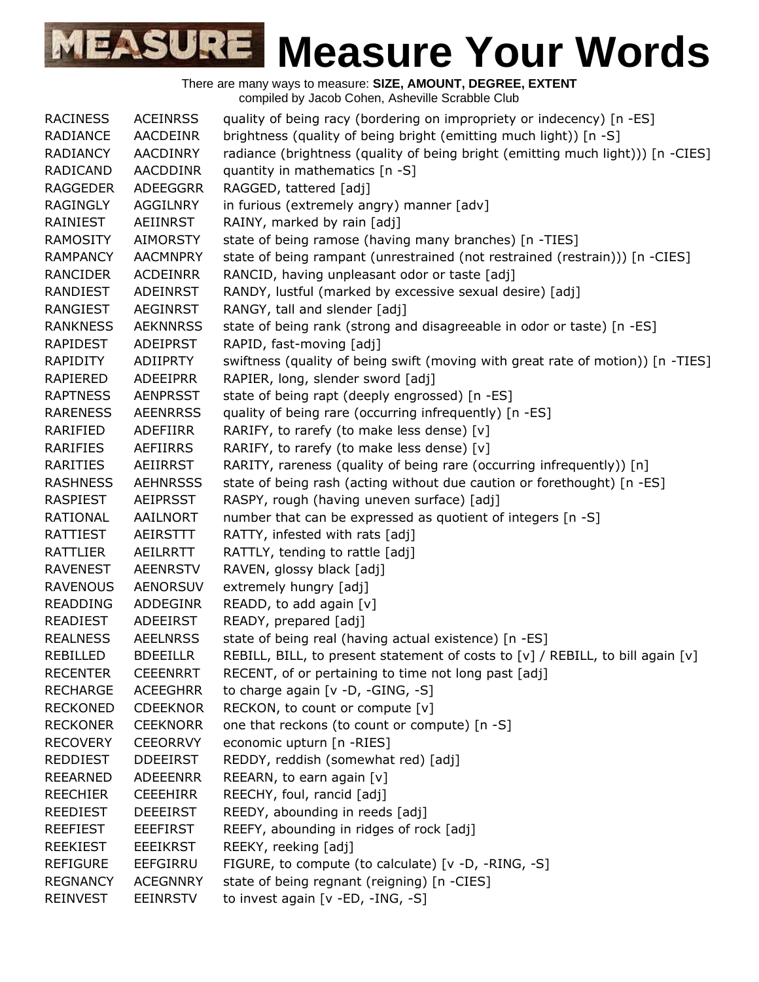| <b>RACINESS</b> | <b>ACEINRSS</b> | quality of being racy (bordering on impropriety or indecency) [n -ES]           |
|-----------------|-----------------|---------------------------------------------------------------------------------|
| RADIANCE        | <b>AACDEINR</b> | brightness (quality of being bright (emitting much light)) [n -S]               |
| RADIANCY        | AACDINRY        | radiance (brightness (quality of being bright (emitting much light))) [n -CIES] |
| <b>RADICAND</b> | <b>AACDDINR</b> | quantity in mathematics [n -S]                                                  |
| <b>RAGGEDER</b> | ADEEGGRR        | RAGGED, tattered [adj]                                                          |
| <b>RAGINGLY</b> | AGGILNRY        | in furious (extremely angry) manner [adv]                                       |
| RAINIEST        | AEIINRST        | RAINY, marked by rain [adj]                                                     |
| <b>RAMOSITY</b> | <b>AIMORSTY</b> | state of being ramose (having many branches) [n -TIES]                          |
| <b>RAMPANCY</b> | <b>AACMNPRY</b> | state of being rampant (unrestrained (not restrained (restrain))) [n -CIES]     |
| <b>RANCIDER</b> | <b>ACDEINRR</b> | RANCID, having unpleasant odor or taste [adj]                                   |
| <b>RANDIEST</b> | <b>ADEINRST</b> | RANDY, lustful (marked by excessive sexual desire) [adj]                        |
| RANGIEST        | <b>AEGINRST</b> | RANGY, tall and slender [adj]                                                   |
| <b>RANKNESS</b> | <b>AEKNNRSS</b> | state of being rank (strong and disagreeable in odor or taste) [n -ES]          |
| <b>RAPIDEST</b> | <b>ADEIPRST</b> | RAPID, fast-moving [adj]                                                        |
| RAPIDITY        | <b>ADIIPRTY</b> | swiftness (quality of being swift (moving with great rate of motion)) [n -TIES] |
| <b>RAPIERED</b> | <b>ADEEIPRR</b> | RAPIER, long, slender sword [adj]                                               |
| <b>RAPTNESS</b> | <b>AENPRSST</b> | state of being rapt (deeply engrossed) [n -ES]                                  |
| <b>RARENESS</b> | <b>AEENRRSS</b> | quality of being rare (occurring infrequently) [n -ES]                          |
| RARIFIED        | <b>ADEFIIRR</b> | RARIFY, to rarefy (to make less dense) [v]                                      |
| RARIFIES        | <b>AEFIIRRS</b> | RARIFY, to rarefy (to make less dense) [v]                                      |
| RARITIES        | AEIIRRST        | RARITY, rareness (quality of being rare (occurring infrequently)) [n]           |
| <b>RASHNESS</b> | <b>AEHNRSSS</b> | state of being rash (acting without due caution or forethought) [n -ES]         |
| <b>RASPIEST</b> | <b>AEIPRSST</b> | RASPY, rough (having uneven surface) [adj]                                      |
| <b>RATIONAL</b> | AAILNORT        | number that can be expressed as quotient of integers [n -S]                     |
| RATTIEST        | <b>AEIRSTTT</b> | RATTY, infested with rats [adj]                                                 |
| <b>RATTLIER</b> | AEILRRTT        | RATTLY, tending to rattle [adj]                                                 |
| <b>RAVENEST</b> | <b>AEENRSTV</b> | RAVEN, glossy black [adj]                                                       |
| <b>RAVENOUS</b> | <b>AENORSUV</b> | extremely hungry [adj]                                                          |
| <b>READDING</b> | ADDEGINR        | READD, to add again [v]                                                         |
| <b>READIEST</b> | ADEEIRST        | READY, prepared [adj]                                                           |
| <b>REALNESS</b> | <b>AEELNRSS</b> | state of being real (having actual existence) [n -ES]                           |
| REBILLED        | <b>BDEEILLR</b> | REBILL, BILL, to present statement of costs to [v] / REBILL, to bill again [v]  |
| <b>RECENTER</b> | <b>CEEENRRT</b> | RECENT, of or pertaining to time not long past [adj]                            |
| <b>RECHARGE</b> | <b>ACEEGHRR</b> | to charge again [v -D, -GING, -S]                                               |
| <b>RECKONED</b> | <b>CDEEKNOR</b> | RECKON, to count or compute [v]                                                 |
| <b>RECKONER</b> | <b>CEEKNORR</b> | one that reckons (to count or compute) [n -S]                                   |
| <b>RECOVERY</b> | <b>CEEORRVY</b> | economic upturn [n -RIES]                                                       |
| <b>REDDIEST</b> | <b>DDEEIRST</b> | REDDY, reddish (somewhat red) [adj]                                             |
| <b>REEARNED</b> | <b>ADEEENRR</b> | REEARN, to earn again [v]                                                       |
| <b>REECHIER</b> | <b>CEEEHIRR</b> | REECHY, foul, rancid [adj]                                                      |
| <b>REEDIEST</b> | <b>DEEEIRST</b> | REEDY, abounding in reeds [adj]                                                 |
| <b>REEFIEST</b> | EEEFIRST        | REEFY, abounding in ridges of rock [adj]                                        |
| <b>REEKIEST</b> | <b>EEEIKRST</b> | REEKY, reeking [adj]                                                            |
| <b>REFIGURE</b> | EEFGIRRU        | FIGURE, to compute (to calculate) [v -D, -RING, -S]                             |
| <b>REGNANCY</b> | <b>ACEGNNRY</b> | state of being regnant (reigning) [n -CIES]                                     |
| <b>REINVEST</b> | <b>EEINRSTV</b> | to invest again [v -ED, -ING, -S]                                               |
|                 |                 |                                                                                 |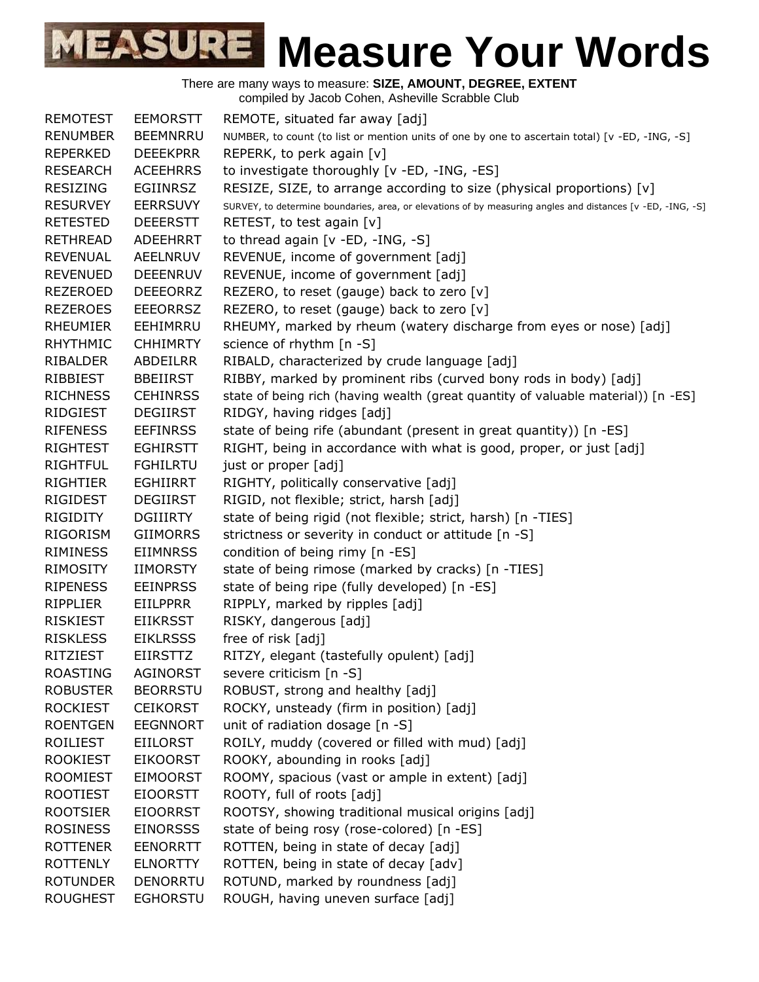| <b>REMOTEST</b> | <b>EEMORSTT</b> | REMOTE, situated far away [adj]                                                                             |
|-----------------|-----------------|-------------------------------------------------------------------------------------------------------------|
| <b>RENUMBER</b> | <b>BEEMNRRU</b> | NUMBER, to count (to list or mention units of one by one to ascertain total) [v -ED, -ING, -S]              |
| <b>REPERKED</b> | <b>DEEEKPRR</b> | REPERK, to perk again [v]                                                                                   |
| <b>RESEARCH</b> | <b>ACEEHRRS</b> | to investigate thoroughly [v -ED, -ING, -ES]                                                                |
| <b>RESIZING</b> | <b>EGIINRSZ</b> | RESIZE, SIZE, to arrange according to size (physical proportions) [v]                                       |
| <b>RESURVEY</b> | <b>EERRSUVY</b> | SURVEY, to determine boundaries, area, or elevations of by measuring angles and distances [v -ED, -ING, -S] |
| <b>RETESTED</b> | <b>DEEERSTT</b> | RETEST, to test again [v]                                                                                   |
| <b>RETHREAD</b> | <b>ADEEHRRT</b> | to thread again [v -ED, -ING, -S]                                                                           |
| <b>REVENUAL</b> | AEELNRUV        | REVENUE, income of government [adj]                                                                         |
| <b>REVENUED</b> | <b>DEEENRUV</b> | REVENUE, income of government [adj]                                                                         |
| <b>REZEROED</b> | <b>DEEEORRZ</b> | REZERO, to reset (gauge) back to zero [v]                                                                   |
| <b>REZEROES</b> | <b>EEEORRSZ</b> | REZERO, to reset (gauge) back to zero [v]                                                                   |
| <b>RHEUMIER</b> | EEHIMRRU        | RHEUMY, marked by rheum (watery discharge from eyes or nose) [adj]                                          |
| <b>RHYTHMIC</b> | <b>CHHIMRTY</b> | science of rhythm [n -S]                                                                                    |
| RIBALDER        | <b>ABDEILRR</b> | RIBALD, characterized by crude language [adj]                                                               |
| RIBBIEST        | <b>BBEIIRST</b> | RIBBY, marked by prominent ribs (curved bony rods in body) [adj]                                            |
| <b>RICHNESS</b> | <b>CEHINRSS</b> | state of being rich (having wealth (great quantity of valuable material)) [n -ES]                           |
| RIDGIEST        | <b>DEGIIRST</b> | RIDGY, having ridges [adj]                                                                                  |
| <b>RIFENESS</b> | <b>EEFINRSS</b> | state of being rife (abundant (present in great quantity)) [n -ES]                                          |
| <b>RIGHTEST</b> | <b>EGHIRSTT</b> | RIGHT, being in accordance with what is good, proper, or just [adj]                                         |
| <b>RIGHTFUL</b> | <b>FGHILRTU</b> | just or proper [adj]                                                                                        |
| <b>RIGHTIER</b> | <b>EGHIIRRT</b> | RIGHTY, politically conservative [adj]                                                                      |
| <b>RIGIDEST</b> | <b>DEGIIRST</b> | RIGID, not flexible; strict, harsh [adj]                                                                    |
| <b>RIGIDITY</b> | <b>DGIIIRTY</b> | state of being rigid (not flexible; strict, harsh) [n -TIES]                                                |
| RIGORISM        | <b>GIIMORRS</b> | strictness or severity in conduct or attitude [n -S]                                                        |
| <b>RIMINESS</b> | <b>EIIMNRSS</b> | condition of being rimy [n -ES]                                                                             |
| RIMOSITY        | <b>IIMORSTY</b> | state of being rimose (marked by cracks) [n -TIES]                                                          |
| <b>RIPENESS</b> | <b>EEINPRSS</b> | state of being ripe (fully developed) [n -ES]                                                               |
| <b>RIPPLIER</b> | <b>EIILPPRR</b> | RIPPLY, marked by ripples [adj]                                                                             |
| <b>RISKIEST</b> | <b>EIIKRSST</b> | RISKY, dangerous [adj]                                                                                      |
| <b>RISKLESS</b> | <b>EIKLRSSS</b> | free of risk [adj]                                                                                          |
| <b>RITZIEST</b> | <b>EIIRSTTZ</b> | RITZY, elegant (tastefully opulent) [adj]                                                                   |
| <b>ROASTING</b> | <b>AGINORST</b> | severe criticism [n -S]                                                                                     |
| <b>ROBUSTER</b> | <b>BEORRSTU</b> | ROBUST, strong and healthy [adj]                                                                            |
| <b>ROCKIEST</b> | <b>CEIKORST</b> | ROCKY, unsteady (firm in position) [adj]                                                                    |
| <b>ROENTGEN</b> | <b>EEGNNORT</b> | unit of radiation dosage [n -S]                                                                             |
| ROILIEST        | <b>EIILORST</b> | ROILY, muddy (covered or filled with mud) [adj]                                                             |
| <b>ROOKIEST</b> | <b>EIKOORST</b> | ROOKY, abounding in rooks [adj]                                                                             |
| <b>ROOMIEST</b> | <b>EIMOORST</b> | ROOMY, spacious (vast or ample in extent) [adj]                                                             |
|                 |                 | ROOTY, full of roots [adj]                                                                                  |
| <b>ROOTIEST</b> | <b>EIOORSTT</b> |                                                                                                             |
| <b>ROOTSIER</b> | <b>EIOORRST</b> | ROOTSY, showing traditional musical origins [adj]                                                           |
| <b>ROSINESS</b> | <b>EINORSSS</b> | state of being rosy (rose-colored) [n -ES]                                                                  |
| <b>ROTTENER</b> | <b>EENORRTT</b> | ROTTEN, being in state of decay [adj]                                                                       |
| <b>ROTTENLY</b> | <b>ELNORTTY</b> | ROTTEN, being in state of decay [adv]                                                                       |
| <b>ROTUNDER</b> | <b>DENORRTU</b> | ROTUND, marked by roundness [adj]                                                                           |
| <b>ROUGHEST</b> | <b>EGHORSTU</b> | ROUGH, having uneven surface [adj]                                                                          |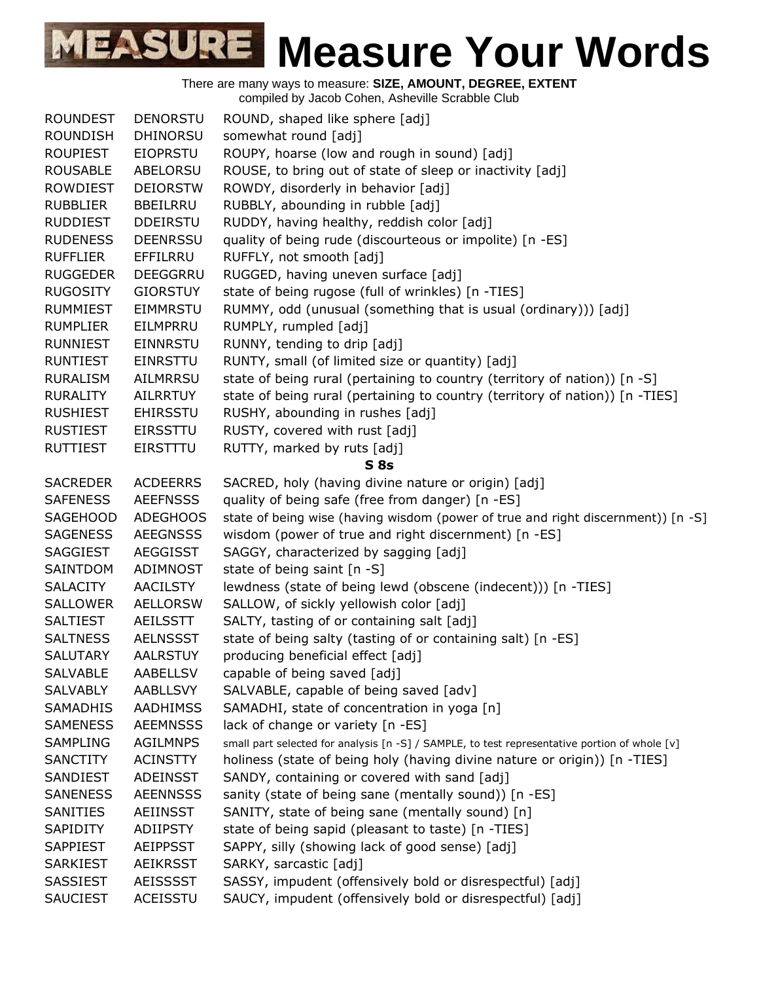| <b>ROUNDEST</b> | <b>DENORSTU</b> | ROUND, shaped like sphere [adj]                                                               |
|-----------------|-----------------|-----------------------------------------------------------------------------------------------|
| <b>ROUNDISH</b> | <b>DHINORSU</b> | somewhat round [adj]                                                                          |
| <b>ROUPIEST</b> | <b>EIOPRSTU</b> | ROUPY, hoarse (low and rough in sound) [adj]                                                  |
| <b>ROUSABLE</b> | ABELORSU        | ROUSE, to bring out of state of sleep or inactivity [adj]                                     |
| <b>ROWDIEST</b> | <b>DEIORSTW</b> | ROWDY, disorderly in behavior [adj]                                                           |
| <b>RUBBLIER</b> | <b>BBEILRRU</b> | RUBBLY, abounding in rubble [adj]                                                             |
| <b>RUDDIEST</b> | <b>DDEIRSTU</b> | RUDDY, having healthy, reddish color [adj]                                                    |
| <b>RUDENESS</b> | <b>DEENRSSU</b> | quality of being rude (discourteous or impolite) [n -ES]                                      |
| <b>RUFFLIER</b> | EFFILRRU        | RUFFLY, not smooth [adj]                                                                      |
| <b>RUGGEDER</b> | DEEGGRRU        | RUGGED, having uneven surface [adj]                                                           |
| <b>RUGOSITY</b> | <b>GIORSTUY</b> | state of being rugose (full of wrinkles) [n -TIES]                                            |
| <b>RUMMIEST</b> | <b>EIMMRSTU</b> | RUMMY, odd (unusual (something that is usual (ordinary))) [adj]                               |
| <b>RUMPLIER</b> | EILMPRRU        | RUMPLY, rumpled [adj]                                                                         |
| <b>RUNNIEST</b> | <b>EINNRSTU</b> | RUNNY, tending to drip [adj]                                                                  |
| <b>RUNTIEST</b> | <b>EINRSTTU</b> | RUNTY, small (of limited size or quantity) [adj]                                              |
| <b>RURALISM</b> | <b>AILMRRSU</b> | state of being rural (pertaining to country (territory of nation)) [n -S]                     |
| <b>RURALITY</b> | <b>AILRRTUY</b> | state of being rural (pertaining to country (territory of nation)) [n -TIES]                  |
| <b>RUSHIEST</b> | <b>EHIRSSTU</b> | RUSHY, abounding in rushes [adj]                                                              |
| <b>RUSTIEST</b> | <b>EIRSSTTU</b> | RUSTY, covered with rust [adj]                                                                |
| <b>RUTTIEST</b> | EIRSTTTU        | RUTTY, marked by ruts [adj]                                                                   |
|                 |                 | S <sub>8s</sub>                                                                               |
| <b>SACREDER</b> | <b>ACDEERRS</b> | SACRED, holy (having divine nature or origin) [adj]                                           |
| <b>SAFENESS</b> | <b>AEEFNSSS</b> | quality of being safe (free from danger) [n -ES]                                              |
| <b>SAGEHOOD</b> | <b>ADEGHOOS</b> | state of being wise (having wisdom (power of true and right discernment)) [n -S]              |
| <b>SAGENESS</b> | <b>AEEGNSSS</b> | wisdom (power of true and right discernment) [n -ES]                                          |
| <b>SAGGIEST</b> | <b>AEGGISST</b> | SAGGY, characterized by sagging [adj]                                                         |
| SAINTDOM        | ADIMNOST        | state of being saint [n -S]                                                                   |
| <b>SALACITY</b> | <b>AACILSTY</b> | lewdness (state of being lewd (obscene (indecent))) [n -TIES]                                 |
| <b>SALLOWER</b> | <b>AELLORSW</b> | SALLOW, of sickly yellowish color [adj]                                                       |
| <b>SALTIEST</b> | AEILSSTT        | SALTY, tasting of or containing salt [adj]                                                    |
| <b>SALTNESS</b> | <b>AELNSSST</b> | state of being salty (tasting of or containing salt) [n -ES]                                  |
| <b>SALUTARY</b> | <b>AALRSTUY</b> | producing beneficial effect [adj]                                                             |
| <b>SALVABLE</b> | <b>AABELLSV</b> | capable of being saved [adj]                                                                  |
| <b>SALVABLY</b> | <b>AABLLSVY</b> | SALVABLE, capable of being saved [adv]                                                        |
| <b>SAMADHIS</b> | <b>AADHIMSS</b> | SAMADHI, state of concentration in yoga [n]                                                   |
| <b>SAMENESS</b> | <b>AEEMNSSS</b> | lack of change or variety [n -ES]                                                             |
| <b>SAMPLING</b> | <b>AGILMNPS</b> | small part selected for analysis [n -S] / SAMPLE, to test representative portion of whole [v] |
| <b>SANCTITY</b> | <b>ACINSTTY</b> | holiness (state of being holy (having divine nature or origin)) [n -TIES]                     |
| SANDIEST        | <b>ADEINSST</b> | SANDY, containing or covered with sand [adj]                                                  |
| <b>SANENESS</b> | <b>AEENNSSS</b> | sanity (state of being sane (mentally sound)) [n -ES]                                         |
| <b>SANITIES</b> | AEIINSST        | SANITY, state of being sane (mentally sound) [n]                                              |
| SAPIDITY        | ADIIPSTY        | state of being sapid (pleasant to taste) [n -TIES]                                            |
| <b>SAPPIEST</b> | <b>AEIPPSST</b> | SAPPY, silly (showing lack of good sense) [adj]                                               |
| <b>SARKIEST</b> | <b>AEIKRSST</b> | SARKY, sarcastic [adj]                                                                        |
| SASSIEST        | <b>AEISSSST</b> | SASSY, impudent (offensively bold or disrespectful) [adj]                                     |
| <b>SAUCIEST</b> | ACEISSTU        | SAUCY, impudent (offensively bold or disrespectful) [adj]                                     |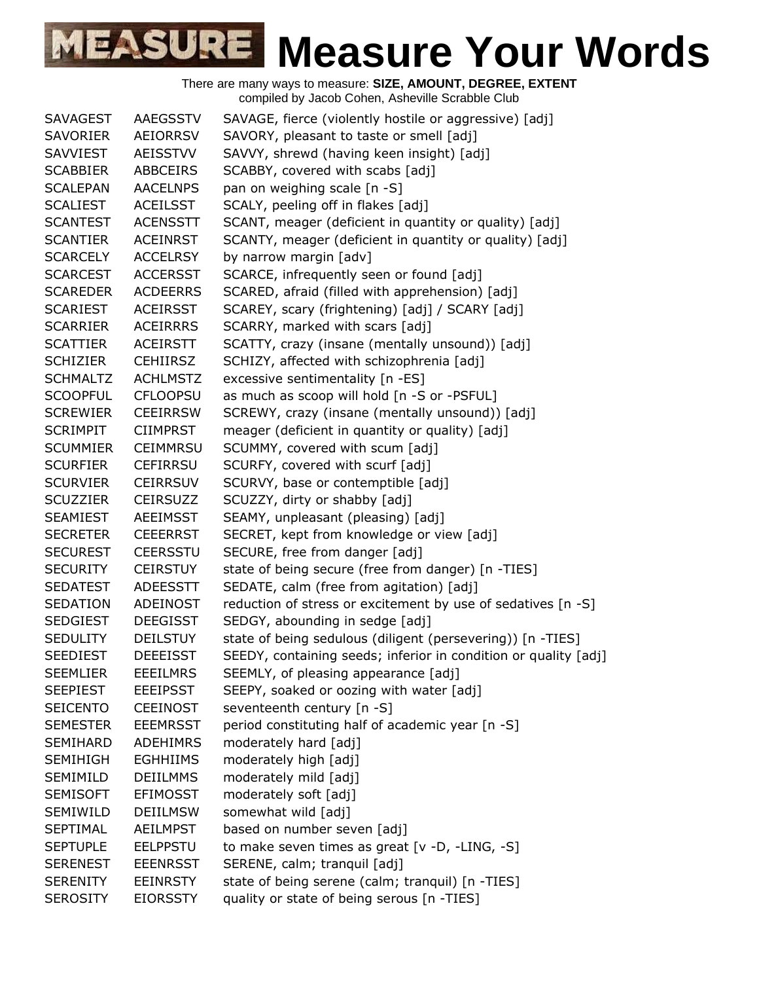| <b>SAVAGEST</b> | <b>AAEGSSTV</b> | SAVAGE, fierce (violently hostile or aggressive) [adj]          |
|-----------------|-----------------|-----------------------------------------------------------------|
| <b>SAVORIER</b> | AEIORRSV        | SAVORY, pleasant to taste or smell [adj]                        |
| <b>SAVVIEST</b> | AEISSTVV        | SAVVY, shrewd (having keen insight) [adj]                       |
| <b>SCABBIER</b> | <b>ABBCEIRS</b> | SCABBY, covered with scabs [adj]                                |
| <b>SCALEPAN</b> | <b>AACELNPS</b> | pan on weighing scale [n -S]                                    |
| <b>SCALIEST</b> | <b>ACEILSST</b> | SCALY, peeling off in flakes [adj]                              |
| <b>SCANTEST</b> | <b>ACENSSTT</b> | SCANT, meager (deficient in quantity or quality) [adj]          |
| <b>SCANTIER</b> | <b>ACEINRST</b> | SCANTY, meager (deficient in quantity or quality) [adj]         |
| <b>SCARCELY</b> | <b>ACCELRSY</b> | by narrow margin [adv]                                          |
| <b>SCARCEST</b> | <b>ACCERSST</b> | SCARCE, infrequently seen or found [adj]                        |
| <b>SCAREDER</b> | <b>ACDEERRS</b> | SCARED, afraid (filled with apprehension) [adj]                 |
| <b>SCARIEST</b> | <b>ACEIRSST</b> | SCAREY, scary (frightening) [adj] / SCARY [adj]                 |
| <b>SCARRIER</b> | <b>ACEIRRRS</b> | SCARRY, marked with scars [adj]                                 |
| <b>SCATTIER</b> | <b>ACEIRSTT</b> | SCATTY, crazy (insane (mentally unsound)) [adj]                 |
| <b>SCHIZIER</b> | <b>CEHIIRSZ</b> | SCHIZY, affected with schizophrenia [adj]                       |
| <b>SCHMALTZ</b> | <b>ACHLMSTZ</b> | excessive sentimentality [n -ES]                                |
| <b>SCOOPFUL</b> | <b>CFLOOPSU</b> | as much as scoop will hold [n -S or -PSFUL]                     |
| <b>SCREWIER</b> | <b>CEEIRRSW</b> | SCREWY, crazy (insane (mentally unsound)) [adj]                 |
| <b>SCRIMPIT</b> | <b>CIIMPRST</b> | meager (deficient in quantity or quality) [adj]                 |
| <b>SCUMMIER</b> | <b>CEIMMRSU</b> | SCUMMY, covered with scum [adj]                                 |
| <b>SCURFIER</b> | CEFIRRSU        | SCURFY, covered with scurf [adj]                                |
| <b>SCURVIER</b> | <b>CEIRRSUV</b> | SCURVY, base or contemptible [adj]                              |
| <b>SCUZZIER</b> | <b>CEIRSUZZ</b> | SCUZZY, dirty or shabby [adj]                                   |
| <b>SEAMIEST</b> | AEEIMSST        | SEAMY, unpleasant (pleasing) [adj]                              |
| <b>SECRETER</b> | <b>CEEERRST</b> | SECRET, kept from knowledge or view [adj]                       |
| <b>SECUREST</b> | <b>CEERSSTU</b> | SECURE, free from danger [adj]                                  |
| <b>SECURITY</b> | <b>CEIRSTUY</b> | state of being secure (free from danger) [n -TIES]              |
| <b>SEDATEST</b> | <b>ADEESSTT</b> | SEDATE, calm (free from agitation) [adj]                        |
| SEDATION        | ADEINOST        | reduction of stress or excitement by use of sedatives [n -S]    |
| <b>SEDGIEST</b> | <b>DEEGISST</b> | SEDGY, abounding in sedge [adj]                                 |
| <b>SEDULITY</b> | <b>DEILSTUY</b> | state of being sedulous (diligent (persevering)) [n -TIES]      |
| <b>SEEDIEST</b> | <b>DEEEISST</b> | SEEDY, containing seeds; inferior in condition or quality [adj] |
| <b>SEEMLIER</b> | <b>EEEILMRS</b> | SEEMLY, of pleasing appearance [adj]                            |
| <b>SEEPIEST</b> | <b>EEEIPSST</b> | SEEPY, soaked or oozing with water [adj]                        |
| <b>SEICENTO</b> | <b>CEEINOST</b> | seventeenth century [n -S]                                      |
| <b>SEMESTER</b> | <b>EEEMRSST</b> | period constituting half of academic year [n -S]                |
| <b>SEMIHARD</b> | <b>ADEHIMRS</b> | moderately hard [adj]                                           |
| <b>SEMIHIGH</b> | <b>EGHHIIMS</b> | moderately high [adj]                                           |
| SEMIMILD        | <b>DEIILMMS</b> | moderately mild [adj]                                           |
| <b>SEMISOFT</b> | <b>EFIMOSST</b> | moderately soft [adj]                                           |
| SEMIWILD        | <b>DEIILMSW</b> | somewhat wild [adj]                                             |
| <b>SEPTIMAL</b> | AEILMPST        | based on number seven [adj]                                     |
| <b>SEPTUPLE</b> | <b>EELPPSTU</b> | to make seven times as great [v -D, -LING, -S]                  |
| <b>SERENEST</b> | <b>EEENRSST</b> | SERENE, calm; tranquil [adj]                                    |
| <b>SERENITY</b> | <b>EEINRSTY</b> | state of being serene (calm; tranquil) [n -TIES]                |
| <b>SEROSITY</b> | <b>EIORSSTY</b> | quality or state of being serous [n -TIES]                      |
|                 |                 |                                                                 |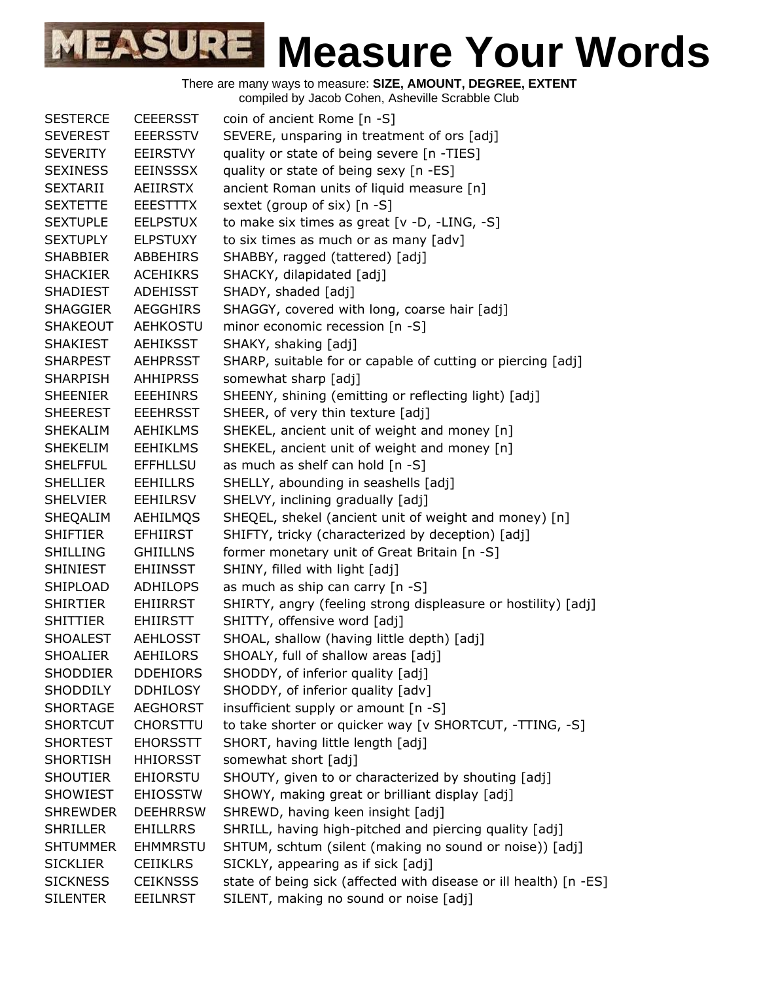| <b>SESTERCE</b> | <b>CEEERSST</b> | coin of ancient Rome [n -S]                                       |
|-----------------|-----------------|-------------------------------------------------------------------|
| <b>SEVEREST</b> | <b>EEERSSTV</b> | SEVERE, unsparing in treatment of ors [adj]                       |
| <b>SEVERITY</b> | EEIRSTVY        | quality or state of being severe [n -TIES]                        |
| <b>SEXINESS</b> | <b>EEINSSSX</b> | quality or state of being sexy [n -ES]                            |
| <b>SEXTARII</b> | AEIIRSTX        | ancient Roman units of liquid measure [n]                         |
| <b>SEXTETTE</b> | <b>EEESTTTX</b> | sextet (group of six) [n -S]                                      |
| <b>SEXTUPLE</b> | <b>EELPSTUX</b> | to make six times as great $[v -D, -LING, -S]$                    |
| <b>SEXTUPLY</b> | <b>ELPSTUXY</b> | to six times as much or as many [adv]                             |
| <b>SHABBIER</b> | <b>ABBEHIRS</b> | SHABBY, ragged (tattered) [adj]                                   |
| <b>SHACKIER</b> | <b>ACEHIKRS</b> | SHACKY, dilapidated [adj]                                         |
| <b>SHADIEST</b> | <b>ADEHISST</b> | SHADY, shaded [adj]                                               |
| <b>SHAGGIER</b> | <b>AEGGHIRS</b> | SHAGGY, covered with long, coarse hair [adj]                      |
| <b>SHAKEOUT</b> | <b>AEHKOSTU</b> | minor economic recession [n -S]                                   |
| <b>SHAKIEST</b> | <b>AEHIKSST</b> | SHAKY, shaking [adj]                                              |
| <b>SHARPEST</b> | <b>AEHPRSST</b> | SHARP, suitable for or capable of cutting or piercing [adj]       |
| <b>SHARPISH</b> | <b>AHHIPRSS</b> | somewhat sharp [adj]                                              |
| <b>SHEENIER</b> | <b>EEEHINRS</b> | SHEENY, shining (emitting or reflecting light) [adj]              |
| <b>SHEEREST</b> | <b>EEEHRSST</b> | SHEER, of very thin texture [adj]                                 |
| <b>SHEKALIM</b> | <b>AEHIKLMS</b> | SHEKEL, ancient unit of weight and money [n]                      |
| <b>SHEKELIM</b> | <b>EEHIKLMS</b> | SHEKEL, ancient unit of weight and money [n]                      |
| <b>SHELFFUL</b> | <b>EFFHLLSU</b> | as much as shelf can hold [n -S]                                  |
| <b>SHELLIER</b> | <b>EEHILLRS</b> | SHELLY, abounding in seashells [adj]                              |
| <b>SHELVIER</b> | <b>EEHILRSV</b> | SHELVY, inclining gradually [adj]                                 |
| SHEQALIM        | AEHILMQS        | SHEQEL, shekel (ancient unit of weight and money) [n]             |
| <b>SHIFTIER</b> | <b>EFHIIRST</b> | SHIFTY, tricky (characterized by deception) [adj]                 |
| <b>SHILLING</b> | <b>GHIILLNS</b> | former monetary unit of Great Britain [n -S]                      |
| <b>SHINIEST</b> | <b>EHIINSST</b> | SHINY, filled with light [adj]                                    |
| SHIPLOAD        | <b>ADHILOPS</b> | as much as ship can carry [n -S]                                  |
| SHIRTIER        | EHIIRRST        | SHIRTY, angry (feeling strong displeasure or hostility) [adj]     |
| <b>SHITTIER</b> | EHIIRSTT        | SHITTY, offensive word [adj]                                      |
| <b>SHOALEST</b> | <b>AEHLOSST</b> | SHOAL, shallow (having little depth) [adj]                        |
| <b>SHOALIER</b> | <b>AEHILORS</b> | SHOALY, full of shallow areas [adj]                               |
| <b>SHODDIER</b> | <b>DDEHIORS</b> | SHODDY, of inferior quality [adj]                                 |
| <b>SHODDILY</b> | <b>DDHILOSY</b> | SHODDY, of inferior quality [adv]                                 |
| <b>SHORTAGE</b> | <b>AEGHORST</b> | insufficient supply or amount [n -S]                              |
| <b>SHORTCUT</b> | <b>CHORSTTU</b> | to take shorter or quicker way [v SHORTCUT, -TTING, -S]           |
| <b>SHORTEST</b> | <b>EHORSSTT</b> | SHORT, having little length [adj]                                 |
| <b>SHORTISH</b> | <b>HHIORSST</b> | somewhat short [adj]                                              |
| <b>SHOUTIER</b> | <b>EHIORSTU</b> | SHOUTY, given to or characterized by shouting [adj]               |
| <b>SHOWIEST</b> | <b>EHIOSSTW</b> | SHOWY, making great or brilliant display [adj]                    |
| <b>SHREWDER</b> | <b>DEEHRRSW</b> | SHREWD, having keen insight [adj]                                 |
| <b>SHRILLER</b> | <b>EHILLRRS</b> | SHRILL, having high-pitched and piercing quality [adj]            |
| <b>SHTUMMER</b> | <b>EHMMRSTU</b> | SHTUM, schtum (silent (making no sound or noise)) [adj]           |
| <b>SICKLIER</b> | <b>CEIIKLRS</b> | SICKLY, appearing as if sick [adj]                                |
| <b>SICKNESS</b> | <b>CEIKNSSS</b> | state of being sick (affected with disease or ill health) [n -ES] |
| <b>SILENTER</b> | <b>EEILNRST</b> | SILENT, making no sound or noise [adj]                            |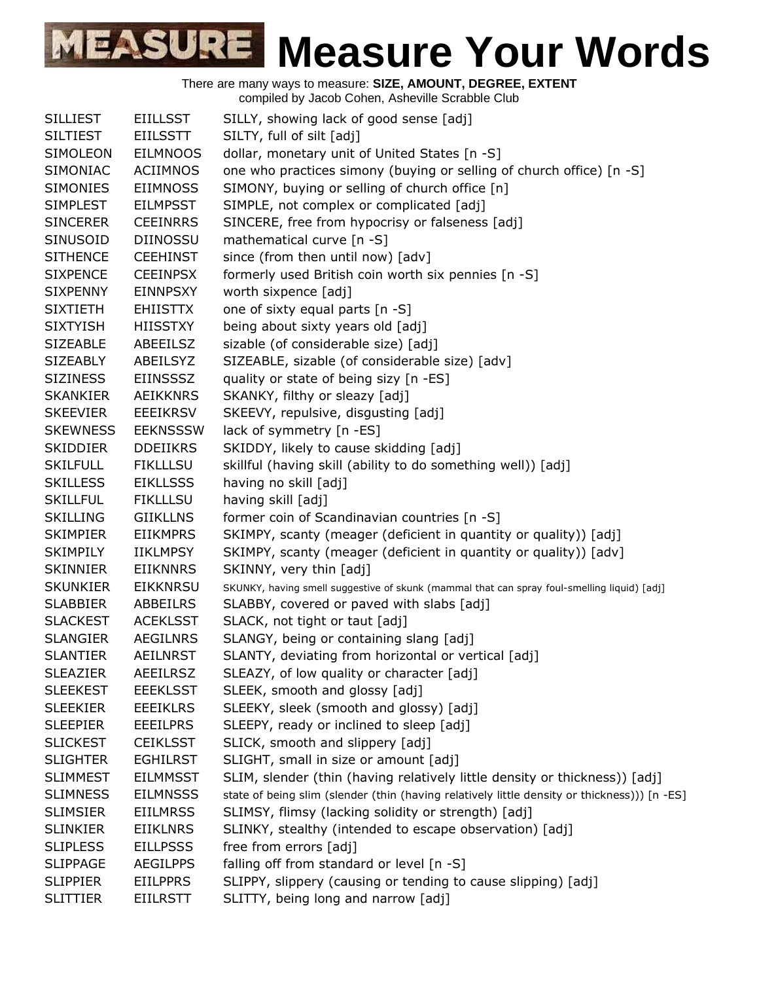| <b>SILLIEST</b> | <b>EIILLSST</b> | SILLY, showing lack of good sense [adj]                                                      |
|-----------------|-----------------|----------------------------------------------------------------------------------------------|
| <b>SILTIEST</b> | <b>EIILSSTT</b> | SILTY, full of silt [adj]                                                                    |
| SIMOLEON        | <b>EILMNOOS</b> | dollar, monetary unit of United States [n -S]                                                |
| <b>SIMONIAC</b> | <b>ACIIMNOS</b> | one who practices simony (buying or selling of church office) [n -S]                         |
| <b>SIMONIES</b> | <b>EIIMNOSS</b> | SIMONY, buying or selling of church office [n]                                               |
| <b>SIMPLEST</b> | <b>EILMPSST</b> | SIMPLE, not complex or complicated [adj]                                                     |
| <b>SINCERER</b> | <b>CEEINRRS</b> | SINCERE, free from hypocrisy or falseness [adj]                                              |
| SINUSOID        | <b>DIINOSSU</b> | mathematical curve [n -S]                                                                    |
| <b>SITHENCE</b> | <b>CEEHINST</b> | since (from then until now) [adv]                                                            |
| <b>SIXPENCE</b> | <b>CEEINPSX</b> | formerly used British coin worth six pennies [n -S]                                          |
| <b>SIXPENNY</b> | <b>EINNPSXY</b> | worth sixpence [adj]                                                                         |
| <b>SIXTIETH</b> | <b>EHIISTTX</b> | one of sixty equal parts [n -S]                                                              |
| <b>SIXTYISH</b> | <b>HIISSTXY</b> | being about sixty years old [adj]                                                            |
| <b>SIZEABLE</b> | ABEEILSZ        | sizable (of considerable size) [adj]                                                         |
| <b>SIZEABLY</b> | ABEILSYZ        | SIZEABLE, sizable (of considerable size) [adv]                                               |
| <b>SIZINESS</b> | <b>EIINSSSZ</b> | quality or state of being sizy [n -ES]                                                       |
| <b>SKANKIER</b> | <b>AEIKKNRS</b> | SKANKY, filthy or sleazy [adj]                                                               |
| <b>SKEEVIER</b> | <b>EEEIKRSV</b> | SKEEVY, repulsive, disgusting [adj]                                                          |
| <b>SKEWNESS</b> | <b>EEKNSSSW</b> | lack of symmetry [n -ES]                                                                     |
| <b>SKIDDIER</b> | <b>DDEIIKRS</b> | SKIDDY, likely to cause skidding [adj]                                                       |
| <b>SKILFULL</b> | <b>FIKLLLSU</b> | skillful (having skill (ability to do something well)) [adj]                                 |
| <b>SKILLESS</b> | <b>EIKLLSSS</b> | having no skill [adj]                                                                        |
| <b>SKILLFUL</b> | <b>FIKLLLSU</b> | having skill [adj]                                                                           |
| <b>SKILLING</b> | <b>GIIKLLNS</b> | former coin of Scandinavian countries [n -S]                                                 |
| <b>SKIMPIER</b> | <b>EIIKMPRS</b> | SKIMPY, scanty (meager (deficient in quantity or quality)) [adj]                             |
| <b>SKIMPILY</b> | <b>IIKLMPSY</b> | SKIMPY, scanty (meager (deficient in quantity or quality)) [adv]                             |
| <b>SKINNIER</b> | <b>EIIKNNRS</b> | SKINNY, very thin [adj]                                                                      |
| <b>SKUNKIER</b> | <b>EIKKNRSU</b> | SKUNKY, having smell suggestive of skunk (mammal that can spray foul-smelling liquid) [adj]  |
| <b>SLABBIER</b> | ABBEILRS        | SLABBY, covered or paved with slabs [adj]                                                    |
| <b>SLACKEST</b> | <b>ACEKLSST</b> | SLACK, not tight or taut [adj]                                                               |
| <b>SLANGIER</b> | <b>AEGILNRS</b> | SLANGY, being or containing slang [adj]                                                      |
| <b>SLANTIER</b> | <b>AEILNRST</b> | SLANTY, deviating from horizontal or vertical [adj]                                          |
| <b>SLEAZIER</b> | <b>AEEILRSZ</b> | SLEAZY, of low quality or character [adj]                                                    |
| <b>SLEEKEST</b> | <b>EEEKLSST</b> | SLEEK, smooth and glossy [adj]                                                               |
| <b>SLEEKIER</b> | <b>EEEIKLRS</b> | SLEEKY, sleek (smooth and glossy) [adj]                                                      |
| <b>SLEEPIER</b> | <b>EEEILPRS</b> | SLEEPY, ready or inclined to sleep [adj]                                                     |
| <b>SLICKEST</b> | <b>CEIKLSST</b> | SLICK, smooth and slippery [adj]                                                             |
| <b>SLIGHTER</b> | <b>EGHILRST</b> | SLIGHT, small in size or amount [adj]                                                        |
| <b>SLIMMEST</b> | <b>EILMMSST</b> | SLIM, slender (thin (having relatively little density or thickness)) [adj]                   |
| <b>SLIMNESS</b> | <b>EILMNSSS</b> | state of being slim (slender (thin (having relatively little density or thickness))) [n -ES] |
| <b>SLIMSIER</b> | <b>EIILMRSS</b> | SLIMSY, flimsy (lacking solidity or strength) [adj]                                          |
| <b>SLINKIER</b> | <b>EIIKLNRS</b> | SLINKY, stealthy (intended to escape observation) [adj]                                      |
| <b>SLIPLESS</b> | <b>EILLPSSS</b> | free from errors [adj]                                                                       |
| <b>SLIPPAGE</b> | <b>AEGILPPS</b> | falling off from standard or level [n -S]                                                    |
| <b>SLIPPIER</b> | <b>EIILPPRS</b> | SLIPPY, slippery (causing or tending to cause slipping) [adj]                                |
| <b>SLITTIER</b> | <b>EIILRSTT</b> | SLITTY, being long and narrow [adj]                                                          |
|                 |                 |                                                                                              |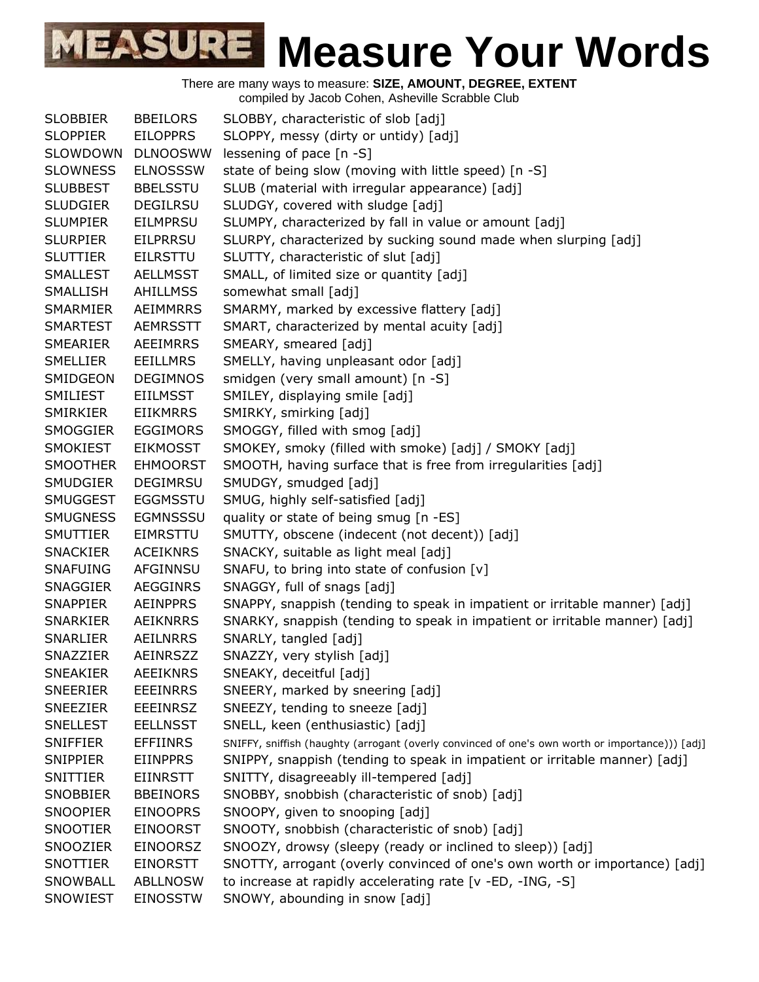|                 |                 | complied by Jacob Conen, Ashevine Octabble Club                                                 |
|-----------------|-----------------|-------------------------------------------------------------------------------------------------|
| <b>SLOBBIER</b> | <b>BBEILORS</b> | SLOBBY, characteristic of slob [adj]                                                            |
| <b>SLOPPIER</b> | <b>EILOPPRS</b> | SLOPPY, messy (dirty or untidy) [adj]                                                           |
| SLOWDOWN        | <b>DLNOOSWW</b> | lessening of pace [n -S]                                                                        |
| <b>SLOWNESS</b> | <b>ELNOSSSW</b> | state of being slow (moving with little speed) [n -S]                                           |
| <b>SLUBBEST</b> | <b>BBELSSTU</b> | SLUB (material with irregular appearance) [adj]                                                 |
| <b>SLUDGIER</b> | <b>DEGILRSU</b> | SLUDGY, covered with sludge [adj]                                                               |
| <b>SLUMPIER</b> | <b>EILMPRSU</b> | SLUMPY, characterized by fall in value or amount [adj]                                          |
| <b>SLURPIER</b> | <b>EILPRRSU</b> | SLURPY, characterized by sucking sound made when slurping [adj]                                 |
| <b>SLUTTIER</b> | <b>EILRSTTU</b> | SLUTTY, characteristic of slut [adj]                                                            |
| <b>SMALLEST</b> | <b>AELLMSST</b> | SMALL, of limited size or quantity [adj]                                                        |
| <b>SMALLISH</b> | <b>AHILLMSS</b> | somewhat small [adj]                                                                            |
| SMARMIER        | <b>AEIMMRRS</b> | SMARMY, marked by excessive flattery [adj]                                                      |
| <b>SMARTEST</b> | <b>AEMRSSTT</b> | SMART, characterized by mental acuity [adj]                                                     |
| SMEARIER        | <b>AEEIMRRS</b> | SMEARY, smeared [adj]                                                                           |
| <b>SMELLIER</b> | <b>EEILLMRS</b> | SMELLY, having unpleasant odor [adj]                                                            |
| SMIDGEON        | <b>DEGIMNOS</b> | smidgen (very small amount) [n -S]                                                              |
| <b>SMILIEST</b> | <b>EIILMSST</b> | SMILEY, displaying smile [adj]                                                                  |
| SMIRKIER        | <b>EIIKMRRS</b> | SMIRKY, smirking [adj]                                                                          |
| <b>SMOGGIER</b> | <b>EGGIMORS</b> | SMOGGY, filled with smog [adj]                                                                  |
| <b>SMOKIEST</b> | <b>EIKMOSST</b> | SMOKEY, smoky (filled with smoke) [adj] / SMOKY [adj]                                           |
| <b>SMOOTHER</b> | <b>EHMOORST</b> | SMOOTH, having surface that is free from irregularities [adj]                                   |
| <b>SMUDGIER</b> | <b>DEGIMRSU</b> | SMUDGY, smudged [adj]                                                                           |
| <b>SMUGGEST</b> | <b>EGGMSSTU</b> | SMUG, highly self-satisfied [adj]                                                               |
| <b>SMUGNESS</b> | <b>EGMNSSSU</b> | quality or state of being smug [n -ES]                                                          |
| <b>SMUTTIER</b> | <b>EIMRSTTU</b> | SMUTTY, obscene (indecent (not decent)) [adj]                                                   |
| <b>SNACKIER</b> | <b>ACEIKNRS</b> | SNACKY, suitable as light meal [adj]                                                            |
| <b>SNAFUING</b> | <b>AFGINNSU</b> | SNAFU, to bring into state of confusion [v]                                                     |
| <b>SNAGGIER</b> | <b>AEGGINRS</b> | SNAGGY, full of snags [adj]                                                                     |
| <b>SNAPPIER</b> | AEINPPRS        | SNAPPY, snappish (tending to speak in impatient or irritable manner) [adj]                      |
| <b>SNARKIER</b> | <b>AEIKNRRS</b> | SNARKY, snappish (tending to speak in impatient or irritable manner) [adj]                      |
| <b>SNARLIER</b> | <b>AEILNRRS</b> | SNARLY, tangled [adj]                                                                           |
| SNAZZIER        | AEINRSZZ        | SNAZZY, very stylish [adj]                                                                      |
| <b>SNEAKIER</b> | <b>AEEIKNRS</b> | SNEAKY, deceitful [adj]                                                                         |
| <b>SNEERIER</b> | <b>EEEINRRS</b> | SNEERY, marked by sneering [adj]                                                                |
| <b>SNEEZIER</b> | <b>EEEINRSZ</b> | SNEEZY, tending to sneeze [adj]                                                                 |
| <b>SNELLEST</b> | <b>EELLNSST</b> | SNELL, keen (enthusiastic) [adj]                                                                |
| <b>SNIFFIER</b> | <b>EFFIINRS</b> | SNIFFY, sniffish (haughty (arrogant (overly convinced of one's own worth or importance))) [adj] |
| <b>SNIPPIER</b> | <b>EIINPPRS</b> | SNIPPY, snappish (tending to speak in impatient or irritable manner) [adj]                      |
| SNITTIER        | <b>EIINRSTT</b> | SNITTY, disagreeably ill-tempered [adj]                                                         |
| <b>SNOBBIER</b> | <b>BBEINORS</b> | SNOBBY, snobbish (characteristic of snob) [adj]                                                 |
| <b>SNOOPIER</b> | <b>EINOOPRS</b> | SNOOPY, given to snooping [adj]                                                                 |
| SNOOTIER        | <b>EINOORST</b> | SNOOTY, snobbish (characteristic of snob) [adj]                                                 |
| SNOOZIER        | <b>EINOORSZ</b> | SNOOZY, drowsy (sleepy (ready or inclined to sleep)) [adj]                                      |
| SNOTTIER        | <b>EINORSTT</b> | SNOTTY, arrogant (overly convinced of one's own worth or importance) [adj]                      |
| SNOWBALL        | <b>ABLLNOSW</b> | to increase at rapidly accelerating rate [v -ED, -ING, -S]                                      |
| SNOWIEST        | <b>EINOSSTW</b> | SNOWY, abounding in snow [adj]                                                                  |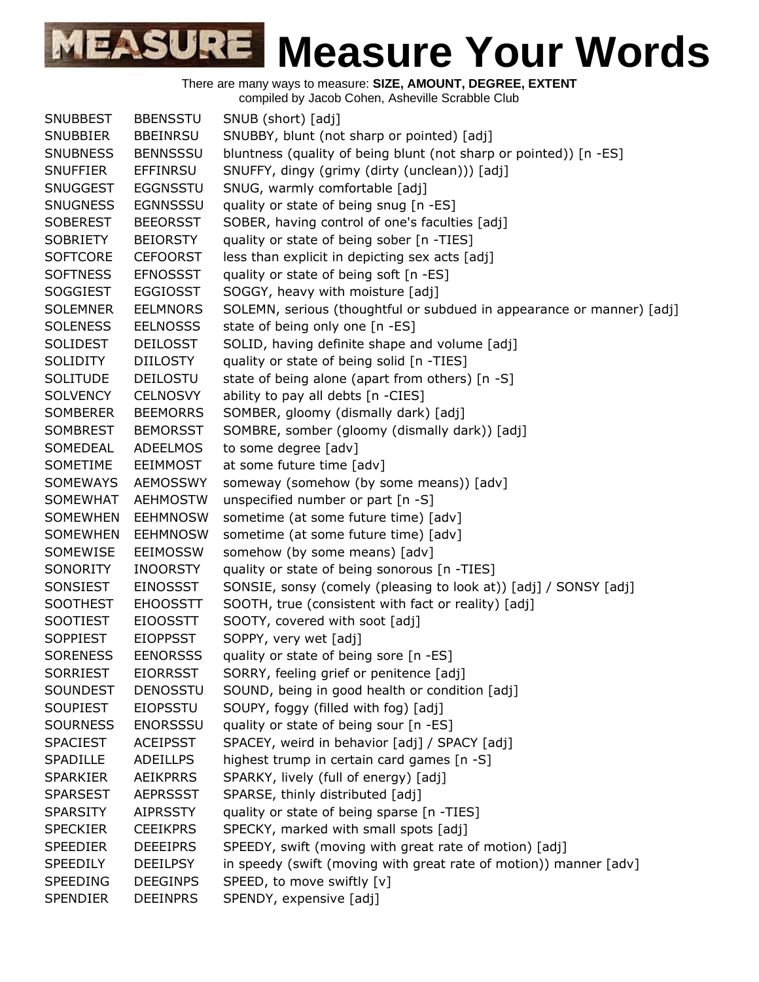

| <b>SNUBBEST</b> | <b>BBENSSTU</b> | SNUB (short) [adj]                                                    |
|-----------------|-----------------|-----------------------------------------------------------------------|
| <b>SNUBBIER</b> | <b>BBEINRSU</b> | SNUBBY, blunt (not sharp or pointed) [adj]                            |
| <b>SNUBNESS</b> | <b>BENNSSSU</b> | bluntness (quality of being blunt (not sharp or pointed)) [n -ES]     |
| <b>SNUFFIER</b> | <b>EFFINRSU</b> | SNUFFY, dingy (grimy (dirty (unclean))) [adj]                         |
| <b>SNUGGEST</b> | <b>EGGNSSTU</b> | SNUG, warmly comfortable [adj]                                        |
| <b>SNUGNESS</b> | <b>EGNNSSSU</b> | quality or state of being snug [n -ES]                                |
| <b>SOBEREST</b> | <b>BEEORSST</b> | SOBER, having control of one's faculties [adj]                        |
| <b>SOBRIETY</b> | <b>BEIORSTY</b> | quality or state of being sober [n -TIES]                             |
| <b>SOFTCORE</b> | <b>CEFOORST</b> | less than explicit in depicting sex acts [adj]                        |
| <b>SOFTNESS</b> | <b>EFNOSSST</b> | quality or state of being soft [n -ES]                                |
| <b>SOGGIEST</b> | <b>EGGIOSST</b> | SOGGY, heavy with moisture [adj]                                      |
| <b>SOLEMNER</b> | <b>EELMNORS</b> | SOLEMN, serious (thoughtful or subdued in appearance or manner) [adj] |
| <b>SOLENESS</b> | <b>EELNOSSS</b> | state of being only one [n -ES]                                       |
| <b>SOLIDEST</b> | <b>DEILOSST</b> | SOLID, having definite shape and volume [adj]                         |
| <b>SOLIDITY</b> | <b>DIILOSTY</b> | quality or state of being solid [n -TIES]                             |
| <b>SOLITUDE</b> | <b>DEILOSTU</b> | state of being alone (apart from others) [n -S]                       |
| <b>SOLVENCY</b> | <b>CELNOSVY</b> | ability to pay all debts [n -CIES]                                    |
| <b>SOMBERER</b> | <b>BEEMORRS</b> | SOMBER, gloomy (dismally dark) [adj]                                  |
| <b>SOMBREST</b> | <b>BEMORSST</b> | SOMBRE, somber (gloomy (dismally dark)) [adj]                         |
| SOMEDEAL        | <b>ADEELMOS</b> | to some degree [adv]                                                  |
| SOMETIME        | <b>EEIMMOST</b> | at some future time [adv]                                             |
| <b>SOMEWAYS</b> | <b>AEMOSSWY</b> | someway (somehow (by some means)) [adv]                               |
| <b>SOMEWHAT</b> | <b>AEHMOSTW</b> | unspecified number or part [n -S]                                     |
| <b>SOMEWHEN</b> | <b>EEHMNOSW</b> | sometime (at some future time) [adv]                                  |
| <b>SOMEWHEN</b> | <b>EEHMNOSW</b> | sometime (at some future time) [adv]                                  |
| SOMEWISE        | <b>EEIMOSSW</b> | somehow (by some means) [adv]                                         |
| SONORITY        | INOORSTY        | quality or state of being sonorous [n -TIES]                          |
| SONSIEST        | <b>EINOSSST</b> | SONSIE, sonsy (comely (pleasing to look at)) [adj] / SONSY [adj]      |
| <b>SOOTHEST</b> | <b>EHOOSSTT</b> | SOOTH, true (consistent with fact or reality) [adj]                   |
| <b>SOOTIEST</b> | <b>EIOOSSTT</b> | SOOTY, covered with soot [adj]                                        |
| <b>SOPPIEST</b> | <b>EIOPPSST</b> | SOPPY, very wet [adj]                                                 |
| <b>SORENESS</b> | <b>EENORSSS</b> | quality or state of being sore [n -ES]                                |
| <b>SORRIEST</b> | <b>EIORRSST</b> | SORRY, feeling grief or penitence [adj]                               |
| <b>SOUNDEST</b> | <b>DENOSSTU</b> | SOUND, being in good health or condition [adj]                        |
| <b>SOUPIEST</b> | <b>EIOPSSTU</b> | SOUPY, foggy (filled with fog) [adj]                                  |
| <b>SOURNESS</b> | <b>ENORSSSU</b> | quality or state of being sour [n -ES]                                |
| <b>SPACIEST</b> | <b>ACEIPSST</b> | SPACEY, weird in behavior [adj] / SPACY [adj]                         |
| SPADILLE        | <b>ADEILLPS</b> | highest trump in certain card games [n -S]                            |
| <b>SPARKIER</b> | <b>AEIKPRRS</b> | SPARKY, lively (full of energy) [adj]                                 |
| <b>SPARSEST</b> | <b>AEPRSSST</b> | SPARSE, thinly distributed [adj]                                      |
| <b>SPARSITY</b> | <b>AIPRSSTY</b> | quality or state of being sparse [n -TIES]                            |
| <b>SPECKIER</b> | <b>CEEIKPRS</b> | SPECKY, marked with small spots [adj]                                 |
| <b>SPEEDIER</b> | <b>DEEEIPRS</b> | SPEEDY, swift (moving with great rate of motion) [adj]                |
| <b>SPEEDILY</b> | <b>DEEILPSY</b> | in speedy (swift (moving with great rate of motion)) manner [adv]     |
| SPEEDING        | <b>DEEGINPS</b> | SPEED, to move swiftly [v]                                            |
| SPENDIER        | <b>DEEINPRS</b> | SPENDY, expensive [adj]                                               |
|                 |                 |                                                                       |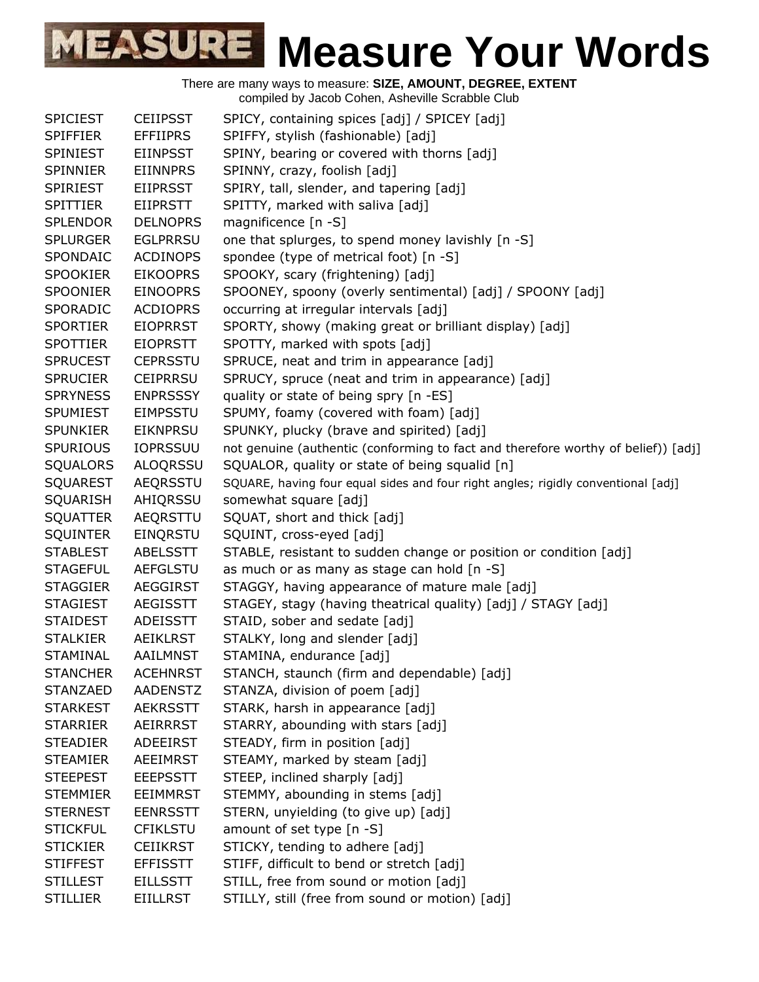| <b>SPICIEST</b> | <b>CEIIPSST</b> | SPICY, containing spices [adj] / SPICEY [adj]                                     |
|-----------------|-----------------|-----------------------------------------------------------------------------------|
| <b>SPIFFIER</b> | <b>EFFIIPRS</b> | SPIFFY, stylish (fashionable) [adj]                                               |
| <b>SPINIEST</b> | <b>EIINPSST</b> | SPINY, bearing or covered with thorns [adj]                                       |
| <b>SPINNIER</b> | <b>EIINNPRS</b> | SPINNY, crazy, foolish [adj]                                                      |
| <b>SPIRIEST</b> | <b>EIIPRSST</b> | SPIRY, tall, slender, and tapering [adj]                                          |
| <b>SPITTIER</b> | <b>EIIPRSTT</b> | SPITTY, marked with saliva [adj]                                                  |
| <b>SPLENDOR</b> | <b>DELNOPRS</b> | magnificence [n -S]                                                               |
| <b>SPLURGER</b> | <b>EGLPRRSU</b> | one that splurges, to spend money lavishly [n -S]                                 |
| SPONDAIC        | <b>ACDINOPS</b> | spondee (type of metrical foot) [n -S]                                            |
| <b>SPOOKIER</b> | <b>EIKOOPRS</b> | SPOOKY, scary (frightening) [adj]                                                 |
| <b>SPOONIER</b> | <b>EINOOPRS</b> | SPOONEY, spoony (overly sentimental) [adj] / SPOONY [adj]                         |
| SPORADIC        | <b>ACDIOPRS</b> | occurring at irregular intervals [adj]                                            |
| <b>SPORTIER</b> | <b>EIOPRRST</b> | SPORTY, showy (making great or brilliant display) [adj]                           |
| <b>SPOTTIER</b> | <b>EIOPRSTT</b> | SPOTTY, marked with spots [adj]                                                   |
| <b>SPRUCEST</b> | <b>CEPRSSTU</b> | SPRUCE, neat and trim in appearance [adj]                                         |
| <b>SPRUCIER</b> | <b>CEIPRRSU</b> | SPRUCY, spruce (neat and trim in appearance) [adj]                                |
| <b>SPRYNESS</b> | <b>ENPRSSSY</b> | quality or state of being spry [n -ES]                                            |
| <b>SPUMIEST</b> | <b>EIMPSSTU</b> | SPUMY, foamy (covered with foam) [adj]                                            |
| <b>SPUNKIER</b> | <b>EIKNPRSU</b> | SPUNKY, plucky (brave and spirited) [adj]                                         |
| <b>SPURIOUS</b> | <b>IOPRSSUU</b> | not genuine (authentic (conforming to fact and therefore worthy of belief)) [adj] |
| SQUALORS        | <b>ALOQRSSU</b> | SQUALOR, quality or state of being squalid [n]                                    |
| <b>SQUAREST</b> | <b>AEQRSSTU</b> | SQUARE, having four equal sides and four right angles; rigidly conventional [adj] |
| SQUARISH        | AHIQRSSU        | somewhat square [adj]                                                             |
| <b>SQUATTER</b> | AEQRSTTU        |                                                                                   |
|                 |                 | SQUAT, short and thick [adj]                                                      |
| <b>SQUINTER</b> | EINQRSTU        | SQUINT, cross-eyed [adj]                                                          |
| <b>STABLEST</b> | ABELSSTT        | STABLE, resistant to sudden change or position or condition [adj]                 |
| <b>STAGEFUL</b> | <b>AEFGLSTU</b> | as much or as many as stage can hold [n -S]                                       |
| <b>STAGGIER</b> | <b>AEGGIRST</b> | STAGGY, having appearance of mature male [adj]                                    |
| <b>STAGIEST</b> | <b>AEGISSTT</b> | STAGEY, stagy (having theatrical quality) [adj] / STAGY [adj]                     |
| <b>STAIDEST</b> | <b>ADEISSTT</b> | STAID, sober and sedate [adj]                                                     |
| <b>STALKIER</b> | <b>AEIKLRST</b> | STALKY, long and slender [adj]                                                    |
| <b>STAMINAL</b> | <b>AAILMNST</b> | STAMINA, endurance [adj]                                                          |
| <b>STANCHER</b> | <b>ACEHNRST</b> | STANCH, staunch (firm and dependable) [adj]                                       |
| <b>STANZAED</b> | <b>AADENSTZ</b> | STANZA, division of poem [adj]                                                    |
| <b>STARKEST</b> | <b>AEKRSSTT</b> | STARK, harsh in appearance [adj]                                                  |
| <b>STARRIER</b> | <b>AEIRRRST</b> | STARRY, abounding with stars [adj]                                                |
| <b>STEADIER</b> | ADEEIRST        | STEADY, firm in position [adj]                                                    |
| <b>STEAMIER</b> | <b>AEEIMRST</b> | STEAMY, marked by steam [adj]                                                     |
| <b>STEEPEST</b> | <b>EEEPSSTT</b> | STEEP, inclined sharply [adj]                                                     |
| <b>STEMMIER</b> | <b>EEIMMRST</b> | STEMMY, abounding in stems [adj]                                                  |
| <b>STERNEST</b> | <b>EENRSSTT</b> | STERN, unyielding (to give up) [adj]                                              |
| <b>STICKFUL</b> | <b>CFIKLSTU</b> | amount of set type [n -S]                                                         |
| <b>STICKIER</b> | <b>CEIIKRST</b> | STICKY, tending to adhere [adj]                                                   |
| <b>STIFFEST</b> | <b>EFFISSTT</b> | STIFF, difficult to bend or stretch [adj]                                         |
| <b>STILLEST</b> | <b>EILLSSTT</b> | STILL, free from sound or motion [adj]                                            |
| <b>STILLIER</b> | <b>EIILLRST</b> | STILLY, still (free from sound or motion) [adj]                                   |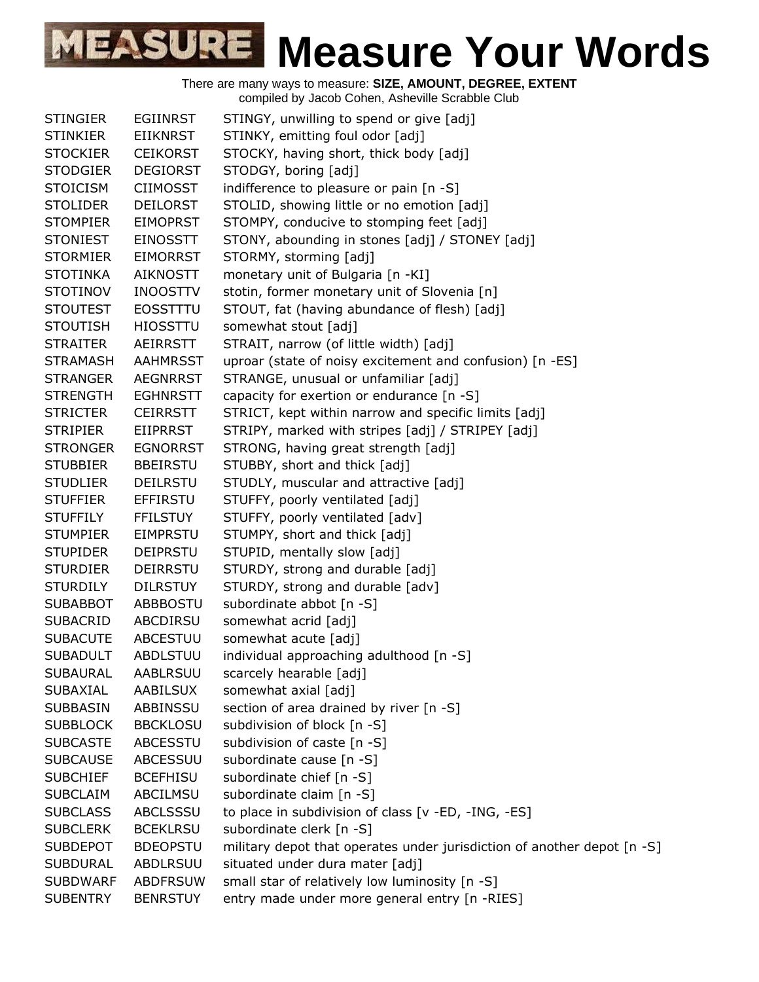| <b>STINGIER</b> | <b>EGIINRST</b> | STINGY, unwilling to spend or give [adj]                                |
|-----------------|-----------------|-------------------------------------------------------------------------|
| <b>STINKIER</b> | <b>EIIKNRST</b> | STINKY, emitting foul odor [adj]                                        |
| <b>STOCKIER</b> | <b>CEIKORST</b> | STOCKY, having short, thick body [adj]                                  |
| <b>STODGIER</b> | <b>DEGIORST</b> | STODGY, boring [adj]                                                    |
| <b>STOICISM</b> | <b>CIIMOSST</b> | indifference to pleasure or pain [n -S]                                 |
| <b>STOLIDER</b> | <b>DEILORST</b> | STOLID, showing little or no emotion [adj]                              |
| <b>STOMPIER</b> | <b>EIMOPRST</b> | STOMPY, conducive to stomping feet [adj]                                |
| <b>STONIEST</b> | <b>EINOSSTT</b> | STONY, abounding in stones [adj] / STONEY [adj]                         |
| <b>STORMIER</b> | <b>EIMORRST</b> | STORMY, storming [adj]                                                  |
| <b>STOTINKA</b> | <b>AIKNOSTT</b> | monetary unit of Bulgaria [n -KI]                                       |
| <b>STOTINOV</b> | <b>INOOSTTV</b> | stotin, former monetary unit of Slovenia [n]                            |
| <b>STOUTEST</b> | <b>EOSSTTTU</b> | STOUT, fat (having abundance of flesh) [adj]                            |
| <b>STOUTISH</b> | <b>HIOSSTTU</b> | somewhat stout [adj]                                                    |
| <b>STRAITER</b> | <b>AEIRRSTT</b> | STRAIT, narrow (of little width) [adj]                                  |
| <b>STRAMASH</b> | <b>AAHMRSST</b> | uproar (state of noisy excitement and confusion) [n -ES]                |
| <b>STRANGER</b> | <b>AEGNRRST</b> | STRANGE, unusual or unfamiliar [adj]                                    |
| <b>STRENGTH</b> | <b>EGHNRSTT</b> | capacity for exertion or endurance [n -S]                               |
| <b>STRICTER</b> | <b>CEIRRSTT</b> | STRICT, kept within narrow and specific limits [adj]                    |
| <b>STRIPIER</b> | <b>EIIPRRST</b> | STRIPY, marked with stripes [adj] / STRIPEY [adj]                       |
| <b>STRONGER</b> | <b>EGNORRST</b> | STRONG, having great strength [adj]                                     |
| <b>STUBBIER</b> | <b>BBEIRSTU</b> | STUBBY, short and thick [adj]                                           |
| <b>STUDLIER</b> | <b>DEILRSTU</b> | STUDLY, muscular and attractive [adj]                                   |
| <b>STUFFIER</b> | <b>EFFIRSTU</b> | STUFFY, poorly ventilated [adj]                                         |
| <b>STUFFILY</b> | <b>FFILSTUY</b> | STUFFY, poorly ventilated [adv]                                         |
| <b>STUMPIER</b> | <b>EIMPRSTU</b> | STUMPY, short and thick [adj]                                           |
| <b>STUPIDER</b> | <b>DEIPRSTU</b> | STUPID, mentally slow [adj]                                             |
| <b>STURDIER</b> | <b>DEIRRSTU</b> | STURDY, strong and durable [adj]                                        |
| <b>STURDILY</b> | <b>DILRSTUY</b> | STURDY, strong and durable [adv]                                        |
| <b>SUBABBOT</b> | ABBBOSTU        | subordinate abbot [n -S]                                                |
| <b>SUBACRID</b> | ABCDIRSU        | somewhat acrid [adj]                                                    |
| <b>SUBACUTE</b> | <b>ABCESTUU</b> | somewhat acute [adj]                                                    |
| <b>SUBADULT</b> | <b>ABDLSTUU</b> | individual approaching adulthood [n -S]                                 |
| <b>SUBAURAL</b> | AABLRSUU        | scarcely hearable [adj]                                                 |
| <b>SUBAXIAL</b> | AABILSUX        | somewhat axial [adj]                                                    |
| <b>SUBBASIN</b> | ABBINSSU        | section of area drained by river [n -S]                                 |
| <b>SUBBLOCK</b> | <b>BBCKLOSU</b> | subdivision of block [n -S]                                             |
| <b>SUBCASTE</b> | <b>ABCESSTU</b> | subdivision of caste [n -S]                                             |
| <b>SUBCAUSE</b> | ABCESSUU        | subordinate cause [n -S]                                                |
| <b>SUBCHIEF</b> | <b>BCEFHISU</b> | subordinate chief [n -S]                                                |
| <b>SUBCLAIM</b> | ABCILMSU        | subordinate claim [n -S]                                                |
| <b>SUBCLASS</b> | ABCLSSSU        | to place in subdivision of class [v -ED, -ING, -ES]                     |
| <b>SUBCLERK</b> | <b>BCEKLRSU</b> | subordinate clerk [n -S]                                                |
| <b>SUBDEPOT</b> | <b>BDEOPSTU</b> | military depot that operates under jurisdiction of another depot [n -S] |
| <b>SUBDURAL</b> | ABDLRSUU        | situated under dura mater [adj]                                         |
| <b>SUBDWARF</b> | <b>ABDFRSUW</b> | small star of relatively low luminosity [n -S]                          |
| <b>SUBENTRY</b> | <b>BENRSTUY</b> | entry made under more general entry [n -RIES]                           |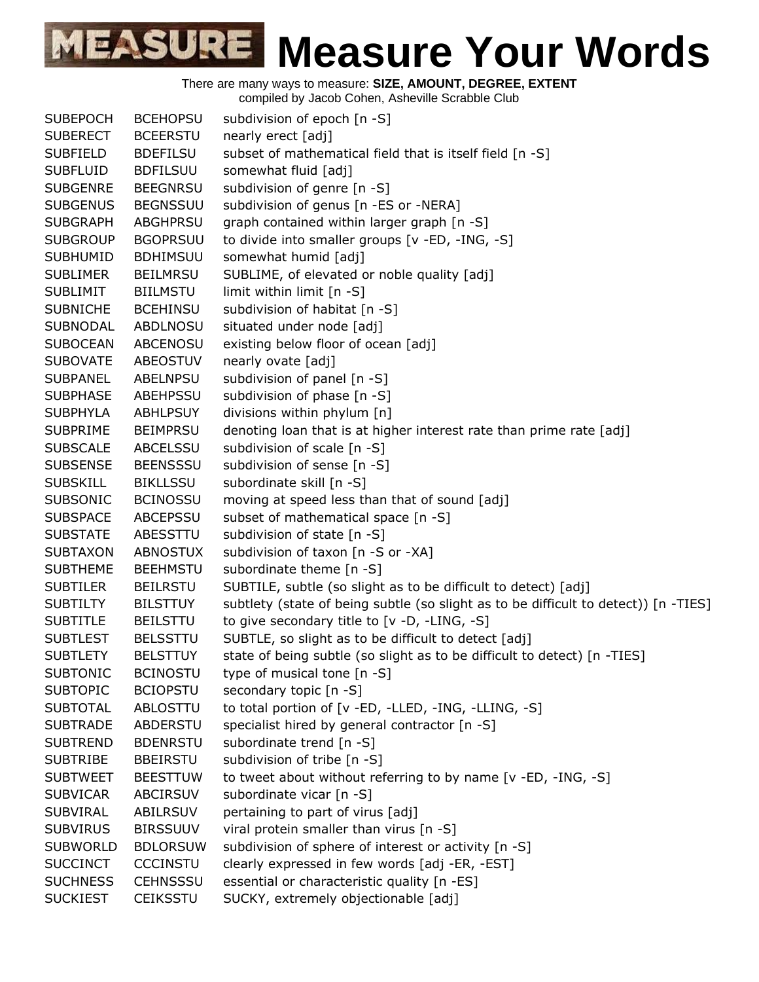There are many ways to measure: **SIZE, AMOUNT, DEGREE, EXTENT**

compiled by Jacob Cohen, Asheville Scrabble Club

| <b>SUBEPOCH</b> | <b>BCEHOPSU</b> | subdivision of epoch [n -S]                                                         |
|-----------------|-----------------|-------------------------------------------------------------------------------------|
| <b>SUBERECT</b> | <b>BCEERSTU</b> | nearly erect [adj]                                                                  |
| <b>SUBFIELD</b> | <b>BDEFILSU</b> | subset of mathematical field that is itself field [n -S]                            |
| <b>SUBFLUID</b> | <b>BDFILSUU</b> | somewhat fluid [adj]                                                                |
| <b>SUBGENRE</b> | <b>BEEGNRSU</b> | subdivision of genre [n -S]                                                         |
| <b>SUBGENUS</b> | <b>BEGNSSUU</b> | subdivision of genus [n -ES or -NERA]                                               |
| <b>SUBGRAPH</b> | <b>ABGHPRSU</b> | graph contained within larger graph [n -S]                                          |
| <b>SUBGROUP</b> | <b>BGOPRSUU</b> | to divide into smaller groups [v -ED, -ING, -S]                                     |
| <b>SUBHUMID</b> | <b>BDHIMSUU</b> | somewhat humid [adj]                                                                |
| <b>SUBLIMER</b> | <b>BEILMRSU</b> | SUBLIME, of elevated or noble quality [adj]                                         |
| <b>SUBLIMIT</b> | <b>BIILMSTU</b> | limit within limit [n -S]                                                           |
| <b>SUBNICHE</b> | <b>BCEHINSU</b> | subdivision of habitat [n -S]                                                       |
| <b>SUBNODAL</b> | <b>ABDLNOSU</b> | situated under node [adj]                                                           |
| <b>SUBOCEAN</b> | <b>ABCENOSU</b> | existing below floor of ocean [adj]                                                 |
| <b>SUBOVATE</b> | <b>ABEOSTUV</b> | nearly ovate [adj]                                                                  |
| <b>SUBPANEL</b> | <b>ABELNPSU</b> | subdivision of panel [n -S]                                                         |
| <b>SUBPHASE</b> | <b>ABEHPSSU</b> | subdivision of phase [n -S]                                                         |
| <b>SUBPHYLA</b> | <b>ABHLPSUY</b> | divisions within phylum [n]                                                         |
| <b>SUBPRIME</b> | <b>BEIMPRSU</b> | denoting loan that is at higher interest rate than prime rate [adj]                 |
| <b>SUBSCALE</b> | <b>ABCELSSU</b> | subdivision of scale [n -S]                                                         |
| <b>SUBSENSE</b> | <b>BEENSSSU</b> | subdivision of sense [n -S]                                                         |
| <b>SUBSKILL</b> | <b>BIKLLSSU</b> | subordinate skill [n -S]                                                            |
| <b>SUBSONIC</b> | <b>BCINOSSU</b> | moving at speed less than that of sound [adj]                                       |
| <b>SUBSPACE</b> | ABCEPSSU        | subset of mathematical space [n -S]                                                 |
| <b>SUBSTATE</b> | ABESSTTU        | subdivision of state [n -S]                                                         |
| <b>SUBTAXON</b> | <b>ABNOSTUX</b> | subdivision of taxon [n -S or -XA]                                                  |
| <b>SUBTHEME</b> | <b>BEEHMSTU</b> | subordinate theme [n -S]                                                            |
| <b>SUBTILER</b> | <b>BEILRSTU</b> | SUBTILE, subtle (so slight as to be difficult to detect) [adj]                      |
| <b>SUBTILTY</b> | <b>BILSTTUY</b> | subtlety (state of being subtle (so slight as to be difficult to detect)) [n -TIES] |
| <b>SUBTITLE</b> | <b>BEILSTTU</b> | to give secondary title to [v -D, -LING, -S]                                        |
| <b>SUBTLEST</b> | <b>BELSSTTU</b> | SUBTLE, so slight as to be difficult to detect [adj]                                |
| <b>SUBTLETY</b> | <b>BELSTTUY</b> | state of being subtle (so slight as to be difficult to detect) [n -TIES]            |
| <b>SUBTONIC</b> | <b>BCINOSTU</b> | type of musical tone $[n - S]$                                                      |
| <b>SUBTOPIC</b> | <b>BCIOPSTU</b> | secondary topic [n -S]                                                              |
| <b>SUBTOTAL</b> | ABLOSTTU        | to total portion of [v -ED, -LLED, -ING, -LLING, -S]                                |
| <b>SUBTRADE</b> | <b>ABDERSTU</b> | specialist hired by general contractor [n -S]                                       |
| <b>SUBTREND</b> | <b>BDENRSTU</b> | subordinate trend [n -S]                                                            |
| <b>SUBTRIBE</b> | <b>BBEIRSTU</b> | subdivision of tribe [n -S]                                                         |
| <b>SUBTWEET</b> | <b>BEESTTUW</b> | to tweet about without referring to by name [v -ED, -ING, -S]                       |
| <b>SUBVICAR</b> | <b>ABCIRSUV</b> | subordinate vicar [n -S]                                                            |
| <b>SUBVIRAL</b> | ABILRSUV        | pertaining to part of virus [adj]                                                   |
| <b>SUBVIRUS</b> | <b>BIRSSUUV</b> | viral protein smaller than virus [n -S]                                             |
| <b>SUBWORLD</b> | <b>BDLORSUW</b> | subdivision of sphere of interest or activity [n -S]                                |
| <b>SUCCINCT</b> | <b>CCCINSTU</b> | clearly expressed in few words [adj -ER, -EST]                                      |
| <b>SUCHNESS</b> | <b>CEHNSSSU</b> | essential or characteristic quality [n -ES]                                         |
| <b>SUCKIEST</b> | <b>CEIKSSTU</b> | SUCKY, extremely objectionable [adj]                                                |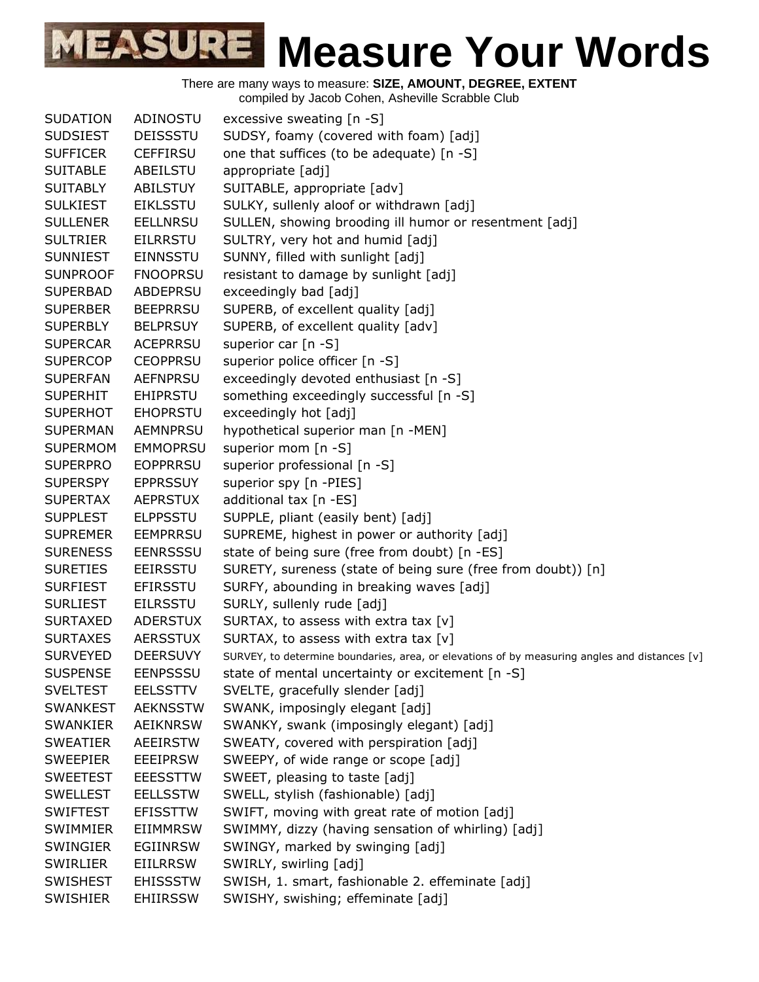There are many ways to measure: **SIZE, AMOUNT, DEGREE, EXTENT**

compiled by Jacob Cohen, Asheville Scrabble Club

| <b>SUDATION</b> | ADINOSTU        | excessive sweating [n -S]                                                                     |
|-----------------|-----------------|-----------------------------------------------------------------------------------------------|
| <b>SUDSIEST</b> | <b>DEISSSTU</b> | SUDSY, foamy (covered with foam) [adj]                                                        |
| <b>SUFFICER</b> | <b>CEFFIRSU</b> | one that suffices (to be adequate) [n -S]                                                     |
| <b>SUITABLE</b> | ABEILSTU        | appropriate [adj]                                                                             |
| <b>SUITABLY</b> | <b>ABILSTUY</b> | SUITABLE, appropriate [adv]                                                                   |
| <b>SULKIEST</b> | <b>EIKLSSTU</b> | SULKY, sullenly aloof or withdrawn [adj]                                                      |
| <b>SULLENER</b> | <b>EELLNRSU</b> | SULLEN, showing brooding ill humor or resentment [adj]                                        |
| <b>SULTRIER</b> | <b>EILRRSTU</b> | SULTRY, very hot and humid [adj]                                                              |
| <b>SUNNIEST</b> | <b>EINNSSTU</b> | SUNNY, filled with sunlight [adj]                                                             |
| <b>SUNPROOF</b> | <b>FNOOPRSU</b> | resistant to damage by sunlight [adj]                                                         |
| <b>SUPERBAD</b> | ABDEPRSU        | exceedingly bad [adj]                                                                         |
| <b>SUPERBER</b> | <b>BEEPRRSU</b> | SUPERB, of excellent quality [adj]                                                            |
| <b>SUPERBLY</b> | <b>BELPRSUY</b> | SUPERB, of excellent quality [adv]                                                            |
| <b>SUPERCAR</b> | <b>ACEPRRSU</b> | superior car $[n -S]$                                                                         |
| <b>SUPERCOP</b> | <b>CEOPPRSU</b> | superior police officer [n -S]                                                                |
| <b>SUPERFAN</b> | <b>AEFNPRSU</b> | exceedingly devoted enthusiast [n -S]                                                         |
| <b>SUPERHIT</b> | <b>EHIPRSTU</b> | something exceedingly successful [n -S]                                                       |
| <b>SUPERHOT</b> | <b>EHOPRSTU</b> | exceedingly hot [adj]                                                                         |
| <b>SUPERMAN</b> | <b>AEMNPRSU</b> | hypothetical superior man [n -MEN]                                                            |
| <b>SUPERMOM</b> | <b>EMMOPRSU</b> | superior mom [n -S]                                                                           |
| <b>SUPERPRO</b> | <b>EOPPRRSU</b> | superior professional [n -S]                                                                  |
| <b>SUPERSPY</b> | <b>EPPRSSUY</b> | superior spy [n -PIES]                                                                        |
| <b>SUPERTAX</b> | <b>AEPRSTUX</b> | additional tax [n -ES]                                                                        |
| <b>SUPPLEST</b> | <b>ELPPSSTU</b> | SUPPLE, pliant (easily bent) [adj]                                                            |
| <b>SUPREMER</b> | <b>EEMPRRSU</b> | SUPREME, highest in power or authority [adj]                                                  |
| <b>SURENESS</b> | <b>EENRSSSU</b> | state of being sure (free from doubt) [n -ES]                                                 |
| <b>SURETIES</b> | <b>EEIRSSTU</b> | SURETY, sureness (state of being sure (free from doubt)) [n]                                  |
| <b>SURFIEST</b> | <b>EFIRSSTU</b> | SURFY, abounding in breaking waves [adj]                                                      |
| <b>SURLIEST</b> | <b>EILRSSTU</b> | SURLY, sullenly rude [adj]                                                                    |
| <b>SURTAXED</b> | <b>ADERSTUX</b> | SURTAX, to assess with extra tax [v]                                                          |
| <b>SURTAXES</b> | <b>AERSSTUX</b> | SURTAX, to assess with extra tax [v]                                                          |
| <b>SURVEYED</b> | <b>DEERSUVY</b> | SURVEY, to determine boundaries, area, or elevations of by measuring angles and distances [v] |
| <b>SUSPENSE</b> | <b>EENPSSSU</b> | state of mental uncertainty or excitement [n -S]                                              |
| <b>SVELTEST</b> | <b>EELSSTTV</b> | SVELTE, gracefully slender [adj]                                                              |
| <b>SWANKEST</b> | <b>AEKNSSTW</b> | SWANK, imposingly elegant [adj]                                                               |
| <b>SWANKIER</b> | <b>AEIKNRSW</b> | SWANKY, swank (imposingly elegant) [adj]                                                      |
| <b>SWEATIER</b> | <b>AEEIRSTW</b> | SWEATY, covered with perspiration [adj]                                                       |
| <b>SWEEPIER</b> | <b>EEEIPRSW</b> | SWEEPY, of wide range or scope [adj]                                                          |
| <b>SWEETEST</b> | <b>EEESSTTW</b> | SWEET, pleasing to taste [adj]                                                                |
| <b>SWELLEST</b> | <b>EELLSSTW</b> | SWELL, stylish (fashionable) [adj]                                                            |
| <b>SWIFTEST</b> | <b>EFISSTTW</b> | SWIFT, moving with great rate of motion [adj]                                                 |
| <b>SWIMMIER</b> | <b>EIIMMRSW</b> | SWIMMY, dizzy (having sensation of whirling) [adj]                                            |
| <b>SWINGIER</b> | <b>EGIINRSW</b> | SWINGY, marked by swinging [adj]                                                              |
| <b>SWIRLIER</b> | <b>EIILRRSW</b> | SWIRLY, swirling [adj]                                                                        |
| <b>SWISHEST</b> | <b>EHISSSTW</b> | SWISH, 1. smart, fashionable 2. effeminate [adj]                                              |
| <b>SWISHIER</b> | <b>EHIIRSSW</b> | SWISHY, swishing; effeminate [adj]                                                            |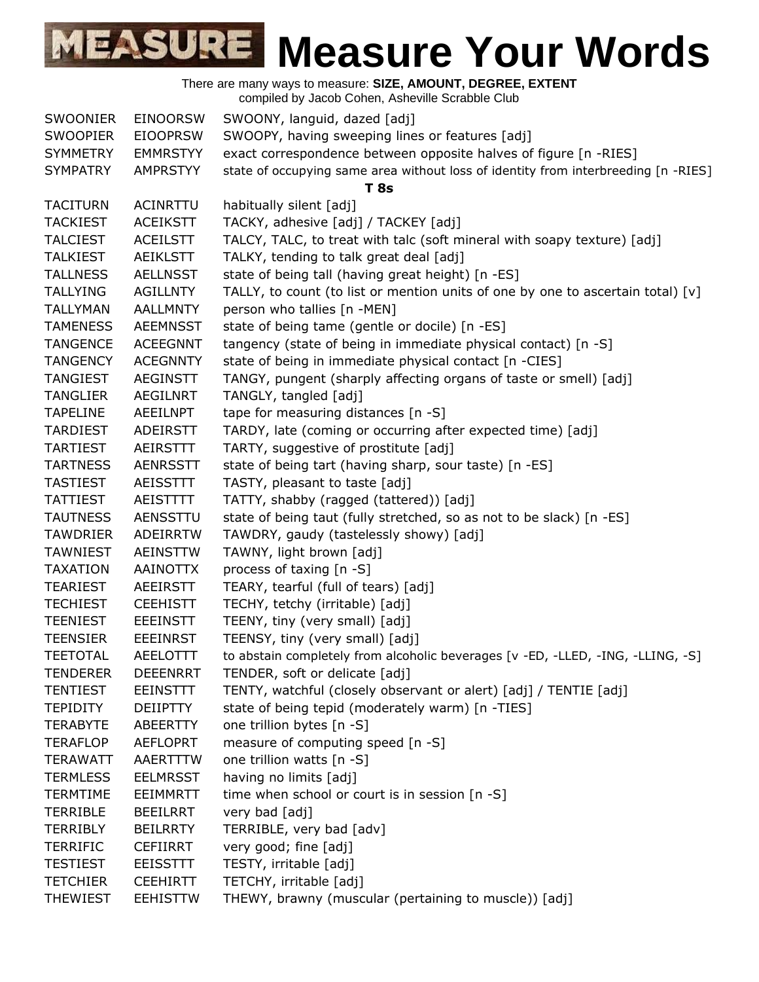| SWOONIER        | <b>EINOORSW</b> | SWOONY, languid, dazed [adj]                                                       |
|-----------------|-----------------|------------------------------------------------------------------------------------|
| <b>SWOOPIER</b> | <b>EIOOPRSW</b> | SWOOPY, having sweeping lines or features [adj]                                    |
| <b>SYMMETRY</b> | <b>EMMRSTYY</b> | exact correspondence between opposite halves of figure [n -RIES]                   |
| <b>SYMPATRY</b> | <b>AMPRSTYY</b> | state of occupying same area without loss of identity from interbreeding [n -RIES] |
|                 |                 | <b>T</b> 8s                                                                        |
| <b>TACITURN</b> | ACINRTTU        | habitually silent [adj]                                                            |
| <b>TACKIEST</b> | <b>ACEIKSTT</b> | TACKY, adhesive [adj] / TACKEY [adj]                                               |
| <b>TALCIEST</b> | <b>ACEILSTT</b> | TALCY, TALC, to treat with talc (soft mineral with soapy texture) [adj]            |
| <b>TALKIEST</b> | <b>AEIKLSTT</b> | TALKY, tending to talk great deal [adj]                                            |
| <b>TALLNESS</b> | <b>AELLNSST</b> | state of being tall (having great height) [n -ES]                                  |
| <b>TALLYING</b> | <b>AGILLNTY</b> | TALLY, to count (to list or mention units of one by one to ascertain total) $[v]$  |
| <b>TALLYMAN</b> | <b>AALLMNTY</b> | person who tallies [n -MEN]                                                        |
| <b>TAMENESS</b> | <b>AEEMNSST</b> | state of being tame (gentle or docile) [n -ES]                                     |
| <b>TANGENCE</b> | <b>ACEEGNNT</b> | tangency (state of being in immediate physical contact) [n -S]                     |
| <b>TANGENCY</b> | <b>ACEGNNTY</b> | state of being in immediate physical contact [n -CIES]                             |
| <b>TANGIEST</b> | <b>AEGINSTT</b> | TANGY, pungent (sharply affecting organs of taste or smell) [adj]                  |
| <b>TANGLIER</b> | <b>AEGILNRT</b> | TANGLY, tangled [adj]                                                              |
| <b>TAPELINE</b> | AEEILNPT        | tape for measuring distances [n -S]                                                |
| <b>TARDIEST</b> | <b>ADEIRSTT</b> | TARDY, late (coming or occurring after expected time) [adj]                        |
| <b>TARTIEST</b> | AEIRSTTT        | TARTY, suggestive of prostitute [adj]                                              |
| <b>TARTNESS</b> | <b>AENRSSTT</b> | state of being tart (having sharp, sour taste) [n -ES]                             |
| <b>TASTIEST</b> | <b>AEISSTTT</b> | TASTY, pleasant to taste [adj]                                                     |
| <b>TATTIEST</b> | AEISTTTT        | TATTY, shabby (ragged (tattered)) [adj]                                            |
| <b>TAUTNESS</b> | AENSSTTU        | state of being taut (fully stretched, so as not to be slack) [n -ES]               |
| <b>TAWDRIER</b> | <b>ADEIRRTW</b> | TAWDRY, gaudy (tastelessly showy) [adj]                                            |
| <b>TAWNIEST</b> | <b>AEINSTTW</b> | TAWNY, light brown [adj]                                                           |
| <b>TAXATION</b> | <b>AAINOTTX</b> | process of taxing [n -S]                                                           |
| <b>TEARIEST</b> | <b>AEEIRSTT</b> | TEARY, tearful (full of tears) [adj]                                               |
| <b>TECHIEST</b> | <b>CEEHISTT</b> | TECHY, tetchy (irritable) [adj]                                                    |
| <b>TEENIEST</b> | <b>EEEINSTT</b> | TEENY, tiny (very small) [adj]                                                     |
| <b>TEENSIER</b> | <b>EEEINRST</b> | TEENSY, tiny (very small) [adj]                                                    |
| <b>TEETOTAL</b> | AEELOTTT        | to abstain completely from alcoholic beverages [v -ED, -LLED, -ING, -LLING, -S]    |
| <b>TENDERER</b> | <b>DEEENRRT</b> | TENDER, soft or delicate [adj]                                                     |
| <b>TENTIEST</b> | <b>EEINSTTT</b> | TENTY, watchful (closely observant or alert) [adj] / TENTIE [adj]                  |
| <b>TEPIDITY</b> | <b>DEIIPTTY</b> | state of being tepid (moderately warm) [n -TIES]                                   |
| <b>TERABYTE</b> | ABEERTTY        | one trillion bytes [n -S]                                                          |
| <b>TERAFLOP</b> | <b>AEFLOPRT</b> | measure of computing speed [n -S]                                                  |
| <b>TERAWATT</b> | AAERTTTW        | one trillion watts [n -S]                                                          |
| <b>TERMLESS</b> | <b>EELMRSST</b> | having no limits [adj]                                                             |
| <b>TERMTIME</b> | <b>EEIMMRTT</b> | time when school or court is in session [n -S]                                     |
| <b>TERRIBLE</b> | <b>BEEILRRT</b> | very bad [adj]                                                                     |
| <b>TERRIBLY</b> | <b>BEILRRTY</b> | TERRIBLE, very bad [adv]                                                           |
| <b>TERRIFIC</b> | <b>CEFIIRRT</b> | very good; fine [adj]                                                              |
| <b>TESTIEST</b> | <b>EEISSTTT</b> | TESTY, irritable [adj]                                                             |
| <b>TETCHIER</b> | <b>CEEHIRTT</b> | TETCHY, irritable [adj]                                                            |
| <b>THEWIEST</b> | <b>EEHISTTW</b> | THEWY, brawny (muscular (pertaining to muscle)) [adj]                              |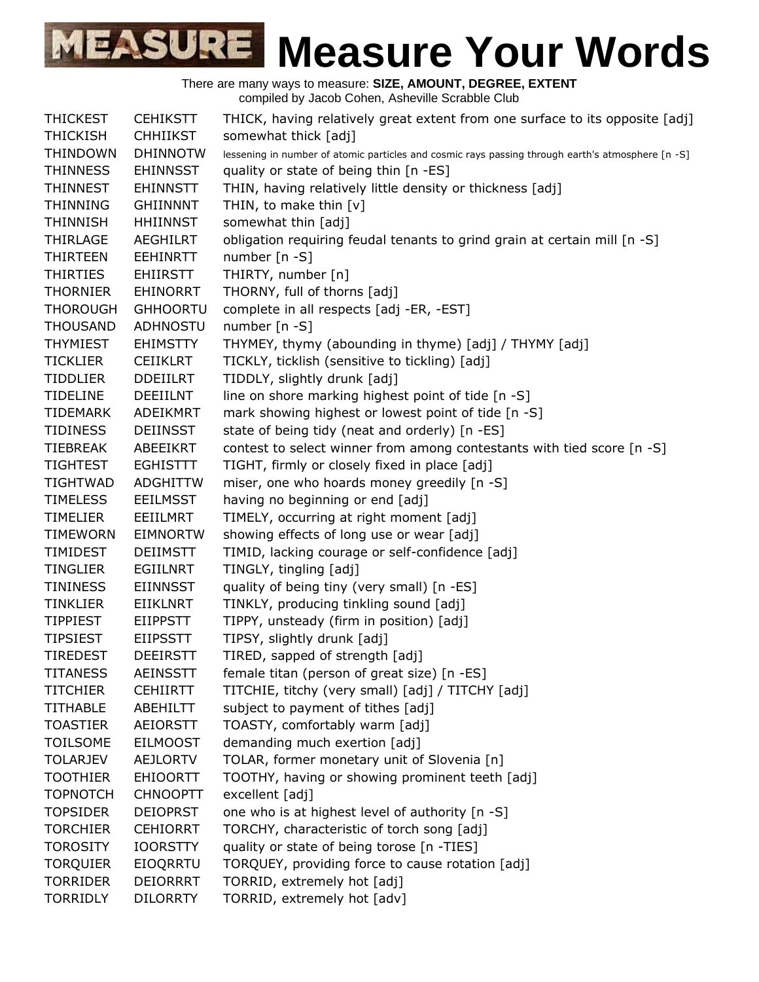There are many ways to measure: **SIZE, AMOUNT, DEGREE, EXTENT** compiled by Jacob Cohen, Asheville Scrabble Club

THICKEST CEHIKSTT THICK, having relatively great extent from one surface to its opposite [adj] THICKISH CHHIIKST somewhat thick [adj] THINDOWN DHINNOTW lessening in number of atomic particles and cosmic rays passing through earth's atmosphere [n -S] THINNESS EHINNSST quality or state of being thin [n -ES] THINNEST EHINNSTT THIN, having relatively little density or thickness [adj] THINNING GHIINNNT THIN, to make thin [v] THINNISH HHIINNST somewhat thin [adj] THIRLAGE AEGHILRT obligation requiring feudal tenants to grind grain at certain mill [n -S] THIRTEEN EEHINRTT number [n -S] THIRTIES EHIIRSTT THIRTY, number [n] THORNIER EHINORRT THORNY, full of thorns [adj] THOROUGH GHHOORTU complete in all respects [adj -ER, -EST] THOUSAND ADHNOSTU number [n -S] THYMIEST EHIMSTTY THYMEY, thymy (abounding in thyme) [adj] / THYMY [adj] TICKLIER CEIIKLRT TICKLY, ticklish (sensitive to tickling) [adj] TIDDLIER DDEIILRT TIDDLY, slightly drunk [adj] TIDELINE DEEIILNT line on shore marking highest point of tide  $[n -S]$ TIDEMARK ADEIKMRT mark showing highest or lowest point of tide [n -S] TIDINESS DEIINSST state of being tidy (neat and orderly) [n -ES] TIEBREAK ABEEIKRT contest to select winner from among contestants with tied score [n -S] TIGHTEST EGHISTTT TIGHT, firmly or closely fixed in place [adj] TIGHTWAD ADGHITTW miser, one who hoards money greedily [n -S] TIMELESS EEILMSST having no beginning or end [adj] TIMELIER EEIILMRT TIMELY, occurring at right moment [adj] TIMEWORN EIMNORTW showing effects of long use or wear [adj] TIMIDEST DEIIMSTT TIMID, lacking courage or self-confidence [adj] TINGLIER EGIILNRT TINGLY, tingling [adj] TININESS EIINNSST quality of being tiny (very small) [n -ES] TINKLIER EIIKLNRT TINKLY, producing tinkling sound [adj] TIPPIEST EIIPPSTT TIPPY, unsteady (firm in position) [adj] TIPSIEST EIIPSSTT TIPSY, slightly drunk [adj] TIREDEST DEEIRSTT TIRED, sapped of strength [adj] TITANESS AEINSSTT female titan (person of great size) [n -ES] TITCHIER CEHIIRTT TITCHIE, titchy (very small) [adj] / TITCHY [adj] TITHABLE ABEHILTT subject to payment of tithes [adj] TOASTIER AEIORSTT TOASTY, comfortably warm [adj] TOILSOME EILMOOST demanding much exertion [adj] TOLARJEV AEJLORTV TOLAR, former monetary unit of Slovenia [n] TOOTHIER EHIOORTT TOOTHY, having or showing prominent teeth [adj] TOPNOTCH CHNOOPTT excellent [adj] TOPSIDER DEIOPRST one who is at highest level of authority [n -S] TORCHIER CEHIORRT TORCHY, characteristic of torch song [adj] TOROSITY IOORSTTY quality or state of being torose [n -TIES] TORQUIER EIOQRRTU TORQUEY, providing force to cause rotation [adj] TORRIDER DEIORRRT TORRID, extremely hot [adj] TORRIDLY DILORRTY TORRID, extremely hot [adv]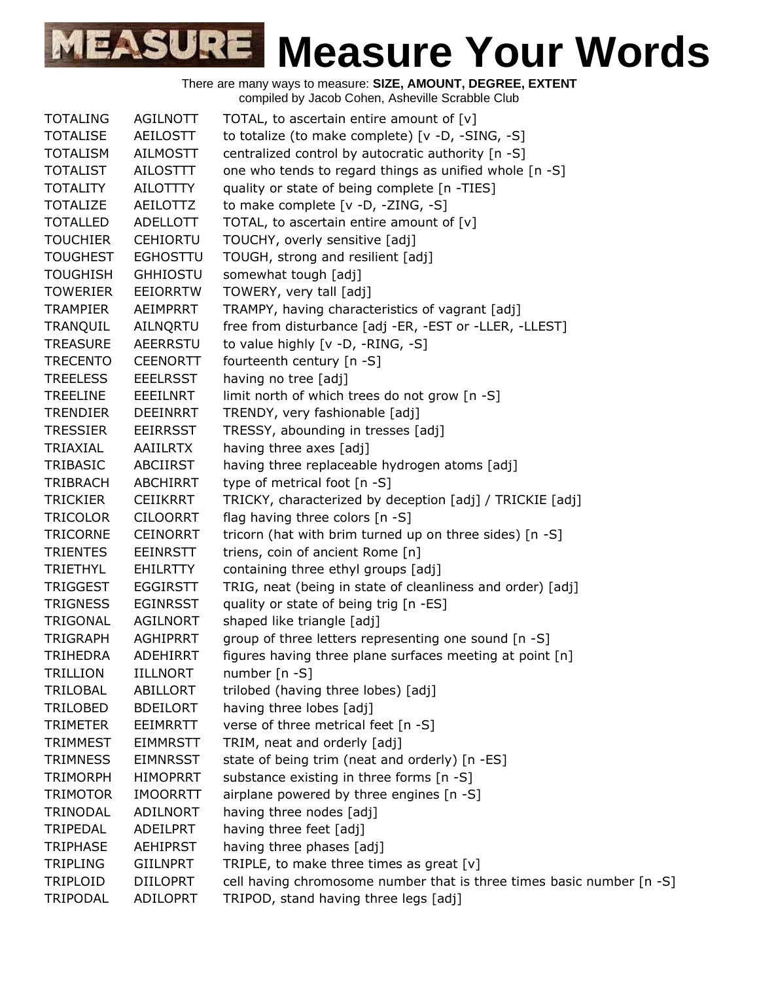| <b>TOTALING</b> | <b>AGILNOTT</b> | TOTAL, to ascertain entire amount of $[v]$                            |
|-----------------|-----------------|-----------------------------------------------------------------------|
| <b>TOTALISE</b> | AEILOSTT        | to totalize (to make complete) [v -D, -SING, -S]                      |
| <b>TOTALISM</b> | AILMOSTT        | centralized control by autocratic authority [n -S]                    |
| <b>TOTALIST</b> | <b>AILOSTTT</b> | one who tends to regard things as unified whole [n -S]                |
| <b>TOTALITY</b> | AILOTTTY        | quality or state of being complete [n -TIES]                          |
| <b>TOTALIZE</b> | AEILOTTZ        | to make complete [v -D, -ZING, -S]                                    |
| <b>TOTALLED</b> | ADELLOTT        | TOTAL, to ascertain entire amount of [v]                              |
| <b>TOUCHIER</b> | <b>CEHIORTU</b> | TOUCHY, overly sensitive [adj]                                        |
| <b>TOUGHEST</b> | <b>EGHOSTTU</b> | TOUGH, strong and resilient [adj]                                     |
| <b>TOUGHISH</b> | <b>GHHIOSTU</b> | somewhat tough [adj]                                                  |
| <b>TOWERIER</b> | <b>EEIORRTW</b> | TOWERY, very tall [adj]                                               |
| <b>TRAMPIER</b> | AEIMPRRT        | TRAMPY, having characteristics of vagrant [adj]                       |
| TRANQUIL        | AILNQRTU        | free from disturbance [adj -ER, -EST or -LLER, -LLEST]                |
| <b>TREASURE</b> | <b>AEERRSTU</b> | to value highly [v -D, -RING, -S]                                     |
| <b>TRECENTO</b> | <b>CEENORTT</b> | fourteenth century [n -S]                                             |
| <b>TREELESS</b> | <b>EEELRSST</b> | having no tree [adj]                                                  |
| <b>TREELINE</b> | EEEILNRT        | limit north of which trees do not grow [n -S]                         |
| <b>TRENDIER</b> | DEEINRRT        | TRENDY, very fashionable [adj]                                        |
| <b>TRESSIER</b> | EEIRRSST        | TRESSY, abounding in tresses [adj]                                    |
| TRIAXIAL        | <b>AAIILRTX</b> | having three axes [adj]                                               |
| TRIBASIC        | ABCIIRST        | having three replaceable hydrogen atoms [adj]                         |
| <b>TRIBRACH</b> | ABCHIRRT        | type of metrical foot [n -S]                                          |
| <b>TRICKIER</b> | <b>CEIIKRRT</b> | TRICKY, characterized by deception [adj] / TRICKIE [adj]              |
| <b>TRICOLOR</b> | <b>CILOORRT</b> | flag having three colors [n -S]                                       |
| <b>TRICORNE</b> | <b>CEINORRT</b> | tricorn (hat with brim turned up on three sides) [n -S]               |
| <b>TRIENTES</b> | EEINRSTT        | triens, coin of ancient Rome [n]                                      |
| <b>TRIETHYL</b> | EHILRTTY        | containing three ethyl groups [adj]                                   |
| <b>TRIGGEST</b> | <b>EGGIRSTT</b> | TRIG, neat (being in state of cleanliness and order) [adj]            |
| <b>TRIGNESS</b> | <b>EGINRSST</b> | quality or state of being trig [n -ES]                                |
| TRIGONAL        | AGILNORT        | shaped like triangle [adj]                                            |
| <b>TRIGRAPH</b> | <b>AGHIPRRT</b> | group of three letters representing one sound [n -S]                  |
| <b>TRIHEDRA</b> | <b>ADEHIRRT</b> | figures having three plane surfaces meeting at point [n]              |
| <b>TRILLION</b> | <b>IILLNORT</b> | number $[n - S]$                                                      |
| <b>TRILOBAL</b> | ABILLORT        | trilobed (having three lobes) [adj]                                   |
| <b>TRILOBED</b> | <b>BDEILORT</b> | having three lobes [adj]                                              |
| <b>TRIMETER</b> | <b>EEIMRRTT</b> | verse of three metrical feet [n -S]                                   |
| <b>TRIMMEST</b> | <b>EIMMRSTT</b> | TRIM, neat and orderly [adj]                                          |
| <b>TRIMNESS</b> | <b>EIMNRSST</b> | state of being trim (neat and orderly) [n -ES]                        |
| <b>TRIMORPH</b> | <b>HIMOPRRT</b> | substance existing in three forms [n -S]                              |
| <b>TRIMOTOR</b> | <b>IMOORRTT</b> | airplane powered by three engines [n -S]                              |
| TRINODAL        | ADILNORT        | having three nodes [adj]                                              |
| TRIPEDAL        | ADEILPRT        | having three feet [adj]                                               |
| <b>TRIPHASE</b> | <b>AEHIPRST</b> | having three phases [adj]                                             |
| <b>TRIPLING</b> | <b>GIILNPRT</b> | TRIPLE, to make three times as great $[v]$                            |
| TRIPLOID        | <b>DIILOPRT</b> | cell having chromosome number that is three times basic number [n -S] |
| TRIPODAL        | ADILOPRT        | TRIPOD, stand having three legs [adj]                                 |
|                 |                 |                                                                       |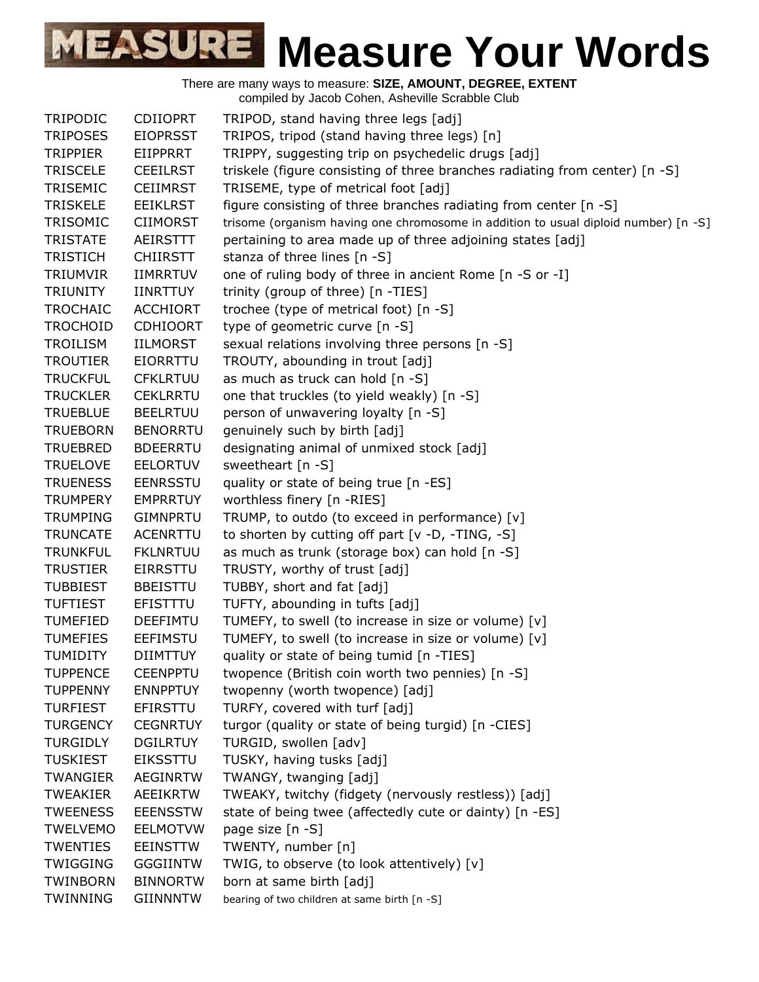| <b>TRIPODIC</b> | <b>CDIIOPRT</b> | TRIPOD, stand having three legs [adj]                                               |
|-----------------|-----------------|-------------------------------------------------------------------------------------|
| <b>TRIPOSES</b> | <b>EIOPRSST</b> | TRIPOS, tripod (stand having three legs) [n]                                        |
| <b>TRIPPIER</b> | EIIPPRRT        | TRIPPY, suggesting trip on psychedelic drugs [adj]                                  |
| <b>TRISCELE</b> | <b>CEEILRST</b> | triskele (figure consisting of three branches radiating from center) [n -S]         |
| TRISEMIC        | <b>CEIIMRST</b> | TRISEME, type of metrical foot [adj]                                                |
| <b>TRISKELE</b> | <b>EEIKLRST</b> | figure consisting of three branches radiating from center [n -S]                    |
| TRISOMIC        | <b>CIIMORST</b> | trisome (organism having one chromosome in addition to usual diploid number) [n -S] |
| <b>TRISTATE</b> | <b>AEIRSTTT</b> | pertaining to area made up of three adjoining states [adj]                          |
| <b>TRISTICH</b> | <b>CHIIRSTT</b> | stanza of three lines [n -S]                                                        |
| TRIUMVIR        | <b>IIMRRTUV</b> | one of ruling body of three in ancient Rome [n -S or -I]                            |
| <b>TRIUNITY</b> | <b>IINRTTUY</b> | trinity (group of three) [n -TIES]                                                  |
| <b>TROCHAIC</b> | <b>ACCHIORT</b> | trochee (type of metrical foot) [n -S]                                              |
| <b>TROCHOID</b> | <b>CDHIOORT</b> | type of geometric curve [n -S]                                                      |
| <b>TROILISM</b> | <b>IILMORST</b> | sexual relations involving three persons [n -S]                                     |
| <b>TROUTIER</b> | <b>EIORRTTU</b> | TROUTY, abounding in trout [adj]                                                    |
| <b>TRUCKFUL</b> | <b>CFKLRTUU</b> | as much as truck can hold [n -S]                                                    |
| <b>TRUCKLER</b> | <b>CEKLRRTU</b> | one that truckles (to yield weakly) [n -S]                                          |
| <b>TRUEBLUE</b> | <b>BEELRTUU</b> | person of unwavering loyalty [n -S]                                                 |
| <b>TRUEBORN</b> | <b>BENORRTU</b> | genuinely such by birth [adj]                                                       |
| <b>TRUEBRED</b> | <b>BDEERRTU</b> | designating animal of unmixed stock [adj]                                           |
| <b>TRUELOVE</b> | <b>EELORTUV</b> | sweetheart [n -S]                                                                   |
| <b>TRUENESS</b> | <b>EENRSSTU</b> | quality or state of being true [n -ES]                                              |
| <b>TRUMPERY</b> | <b>EMPRRTUY</b> | worthless finery [n -RIES]                                                          |
| <b>TRUMPING</b> | <b>GIMNPRTU</b> | TRUMP, to outdo (to exceed in performance) [v]                                      |
| <b>TRUNCATE</b> | <b>ACENRTTU</b> | to shorten by cutting off part [v -D, -TING, -S]                                    |
| <b>TRUNKFUL</b> | <b>FKLNRTUU</b> | as much as trunk (storage box) can hold [n -S]                                      |
| <b>TRUSTIER</b> | <b>EIRRSTTU</b> | TRUSTY, worthy of trust [adj]                                                       |
| <b>TUBBIEST</b> | <b>BBEISTTU</b> | TUBBY, short and fat [adj]                                                          |
| <b>TUFTIEST</b> | EFISTTTU        | TUFTY, abounding in tufts [adj]                                                     |
| <b>TUMEFIED</b> | <b>DEEFIMTU</b> | TUMEFY, to swell (to increase in size or volume) [v]                                |
| <b>TUMEFIES</b> | <b>EEFIMSTU</b> | TUMEFY, to swell (to increase in size or volume) [v]                                |
| <b>TUMIDITY</b> | <b>DIIMTTUY</b> | quality or state of being tumid [n -TIES]                                           |
| <b>TUPPENCE</b> | <b>CEENPPTU</b> | twopence (British coin worth two pennies) [n -S]                                    |
| <b>TUPPENNY</b> | <b>ENNPPTUY</b> | twopenny (worth twopence) [adj]                                                     |
| <b>TURFIEST</b> | EFIRSTTU        | TURFY, covered with turf [adj]                                                      |
| <b>TURGENCY</b> | <b>CEGNRTUY</b> | turgor (quality or state of being turgid) [n -CIES]                                 |
| <b>TURGIDLY</b> | <b>DGILRTUY</b> | TURGID, swollen [adv]                                                               |
| <b>TUSKIEST</b> | <b>EIKSSTTU</b> | TUSKY, having tusks [adj]                                                           |
| <b>TWANGIER</b> | <b>AEGINRTW</b> | TWANGY, twanging [adj]                                                              |
| <b>TWEAKIER</b> | AEEIKRTW        | TWEAKY, twitchy (fidgety (nervously restless)) [adj]                                |
| <b>TWEENESS</b> | <b>EEENSSTW</b> | state of being twee (affectedly cute or dainty) [n -ES]                             |
| <b>TWELVEMO</b> | <b>EELMOTVW</b> | page size [n -S]                                                                    |
| <b>TWENTIES</b> | <b>EEINSTTW</b> | TWENTY, number [n]                                                                  |
| <b>TWIGGING</b> | <b>GGGIINTW</b> | TWIG, to observe (to look attentively) [v]                                          |
| <b>TWINBORN</b> | <b>BINNORTW</b> | born at same birth [adj]                                                            |
| <b>TWINNING</b> | <b>GIINNNTW</b> | bearing of two children at same birth [n -S]                                        |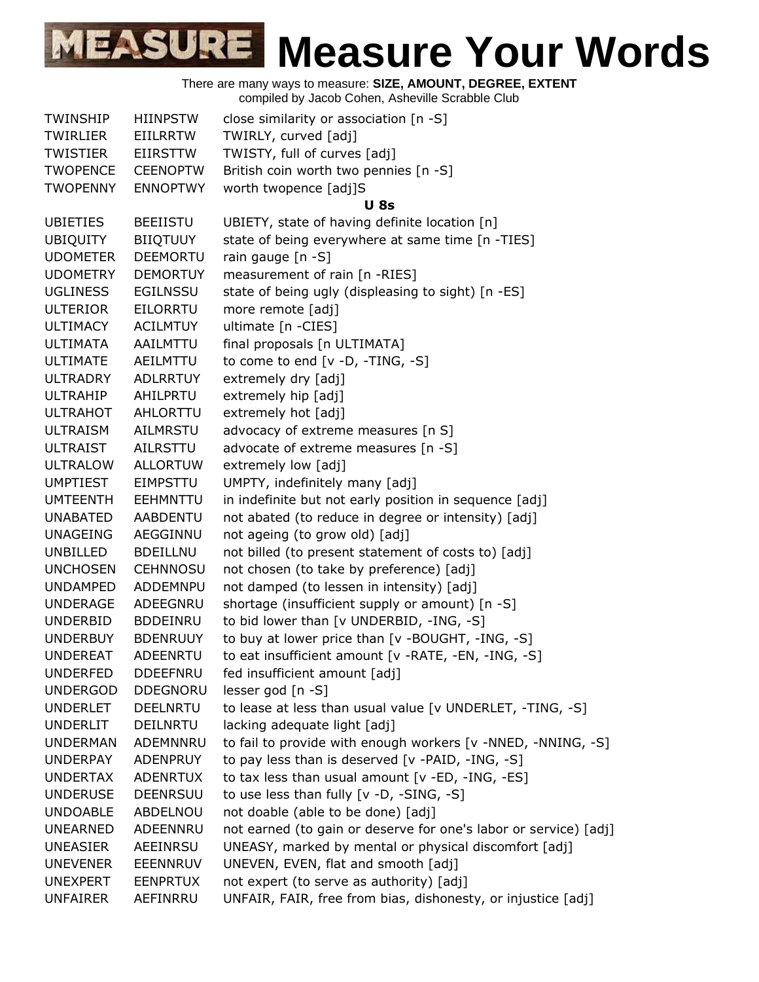|                 |                 | complica by bacob Obtion, Asheville Octabbie Oldb                |
|-----------------|-----------------|------------------------------------------------------------------|
| <b>TWINSHIP</b> | <b>HIINPSTW</b> | close similarity or association [n -S]                           |
| <b>TWIRLIER</b> | <b>EIILRRTW</b> | TWIRLY, curved [adj]                                             |
| <b>TWISTIER</b> | <b>EIIRSTTW</b> | TWISTY, full of curves [adj]                                     |
| <b>TWOPENCE</b> | <b>CEENOPTW</b> | British coin worth two pennies [n -S]                            |
| <b>TWOPENNY</b> | <b>ENNOPTWY</b> | worth twopence [adj]S                                            |
|                 |                 | <b>U</b> 8s                                                      |
| <b>UBIETIES</b> | <b>BEEIISTU</b> | UBIETY, state of having definite location [n]                    |
| <b>UBIQUITY</b> | <b>BIIQTUUY</b> | state of being everywhere at same time [n -TIES]                 |
| <b>UDOMETER</b> | DEEMORTU        | rain gauge [n -S]                                                |
| <b>UDOMETRY</b> | <b>DEMORTUY</b> | measurement of rain [n -RIES]                                    |
| <b>UGLINESS</b> | <b>EGILNSSU</b> | state of being ugly (displeasing to sight) [n -ES]               |
| <b>ULTERIOR</b> | <b>EILORRTU</b> | more remote [adj]                                                |
| <b>ULTIMACY</b> | <b>ACILMTUY</b> | ultimate [n -CIES]                                               |
| <b>ULTIMATA</b> | AAILMTTU        | final proposals [n ULTIMATA]                                     |
| <b>ULTIMATE</b> | AEILMTTU        | to come to end [v -D, -TING, -S]                                 |
| <b>ULTRADRY</b> | <b>ADLRRTUY</b> | extremely dry [adj]                                              |
| <b>ULTRAHIP</b> | AHILPRTU        | extremely hip [adj]                                              |
| <b>ULTRAHOT</b> | AHLORTTU        | extremely hot [adj]                                              |
| <b>ULTRAISM</b> | <b>AILMRSTU</b> | advocacy of extreme measures [n S]                               |
| <b>ULTRAIST</b> | AILRSTTU        | advocate of extreme measures [n -S]                              |
| <b>ULTRALOW</b> | <b>ALLORTUW</b> | extremely low [adj]                                              |
| <b>UMPTIEST</b> | <b>EIMPSTTU</b> | UMPTY, indefinitely many [adj]                                   |
| <b>UMTEENTH</b> | <b>EEHMNTTU</b> | in indefinite but not early position in sequence [adj]           |
| <b>UNABATED</b> | <b>AABDENTU</b> | not abated (to reduce in degree or intensity) [adj]              |
| <b>UNAGEING</b> | AEGGINNU        | not ageing (to grow old) [adj]                                   |
| UNBILLED        | <b>BDEILLNU</b> | not billed (to present statement of costs to) [adj]              |
| <b>UNCHOSEN</b> | <b>CEHNNOSU</b> | not chosen (to take by preference) [adj]                         |
| <b>UNDAMPED</b> | <b>ADDEMNPU</b> | not damped (to lessen in intensity) [adj]                        |
| <b>UNDERAGE</b> | ADEEGNRU        | shortage (insufficient supply or amount) [n -S]                  |
| <b>UNDERBID</b> | <b>BDDEINRU</b> | to bid lower than [v UNDERBID, -ING, -S]                         |
| <b>UNDERBUY</b> | <b>BDENRUUY</b> | to buy at lower price than [v -BOUGHT, -ING, -S]                 |
| <b>UNDEREAT</b> | ADEENRTU        | to eat insufficient amount [v -RATE, -EN, -ING, -S]              |
| <b>UNDERFED</b> | <b>DDEEFNRU</b> | fed insufficient amount [adj]                                    |
| <b>UNDERGOD</b> | <b>DDEGNORU</b> | lesser god [n -S]                                                |
| <b>UNDERLET</b> | <b>DEELNRTU</b> | to lease at less than usual value [v UNDERLET, -TING, -S]        |
| <b>UNDERLIT</b> | <b>DEILNRTU</b> | lacking adequate light [adj]                                     |
| <b>UNDERMAN</b> | ADEMNNRU        | to fail to provide with enough workers [v -NNED, -NNING, -S]     |
| <b>UNDERPAY</b> | ADENPRUY        | to pay less than is deserved [v -PAID, -ING, -S]                 |
| <b>UNDERTAX</b> | <b>ADENRTUX</b> | to tax less than usual amount [v -ED, -ING, -ES]                 |
| <b>UNDERUSE</b> | <b>DEENRSUU</b> | to use less than fully [v -D, -SING, -S]                         |
| <b>UNDOABLE</b> | ABDELNOU        | not doable (able to be done) [adj]                               |
| <b>UNEARNED</b> | ADEENNRU        | not earned (to gain or deserve for one's labor or service) [adj] |
| <b>UNEASIER</b> | AEEINRSU        | UNEASY, marked by mental or physical discomfort [adj]            |
| <b>UNEVENER</b> | EEENNRUV        | UNEVEN, EVEN, flat and smooth [adj]                              |
| <b>UNEXPERT</b> | <b>EENPRTUX</b> | not expert (to serve as authority) [adj]                         |
| <b>UNFAIRER</b> | AEFINRRU        | UNFAIR, FAIR, free from bias, dishonesty, or injustice [adj]     |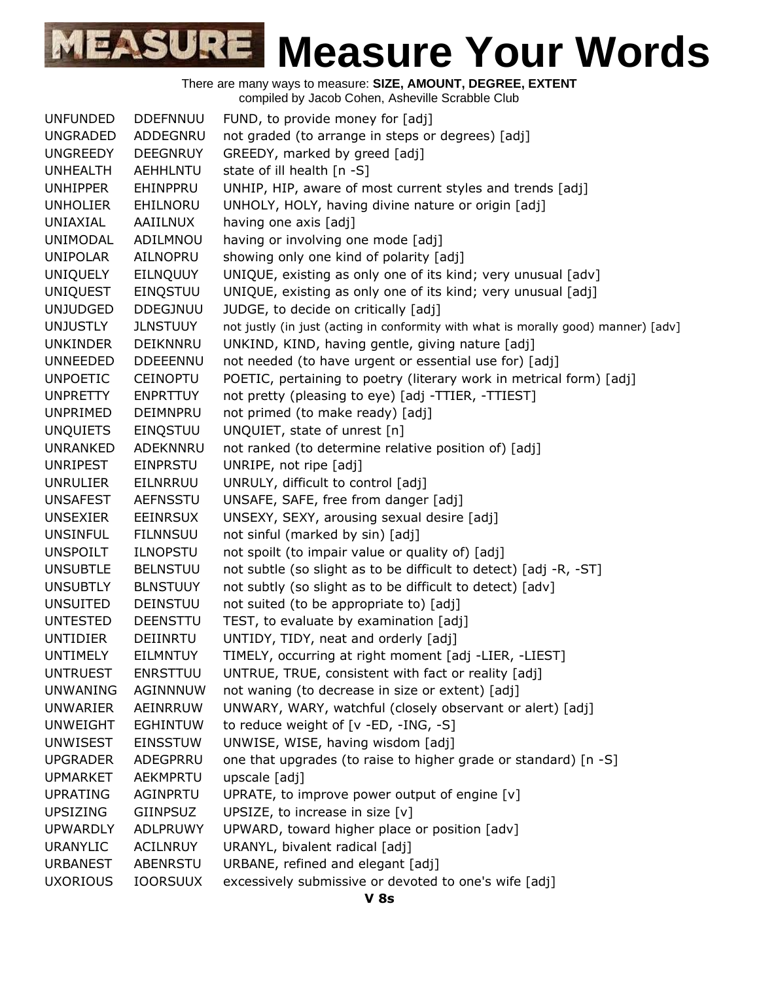| <b>UNFUNDED</b> | <b>DDEFNNUU</b> | FUND, to provide money for [adj]                                                   |
|-----------------|-----------------|------------------------------------------------------------------------------------|
| <b>UNGRADED</b> | ADDEGNRU        | not graded (to arrange in steps or degrees) [adj]                                  |
| <b>UNGREEDY</b> | <b>DEEGNRUY</b> | GREEDY, marked by greed [adj]                                                      |
| <b>UNHEALTH</b> | <b>AEHHLNTU</b> | state of ill health [n -S]                                                         |
| <b>UNHIPPER</b> | EHINPPRU        | UNHIP, HIP, aware of most current styles and trends [adj]                          |
| <b>UNHOLIER</b> | EHILNORU        | UNHOLY, HOLY, having divine nature or origin [adj]                                 |
| UNIAXIAL        | AAIILNUX        | having one axis [adj]                                                              |
| UNIMODAL        | ADILMNOU        | having or involving one mode [adj]                                                 |
| <b>UNIPOLAR</b> | AILNOPRU        | showing only one kind of polarity [adj]                                            |
| <b>UNIQUELY</b> | EILNQUUY        | UNIQUE, existing as only one of its kind; very unusual [adv]                       |
| <b>UNIQUEST</b> | EINQSTUU        | UNIQUE, existing as only one of its kind; very unusual [adj]                       |
| <b>UNJUDGED</b> | <b>DDEGJNUU</b> | JUDGE, to decide on critically [adj]                                               |
| <b>UNJUSTLY</b> | <b>JLNSTUUY</b> | not justly (in just (acting in conformity with what is morally good) manner) [adv] |
| <b>UNKINDER</b> | DEIKNNRU        | UNKIND, KIND, having gentle, giving nature [adj]                                   |
| <b>UNNEEDED</b> | <b>DDEEENNU</b> | not needed (to have urgent or essential use for) [adj]                             |
| <b>UNPOETIC</b> | <b>CEINOPTU</b> | POETIC, pertaining to poetry (literary work in metrical form) [adj]                |
| <b>UNPRETTY</b> | <b>ENPRTTUY</b> | not pretty (pleasing to eye) [adj -TTIER, -TTIEST]                                 |
| UNPRIMED        | DEIMNPRU        | not primed (to make ready) [adj]                                                   |
| <b>UNQUIETS</b> | EINQSTUU        | UNQUIET, state of unrest [n]                                                       |
| UNRANKED        | ADEKNNRU        | not ranked (to determine relative position of) [adj]                               |
| <b>UNRIPEST</b> | EINPRSTU        | UNRIPE, not ripe [adj]                                                             |
| <b>UNRULIER</b> | EILNRRUU        | UNRULY, difficult to control [adj]                                                 |
| <b>UNSAFEST</b> | <b>AEFNSSTU</b> | UNSAFE, SAFE, free from danger [adj]                                               |
| <b>UNSEXIER</b> | EEINRSUX        | UNSEXY, SEXY, arousing sexual desire [adj]                                         |
| <b>UNSINFUL</b> | <b>FILNNSUU</b> | not sinful (marked by sin) [adj]                                                   |
| <b>UNSPOILT</b> | <b>ILNOPSTU</b> | not spoilt (to impair value or quality of) [adj]                                   |
| <b>UNSUBTLE</b> | <b>BELNSTUU</b> | not subtle (so slight as to be difficult to detect) [adj -R, -ST]                  |
| <b>UNSUBTLY</b> | <b>BLNSTUUY</b> | not subtly (so slight as to be difficult to detect) [adv]                          |
| <b>UNSUITED</b> | <b>DEINSTUU</b> | not suited (to be appropriate to) [adj]                                            |
| <b>UNTESTED</b> | <b>DEENSTTU</b> | TEST, to evaluate by examination [adj]                                             |
| <b>UNTIDIER</b> | DEIINRTU        | UNTIDY, TIDY, neat and orderly [adj]                                               |
| <b>UNTIMELY</b> | <b>EILMNTUY</b> | TIMELY, occurring at right moment [adj -LIER, -LIEST]                              |
| <b>UNTRUEST</b> | <b>ENRSTTUU</b> | UNTRUE, TRUE, consistent with fact or reality [adj]                                |
| <b>UNWANING</b> | AGINNNUW        | not waning (to decrease in size or extent) [adj]                                   |
| UNWARIER        | AEINRRUW        | UNWARY, WARY, watchful (closely observant or alert) [adj]                          |
| <b>UNWEIGHT</b> | <b>EGHINTUW</b> | to reduce weight of [v -ED, -ING, -S]                                              |
| <b>UNWISEST</b> | <b>EINSSTUW</b> | UNWISE, WISE, having wisdom [adj]                                                  |
| <b>UPGRADER</b> | ADEGPRRU        | one that upgrades (to raise to higher grade or standard) [n -S]                    |
| <b>UPMARKET</b> | AEKMPRTU        | upscale [adj]                                                                      |
| <b>UPRATING</b> | AGINPRTU        | UPRATE, to improve power output of engine [v]                                      |
| <b>UPSIZING</b> | GIINPSUZ        | UPSIZE, to increase in size [v]                                                    |
| <b>UPWARDLY</b> | ADLPRUWY        | UPWARD, toward higher place or position [adv]                                      |
| <b>URANYLIC</b> | <b>ACILNRUY</b> | URANYL, bivalent radical [adj]                                                     |
| <b>URBANEST</b> | ABENRSTU        | URBANE, refined and elegant [adj]                                                  |
| <b>UXORIOUS</b> | <b>IOORSUUX</b> | excessively submissive or devoted to one's wife [adj]                              |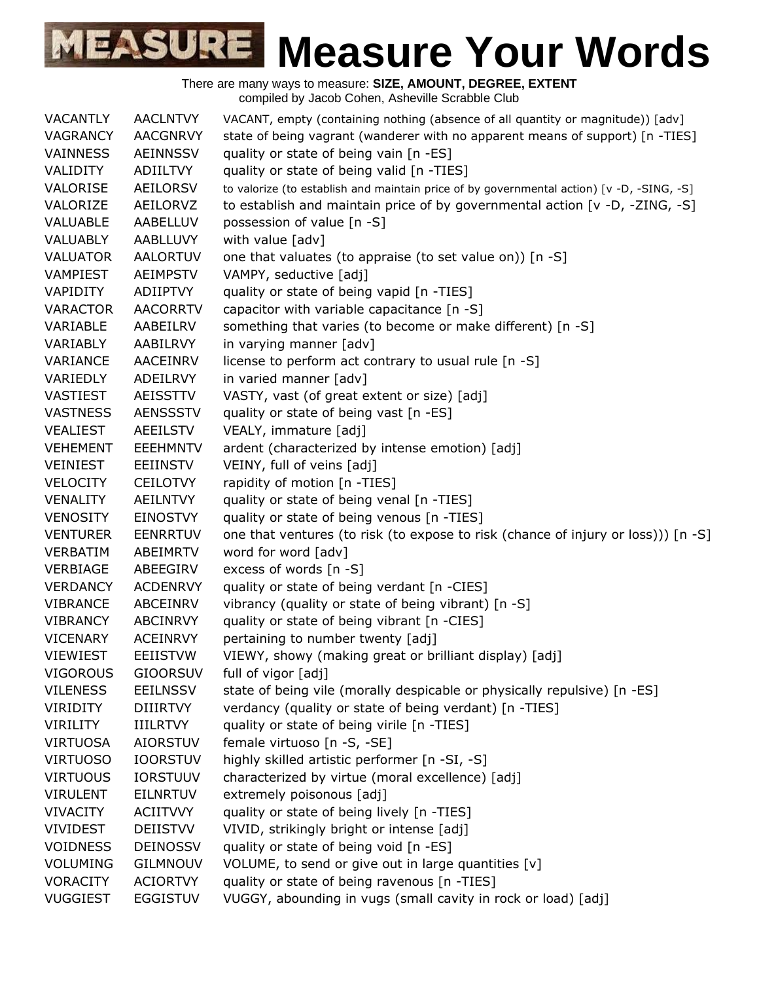| <b>VACANTLY</b> | <b>AACLNTVY</b> | VACANT, empty (containing nothing (absence of all quantity or magnitude)) [adv]           |
|-----------------|-----------------|-------------------------------------------------------------------------------------------|
| <b>VAGRANCY</b> | <b>AACGNRVY</b> | state of being vagrant (wanderer with no apparent means of support) [n -TIES]             |
| VAINNESS        | <b>AEINNSSV</b> | quality or state of being vain [n -ES]                                                    |
| VALIDITY        | ADIILTVY        | quality or state of being valid [n -TIES]                                                 |
| VALORISE        | <b>AEILORSV</b> | to valorize (to establish and maintain price of by governmental action) [v -D, -SING, -S] |
| VALORIZE        | AEILORVZ        | to establish and maintain price of by governmental action [v -D, -ZING, -S]               |
| VALUABLE        | AABELLUV        | possession of value [n -S]                                                                |
| VALUABLY        | AABLLUVY        | with value [adv]                                                                          |
| <b>VALUATOR</b> | <b>AALORTUV</b> | one that valuates (to appraise (to set value on)) [n -S]                                  |
| VAMPIEST        | <b>AEIMPSTV</b> | VAMPY, seductive [adj]                                                                    |
| VAPIDITY        | <b>ADIIPTVY</b> | quality or state of being vapid [n -TIES]                                                 |
| <b>VARACTOR</b> | <b>AACORRTV</b> | capacitor with variable capacitance [n -S]                                                |
| VARIABLE        | AABEILRV        | something that varies (to become or make different) [n -S]                                |
| VARIABLY        | AABILRVY        | in varying manner [adv]                                                                   |
| VARIANCE        | <b>AACEINRV</b> | license to perform act contrary to usual rule [n -S]                                      |
| VARIEDLY        | ADEILRVY        | in varied manner [adv]                                                                    |
| VASTIEST        | <b>AEISSTTV</b> | VASTY, vast (of great extent or size) [adj]                                               |
| <b>VASTNESS</b> | <b>AENSSSTV</b> | quality or state of being vast [n -ES]                                                    |
| <b>VEALIEST</b> | <b>AEEILSTV</b> | VEALY, immature [adj]                                                                     |
| <b>VEHEMENT</b> | <b>EEEHMNTV</b> | ardent (characterized by intense emotion) [adj]                                           |
| <b>VEINIEST</b> | <b>EEIINSTV</b> | VEINY, full of veins [adj]                                                                |
| <b>VELOCITY</b> | <b>CEILOTVY</b> | rapidity of motion [n -TIES]                                                              |
| VENALITY        | <b>AEILNTVY</b> | quality or state of being venal [n -TIES]                                                 |
| <b>VENOSITY</b> | <b>EINOSTVY</b> | quality or state of being venous [n -TIES]                                                |
| <b>VENTURER</b> | <b>EENRRTUV</b> | one that ventures (to risk (to expose to risk (chance of injury or loss))) [n -S]         |
| <b>VERBATIM</b> | ABEIMRTV        | word for word [adv]                                                                       |
| VERBIAGE        | ABEEGIRV        | excess of words [n -S]                                                                    |
| <b>VERDANCY</b> | <b>ACDENRVY</b> | quality or state of being verdant [n -CIES]                                               |
| <b>VIBRANCE</b> | ABCEINRV        | vibrancy (quality or state of being vibrant) [n -S]                                       |
| <b>VIBRANCY</b> | ABCINRVY        | quality or state of being vibrant [n -CIES]                                               |
| <b>VICENARY</b> | <b>ACEINRVY</b> | pertaining to number twenty [adj]                                                         |
| <b>VIEWIEST</b> | <b>EEIISTVW</b> | VIEWY, showy (making great or brilliant display) [adj]                                    |
| <b>VIGOROUS</b> | <b>GIOORSUV</b> | full of vigor [adj]                                                                       |
| <b>VILENESS</b> | <b>EEILNSSV</b> | state of being vile (morally despicable or physically repulsive) [n -ES]                  |
| VIRIDITY        | <b>DIIIRTVY</b> | verdancy (quality or state of being verdant) [n -TIES]                                    |
| <b>VIRILITY</b> | <b>IIILRTVY</b> | quality or state of being virile [n -TIES]                                                |
| <b>VIRTUOSA</b> | <b>AIORSTUV</b> | female virtuoso [n -S, -SE]                                                               |
| <b>VIRTUOSO</b> | <b>IOORSTUV</b> | highly skilled artistic performer [n -SI, -S]                                             |
| <b>VIRTUOUS</b> | <b>IORSTUUV</b> | characterized by virtue (moral excellence) [adj]                                          |
| <b>VIRULENT</b> | <b>EILNRTUV</b> | extremely poisonous [adj]                                                                 |
| <b>VIVACITY</b> | <b>ACIITVVY</b> | quality or state of being lively [n -TIES]                                                |
| <b>VIVIDEST</b> | <b>DEIISTVV</b> | VIVID, strikingly bright or intense [adj]                                                 |
| <b>VOIDNESS</b> | <b>DEINOSSV</b> | quality or state of being void [n -ES]                                                    |
| <b>VOLUMING</b> | GILMNOUV        | VOLUME, to send or give out in large quantities [v]                                       |
| <b>VORACITY</b> | <b>ACIORTVY</b> | quality or state of being ravenous [n -TIES]                                              |
| <b>VUGGIEST</b> | <b>EGGISTUV</b> | VUGGY, abounding in vugs (small cavity in rock or load) [adj]                             |
|                 |                 |                                                                                           |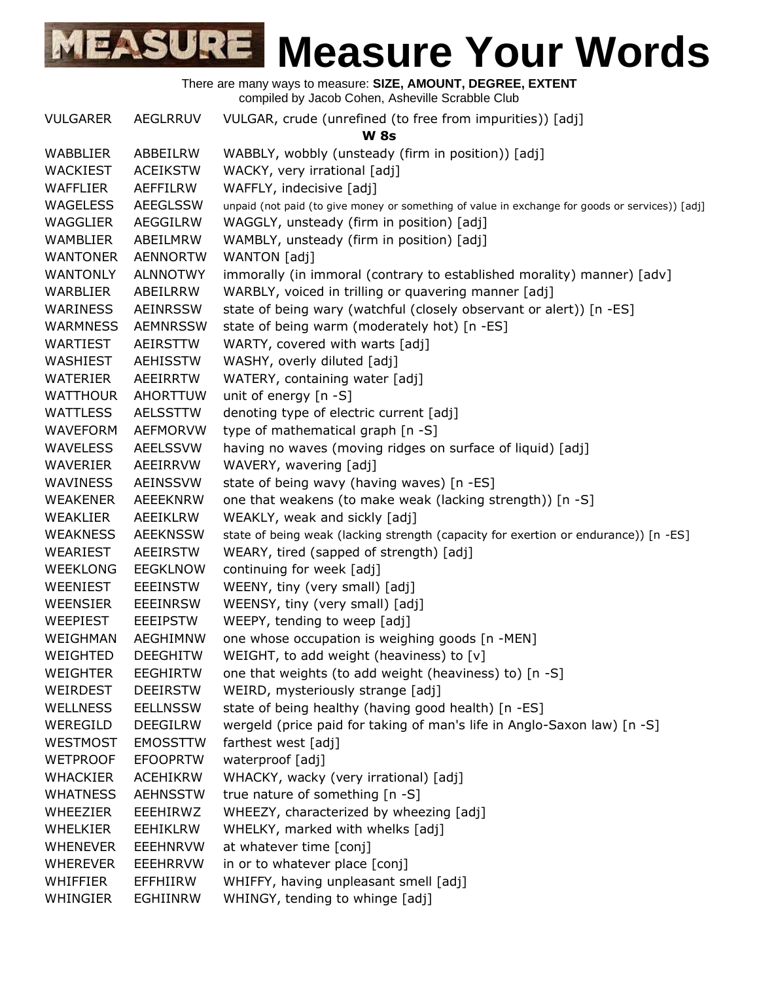There are many ways to measure: **SIZE, AMOUNT, DEGREE, EXTENT** compiled by Jacob Cohen, Asheville Scrabble Club

VULGARER AEGLRRUV VULGAR, crude (unrefined (to free from impurities)) [adj] **W 8s** WABBLIER ABBEILRW WABBLY, wobbly (unsteady (firm in position)) [adj] WACKIEST ACEIKSTW WACKY, very irrational [adj] WAFFLIER AEFFILRW WAFFLY, indecisive [adj] WAGELESS AEEGLSSW unpaid (not paid (to give money or something of value in exchange for goods or services)) [adj] WAGGLIER AEGGILRW WAGGLY, unsteady (firm in position) [adj] WAMBLIER ABEILMRW WAMBLY, unsteady (firm in position) [adj] WANTONER AENNORTW WANTON [adj] WANTONLY ALNNOTWY immorally (in immoral (contrary to established morality) manner) [adv] WARBLIER ABEILRRW WARBLY, voiced in trilling or quavering manner [adj] WARINESS AEINRSSW state of being wary (watchful (closely observant or alert)) [n -ES] WARMNESS AEMNRSSW state of being warm (moderately hot) [n -ES] WARTIEST AEIRSTTW WARTY, covered with warts [adj] WASHIEST AEHISSTW WASHY, overly diluted [adj] WATERIER AEEIRRTW WATERY, containing water [adj] WATTHOUR AHORTTUW unit of energy [n -S] WATTLESS AELSSTTW denoting type of electric current [adj] WAVEFORM AEFMORVW type of mathematical graph [n -S] WAVELESS AEELSSVW having no waves (moving ridges on surface of liquid) [adj] WAVERIER AEEIRRVW WAVERY, wavering [adj] WAVINESS AEINSSVW state of being wavy (having waves) [n -ES] WEAKENER AEEEKNRW one that weakens (to make weak (lacking strength)) [n -S] WEAKLIER AEEIKLRW WEAKLY, weak and sickly [adj] WEAKNESS AEEKNSSW state of being weak (lacking strength (capacity for exertion or endurance)) [n -ES] WEARIEST AEEIRSTW WEARY, tired (sapped of strength) [adj] WEEKLONG EEGKLNOW continuing for week [adj] WEENIEST EEEINSTW WEENY, tiny (very small) [adj] WEENSIER EEEINRSW WEENSY, tiny (very small) [adj] WEEPIEST EEEIPSTW WEEPY, tending to weep [adj] WEIGHMAN AEGHIMNW one whose occupation is weighing goods [n -MEN] WEIGHTED DEEGHITW WEIGHT, to add weight (heaviness) to [v] WEIGHTER EEGHIRTW one that weights (to add weight (heaviness) to) [n -S] WEIRDEST DEEIRSTW WEIRD, mysteriously strange [adj] WELLNESS EELLNSSW state of being healthy (having good health) [n -ES] WEREGILD DEEGILRW wergeld (price paid for taking of man's life in Anglo-Saxon law) [n -S] WESTMOST EMOSSTTW farthest west [adj] WETPROOF EFOOPRTW waterproof [adj] WHACKIER ACEHIKRW WHACKY, wacky (very irrational) [adj] WHATNESS AEHNSSTW true nature of something [n -S] WHEEZIER EEEHIRWZ WHEEZY, characterized by wheezing [adj] WHELKIER EEHIKLRW WHELKY, marked with whelks [adj] WHENEVER EEEHNRVW at whatever time [conj] WHEREVER EEEHRRVW in or to whatever place [conj] WHIFFIER EFFHIIRW WHIFFY, having unpleasant smell [adj] WHINGIER EGHIINRW WHINGY, tending to whinge [adj]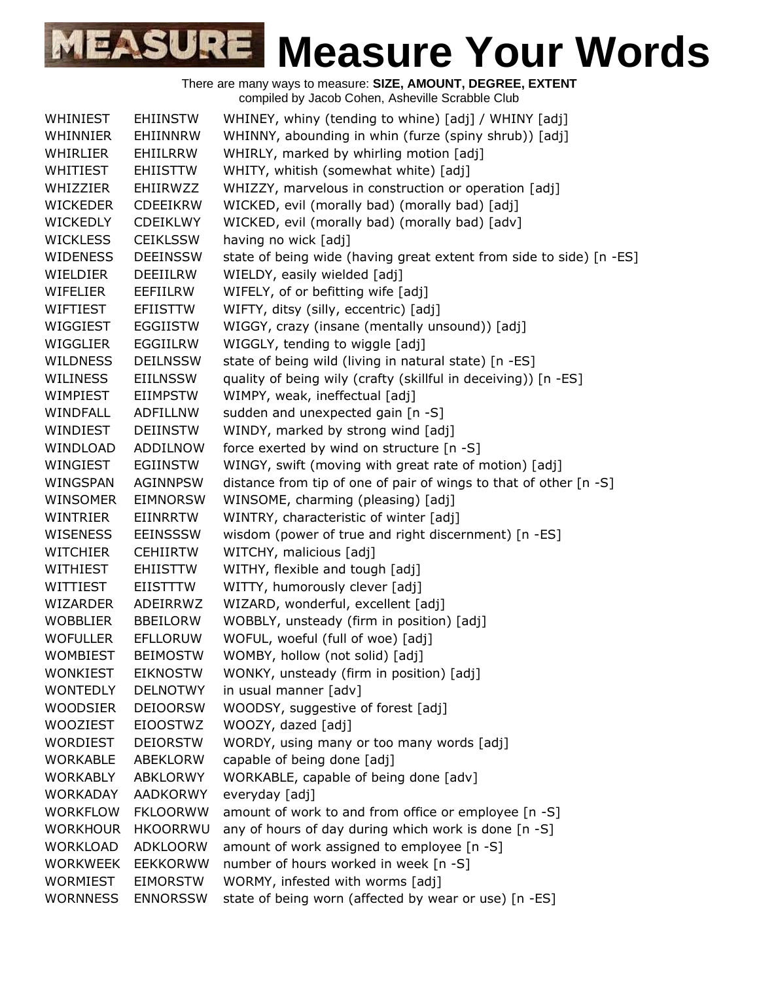There are many ways to measure: **SIZE, AMOUNT, DEGREE, EXTENT** compiled by Jacob Cohen, Asheville Scrabble Club WHINIEST EHIINSTW WHINEY, whiny (tending to whine) [adj] / WHINY [adj] WHINNIER EHIINNRW WHINNY, abounding in whin (furze (spiny shrub)) [adj] WHIRLIER EHIILRRW WHIRLY, marked by whirling motion [adj] WHITIEST EHIISTTW WHITY, whitish (somewhat white) [adj] WHIZZIER EHIIRWZZ WHIZZY, marvelous in construction or operation [adj] WICKEDER CDEEIKRW WICKED, evil (morally bad) (morally bad) [adj] WICKEDLY CDEIKLWY WICKED, evil (morally bad) (morally bad) [adv] WICKLESS CEIKLSSW having no wick [adj] WIDENESS DEEINSSW state of being wide (having great extent from side to side) [n -ES] WIELDIER DEEIILRW WIELDY, easily wielded [adj] WIFELIER EEFIILRW WIFELY, of or befitting wife [adj] WIFTIEST EFIISTTW WIFTY, ditsy (silly, eccentric) [adj] WIGGIEST EGGIISTW WIGGY, crazy (insane (mentally unsound)) [adj] WIGGLIER EGGIILRW WIGGLY, tending to wiggle [adj] WILDNESS DEILNSSW state of being wild (living in natural state) [n -ES] WILINESS EIILNSSW quality of being wily (crafty (skillful in deceiving)) [n -ES] WIMPIEST EIIMPSTW WIMPY, weak, ineffectual [adj] WINDFALL ADFILLNW sudden and unexpected gain [n -S] WINDIEST DEIINSTW WINDY, marked by strong wind [adj] WINDLOAD ADDILNOW force exerted by wind on structure [n -S] WINGIEST EGIINSTW WINGY, swift (moving with great rate of motion) [adj] WINGSPAN AGINNPSW distance from tip of one of pair of wings to that of other [n -S] WINSOMER EIMNORSW WINSOME, charming (pleasing) [adj] WINTRIER EIINRRTW WINTRY, characteristic of winter [adj] WISENESS EEINSSSW wisdom (power of true and right discernment) [n -ES] WITCHIER CEHIIRTW WITCHY, malicious [adj] WITHIEST EHIISTTW WITHY, flexible and tough [adj] WITTIEST EIISTTTW WITTY, humorously clever [adj] WIZARDER ADEIRRWZ WIZARD, wonderful, excellent [adj] WOBBLIER BBEILORW WOBBLY, unsteady (firm in position) [adj] WOFULLER EFLLORUW WOFUL, woeful (full of woe) [adj] WOMBIEST BEIMOSTW WOMBY, hollow (not solid) [adj] WONKIEST EIKNOSTW WONKY, unsteady (firm in position) [adj] WONTEDLY DELNOTWY in usual manner [adv] WOODSIER DEIOORSW WOODSY, suggestive of forest [adj] WOOZIEST EIOOSTWZ WOOZY, dazed [adj] WORDIEST DEIORSTW WORDY, using many or too many words [adj] WORKABLE ABEKLORW capable of being done [adj]

WORKABLY ABKLORWY WORKABLE, capable of being done [adv] WORKADAY AADKORWY everyday [adj] WORKFLOW FKLOORWW amount of work to and from office or employee [n -S] WORKHOUR HKOORRWU any of hours of day during which work is done [n -S] WORKLOAD ADKLOORW amount of work assigned to employee [n -S] WORKWEEK EEKKORWW number of hours worked in week [n -S] WORMIEST EIMORSTW WORMY, infested with worms [adj]

WORNNESS ENNORSSW state of being worn (affected by wear or use) [n -ES]